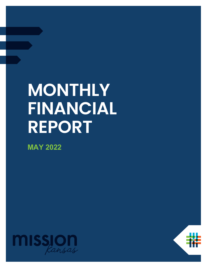# **MONTHLY FINANCIAL REPORT**

**MAY 2022**



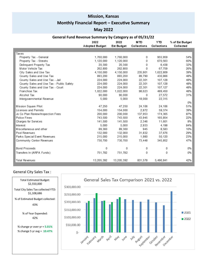## **Mission, Kansas**

# **Monthly Financial Report – Executive Summary**

### **May 2022**

#### **General Fund Revenue Summary by Category as of 05/31/22**

|                                          | 2022<br><b>Adopted Budget</b> | 2022<br><b>Est Budget</b> | <b>MTD</b><br>Collections | YTD<br>Collections | % of Est Budget<br>Collected |
|------------------------------------------|-------------------------------|---------------------------|---------------------------|--------------------|------------------------------|
|                                          |                               |                           |                           |                    |                              |
| Taxes                                    |                               |                           |                           |                    |                              |
| Property Tax - General                   | 1,760,000                     | 1,760,000                 | 0                         | 955.959            | 54%                          |
| Property Tax - Streets                   | 1,120,000                     | 1,120,000                 | $\Omega$                  | 670,563            | 60%                          |
| Delinquent Property Tax                  | 20,300                        | 20,300                    | $\Omega$                  | 6,438              | 32%                          |
| Motor Vehicle Tax                        | 262,800                       | 262,800                   | $\mathbf{0}$              | 67,759             | 26%                          |
| City Sales and Use Tax                   | 4,150,000                     | 4,150,000                 | 235,901                   | 1,622,809          | 39%                          |
| County Sales and Use Tax                 | 893,200                       | 893,200                   | 89,790                    | 430,866            | 48%                          |
| County Sales and Use Tax - Jail          | 224,000                       | 224,000                   | 22,301                    | 107,128            | 48%                          |
| County Sales and Use Tax - Public Safety | 224,000                       | 224,000                   | 22,301                    | 107,128            | 48%                          |
| County Sales and Use Tax - Court         | 224,000                       | 224,000                   | 22,301                    | 107,127            | 48%                          |
| Franchise Tax                            | 1,022,000                     | 1,022,000                 | 98,623                    | 489,450            | 48%                          |
| Alcohol Tax                              | 90,000                        | 90,000                    | $\mathbf{0}$              | 27,572             | 31%                          |
| Intergovernmental Revenue                | 5,000                         | 5,000                     | 18,000                    | 22,315             |                              |
|                                          |                               |                           |                           |                    | 0%                           |
| Mission Square Pilot                     | 47,250                        | 47,250                    | 24,106                    | 24,106             | 51%                          |
| Licenses and Permits                     | 154,000                       | 154,000                   | 2,872                     | 59,374             | 39%                          |
| Jo Co Plan Review/Inspection Fees        | 200,000                       | 200,000                   | 137,953                   | 174,365            | 87%                          |
| Police Fines                             | 743,500                       | 743,500                   | 43,945                    | 165,854            | 22%                          |
| Charges for Services                     | 141,500                       | 141,500                   | 2,346                     | 11,601             | 8%                           |
| Interest                                 | 5,000                         | 5,000                     | 2,933                     | 4,198              | 84%                          |
| Miscellaneous and other                  | 89,360                        | 89,360                    | 945                       | 8.583              | 10%                          |
| Pool Revenues                            | 132,000                       | 132,000                   | 31,832                    | 37,676             | 29%                          |
| Parks Special Event Revenues             | 215,000                       | 215,000                   | 1,980                     | 50,120             | 23%                          |
| Community Center Revenues                | 730,700                       | 730,700                   | 73,448                    | 345,852            | 47%                          |
| <b>Bond Proceeds</b>                     | 0                             | 0                         | 0                         | 0                  | 0%                           |
| Transfers In (ARPA Funds)                | 751,782                       | 751,782                   | 0                         | 0                  | 0%                           |
| <b>Total Revenues</b>                    | 13,205,392                    | 13,205,392                | 831,578                   | 5,496,841          | 42%                          |

# General City Sales Tax :

Total Estimated Budget: \$2,550,000

\$1,108,686

43%

% of Year Expended: 42%

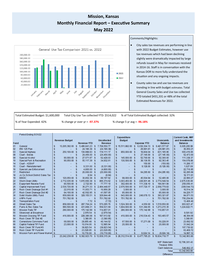# **Mission, Kansas Monthly Financial Report – Executive Summary May 2022**



#### Comments/Highlights:

- City sales tax revenues are performing in line with 2022 Budget Estimates, however use tax revenues which had been declining slightly were dramatically impacted by large refunds issued in May for revenues received in 2014-16. Staff is in conversation with the Kansas DOR to more fully understand the situation and any ongoing impacts.
- County sales tax and use tax revenues are trending in line with budget estimates. Total General County Sales and Use tax collected YTD totaled \$431,331 or 48% of the total Estimated Revenues for 2022.

Total Estimated Budget: \$1,600,000 Total City Use Tax collected YTD: \$514,022 % of Total Estimated Budget collected: 32%

% of Year Expended: 42% % change yr over yr = **-97.37%** % change 5 yr avg = **-96.18%**

|      | Period Ending 5/31/22           |                         |                       |                         |                    |      |                 |                           |                    |              |                    |      |                       |                |                          |
|------|---------------------------------|-------------------------|-----------------------|-------------------------|--------------------|------|-----------------|---------------------------|--------------------|--------------|--------------------|------|-----------------------|----------------|--------------------------|
|      |                                 |                         |                       |                         |                    |      |                 |                           | <b>Expenditure</b> |              |                    |      |                       |                | <b>Current Cash, MIP</b> |
|      |                                 |                         | <b>Revenue Budget</b> |                         |                    |      | Uncollected     |                           | <b>Budget</b>      |              |                    |      | Unencumb.             |                | and Investments          |
| Fund |                                 |                         |                       |                         | <b>Revenue YTD</b> |      | <b>Revenue</b>  |                           |                    |              | <b>Expense YTD</b> |      | <b>Balance</b>        |                | <b>Balance</b>           |
| 01   | General                         | \$                      | 13, 205, 392.00 \$    |                         | 5.496.841.23 \$    |      | 7,708,550.77    |                           | \$15,511,882.00 \$ |              | 6.030.304.13 \$    |      | 9,481,577.87          | S              | 6.005.265.98             |
| 02   | IRS 125 Plan                    | S                       |                       | \$                      | 24.186.38 \$       |      | (24, 186, 38)   | \$.                       |                    | S            | 29.981.81 \$       |      | (29.981.81)           | S              | 36,050.21                |
| 03   | Special Highway                 | \$                      | 250.100.00            | - \$                    | 130.988.83 \$      |      | 119.111.17      | \$                        | 850,000.00         | -S           | 18.804.04 \$       |      | 831, 195, 96          | \$             | 693,416.06               |
| 08   | Court - Bonds                   | \$                      |                       | S                       | 24,456.00 \$       |      | (24, 456, 00)   | \$                        |                    | S            | 27,145.00 \$       |      | (27, 145, 00)         | \$             | 52, 473, 00              |
| 09   | Special Alcohol                 | $\overline{\mathbb{S}}$ | 90.000.00 \$          |                         | 27.571.97 \$       |      | 62.428.03       | \$                        | 145.000.00 \$      |              | 52.700.00 \$       |      | 92.300.00             | \$.            | 111.338.37               |
| 10   | Special Park & Recreation       | $\overline{\mathbb{S}}$ | 90.050.00 \$          |                         | 55.117.39 \$       |      | 34.932.61       | \$                        | 130,500,00 \$      |              | 38, 136. 55 \$     |      | 92.363.45             | \$             | 154,678.88               |
| 14   | Court - ADSAP                   | $\mathbb{S}$            |                       | \$                      |                    | S    |                 | S                         |                    | S            | 150.00 \$          |      | (150.00)              | S              | 11,286.17                |
| 15   | Court - Reinstatement           | \$                      |                       | \$                      | 9.331.00 \$        |      | (9, 331, 00)    | \$                        |                    | \$           | $9.128.00$ \$      |      | (9, 128, 00)          | S              | 1.627.09                 |
| 16   | Special Law Enforcement         | \$                      |                       | \$                      | 4.800.00 \$        |      | (4, 800, 00)    | $\mathbb{S}$              |                    | S            |                    | S    |                       | $\mathbb{S}$   | 22.716.95                |
| 17   | Restricted                      | $\mathbb{S}$            |                       | $\overline{\mathbb{S}}$ | 20,000.00 \$       |      | (20,000,00)     | $\mathbb{S}$              |                    | $\mathbb{S}$ | 64,295.60          | - \$ | (64, 295, 60)         | $\mathfrak{F}$ | 62, 295, 68              |
| 18   | Jo Co School District Sales Tax | $\overline{\mathbb{S}}$ |                       | \$                      | $8.94\quad$        |      | (8.94)          | $\mathbb{S}$              |                    | \$           |                    | S    |                       | S              | 18, 171, 91              |
| 19   | <b>MBDC</b>                     | $\overline{\mathbb{S}}$ | 120,050.00 \$         |                         | 30,852.38 \$       |      | 89, 197.62      | $\mathbb{S}$              | 98,000.00 \$       |              | 45,504.94 \$       |      | 52,495.06             | $\mathbb{S}$   | 22,990.27                |
| 22   | Stom Drain Utility              | \$                      | 2.712.035.00 \$       |                         | 1,815,660.38 \$    |      | 896, 374, 62    | \$                        | 3.003.450.00 \$    |              | 228,901.46         | - \$ | 2.774.548.54          | S              | 2.875.635.09             |
| 24   | Equipment Reserve Fund          | \$                      | 80,500.00 \$          |                         | 2.722.90 \$        |      | 77,777,10       | \$                        | 302.000.00 \$      |              | 111,338.10 \$      |      | 190.661.90            | S              | 259.056.41               |
| 25   | Capital Improvement Fund        | $\overline{\mathbb{S}}$ | 2.530.720.00 \$       |                         | 36.271.33 \$       |      | 2.494.448.67    | \$                        | 2.676.500.00 \$    |              | 617,720.17 \$      |      | 2.058.779.83          | \$             | (309.544.73)             |
| 26   | Rock Creek Drainage Dist #1     | \$                      | 22,010.00 \$          |                         | 11,053.71 \$       |      | 10,956.29       | s.                        | $3,000.00$ \$      |              |                    | S    | 3,000.00              | \$.            | 16,514.34                |
| 27   | Rock Creek Drainage Dist #2     | \$                      | 84, 100, 00 \$        |                         | 42.502.95 \$       |      | 41.597.05       | $\mathbb{S}$              | 85,000,00 \$       |              | ÷                  | S    | 85,000.00             | \$.            | 64.226.77                |
| 30   | Solid Waste Utility Fund        | \$                      | 659,000.00 \$         |                         | 329, 155. 51 \$    |      | 329, 844.49     | S                         | 643,000.00 \$      |              | 249,678.13         | - \$ | 393, 321.87           | \$             | 84,071.53                |
| 31   | <b>ARPA Fund</b>                | \$                      | 751,782.00 \$         |                         | $\blacksquare$     | S    | 751,782.00      | S                         | 751,782.00 \$      |              | $\blacksquare$     | \$   | 751,782.00            | $\mathbb{S}$   | 756.254.66               |
| 35   | <b>Transportation Fund</b>      | $\mathbb{S}$            |                       | S                       | 7.72 <sup>5</sup>  |      | (7.72)          | $\mathbb{S}$              |                    | \$.          |                    | S    |                       | $\mathbb{S}$   | 13,406.40                |
| 40   | Street Sales Tax                | $\overline{\mathbb{S}}$ | 858,000.00 \$         |                         | 287.704.24 \$      |      | 570, 295.76     | £.                        | 1.524.300.00 \$    |              | 4.650.00           | S    | 1.519.650.00          | $\mathbb{S}$   | 863.921.47               |
| 45   | Parks & Rec Sales Tax           | $\mathbb{S}$            | 990,500.00 \$         |                         | 431,868.31 \$      |      | 558, 631, 69    | S                         | 1,804,600.00 \$    |              | 531,384.65         | - \$ | 1,273,215.35          | \$.            | 1,224,822.71             |
| 50   | <b>Mission Trails TIF</b>       | S                       | 290.000.00 \$         |                         | 175.142.99 \$      |      | 114,857.01      | \$                        | 286,000.00 \$      |              | 175, 142.99        | - \$ | 110.857.01            | \$             |                          |
| 55   | Silvercrest at Broadmoor        | $\mathbb{S}$            |                       | \$                      | 2,979.54 \$        |      | (2, 979.54)     | \$                        |                    | S            |                    | S    |                       | $\mathbb{S}$   | 9,581.92                 |
| 60   | Mission Crossing TIF Fund       | \$                      | 416,000.00 \$         |                         | 228,386.08 \$      |      | 187,613.92      | S                         | 410,000.00 \$      |              | 216,534.43         | - \$ | 193, 465, 57          | $\mathbb{S}$   | 48, 394, 09              |
| 64   | Rock Creek TIF Dist #2          | \$                      |                       | S                       | 3,380.95           | - \$ | (3,380.95)      | \$                        |                    | S            |                    | S    |                       | S              | 3,380.95                 |
| 65   | Cornerstone Commons Fund        | $\mathbb{S}$            | 69,000.00             | - \$                    | 28,855.48          | - \$ | 40, 144, 52     | $\boldsymbol{\mathsf{s}}$ | 67,500.00 \$       |              | 17,271.09          | - \$ | 50,228.91             | $\mathfrak{F}$ | 23,692.52                |
| 66   | Capitol Federal TIF Fund        | \$                      | 23,000.00 \$          |                         | 10.014.06          | -S   | 12,985.94       | $\mathbb{S}$              | 20,000.00 \$       |              | ٠                  | \$.  | 20,000.00             | \$             | 31,042.24                |
| 68   | Rock Creek TIF Fund #3          | \$                      |                       | \$                      | 38.823.54          | - \$ | (38.823.54)     | \$.                       |                    | S            |                    | S    |                       | \$             | 107,730.02               |
| 69   | Rock Creek TIF Fund #4          | \$.                     |                       | S                       | 23,529.95          | -5   | (23, 529, 95)   | \$                        |                    | S            |                    | S    |                       | $\mathbb{S}$   | 63,469.72                |
| 70   | Mission Farm and Flower Market  | $\mathbb{S}$            |                       | \$                      | 10.710.00          | - 5  | (10.710.00)     | S                         |                    | S            | 9.024.14           | S    | (9.024.14)            | $\mathbb{S}$   | 14, 997, 12              |
|      |                                 | $\mathfrak{s}$          | 23, 242, 239, 00      | - \$                    | 9,302,923.76       |      | \$13,939,315.24 |                           | \$28,312,514.00    | S.           | 8.477.795.23       |      | \$19.834.718.77       | \$             | 13,342,963.80            |
|      |                                 |                         |                       |                         |                    |      |                 |                           |                    |              |                    |      |                       |                |                          |
|      |                                 |                         |                       |                         |                    |      |                 |                           |                    |              |                    |      | <b>MIP Statement</b>  |                | 12,796,301.43            |
|      |                                 |                         |                       |                         |                    |      |                 |                           |                    |              |                    |      | <b>Treasury Bills</b> |                |                          |

Cash balances 546,662.37 13,342,963.80 Total **Difference**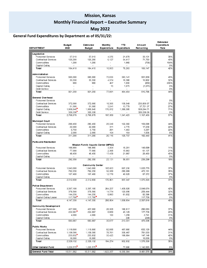# **Mission, Kansas Monthly Financial Report – Executive Summary**

# **May 2022**

# **General Fund Expenditures by Department as of 05/31/22:**

| <b>DEPARTMENT</b>                              | <b>Budget</b><br>2022 | Estimated<br><b>Budget</b>           | Monthly<br>Expenditure | <b>YTD</b><br><b>Expenditure</b> | Amount<br>Remaining     | Estimated<br>Expenditure<br>Rate |
|------------------------------------------------|-----------------------|--------------------------------------|------------------------|----------------------------------|-------------------------|----------------------------------|
| Legislative                                    |                       |                                      |                        |                                  |                         |                                  |
| Personnel Services                             | 57,010                | 57,010                               | 4,376                  | 21,879                           | 35,131                  | 38%                              |
| Contractual Services                           | 126,200               | 126,200                              | 6.127                  | 54,417                           | 71,783                  | 43%                              |
| Commodities                                    | 1,200                 | 1,200                                |                        | 1.968                            | (768)                   | 164%                             |
| Capital Outlay                                 |                       |                                      |                        | ÷,                               |                         | 0%                               |
| Total                                          | 184.410               | 184.410                              | 10.503                 | 78,263                           | 106,147                 | 42%                              |
| Administration                                 |                       |                                      |                        |                                  |                         |                                  |
| Personnel Services                             | 885,000               | 885,000                              | 73,036                 | 383,141                          | 501,859                 | 43%                              |
| Contractual Services                           | 35,350                | 35,350                               | 4,374                  | 18,388                           | 16,962                  | 52%                              |
| Commodities                                    | 900                   | 900                                  | 467                    | 1,850                            | (950)                   | 206%                             |
| Capital Outlay                                 | $\overline{a}$        | $\overline{a}$                       | 15                     | 1,075                            | (1,075)                 | 0%                               |
| Debt Service<br>Total                          | 921,250               | 921,250                              | 77,891                 | 404,454                          | 516,796                 | 0%<br>44%                        |
|                                                |                       |                                      |                        |                                  |                         |                                  |
| General Overhead                               |                       |                                      |                        |                                  |                         |                                  |
| Personnel Services<br>Contractual Services     | 372,000               | 372,000                              | 18,306                 | 138,049                          |                         | 0%<br>37%                        |
| Commodities                                    | 51,500                | 51,500                               | 3,241                  | 13,779                           | 233,950.87<br>37.721.07 | 27%                              |
| Capital Outlay                                 | 1,958,840             | 1,958,840                            | 176.012                | 1,389,595                        | 569,244.71              | 71%                              |
| Debt Service                                   | 326.538               | 326,538                              |                        |                                  | 326.538.00              | 0%                               |
| Total                                          | 2,708,878             | 2,708,878                            | 197.559                | 1.541.423                        | 1.167.455               | 57%                              |
| <b>Municipal Court</b>                         |                       |                                      |                        |                                  |                         |                                  |
| Personnel Services                             | 280,450               | 280.450                              | 25,349                 | 122,360                          | 158,090                 | 44%                              |
| Contractual Services                           | 22.000                | 22,000                               | 311                    | 4.770                            | 17.230                  | 22%                              |
| Commodities                                    | 6,750                 | 6,750                                | 291                    | 1,463                            | 5,287                   | 22%                              |
| Capital Outlay                                 | 2.000                 | 2.000                                | 164                    | 164                              | 1,836                   | 8%                               |
| Total                                          | 311,200               | 311,200                              | 26.116                 | 128.757                          | 182.443                 | 41%                              |
| <b>Parks and Recreation</b>                    |                       | Mission Family Aquatic Center (MFAC) |                        |                                  |                         |                                  |
| Personnel Services                             | 166,900               | 166,900                              | 3,304                  | 18,201                           | 148,699                 | 11%                              |
| Contractual Services                           | 77,000                | 77,000                               | 2.368                  | 15,863                           | 61,137                  | 21%                              |
| Commodities                                    | 48,450                | 48,450                               | 17,459                 | 21,987                           | 26,463                  | 45%                              |
| Capital Outlay                                 | ÷                     | ٠                                    | ÷                      | $\sim$                           |                         | 0%                               |
| Total                                          | 292.350               | 292.350                              | 23.131                 | 56.051                           | 236,299                 | 19%                              |
|                                                |                       | <b>Community Center</b>              |                        |                                  |                         |                                  |
| Personnel Services                             | 1,643,000             | 1,643,000                            | 105,633                | 607.230                          | 1.035.770               | 37%                              |
| Contractual Services                           | 762,250               | 762,250                              | 52,389                 | 290,089                          | 472,161                 | 38%                              |
| Commodities<br>Capital Outlay                  | 107,400               | 107,400                              | 12,779                 | 40,028                           | 67.372                  | 37%<br>0%                        |
| Total                                          | 2,512,650             | 2,512,650                            | 170,801                | 937,347                          | 1,575,303               | 37%                              |
|                                                |                       |                                      |                        |                                  |                         |                                  |
| <b>Police Department</b><br>Personnel Services | 3,507,100             | 3,507,100                            | 264, 237               | 1,458,026                        | 2,049,074               | 42%                              |
| Contractual Services                           | 378,500               | 378,500                              | 14,774                 | 120,056                          | 258,444                 | 32%                              |
| Commodities                                    | 144,250               | 144,250                              | 8,993                  | 61,852                           | 82,398                  | 43%                              |
| Capital Outlay/Lease                           | 117,700               | 117,700                              |                        |                                  | 117,700                 | 0%                               |
| Total                                          | 4,147,550             | 4,147,550                            | 288,004                | 1,639,934                        | 2,507,616               | 40%                              |
| <b>Community Development</b>                   |                       |                                      |                        |                                  |                         |                                  |
| Personnel Services                             | 457.000               | 457,000                              | 26,308                 | 166,917                          | 290,083                 | 37%                              |
| Contractual Services                           | 222,887               | 222,887                              | 8,669                  | 45,129                           | 177,758                 | 20%                              |
| Commodities                                    | 4,000                 | 4,000                                | 100                    | 1,259                            | 2,741                   | 31%                              |
| Capital Outlay                                 |                       |                                      |                        | 246                              | (246)                   | 0%                               |
| Total                                          | 683,887               | 683,887                              | 35,077                 | 213,551                          | 470,336                 | 31%                              |
| <b>Public Works</b>                            |                       |                                      |                        |                                  |                         |                                  |
| Personnel Services                             | 1,119,800             | 1,119,800                            | 82.088                 | 487,680                          | 632,120                 | 44%                              |
| Contractual Services                           | 1,139,500             | 1,139,500                            | 78,761                 | 358,467                          | 781,033                 | 31%                              |
| Commodities                                    | 253,832               | 253,832                              | 33,425                 | 106,684                          | 147,148                 | 42%                              |
| Capital Outlay<br>Total                        | 16,000<br>2,529,132   | 16,000<br>2,529,132                  | 194, 274               | 952,832                          | 16,000                  | 0%<br>38%                        |
|                                                |                       |                                      |                        |                                  | 1,576,300               |                                  |
| <b>Other General Fund</b>                      | 1,220,575             | 1,220,575                            |                        | 77,690                           | 1,142,885               | 6%                               |
| General Fund Total                             | 15,511,882            | 15,511,882                           | 1,023,357              | 6,030,304                        | 9,481,578               | 39%                              |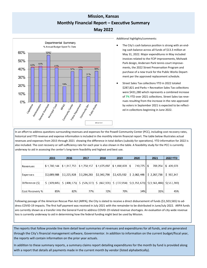# **Mission, Kansas Monthly Financial Report – Executive Summary May 2022**



Additional highlights/comments:

- The City's cash balance position is strong with an ending cash balance across all funds of \$13.3 million at May 31, 2022. Major expenditures in May included invoices related to the FCIP improvements, Mohawk Park design, Andersen Park tennis court improvements, the 2022 Street Preservation Program and purchase of a new truck for the Public Works Department per the approved replacement schedule.
- Street Sales Tax collections YTD in 2022 totaled \$287,821 and Parks + Recreation Sales Tax collections were \$431,280 which represents a combined increase of **7%** YTD over 2021 collections. Street Sales tax revenues resulting from the increase in the rate approved by voters in September 2021 is expected to be reflected in collections beginning in June 2022.

In an effort to address questions surrounding revenues and expenses for the Powell Community Center (PCC), including cost recovery rates, historical and YTD revenue and expense information is included in the monthly interim financial report. The table below illustrates actual revenues and expenses from 2015 through 2021 showing the difference in total dollars (subsidy for operations). YTD information for 2022 is also included. The cost recovery or self-sufficiency rate for each year is also shown in the table. A feasibility study for the PCC is currently underway to aid in assessing the center's long-term feasibility and highest and best use.

|                 | 2015        | 2016                                                | 2017        | 2018        | 2019        | 2020                                                  | 2021                                                                                                                                                                                                | <b>2022 YTD</b> |
|-----------------|-------------|-----------------------------------------------------|-------------|-------------|-------------|-------------------------------------------------------|-----------------------------------------------------------------------------------------------------------------------------------------------------------------------------------------------------|-----------------|
|                 |             |                                                     |             |             |             |                                                       |                                                                                                                                                                                                     |                 |
| l Revenues      |             | $$1,780,144$ $$1,817,753$ $$1,758,157$ $$1,675,697$ |             |             | \$1,698,878 | 710,775   \$<br>∣\$                                   | 706,254                                                                                                                                                                                             | \$420,078       |
|                 |             |                                                     |             |             |             |                                                       |                                                                                                                                                                                                     |                 |
| Expenses        | \$2,089,988 | \$2,225,928                                         | \$2,284,283 | \$2,342,798 | \$2,425,932 | $\frac{1}{2}$ \$ 2,062,448 $\frac{1}{2}$ \$ 2,267,738 |                                                                                                                                                                                                     | \$937,347       |
|                 |             |                                                     |             |             |             |                                                       |                                                                                                                                                                                                     |                 |
| Difference (\$) |             |                                                     |             |             |             |                                                       | $\frac{1}{2}$ (309,845) $\frac{1}{2}$ (408,175) $\frac{1}{2}$ (526,127) $\frac{1}{2}$ (667,101) $\frac{1}{2}$ (727,054) $\frac{1}{2}$ (1,351,673) $\frac{1}{2}$ (1,561,484) $\frac{1}{2}$ (517,269) |                 |
|                 |             |                                                     |             |             |             |                                                       |                                                                                                                                                                                                     |                 |
| Cost Recovery % | 85%         | 82%                                                 | 77%         | 72%         | 70%         | 34%                                                   | 31%                                                                                                                                                                                                 | 45%             |

Following passage of the American Rescue Plan Act (ARPA), the City is slated to receive a direct disbursement of funds (\$1,503,565) to address COVID-19 impacts. The first half payment was received in July 2021 with the remainder to be distributed in June/July 2022. ARPA funds are currently shown as a transfer into the General Fund to address COVID-19 related revenue shortages. An evaluation of city-wide revenue loss is currently underway to aid in determining how the federal funding might best be used by Mission.

The reports that follow provide line item detail level summaries of revenues and expenditures for all funds, and are generated through the City's financial management software, Governmentor. In addition to information on the current budget/fiscal year, the reports will contain information on the prior year actuals.

In addition to these summary reports, a summary claims report detailing expenditures for the month by fund is provided along with a report that details all payments made in the current month by vendor (listed alphabetically).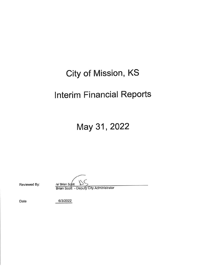# **City of Mission, KS**

# **Interim Financial Reports**

May 31, 2022

Reviewed By:

/s/ Brian Scott

Brian Scott - Deputy City Administrator

Date

6/3/2022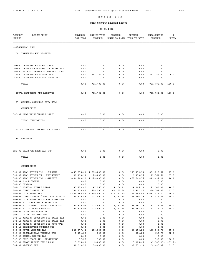THIS MONTH'S REVENUE REPORT

| <b>ACCOUNT</b><br>DESCRIPTION<br>NUMBER                              | <b>REVENUE</b><br>LAST YEAR | ANTICIPATED<br>REVENUE    | REVENUE<br>MONTH-TO-DATE | REVENUE<br>YEAR-TO-DATE                     | UNCOLLECTED<br><b>REVENUE</b>    | ి<br>UNCOL   |  |
|----------------------------------------------------------------------|-----------------------------|---------------------------|--------------------------|---------------------------------------------|----------------------------------|--------------|--|
|                                                                      |                             |                           |                          |                                             |                                  |              |  |
| (01) GENERAL FUND                                                    |                             |                           |                          |                                             |                                  |              |  |
| (00) TRANSFERS AND RESERVES                                          |                             |                           |                          |                                             |                                  |              |  |
|                                                                      |                             |                           |                          |                                             |                                  |              |  |
| 004-00 TRANSFER FROM BLDG FUND                                       | 0.00                        | 0.00                      | 0.00                     | 0.00                                        | 0.00                             |              |  |
| 005-00 TRANSF FROM COMM CTR SALES TAX                                | 0.00                        | 0.00                      | 0.00                     | 0.00                                        | 0.00                             |              |  |
| 007-00 PAYROLL TRNSFR TO GENERAL FUND                                | 0.00                        | 0.00                      | 0.00                     | 0.00                                        | 0.00                             |              |  |
| 031-00 TRANSFER FROM ARPA FUND                                       | 0.00                        | 751,782.00                | 0.00                     | 0.00                                        | 751,782.00                       | 100.0        |  |
| 045-00 TRANSFER FROM P&R SALES TAX                                   | 0.00                        | 0.00                      | 0.00                     | 0.00                                        | 0.00                             |              |  |
| TOTAL                                                                | 0.00                        | 751,782.00                | 0.00                     | 0.00                                        | 751,782.00                       | 100.0        |  |
| TOTAL TRANSFERS AND RESERVES                                         | 0.00                        | 751,782.00                | 0.00                     | 0.00                                        | 751,782.00                       | 100.0        |  |
| (07) GENERAL OVERHEAD CITY HALL                                      |                             |                           |                          |                                             |                                  |              |  |
| COMMODITIES                                                          |                             |                           |                          |                                             |                                  |              |  |
| 305-02 BLDG MAINT/REPARI PARTS                                       | 0.00                        | 0.00                      | 0.00                     | 0.00                                        | 0.00                             |              |  |
| TOTAL COMMODITIES                                                    | 0.00                        | 0.00                      | 0.00                     | 0.00                                        | 0.00                             |              |  |
| TOTAL GENERAL OVERHEAD CITY HALL                                     | 0.00                        | 0.00                      | 0.00                     | 0.00                                        | 0.00                             |              |  |
| (40) REVENUES                                                        |                             |                           |                          |                                             |                                  |              |  |
|                                                                      |                             |                           |                          |                                             |                                  |              |  |
| 025-00 TRANSFER FROM CAP IMP                                         | 0.00                        | 0.00                      | 0.00                     | 0.00                                        | 0.00                             |              |  |
| TOTAL                                                                | 0.00                        | 0.00                      | 0.00                     | 0.00                                        | 0.00                             |              |  |
| COMMODITIES                                                          |                             |                           |                          |                                             |                                  |              |  |
| 301-01 REAL ESTATE TAX - CURRENT                                     |                             | 1,695,379.04 1,760,000.00 | 0.00                     | 955, 959.39                                 | 804,040.61                       | 45.6         |  |
| 301-02 REAL ESTATE TX - DELINQUENT                                   | 41,133.90                   | 20,000.00                 | 0.00                     | 6,438.36                                    | 13,561.64                        | 67.8         |  |
| 301-03 REAL ESTATE TAX - STREETS                                     |                             | 1,096,720.32 1,120,000.00 | 0.00                     | 670, 562.76                                 | 449, 437.24                      | 40.1         |  |
| 301-04 M & E SLIDER                                                  | 0.00                        | 0.00                      | 0.00                     | 0.00                                        | 0.00                             |              |  |
| 301-05 TELECOM<br>301-10 MISSION SQUARE PILOT                        | 0.00<br>47,250.00           | 0.00<br>47,250.00         | 0.00                     | 0.00<br>24, 106. 19 24, 106. 19 23, 143. 81 | 0.00                             | 48.9         |  |
| 303-01 COUNTY SALES TAX                                              | 740,779.62                  | 690,200.00                |                          |                                             | 69,255.88 319,492.97 370,707.03  | 53.7         |  |
| 303-02 CITY SALES TAX                                                | 2,539,163.86 2,550,000.00   |                           |                          | 232, 287.19 1, 108, 686.80 1, 441, 313.20   |                                  | 56.5         |  |
| 303-03 COUNTY SALES / NEW JAIL PORTION 184, 329.88                   |                             | 172,500.00                | 17,167.95                | 79,284.29                                   | 93, 215.71                       | 54.0         |  |
| 303-04 CITY SALES TAX - BUSIN DEVELOP                                | 0.00                        | 0.00                      | 0.00                     | 0.00                                        | 0.00                             |              |  |
| 303-05 JO CO SCH DISTR SALES TAX                                     | 0.00                        | 0.00                      | 0.00                     | 0.00                                        | 0.00                             |              |  |
| 303-06 JO CO PUBLIC SAFETY SALES TAX<br>303-07 JO CO COURT SALES TAX | 184,329.97<br>184,328.97    | 172,500.00<br>172,500.00  | 17,167.95<br>17,167.85   | 79,284.29                                   | 93,215.71<br>93,216.19           | 54.0<br>54.0 |  |
| 303-08 TRANSIENT GUEST TAX                                           | 0.00                        | 0.00                      | 0.00                     | 79,283.81<br>0.00                           | 0.00                             |              |  |
| 303-10 TRANS DEV DIST TAX                                            | 0.00                        | 0.00                      | 0.00                     | 0.00                                        | 0.00                             |              |  |
| 303-15 MISSION CROSSING CID SALES TAX                                | 0.00                        | 0.00                      | 0.00                     | 0.00                                        | 0.00                             |              |  |
| 303-16 MISSION CROSSING TIF SALES TAX                                | 0.00                        | 0.00                      | 0.00                     | 0.00                                        | 0.00                             |              |  |
| 303-17 MISSION CROSSING TIF PROP TAX                                 | 0.00                        | 0.00                      | 0.00                     | 0.00                                        | 0.00                             |              |  |
| 303-18 CORNERSTONE COMMONS CID                                       | 0.00                        | 0.00                      | 0.00                     | 0.00                                        | 0.00                             |              |  |
| 305-01 MOTOR VEHICLE TAX                                             | 240, 277.44                 | 260,000.00                | 0.00                     | 64,190.26                                   | 195,809.74                       | 75.3         |  |
| 305-02 RECREATIONAL VEHICLE TAX                                      | 1,151.25                    | 800.00                    | 0.00                     | 383.25                                      | 416.75                           | 52.0         |  |
| 306-02 RENTAL EXCISE TAX<br>306-03 PERS PROPR TX - DELINQUENT        | 0.00                        | 0.00                      | 0.00                     | 0.00                                        | 0.00                             |              |  |
| 306-04 HEAVY TRUCKS TAX 16-20M                                       | 77.26<br>3,599.03           | 300.00<br>2,000.00        | 0.00<br>0.00             | 0.00<br>3,185.45                            | 300.00<br>$<1, 185.45>$ $<59.2>$ | 100.0        |  |
| 307-01 ALCOHOL TAX                                                   | 140,698.50                  | 90,000.00                 | 0.00                     | 27,571.98                                   | 62,428.02                        | 69.3         |  |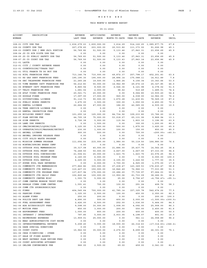#### THIS MONTH'S REVENUE REPORT

| <b>ACCOUNT</b> | DESCRIPTION                           | REVENUE     | ANTICIPATED               | REVENUE                    | REVENUE     | UNCOLLECTED                  | ิัะ          |  |
|----------------|---------------------------------------|-------------|---------------------------|----------------------------|-------------|------------------------------|--------------|--|
| <b>NUMBER</b>  |                                       | LAST YEAR   | <b>REVENUE</b>            | MONTH-TO-DATE YEAR-TO-DATE |             | REVENUE                      | <b>UNCOL</b> |  |
|                |                                       |             |                           |                            |             |                              |              |  |
|                | 308-01 CITY USE TAX                   |             | 1,636,279.23 1,600,000.00 | 3,614.29                   |             | 514, 122. 25 1, 085, 877. 75 | 67.8         |  |
|                | 308-02 COUNTY USE TAX                 | 227,078.60  | 203,000.00                | 20,533.82                  | 111,373.02  | 91,626.98                    | 45.1         |  |
|                | 308-03 COUNTY USE / NEW JAIL PORTION  | 56,769.82   | 51,500.00                 | 5, 133.46                  | 27,843.31   | 23,656.69                    | 45.9         |  |
|                | 308-04 JO CO SCH DISTR USE TAX        | 0.00        | 0.00                      | 0.00                       | 0.00        | 0.00                         |              |  |
|                | 308-05 JO CO PUBLIC SAFETY USE TAX    | 56,769.83   | 51,500.00                 | 5, 133.46                  | 27,843.31   | 23,656.69                    | 45.9         |  |
|                | 308-07 JO CO COURT USE TAX            | 56,769.50   | 51,500.00                 | 5, 133.43                  | 27,843.14   | 23,656.86                    | 45.9         |  |
| 311-01 LAVTR   |                                       | 0.00        | 0.00                      | 0.00                       | 0.00        | 0.00                         |              |  |
|                | 312-01 CITY / COUNTY REVENUE SHARE    | 0.00        | 0.00                      | 0.00                       | 0.00        | 0.00                         |              |  |
|                | 313-01 COUNTRYSIDE/ "TRASH TAX"       | 0.00        | 0.00                      | 0.00                       | 0.00        | 0.00                         |              |  |
|                | 321-01 UTIL FRANCH TX DO NOT USE      | 0.00        | 0.00                      | 0.00                       | 0.00        | 0.00                         |              |  |
|                | 321-02 KCPL FRANCHISE FEES            | 713, 146.74 | 710,000.00                | 49,872.37                  | 257,798.17  | 452, 201.83                  | 63.6         |  |
|                | 321-03 KS GAS SERV FRANCHISE FEES     | 195,190.30  | 190,000.00                | 28,896.14                  | 175,088.11  | 14,911.89                    | 7.8          |  |
|                | 321-04 SBC TELEPHONE FRANCHISE FEES   | 21,265.24   | 19,500.00                 | 1,866.24                   | 9,156.34    |                              | 53.0         |  |
|                | 321-05 TIME WARNER CATV FRANCHISE FEE | 56, 212.83  |                           |                            |             | 10,343.66                    | 46.0         |  |
|                |                                       |             | 55,000.00                 | 14,942.99                  | 29,672.15   | 25, 327.85                   |              |  |
|                | 321-06 EVEREST CATV FRANCHISE FEES    | 8,865.54    | 8,500.00                  | 2,026.36                   | 4,121.98    | 4,378.02                     | 51.5         |  |
|                | 321-07 TELCO FRANCHISE FEE            | 1,681.02    | 2,000.00                  | 98.62                      | 510.49      | 1,489.51                     | 74.4         |  |
|                | 321-08 AT&T VIDEO FRANCHISE FEES      | 20,021.71   | 20,000.00                 | 0.00                       | 9,064.80    | 10,935.20                    | 54.6         |  |
|                | 321-09 GOOGLE FIBER                   | 17,097.00   | 17,000.00                 | 920.00                     | 4,038.00    | 12,962.00                    | 76.2         |  |
|                | 322-01 OCCUPATIONAL LICENSE           | 91,112.73   | 90,000.00                 | 1,670.28                   | 11,430.81   | 78,569.19                    | 87.2         |  |
|                | 322-02 PUBLIC WORKS PERMITS           | 3,475.00    | 3,500.00                  | 300.00                     | 1,050.00    | 2,450.00                     | 70.0         |  |
|                | 322-03 RENTAL LICENSE                 | 22,664.00   | 47,000.00                 | 186.00                     | 42,065.00   | 4,935.00                     | 10.5         |  |
|                | 322-04 TREE SERVICE LICENSE FEE       | 0.00        | 0.00                      | 0.00                       | 0.00        | 0.00                         |              |  |
|                | 322-05 RENTAL INSPECTION FEES         | 0.00        | 0.00                      | 0.00                       | 0.00        | 0.00                         |              |  |
|                | 322-06 BUILDING PERMIT FEES           | 101,255.16  | 125,000.00                | 84,734.92                  | 109,233.80  | 15,766.20                    | 12.6         |  |
|                | 322-07 PLAN REVIEW FEE                | 44,705.18   | 75,000.00                 | 53, 218.27                 | 65,131.06   | 9,868.94                     | 13.1         |  |
|                | 322-08 SIGN PERMITS                   | 2,726.38    | 5,000.00                  | 115.54                     | 1,803.10    | 3,196.90                     | 63.9         |  |
|                | 322-09 LAND USE PERMITS               | 0.00        | 1,500.00                  | 0.00                       | 300.00      | 1,200.00                     | 80.0         |  |
|                | 322-10 CMB/DRINKING/LIQUOR/CLUB       | 5,125.00    | 5,500.00                  | 500.00                     | 1,875.00    | 3,625.00                     | 65.9         |  |
|                | 322-15 OPERATOR/SOLIC/MASSAGE/SECURIT | 230.00      | 1,000.00                  | 100.00                     | 150.00      | 850.00                       | 85.0         |  |
|                | 323-01 ANIMAL LICENSE                 | 900.00      | 500.00                    | 0.00                       | 700.00      | < 200.00 >                   | < 40.0       |  |
|                | 323-02 ANIMAL IMPOUND RELEASE FEES    | 0.00        | 0.00                      | 0.00                       | 0.00        | 0.00                         |              |  |
|                | 324-01 CITY SOLID WASTE PROGRAM       | 0.00        | 0.00                      | 0.00                       | 0.00        | 0.00                         |              |  |
|                | 330-01 MISSION SUMMER PROGRAM         | 111,692.50  | 215,000.00                | 1,980.00                   | 50, 119.50  | 164,880.50                   | 76.6         |  |
|                | 330-02 WINTER/SPRING BREAK CAMP       | 0.00        | 0.00                      | 0.00                       | 0.00        | 0.00                         |              |  |
|                | 331-02 OUTDOOR POOL MEMBERSHIPS       | 39,317.08   | 40,000.00                 | 21,886.00                  | 25, 437.75  | 14,562.25                    | 36.4         |  |
|                | 331-03 OUTDOOR POOL FRONT DESK        | 74,268.50   | 50,000.00                 | 2,667.00                   | 2,667.00    | 47,333.00                    | 94.6         |  |
|                | 331-04 OUTDOOR POOL CONCESSIONS       | 21,504.61   | 25,000.00                 | 1,423.75                   | 1,423.75    | 23, 576.25                   | 94.3         |  |
|                | 331-05 OUTDOOR POOL PROGRAM FEES      | 2,160.00    | 6,000.00                  | 0.00                       | 0.00        | 6,000.00                     | 100.0        |  |
|                | 331-06 OUTDOOR POOL RENTALS           | 4,225.00    |                           |                            |             |                              | 35.5         |  |
|                |                                       |             | 5,000.00                  | 2,155.00                   | 3,222.50    | 1,777.50                     |              |  |
|                | 331-07 SUPER POOL PASS REVENUES       | 0.00        | 6,000.00                  | 3,700.00                   | 4,925.00    | 1,075.00                     | 17.9         |  |
|                | 333-01 COMMUNITY CTR MEMBERSHIPS      | 277,862.82  | 300,000.00                | 27, 238.47                 | 123, 369.53 | 176,630.47                   | 58.8         |  |
|                | 333-02 COMMUNITY CTR RENTALS          | 110,427.03  | 150,000.00                | 16,846.49                  | 72,966.11   | 77,033.89                    | 51.3         |  |
|                | 333-04 COMMUNITY CTR PROGRAM FEES     | 137,837.94  | 175,000.00                | 15,286.20                  | 77,735.97   | 97,264.03                    | 55.5         |  |
|                | 333-05 COMMUNITY CTR DAILY FEES       | 102,820.44  | 100,000.00                | 13,950.06                  | 61,733.09   | 38,266.91                    | 38.2         |  |
|                | 333-06 COMMUNITY CENTER MISC          | 1,593.70    | 5,000.00                  | 25.00                      | 9,756.47    | $<4,756.47>$ $<95.1>$        |              |  |
|                | 333-07 COMM CENTER MORROW TRUST FUND  | 0.00        | 0.00                      | 0.00                       | 0.00        | 0.00                         |              |  |
|                | 333-08 RESALE ITEMS COMM CENTER       | 1,591.41    | 700.00                    | 102.00                     | 291.24      | 408.76                       | 58.3         |  |
|                | 333-09 COMM CTR SPONSORSHIP/ADS       | 0.00        | 0.00                      | 0.00                       | 0.00        | 0.00                         |              |  |
| 341-01 FINES   |                                       | 404,545.64  | 700,000.00                | 41,785.14                  | 157,325.78  | 542,674.22                   | 77.5         |  |
|                | 341-02 PARKING FINES                  | 1,325.00    | 2,500.00                  | 100.00                     | 450.00      | 2,050.00                     | 82.0         |  |
|                | 341-03 ALARM FINES                    | 250.00      | 200.00                    | 0.00                       | 0.00        | 200.00                       | 100.0        |  |
|                | 341-04 POLICE DEPT LAB FEES           | 4,890.00    | 500.00                    | 400.00                     | 2,000.00    | <1,500.00> <100.0>           |              |  |
|                | 341-05 FUEL ASSESSMENT FEES           | 2,426.00    | 6,500.00                  | 252.00                     | 1,036.00    | 5,464.00                     | 84.0         |  |
|                | 341-06 ADA ACCESSIBILTY FEES          | 9,598.00    | 30,000.00                 | 1,008.00                   | 4,092.00    | 25,908.00                    | 86.3         |  |
|                | 341-07 MOTION FEES                    | 850.00      | 3,000.00                  | 200.00                     | 550.00      | 2,450.00                     | 81.6         |  |
|                | 341-08 EXPUNGEMENT FEES               | 1,000.00    | 800.00                    | 200.00                     | 400.00      | 400.00                       | 50.0         |  |
|                | 351-01 INTEREST / INVESTMENTS         | 797.85      | 5,000.00                  | 2,933.05                   | 4,198.07    | 801.93                       | 16.0         |  |
|                | 361-01 REIMBURSED EXPENSES            | 13,909.01   | 25,000.00                 | 0.00                       | 941.11      | 24,058.89                    | 96.2         |  |
|                | 361-02 NEAC ADMINISTRATIVE COST REIMB | 0.00        | 0.00                      | 0.00                       | 0.00        | 0.00                         |              |  |
|                | 361-03 INTERGOVERNMENTAL REVENUE      | 5,208.20    | 5,000.00                  | 18,000.00                  | 22, 314.63  | <17,314.63> <146.2>          |              |  |
|                | 361-04 DARE SPECIAL DONATIONS         | 0.00        | 0.00                      | 0.00                       | 0.00        | 0.00                         |              |  |
|                | 361-05 COURT COSTS                    | 15,962.50   | 35,000.00                 | 2,276.50                   | 8,699.00    | 26,301.00                    | 75.1         |  |
|                | 361-06 CHGS F/SERVICES - OTHER        | 0.00        | 0.00                      | 0.00                       | 0.00        | 0.00                         |              |  |
|                | 361-07 SALE OF FIXED ASSETS           | 0.00        | 0.00                      | 0.00                       | 0.00        | 0.00                         |              |  |
|                | 361-08 WEST GATEWAY PLAN REVIEW FEES  | 0.00        | 0.00                      | 0.00                       | 0.00        | 0.00                         |              |  |
|                | 361-09 COURT APPOINTED ATTORNEY       | 0.00        |                           |                            |             |                              |              |  |
|                | 361-10 ONLINE CONVENIENCE FEE         |             | 0.00                      | 0.00                       | 0.00        | 0.00                         |              |  |
|                |                                       | 966.00      | 2,500.00                  | 69.00                      | 459.00      | 2,041.00                     | 81.6         |  |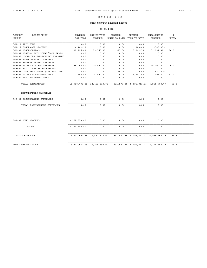#### THIS MONTH'S REVENUE REPORT

| <b>ACCOUNT</b><br>DESCRIPTION         | REVENUE                         | ANTICIPATED | <b>REVENUE</b>             | REVENUE                                   | UNCOLLECTED | ิัะ   |
|---------------------------------------|---------------------------------|-------------|----------------------------|-------------------------------------------|-------------|-------|
| NUMBER                                | LAST YEAR                       | REVENUE     | MONTH-TO-DATE YEAR-TO-DATE |                                           | REVENUE     | UNCOL |
| 361-11 JAIL FEES                      | 0.00                            | 0.00        | 0.00                       | 0.00                                      | 0.00        |       |
| 361-12 INSURANCE PROCEEDS             | 14,442.39                       | 0.00        | 0.00                       | 300.00                                    | < 300.00    |       |
| 363-01 MISCELLANEOUS                  | 98,226.83                       | 89,360.00   | 925.00                     | 8,262.59                                  | 81,097.41   | 90.7  |
| 363-02 MISSION 50TH DONAT/BOOK SALES  | 0.00                            | 0.00        | 0.00                       | 0.00                                      | 0.00        |       |
| 363-03 LOCAL LAW ENFORCEMENT BLK GRNT | 0.00                            | 0.00        | 0.00                       | 0.00                                      | 0.00        |       |
| 363-04 SUSTAINABILITY REVENUE         | 0.00                            | 0.00        | 0.00                       | 0.00                                      | 0.00        |       |
| 363-05 FARMERS MARKET REVENUES        | 0.00                            | 0.00        | 0.00                       | 0.00                                      | 0.00        |       |
| 363-06 ANIMAL CONTROL SERVICES        | 58,000.00                       | 75,000.00   | 0.00                       | 0.00                                      | 75,000.00   | 100.0 |
| 363-07 2020 CARES REIMBURSEMENT       | 0.00                            | 0.00        | 0.00                       | 0.00                                      | 0.00        |       |
| 363-08 CITY SWAG SALES (TSHIRTS, ETC) | 0.00                            | 0.00        | 20.00                      | 20.00                                     | < 20.00     |       |
| 364-01 NUISANCE ABATMENT FEES         | 2,540.59                        | 4,000.00    | 0.00                       | 1,501.50                                  | 2,498.50    | 62.4  |
| 364-02 WEED ABATEMENT FEES            | 0.00                            | 0.00        | 0.00                       | 0.00                                      | 0.00        |       |
| TOTAL COMMODITIES                     | 11,958,798.89  12,453,610.00    |             |                            | 831,577.86 5,496,841.23 6,956,768.77      |             | 55.8  |
| ENCUMBRANCES CANCELLED                |                                 |             |                            |                                           |             |       |
| 798-01 ENCUMBRANCES CANCELLED         | 0.00                            | 0.00        | 0.00                       | 0.00                                      | 0.00        |       |
| TOTAL ENCUMBRANCES CANCELLED          | 0.00                            | 0.00        | 0.00                       | 0.00                                      | 0.00        |       |
| 801-01 BOND PROCEEDS                  | 3, 352, 853.80                  | 0.00        | 0.00                       | 0.00                                      | 0.00        |       |
|                                       |                                 |             |                            |                                           |             |       |
| TOTAL                                 | 3, 352, 853.80                  | 0.00        | 0.00                       | 0.00                                      | 0.00        |       |
| <b>TOTAL REVENUES</b>                 | 15, 311, 652.69 12, 453, 610.00 |             |                            | 831, 577.86 5, 496, 841.23 6, 956, 768.77 |             | 55.8  |
| TOTAL GENERAL FUND                    | 15, 311, 652.69 13, 205, 392.00 |             |                            | 831, 577.86 5, 496, 841.23 7, 708, 550.77 |             | 58.3  |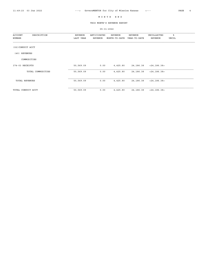THIS MONTH'S REVENUE REPORT

| <b>ACCOUNT</b><br>DESCRIPTION<br>NUMBER | REVENUE<br>LAST YEAR | ANTICIPATED<br>REVENUE | REVENUE<br>MONTH-TO-DATE | REVENUE<br>YEAR-TO-DATE | UNCOLLECTED<br>REVENUE | ಕಿ<br>UNCOL |
|-----------------------------------------|----------------------|------------------------|--------------------------|-------------------------|------------------------|-------------|
| (02) CONDUIT ACCT                       |                      |                        |                          |                         |                        |             |
| REVENUES<br>(40)                        |                      |                        |                          |                         |                        |             |
| COMMODITIES                             |                      |                        |                          |                         |                        |             |
| 374-03 RECEIPTS                         | 50,569.09            | 0.00                   | 4,425.80                 | 24, 186.38              | < 24, 186.38           |             |
| TOTAL COMMODITIES                       | 50,569.09            | 0.00                   | 4,425.80                 | 24, 186. 38             | < 24, 186.38 >         |             |
| TOTAL REVENUES                          | 50,569.09            | 0.00                   | 4,425.80                 | 24, 186. 38             | < 24, 186.38           |             |
| TOTAL CONDUIT ACCT                      | 50,569.09            | 0.00                   | 4,425.80                 | 24, 186. 38             | < 24, 186.38           |             |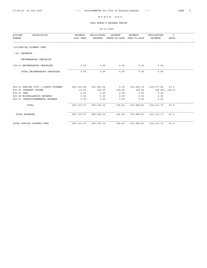THIS MONTH'S REVENUE REPORT

| <b>ACCOUNT</b><br>DESCRIPTION<br>NUMBER | <b>REVENUE</b><br>LAST YEAR | ANTICIPATED<br><b>REVENUE</b> | <b>REVENUE</b><br>MONTH-TO-DATE | <b>REVENUE</b><br>YEAR-TO-DATE  | UNCOLLECTED<br><b>REVENUE</b> | ៖<br><b>UNCOL</b> |  |
|-----------------------------------------|-----------------------------|-------------------------------|---------------------------------|---------------------------------|-------------------------------|-------------------|--|
| (03) SPECIAL HIGHWAY FUND               |                             |                               |                                 |                                 |                               |                   |  |
| (40) REVENUES                           |                             |                               |                                 |                                 |                               |                   |  |
| ENCUMBRANCES CANCELLED                  |                             |                               |                                 |                                 |                               |                   |  |
| 798-01 ENCUMBRANCES CANCELLED           | 0.00                        | 0.00                          | 0.00                            | 0.00                            | 0.00                          |                   |  |
| TOTAL ENCUMBRANCES CANCELLED            | 0.00                        | 0.00                          | 0.00                            | 0.00                            | 0.00                          |                   |  |
|                                         |                             |                               |                                 |                                 |                               |                   |  |
| 800-01 SPECIAL CITY / COUNTY HIGHWAY    | 287, 119.44                 | 250,000.00                    |                                 | 0.00 130,822.35 119,177.65 47.6 |                               |                   |  |
| 800-02 INTEREST INCOME                  | 13.83                       | 100.00                        | 125.40                          | 166.48                          | <66.48> <66.4>                |                   |  |
| 800-03 CARS                             | 0.00                        | 0.00                          | 0.00                            | 0.00                            | 0.00                          |                   |  |
| 800-04 MISCELLANEOUS REVENUE            | 0.00                        | 0.00                          | 0.00                            | 0.00                            | 0.00                          |                   |  |
| 800-07 INTERGOVERNMENTAL REVENUE        | 0.00                        | 0.00                          | 0.00                            | 0.00                            | 0.00                          |                   |  |
| TOTAL                                   | 287, 133. 27                | 250,100.00                    | 125.40                          | 130,988.83                      | 119, 111. 17                  | 47.6              |  |
| <b>TOTAL REVENUES</b>                   | 287, 133. 27                | 250,100.00                    | 125.40                          | 130,988.83                      | 119,111.17                    | 47.6              |  |
| TOTAL SPECIAL HIGHWAY FUND              | 287, 133.27                 | 250,100.00                    | 125.40                          | 130,988.83                      | 119, 111.17                   | 47.6              |  |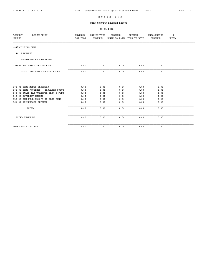THIS MONTH'S REVENUE REPORT

| <b>ACCOUNT</b><br>DESCRIPTION<br>NUMBER | <b>REVENUE</b><br>LAST YEAR | ANTICIPATED<br>REVENUE | <b>REVENUE</b><br>MONTH-TO-DATE YEAR-TO-DATE | <b>REVENUE</b> | UNCOLLECTED<br><b>REVENUE</b> | ิะ<br><b>UNCOL</b> |
|-----------------------------------------|-----------------------------|------------------------|----------------------------------------------|----------------|-------------------------------|--------------------|
| (04) BUILDING FUND                      |                             |                        |                                              |                |                               |                    |
| (40) REVENUES                           |                             |                        |                                              |                |                               |                    |
| ENCUMBRANCES CANCELLED                  |                             |                        |                                              |                |                               |                    |
| 798-01 ENCUMBRANCES CANCELLED           | 0.00                        | 0.00                   | 0.00                                         | 0.00           | 0.00                          |                    |
| TOTAL ENCUMBRANCES CANCELLED            | 0.00                        | 0.00                   | 0.00                                         | 0.00           | 0.00                          |                    |
|                                         |                             |                        |                                              |                |                               |                    |
| 801-01 BOND MONEY PROCEEDS              | 0.00                        | 0.00                   | 0.00                                         | 0.00           | 0.00                          |                    |
| 801-02 BOND PROCEEDS - ISSUANCE COSTS   | 0.00                        | 0.00                   | 0.00                                         | 0.00           | 0.00                          |                    |
| 802-02 SALES TAX TRANSFER FROM G FUND   | 0.00                        | 0.00                   | 0.00                                         | 0.00           | 0.00                          |                    |
| 802-03 INTEREST INCOME                  | 0.00                        | 0.00                   | 0.00                                         | 0.00           | 0.00                          |                    |
| 810-00 GEN FUND TRNSFR TO BLDG FUND     | 0.00                        | 0.00                   | 0.00                                         | 0.00           | 0.00                          |                    |
| 861-01 REIMBURSED EXPENSE               | 0.00                        | 0.00                   | 0.00                                         | 0.00           | 0.00                          |                    |
| TOTAL                                   | 0.00                        | 0.00                   | 0.00                                         | 0.00           | 0.00                          |                    |
| <b>TOTAL REVENUES</b>                   | 0.00                        | 0.00                   | 0.00                                         | 0.00           | 0.00                          |                    |
| TOTAL BUILDING FUND                     | 0.00                        | 0.00                   | 0.00                                         | 0.00           | 0.00                          |                    |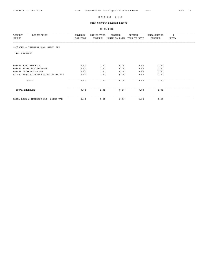THIS MONTH'S REVENUE REPORT

| <b>ACCOUNT</b><br>DESCRIPTION<br>NUMBER | REVENUE<br>LAST YEAR | ANTICIPATED<br>REVENUE | REVENUE<br>MONTH-TO-DATE | REVENUE<br>YEAR-TO-DATE | UNCOLLECTED<br>REVENUE | ៖<br>UNCOL |  |
|-----------------------------------------|----------------------|------------------------|--------------------------|-------------------------|------------------------|------------|--|
| (05) BOND & INTEREST G.O. SALES TAX     |                      |                        |                          |                         |                        |            |  |
| (40) REVENUES                           |                      |                        |                          |                         |                        |            |  |
| 808-01 BOND PROCEEDS                    | 0.00                 | 0.00                   | 0.00                     | 0.00                    | 0.00                   |            |  |
| 808-02 SALES TAX RECEIPTS               | 0.00                 | 0.00                   | 0.00                     | 0.00                    | 0.00                   |            |  |
| 808-03 INTEREST INCOME                  | 0.00                 | 0.00                   | 0.00                     | 0.00                    | 0.00                   |            |  |
| 810-00 BLDG FD TRANSF TO GO SALES TAX   | 0.00                 | 0.00                   | 0.00                     | 0.00                    | 0.00                   |            |  |
| TOTAL                                   | 0.00                 | 0.00                   | 0.00                     | 0.00                    | 0.00                   |            |  |
| <b>TOTAL REVENUES</b>                   | 0.00                 | 0.00                   | 0.00                     | 0.00                    | 0.00                   |            |  |
| TOTAL BOND & INTEREST G.O. SALES TAX    | 0.00                 | 0.00                   | 0.00                     | 0.00                    | 0.00                   |            |  |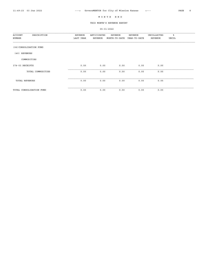THIS MONTH'S REVENUE REPORT

| <b>ACCOUNT</b><br>DESCRIPTION | REVENUE   | ANTICIPATED | <b>REVENUE</b> | REVENUE      | UNCOLLECTED | ಕಿ    |  |
|-------------------------------|-----------|-------------|----------------|--------------|-------------|-------|--|
| NUMBER                        | LAST YEAR | REVENUE     | MONTH-TO-DATE  | YEAR-TO-DATE | REVENUE     | UNCOL |  |
|                               |           |             |                |              |             |       |  |
| (06) CONSOLIDATION FUND       |           |             |                |              |             |       |  |
| REVENUES<br>(40)              |           |             |                |              |             |       |  |
| COMMODITIES                   |           |             |                |              |             |       |  |
| 374-03 RECEIPTS               | 0.00      | 0.00        | 0.00           | 0.00         | 0.00        |       |  |
| TOTAL COMMODITIES             | 0.00      | 0.00        | 0.00           | 0.00         | 0.00        |       |  |
| TOTAL REVENUES                | 0.00      | 0.00        | 0.00           | 0.00         | 0.00        |       |  |
| TOTAL CONSOLIDATION FUND      | 0.00      | 0.00        | 0.00           | 0.00         | 0.00        |       |  |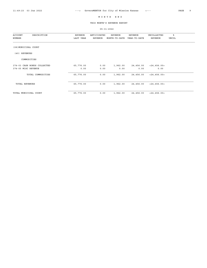THIS MONTH'S REVENUE REPORT

| DESCRIPTION<br><b>ACCOUNT</b><br>NUMBER | REVENUE<br>LAST YEAR | ANTICIPATED<br>REVENUE | REVENUE<br>MONTH-TO-DATE | REVENUE<br>YEAR-TO-DATE | UNCOLLECTED<br>REVENUE | ៖<br>UNCOL |
|-----------------------------------------|----------------------|------------------------|--------------------------|-------------------------|------------------------|------------|
| (08) MUNICIPAL COURT                    |                      |                        |                          |                         |                        |            |
| REVENUES<br>(40)                        |                      |                        |                          |                         |                        |            |
| COMMODITIES                             |                      |                        |                          |                         |                        |            |
| 374-03 CASH BONDS COLLECTED             | 65,776.00            | 0.00                   | 1,962.00                 | 24,456.00               | < 24, 456.00 >         |            |
| 374-05 MISC REVENUE                     | 0.00                 | 0.00                   | 0.00                     | 0.00                    | 0.00                   |            |
| TOTAL COMMODITIES                       | 65,776.00            | 0.00                   | 1,962.00                 | 24,456.00               | < 24, 456.00 >         |            |
| <b>TOTAL REVENUES</b>                   | 65,776.00            | 0.00                   | 1,962.00                 | 24,456.00               | < 24, 456.00 >         |            |
| TOTAL MUNICIPAL COURT                   | 65,776.00            | 0.00                   | 1,962.00                 | 24,456.00               | $<$ 24,456.00>         |            |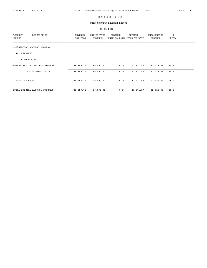THIS MONTH'S REVENUE REPORT

| <b>ACCOUNT</b><br>DESCRIPTION<br>NUMBER | REVENUE<br>LAST YEAR | ANTICIPATED<br>REVENUE | REVENUE<br>MONTH-TO-DATE | REVENUE<br>YEAR-TO-DATE | UNCOLLECTED<br>REVENUE | ៖<br>UNCOL |  |
|-----------------------------------------|----------------------|------------------------|--------------------------|-------------------------|------------------------|------------|--|
| (09) SPECIAL ALCOHOL PROGRAM            |                      |                        |                          |                         |                        |            |  |
| REVENUES<br>(40)                        |                      |                        |                          |                         |                        |            |  |
| COMMODITIES                             |                      |                        |                          |                         |                        |            |  |
| 307-01 SPECIAL ALCOHOL PROGRAM          | 88,859.71            | 90,000.00              | 0.00                     | 27,571.97               | 62,428.03              | 69.3       |  |
| TOTAL COMMODITIES                       | 88,859.71            | 90,000.00              | 0.00                     | 27,571.97               | 62,428.03              | 69.3       |  |
| <b>TOTAL REVENUES</b>                   | 88,859.71            | 90,000.00              | 0.00                     | 27,571.97               | 62,428.03              | 69.3       |  |
| TOTAL SPECIAL ALCOHOL PROGRAM           | 88,859.71            | 90,000.00              | 0.00                     | 27,571.97               | 62,428.03              | 69.3       |  |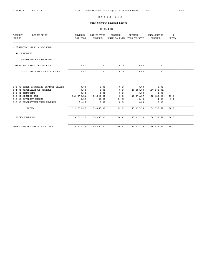THIS MONTH'S REVENUE REPORT

| <b>ACCOUNT</b><br>DESCRIPTION<br>NUMBER | <b>REVENUE</b><br>LAST YEAR | ANTICIPATED<br><b>REVENUE</b> | <b>REVENUE</b><br>MONTH-TO-DATE | <b>REVENUE</b><br>YEAR-TO-DATE | UNCOLLECTED<br>REVENUE | ៖<br><b>UNCOL</b> |
|-----------------------------------------|-----------------------------|-------------------------------|---------------------------------|--------------------------------|------------------------|-------------------|
| (10) SPECIAL PARKS & REC FUND           |                             |                               |                                 |                                |                        |                   |
| (40) REVENUES                           |                             |                               |                                 |                                |                        |                   |
| ENCUMBRANCES CANCELLED                  |                             |                               |                                 |                                |                        |                   |
| 798-01 ENCUMBRANCES CANCELLED           | 0.00                        | 0.00                          | 0.00                            | 0.00                           | 0.00                   |                   |
| TOTAL ENCUMBRANCES CANCELLED            | 0.00                        | 0.00                          | 0.00                            | 0.00                           | 0.00                   |                   |
|                                         |                             |                               |                                 |                                |                        |                   |
| 801-02 OTHER FINANCING-CAPITAL LEASES   | 0.00                        | 0.00                          | 0.00                            | 0.00                           | 0.00                   |                   |
| 804-01 MISCELLANEOUS REVENUE            | 0.00                        | 0.00                          | 0.00                            | 27,500.00                      | $<$ 27,500.00 $>$      |                   |
| 805-01 DONATIONS                        | 0.00                        | 0.00                          | 0.00                            | 0.00                           | 0.00                   |                   |
| 806-01 ALCOHOL TAX                      | 114,779.11                  | 90,000.00                     | 0.00                            | 27,571.97                      | 62,428.03              | 69.3              |
| 806-02 INTEREST INCOME                  | 2.17                        | 50.00                         | 34.43                           | 45.42                          | 4.58                   | 9.1               |
| 806-03 CELEBRATION TREE REVENUE         | 51.00                       | 0.00                          | 0.00                            | 0.00                           | 0.00                   |                   |
| TOTAL                                   | 114,832.28                  | 90,050.00                     | 34.43                           |                                | 55, 117.39 34, 932.61  | 38.7              |
| <b>TOTAL REVENUES</b>                   | 114,832.28                  | 90,050.00                     | 34.43                           | 55, 117.39                     | 34,932.61              | 38.7              |
| TOTAL SPECIAL PARKS & REC FUND          | 114,832.28                  | 90,050.00                     | 34.43                           | 55, 117.39                     | 34,932.61              | 38.7              |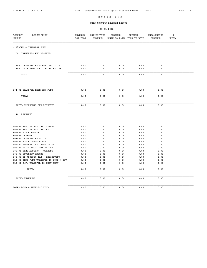THIS MONTH'S REVENUE REPORT

| <b>ACCOUNT</b><br>DESCRIPTION<br>NUMBER | <b>REVENUE</b><br>LAST YEAR | ANTICIPATED<br><b>REVENUE</b> | <b>REVENUE</b><br>MONTH-TO-DATE | <b>REVENUE</b><br>YEAR-TO-DATE | UNCOLLECTED<br><b>REVENUE</b> | ៖<br>UNCOL |
|-----------------------------------------|-----------------------------|-------------------------------|---------------------------------|--------------------------------|-------------------------------|------------|
| (11) BOND & INTEREST FUND               |                             |                               |                                 |                                |                               |            |
| (00) TRANSFERS AND RESERVES             |                             |                               |                                 |                                |                               |            |
| 012-00 TRANSFER FROM SPEC PROJECTS      | 0.00                        | 0.00                          | 0.00                            | 0.00                           | 0.00                          |            |
| 018-00 TNFR FROM SCH DIST SALES TAX     | 0.00                        | 0.00                          | 0.00                            | 0.00                           | 0.00                          |            |
| TOTAL                                   | 0.00                        | 0.00                          | 0.00                            | 0.00                           | 0.00                          |            |
| 804-01 TRANSFER FROM GEN FUND           | 0.00                        | 0.00                          | 0.00                            | 0.00                           | 0.00                          |            |
| TOTAL                                   | 0.00                        | 0.00                          | 0.00                            | 0.00                           | 0.00                          |            |
| TOTAL TRANSFERS AND RESERVES            | 0.00                        | 0.00                          | 0.00                            | 0.00                           | 0.00                          |            |
| (40) REVENUES                           |                             |                               |                                 |                                |                               |            |
| 801-01 REAL ESTATE TAX CURRENT          | 0.00                        | 0.00                          | 0.00                            | 0.00                           | 0.00                          |            |
| 801-02 REAL ESTATE TAX DEL              | 0.00                        | 0.00                          | 0.00                            | 0.00                           | 0.00                          |            |
| 801-04 M & E SLIDER                     | 0.00                        | 0.00                          | 0.00                            | 0.00                           | 0.00                          |            |
| 801-05 TELECOM                          | 0.00                        | 0.00                          | 0.00                            | 0.00                           | 0.00                          |            |
| 804-04 TRANSFER FROM CIP                | 0.00                        | 0.00                          | 0.00                            | 0.00                           | 0.00                          |            |
| 805-01 MOTOR VEHICLE TAX                | 0.00                        | 0.00                          | 0.00                            | 0.00                           | 0.00                          |            |
| 805-02 RECREATIONAL VEHICLE TAX         | 0.00                        | 0.00                          | 0.00                            | 0.00                           | 0.00                          |            |
| 805-04 HEAVY TRUCK TAX 16-20M           | 0.00                        | 0.00                          | 0.00                            | 0.00                           | 0.00                          |            |
| 808-01 SPEC ASSESSM - CURRENT           | 0.00                        | 0.00                          | 0.00                            | 0.00                           | 0.00                          |            |
| 808-02 INTEREST INCOME                  | 0.00                        | 0.00                          | 0.00                            | 0.00                           | 0.00                          |            |
| 808-03 SP ASSESSM TAX - DELINQUENT      | 0.00                        | 0.00                          | 0.00                            | 0.00                           | 0.00                          |            |
| 810-00 BLDG FUND TRANSFER TO BOND / INT | 0.00                        | 0.00                          | 0.00                            | 0.00                           | 0.00                          |            |
| 810-01 G.F. TRANSFER TO DEBT SERV       | 0.00                        | 0.00                          | 0.00                            | 0.00                           | 0.00                          |            |
| TOTAL                                   | 0.00                        | 0.00                          | 0.00                            | 0.00                           | 0.00                          |            |
| TOTAL REVENUES                          | 0.00                        | 0.00                          | 0.00                            | 0.00                           | 0.00                          |            |
| TOTAL BOND & INTEREST FUND              | 0.00                        | 0.00                          | 0.00                            | 0.00                           | 0.00                          |            |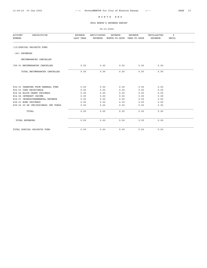THIS MONTH'S REVENUE REPORT

| <b>ACCOUNT</b><br>DESCRIPTION<br>NUMBER | <b>REVENUE</b><br>LAST YEAR | ANTICIPATED<br><b>REVENUE</b> | <b>REVENUE</b><br>MONTH-TO-DATE | <b>REVENUE</b><br>YEAR-TO-DATE | UNCOLLECTED<br><b>REVENUE</b> | ៖<br><b>UNCOL</b> |
|-----------------------------------------|-----------------------------|-------------------------------|---------------------------------|--------------------------------|-------------------------------|-------------------|
| (12) SPECIAL PROJECTS FUND              |                             |                               |                                 |                                |                               |                   |
| (40) REVENUES                           |                             |                               |                                 |                                |                               |                   |
| ENCUMBRANCES CANCELLED                  |                             |                               |                                 |                                |                               |                   |
| 798-01 ENCUMBRANCES CANCELLED           | 0.00                        | 0.00                          | 0.00                            | 0.00                           | 0.00                          |                   |
| TOTAL ENCUMBRANCES CANCELLED            | 0.00                        | 0.00                          | 0.00                            | 0.00                           | 0.00                          |                   |
|                                         |                             |                               |                                 |                                |                               |                   |
| 804-01 TRANSFER FROM GENERAL FUND       | 0.00                        | 0.00                          | 0.00                            | 0.00                           | 0.00                          |                   |
| 804-03 CDBG RECEIVABLE                  | 0.00                        | 0.00                          | 0.00                            | 0.00                           | 0.00                          |                   |
| 804-04 BLOCK GRANT PROCEEDS             | 0.00                        | 0.00                          | 0.00                            | 0.00                           | 0.00                          |                   |
| 804-06 INTEREST INCOME                  | 0.00                        | 0.00                          | 0.00                            | 0.00                           | 0.00                          |                   |
| 804-07 INTERGOVERNMENTAL REVENUE        | 0.00                        | 0.00                          | 0.00                            | 0.00                           | 0.00                          |                   |
| 808-01 BOND PROCEEDS                    | 0.00                        | 0.00                          | 0.00                            | 0.00                           | 0.00                          |                   |
| 808-02 JO DR IMP/BUSINESS IMP FUNDS     | 0.00                        | 0.00                          | 0.00                            | 0.00                           | 0.00                          |                   |
| TOTAL                                   | 0.00                        | 0.00                          | 0.00                            | 0.00                           | 0.00                          |                   |
| <b>TOTAL REVENUES</b>                   | 0.00                        | 0.00                          | 0.00                            | 0.00                           | 0.00                          |                   |
| TOTAL SPECIAL PROJECTS FUND             | 0.00                        | 0.00                          | 0.00                            | 0.00                           | 0.00                          |                   |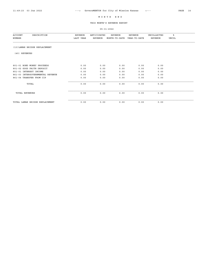THIS MONTH'S REVENUE REPORT

| <b>ACCOUNT</b><br>DESCRIPTION<br>NUMBER | REVENUE<br>LAST YEAR | ANTICIPATED<br>REVENUE | REVENUE<br>MONTH-TO-DATE | REVENUE<br>YEAR-TO-DATE | UNCOLLECTED<br>REVENUE | ៖<br>UNCOL |  |
|-----------------------------------------|----------------------|------------------------|--------------------------|-------------------------|------------------------|------------|--|
| (13) LAMAR BRIDGE REPLACEMENT           |                      |                        |                          |                         |                        |            |  |
| (40) REVENUES                           |                      |                        |                          |                         |                        |            |  |
| 801-01 BOND MONEY PROCEEDS              | 0.00                 | 0.00                   | 0.00                     | 0.00                    | 0.00                   |            |  |
| 801-02 GOOD FAITH DEPOSIT               | 0.00                 | 0.00                   | 0.00                     | 0.00                    | 0.00                   |            |  |
| 851-01 INTEREST INCOME                  | 0.00                 | 0.00                   | 0.00                     | 0.00                    | 0.00                   |            |  |
| 861-03 INTERGOVERNMENTAL REVENUE        | 0.00                 | 0.00                   | 0.00                     | 0.00                    | 0.00                   |            |  |
| 861-04 TRANSFER FROM CIP                | 0.00                 | 0.00                   | 0.00                     | 0.00                    | 0.00                   |            |  |
| TOTAL                                   | 0.00                 | 0.00                   | 0.00                     | 0.00                    | 0.00                   |            |  |
| TOTAL REVENUES                          | 0.00                 | 0.00                   | 0.00                     | 0.00                    | 0.00                   |            |  |
| TOTAL LAMAR BRIDGE REPLACEMENT          | 0.00                 | 0.00                   | 0.00                     | 0.00                    | 0.00                   |            |  |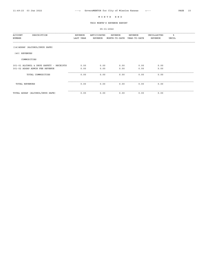THIS MONTH'S REVENUE REPORT

| DESCRIPTION<br><b>ACCOUNT</b><br>NUMBER | REVENUE<br>LAST YEAR | ANTICIPATED<br>REVENUE | REVENUE<br>MONTH-TO-DATE | REVENUE<br>YEAR-TO-DATE | UNCOLLECTED<br>REVENUE | ៖<br>UNCOL |  |
|-----------------------------------------|----------------------|------------------------|--------------------------|-------------------------|------------------------|------------|--|
| (14) ADSAP (ALCOHOL/DRUG SAFE)          |                      |                        |                          |                         |                        |            |  |
| (40) REVENUES                           |                      |                        |                          |                         |                        |            |  |
| COMMODITIES                             |                      |                        |                          |                         |                        |            |  |
| 301-01 ALCOHOL & DRUG SAFETY - RECEIPTS | 0.00                 | 0.00                   | 0.00                     | 0.00                    | 0.00                   |            |  |
| 301-02 ADSAP ADMIN FEE REVENUE          | 0.00                 | 0.00                   | 0.00                     | 0.00                    | 0.00                   |            |  |
| TOTAL COMMODITIES                       | 0.00                 | 0.00                   | 0.00                     | 0.00                    | 0.00                   |            |  |
| <b>TOTAL REVENUES</b>                   | 0.00                 | 0.00                   | 0.00                     | 0.00                    | 0.00                   |            |  |
| TOTAL ADSAP (ALCOHOL/DRUG SAFE)         | 0.00                 | 0.00                   | 0.00                     | 0.00                    | 0.00                   |            |  |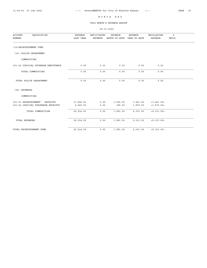THIS MONTH'S REVENUE REPORT

| <b>ACCOUNT</b><br>DESCRIPTION<br><b>NUMBER</b>                        | <b>REVENUE</b><br>LAST YEAR | ANTICIPATED<br><b>REVENUE</b> | <b>REVENUE</b><br>MONTH-TO-DATE | <b>REVENUE</b><br>YEAR-TO-DATE | UNCOLLECTED<br><b>REVENUE</b> | ะ<br>UNCOL |  |
|-----------------------------------------------------------------------|-----------------------------|-------------------------------|---------------------------------|--------------------------------|-------------------------------|------------|--|
| (15) REINSTATEMENT FUND                                               |                             |                               |                                 |                                |                               |            |  |
| (30) POLICE DEPARTMENT                                                |                             |                               |                                 |                                |                               |            |  |
| COMMODITIES                                                           |                             |                               |                                 |                                |                               |            |  |
| 301-02 JUDICIAL UPCHARGE REMITTANCE                                   | 0.00                        | 0.00                          | 0.00                            | 0.00                           | 0.00                          |            |  |
| TOTAL COMMODITIES                                                     | 0.00                        | 0.00                          | 0.00                            | 0.00                           | 0.00                          |            |  |
| TOTAL POLICE DEPARTMENT                                               | 0.00                        | 0.00                          | 0.00                            | 0.00                           | 0.00                          |            |  |
| (40) REVENUES                                                         |                             |                               |                                 |                                |                               |            |  |
| COMMODITIES                                                           |                             |                               |                                 |                                |                               |            |  |
| 301-01 REINSTATEMENT - RECEIPTS<br>301-02 JUDICIAL SURCHARGE RECEIPTS | 17,894.00<br>4,620.00       | 0.00<br>0.00                  | 1,595.00<br>396.00              | 7,461.00<br>1,870.00           | < 7,461.00 ><br><1,870.00>    |            |  |
| TOTAL COMMODITIES                                                     | 22,514.00                   | 0.00                          | 1,991.00                        | 9,331.00                       | <9,331.00>                    |            |  |
| <b>TOTAL REVENUES</b>                                                 | 22,514.00                   | 0.00                          | 1,991.00                        | 9,331.00                       | <9,331.00>                    |            |  |
| TOTAL REINSTATEMENT FUND                                              | 22,514.00                   | 0.00                          | 1,991.00                        | 9,331.00                       | <9,331.00>                    |            |  |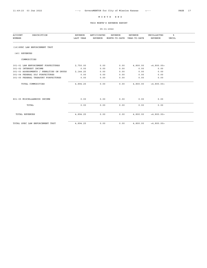THIS MONTH'S REVENUE REPORT

| <b>ACCOUNT</b><br>DESCRIPTION<br>NUMBER | <b>REVENUE</b><br>LAST YEAR | ANTICIPATED<br><b>REVENUE</b> | <b>REVENUE</b><br>MONTH-TO-DATE | <b>REVENUE</b><br>YEAR-TO-DATE | UNCOLLECTED<br>REVENUE | ៖<br><b>UNCOL</b> |
|-----------------------------------------|-----------------------------|-------------------------------|---------------------------------|--------------------------------|------------------------|-------------------|
| (16) SPEC LAW ENFORCEMENT TRST          |                             |                               |                                 |                                |                        |                   |
| (40) REVENUES                           |                             |                               |                                 |                                |                        |                   |
| COMMODITIES                             |                             |                               |                                 |                                |                        |                   |
| 301-01 LAW ENFORCEMENT FORFEITURES      | 2,750.00                    | 0.00                          | 0.00                            | 4,800.00                       | < 4, 800.00 >          |                   |
| 301-02 INTEREST INCOME                  | 0.00                        | 0.00                          | 0.00                            | 0.00                           | 0.00                   |                   |
| 301-03 ASSESSMENTS / PENALTIES ON DRUGS | 2, 144.25                   | 0.00                          | 0.00                            | 0.00                           | 0.00                   |                   |
| 301-04 FEDERAL DOJ FORFEITURES          | 0.00                        | 0.00                          | 0.00                            | 0.00                           | 0.00                   |                   |
| 301-05 FEDERAL TREASURY FORFEITURES     | 0.00                        | 0.00                          | 0.00                            | 0.00                           | 0.00                   |                   |
| TOTAL COMMODITIES                       | 4,894.25                    | 0.00                          | 0.00                            | 4,800.00                       | < 4, 800.005           |                   |
| 801-05 MISCELLANEOUS INCOME             | 0.00                        | 0.00                          | 0.00                            | 0.00                           | 0.00                   |                   |
| TOTAL                                   | 0.00                        | 0.00                          | 0.00                            | 0.00                           | 0.00                   |                   |
| <b>TOTAL REVENUES</b>                   | 4,894.25                    | 0.00                          | 0.00                            | 4,800.00                       | < 4, 800.005           |                   |
| TOTAL SPEC LAW ENFORCEMENT TRST         | 4,894.25                    | 0.00                          | 0.00                            | 4,800.00                       | < 4, 800.005           |                   |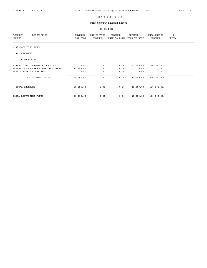THIS MONTH'S REVENUE REPORT

| ACCOUNT<br>DESCRIPTION<br>NUMBER    | REVENUE<br>LAST YEAR | ANTICIPATED<br>REVENUE | REVENUE<br>MONTH-TO-DATE | <b>REVENUE</b><br>YEAR-TO-DATE | UNCOLLECTED<br>REVENUE | ి<br><b>UNCOL</b> |
|-------------------------------------|----------------------|------------------------|--------------------------|--------------------------------|------------------------|-------------------|
| (17) RESTRICTED FUNDS               |                      |                        |                          |                                |                        |                   |
| (40) REVENUES                       |                      |                        |                          |                                |                        |                   |
| COMMODITIES                         |                      |                        |                          |                                |                        |                   |
| 333-07 DONATIONS/GIFTS/DEPOSITS     | 0.00                 | 0.00                   | 0.00                     | 20,000.00                      | $<$ 20,000.00 $>$      |                   |
| 361-01 INS PROCEED FUNDS KSA40-3901 | 64,295.60            | 0.00                   | 0.00                     | 0.00                           | 0.00                   |                   |
| 361-12 SURETY BONDS HELD            | 0.00                 | 0.00                   | 0.00                     | 0.00                           | 0.00                   |                   |
| TOTAL COMMODITIES                   | 64,295.60            | 0.00                   | 0.00                     | 20,000.00                      | < 20,000.005           |                   |
| <b>TOTAL REVENUES</b>               | 64,295.60            | 0.00                   | 0.00                     | 20,000.00                      | < 20,000.005           |                   |
| TOTAL RESTRICTED FUNDS              | 64,295.60            | 0.00                   | 0.00                     | 20,000.00                      | < 20,000.005           |                   |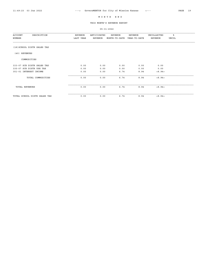THIS MONTH'S REVENUE REPORT

| DESCRIPTION<br><b>ACCOUNT</b><br>NUMBER | REVENUE<br>LAST YEAR | ANTICIPATED<br><b>REVENUE</b> | REVENUE<br>MONTH-TO-DATE | <b>REVENUE</b><br>YEAR-TO-DATE | UNCOLLECTED<br>REVENUE | ៖<br>UNCOL |
|-----------------------------------------|----------------------|-------------------------------|--------------------------|--------------------------------|------------------------|------------|
| (18) SCHOOL DISTR SALES TAX             |                      |                               |                          |                                |                        |            |
| (40) REVENUES                           |                      |                               |                          |                                |                        |            |
| COMMODITIES                             |                      |                               |                          |                                |                        |            |
| 333-07 SCH DISTR SALES TAX              | 0.00                 | 0.00                          | 0.00                     | 0.00                           | 0.00                   |            |
| 335-07 SCH DISTR USE TAX                | 0.00                 | 0.00                          | 0.00                     | 0.00                           | 0.00                   |            |
| 351-01 INTEREST INCOME                  | 0.00                 | 0.00                          | 6.74                     | 8.94                           | < 8.94                 |            |
| TOTAL COMMODITIES                       | 0.00                 | 0.00                          | 6.74                     | 8.94                           | < 8.94>                |            |
| TOTAL REVENUES                          | 0.00                 | 0.00                          | 6.74                     | 8.94                           | < 8.94>                |            |
| TOTAL SCHOOL DISTR SALES TAX            | 0.00                 | 0.00                          | 6.74                     | 8.94                           | < 8.94>                |            |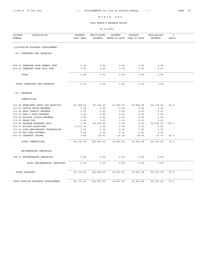THIS MONTH'S REVENUE REPORT

| <b>ACCOUNT</b><br>DESCRIPTION<br>NUMBER                  | REVENUE<br>LAST YEAR | ANTICIPATED<br><b>REVENUE</b> | <b>REVENUE</b><br>MONTH-TO-DATE | <b>REVENUE</b><br>YEAR-TO-DATE | UNCOLLECTED<br><b>REVENUE</b> | ి<br><b>UNCOL</b> |  |
|----------------------------------------------------------|----------------------|-------------------------------|---------------------------------|--------------------------------|-------------------------------|-------------------|--|
|                                                          |                      |                               |                                 |                                |                               |                   |  |
| (19) MISSION BUSINESS DEVELOPMENT                        |                      |                               |                                 |                                |                               |                   |  |
| (00) TRANSFERS AND RESERVES                              |                      |                               |                                 |                                |                               |                   |  |
| 804-01 TRANSFER FROM GENERL FUND                         | 0.00                 | 0.00                          | 0.00                            | 0.00                           | 0.00                          |                   |  |
| 804-04 TRANSFER FROM BLDG FUND                           | 0.00                 | 0.00                          | 0.00                            | 0.00                           | 0.00                          |                   |  |
| TOTAL                                                    | 0.00                 | 0.00                          | 0.00                            | 0.00                           | 0.00                          |                   |  |
| TOTAL TRANSFERS AND RESERVES                             | 0.00                 | 0.00                          | 0.00                            | 0.00                           | 0.00                          |                   |  |
| (40) REVENUES                                            |                      |                               |                                 |                                |                               |                   |  |
| COMMODITIES                                              |                      |                               |                                 |                                |                               |                   |  |
| 303-08 TRANSIENT GUEST TAX RECEIPTS                      | 55,499.62            | 55,000.00                     | 14,580.57                       | 30,824.08                      | 24, 175.92                    | 43.9              |  |
| 333-01 CATTLE DRIVE REVENUE                              | 0.00                 | 0.00                          | 0.00                            | 0.00                           | 0.00                          |                   |  |
| 333-02 ARTS COUNCIL REVENUE                              | 0.00                 | 0.00                          | 0.00                            | 0.00                           | 0.00                          |                   |  |
| 333-03 ARTS & EATS REVENUE                               | 0.00                 | 0.00                          | 0.00                            | 0.00                           | 0.00                          |                   |  |
| 333-04 HOLIDAY LIGHTS REVENUE                            | 0.00                 | 0.00                          | 0.00                            | 0.00                           | 0.00                          |                   |  |
| 333-07 SALES TAX                                         | 0.00                 | 0.00                          | 0.00                            | 0.00                           | 0.00                          |                   |  |
| 333-09 PROGRAM REVENUES MISC<br>333-10 HOLIDAY ADOPTIONS | 0.00                 | 65,000.00                     | 0.00                            | 0.00                           | 65,000.00                     | 100.0             |  |
| 333-15 60TH ANNIVERSARY CELEBRATION                      | 2,673.00<br>0.00     | 0.00<br>0.00                  | 0.00<br>0.00                    | 0.00<br>0.00                   | 0.00<br>0.00                  |                   |  |
| 333-20 DOG PARK REVENUE                                  | 0.00                 | 0.00                          | 0.00                            | 0.00                           | 0.00                          |                   |  |
| 351-01 INTEREST INCOME                                   | 1.44                 | 50.00                         | 21.26                           | 28.30                          | 21.70                         | 43.4              |  |
| TOTAL COMMODITIES                                        | 58,174.06            | 120,050.00                    | 14,601.83                       | 30,852.38                      | 89,197.62                     | 74.3              |  |
| ENCUMBRANCES CANCELLED                                   |                      |                               |                                 |                                |                               |                   |  |
| 798-01 ENCUMBRANCES CANCELLED                            | 0.00                 | 0.00                          | 0.00                            | 0.00                           | 0.00                          |                   |  |
| TOTAL ENCUMBRANCES CANCELLED                             | 0.00                 | 0.00                          | 0.00                            | 0.00                           | 0.00                          |                   |  |
| <b>TOTAL REVENUES</b>                                    | 58, 174.06           | 120,050.00                    | 14,601.83                       | 30,852.38                      | 89,197.62                     | 74.3              |  |
| TOTAL MISSION BUSINESS DEVELOPMENT                       | 58, 174.06           | 120,050.00                    | 14,601.83                       | 30,852.38                      | 89, 197.62                    | 74.3              |  |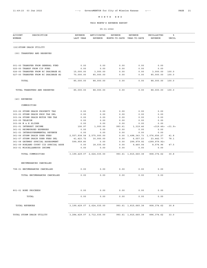THIS MONTH'S REVENUE REPORT

| <b>ACCOUNT</b><br>DESCRIPTION<br>NUMBER | <b>REVENUE</b><br>LAST YEAR | ANTICIPATED<br>REVENUE        | REVENUE<br>MONTH-TO-DATE YEAR-TO-DATE | REVENUE                   | UNCOLLECTED<br>REVENUE | ి<br><b>UNCOL</b> |  |
|-----------------------------------------|-----------------------------|-------------------------------|---------------------------------------|---------------------------|------------------------|-------------------|--|
| (22) STORM DRAIN UTILITY                |                             |                               |                                       |                           |                        |                   |  |
| (00) TRANSFERS AND RESERVES             |                             |                               |                                       |                           |                        |                   |  |
| 001-00 TRANSFER FROM GENERAL FUND       | 0.00                        | 0.00                          | 0.00                                  | 0.00                      | 0.00                   |                   |  |
| 025-00 TRANSF FROM CIP FUND             | 0.00                        | 0.00                          | 0.00                                  | 0.00                      | 0.00                   |                   |  |
| 026-00 TRANSFER FROM RC DRAINAGE #1     | 15,000.00                   | 3,000.00                      | 0.00                                  | 0.00                      | 3,000.00               | 100.0             |  |
| 027-00 TRANSFER FROM RC DRAINAGE #2     | 70,000.00                   | 85,000.00                     | 0.00                                  | 0.00                      | 85,000.00              | 100.0             |  |
| TOTAL                                   | 85,000.00                   | 88,000.00                     | 0.00                                  | 0.00                      | 88,000.00              | 100.0             |  |
| TOTAL TRANSFERS AND RESERVES            | 85,000.00                   | 88,000.00                     | 0.00                                  | 0.00                      | 88,000.00              | 100.0             |  |
| (40) REVENUES                           |                             |                               |                                       |                           |                        |                   |  |
| COMMODITIES                             |                             |                               |                                       |                           |                        |                   |  |
| 303-02 STORM DRAIN PROPERTY TAX         | 0.00                        | 0.00                          | 0.00                                  | 0.00                      | 0.00                   |                   |  |
| 303-03 STORM DRAIN PROP TAX DEL         | 0.00                        | 0.00                          | 0.00                                  | 0.00                      | 0.00                   |                   |  |
| 303-04 STORM DRAIN MOTOR VEH TAX        | 0.00                        | 0.00                          | 0.00                                  | 0.00                      | 0.00                   |                   |  |
| 303-05 TELECOM                          | 0.00                        | 0.00                          | 0.00                                  | 0.00                      | 0.00                   |                   |  |
| 303-06 M & E SLIDER                     | 0.00                        | 0.00                          | 0.00                                  | 0.00                      | 0.00                   |                   |  |
| 351-01 INTEREST INCOME                  | 106.97                      | 1,000.00                      | 993.61                                | 1,319.46                  | <319.46>               | < 31.9            |  |
| 361-01 REIMBURSED EXPENSES              | 0.00                        | 0.00                          | 0.00                                  | 0.00                      | 0.00                   |                   |  |
| 361-03 INTERGOVERNMENTAL REVENUE        | 0.00                        | 0.00                          | 0.00                                  | 0.00                      | 0.00                   |                   |  |
| 361-06 STORM DRAIN USER FEES            | 2,557,938.58                | 2,575,000.00                  | 0.00                                  | 1,498,343.73 1,076,656.27 |                        | 41.8              |  |
| 361-07 STORM DRAIN USER FEES DEL        | 41, 423.72                  | 30,000.00                     | 0.00                                  | 6,557.23                  | 23, 442. 77            | 78.1              |  |
| 361-08 GATEWAY SPECIAL ASSESSMENT       | 599,959.80                  | 0.00                          | 0.00                                  | 299,979.92                | $<$ 299, 979.92>       |                   |  |
| 361-09 ROELAND COURT CID SPECIAL ASSE   | 0.00                        | 18,035.00                     | 0.00                                  | 9,460.04                  | 8,574.96               | 47.5              |  |
| 363-01 MISCELLANEOUS INCOME             | 0.00                        | 0.00                          | 0.00                                  | 0.00                      | 0.00                   |                   |  |
| TOTAL COMMODITIES                       |                             | 3, 199, 429.07 2, 624, 035.00 |                                       | 993.61 1,815,660.38       | 808, 374.62            | 30.8              |  |
| ENCUMBRANCES CANCELLED                  |                             |                               |                                       |                           |                        |                   |  |
| 798-01 ENCUMBRANCES CANCELLED           | 0.00                        | 0.00                          | 0.00                                  | 0.00                      | 0.00                   |                   |  |
| TOTAL ENCUMBRANCES CANCELLED            | 0.00                        | 0.00                          | 0.00                                  | 0.00                      | 0.00                   |                   |  |
|                                         |                             |                               |                                       |                           |                        |                   |  |
| 801-01 BOND PROCEEDS                    | 0.00                        | 0.00                          | 0.00                                  | 0.00                      | 0.00                   |                   |  |
| TOTAL                                   | 0.00                        | 0.00                          | 0.00                                  | 0.00                      | 0.00                   |                   |  |
| TOTAL REVENUES                          |                             | 3, 199, 429.07 2, 624, 035.00 |                                       | 993.61 1,815,660.38       | 808, 374.62            | 30.8              |  |
| TOTAL STORM DRAIN UTILITY               |                             | 3, 284, 429.07 2, 712, 035.00 |                                       | 993.61 1,815,660.38       | 896, 374.62            | 33.0              |  |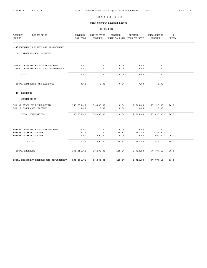THIS MONTH'S REVENUE REPORT

| <b>ACCOUNT</b><br>DESCRIPTION<br>NUMBER                     | REVENUE<br>LAST YEAR | ANTICIPATED<br><b>REVENUE</b> | <b>REVENUE</b><br>MONTH-TO-DATE | <b>REVENUE</b><br>YEAR-TO-DATE | UNCOLLECTED<br><b>REVENUE</b> | %ะ<br><b>UNCOL</b> |  |
|-------------------------------------------------------------|----------------------|-------------------------------|---------------------------------|--------------------------------|-------------------------------|--------------------|--|
| (24) EQUIPMENT RESERVE AND REPLACEMENT                      |                      |                               |                                 |                                |                               |                    |  |
| (00) TRANSFERS AND RESERVES                                 |                      |                               |                                 |                                |                               |                    |  |
| 001-00 TRANSFER FROM GENERAL FUND                           | 0.00                 | 0.00                          | 0.00                            | 0.00                           | 0.00                          |                    |  |
| 025-00 TRANSFER FROM CAPITAL IMPROVEM                       | 0.00                 | 0.00                          | 0.00                            | 0.00                           | 0.00                          |                    |  |
| TOTAL                                                       | 0.00                 | 0.00                          | 0.00                            | 0.00                           | 0.00                          |                    |  |
| TOTAL TRANSFERS AND RESERVES                                | 0.00                 | 0.00                          | 0.00                            | 0.00                           | 0.00                          |                    |  |
| (40) REVENUES                                               |                      |                               |                                 |                                |                               |                    |  |
| COMMODITIES                                                 |                      |                               |                                 |                                |                               |                    |  |
| 361-07 SALES OF FIXED ASSETS<br>361-12 INSURANCE PROCEEDS   | 199,375.00<br>0.00   | 80,000.00<br>0.00             | 0.00<br>0.00                    | 2,565.00<br>0.00               | 77,435.00<br>0.00             | 96.7               |  |
| TOTAL COMMODITIES                                           | 199,375.00           | 80,000.00                     | 0.00                            | 2,565.00                       | 77,435.00                     | 96.7               |  |
|                                                             |                      |                               |                                 |                                |                               |                    |  |
| 804-01 TRANSFER FROM GENERAL FUND<br>804-06 INTEREST INCOME | 0.00<br>16.71        | 0.00<br>0.00                  | 0.00<br>118.97                  | 0.00<br>157.90                 | 0.00<br><157.90>              |                    |  |
| 808-03 INTEREST INCOME                                      | 0.00                 | 500.00                        | 0.00                            | 0.00                           | 500.00                        | 100.0              |  |
| TOTAL                                                       | 16.71                | 500.00                        | 118.97                          | 157.90                         | 342.10                        | 68.4               |  |
| TOTAL REVENUES                                              | 199,391.71           | 80,500.00                     | 118.97                          | 2,722.90                       | 77, 777.10                    | 96.6               |  |
| TOTAL EQUIPMENT RESERVE AND REPLACEMENT                     | 199,391.71           | 80,500.00                     | 118.97                          | 2,722.90                       | 77, 777.10                    | 96.6               |  |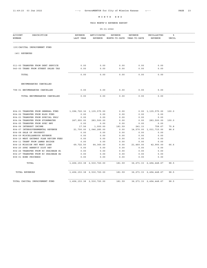THIS MONTH'S REVENUE REPORT

| <b>ACCOUNT</b><br>DESCRIPTION<br>NUMBER                              | <b>REVENUE</b><br>LAST YEAR | ANTICIPATED<br><b>REVENUE</b> | <b>REVENUE</b><br>MONTH-TO-DATE | <b>REVENUE</b><br>YEAR-TO-DATE | UNCOLLECTED<br><b>REVENUE</b> | ៖<br><b>UNCOL</b> |  |
|----------------------------------------------------------------------|-----------------------------|-------------------------------|---------------------------------|--------------------------------|-------------------------------|-------------------|--|
| (25) CAPITAL IMPROVEMENT FUND                                        |                             |                               |                                 |                                |                               |                   |  |
| (40) REVENUES                                                        |                             |                               |                                 |                                |                               |                   |  |
| 011-00 TRANSFER FROM DEBT SERVICE                                    | 0.00                        | 0.00                          | 0.00                            | 0.00                           | 0.00                          |                   |  |
| 040-00 TRANS FROM STREET SALES TAX                                   | 0.00                        | 0.00                          | 0.00                            | 0.00                           | 0.00                          |                   |  |
| TOTAL                                                                | 0.00                        | 0.00                          | 0.00                            | 0.00                           | 0.00                          |                   |  |
| ENCUMBRANCES CANCELLED                                               |                             |                               |                                 |                                |                               |                   |  |
| 798-01 ENCUMBRANCES CANCELLED                                        | 0.00                        | 0.00                          | 0.00                            | 0.00                           | 0.00                          |                   |  |
| TOTAL ENCUMBRANCES CANCELLED                                         | 0.00                        | 0.00                          | 0.00                            | 0.00                           | 0.00                          |                   |  |
|                                                                      |                             |                               |                                 |                                |                               |                   |  |
| 804-01 TRANSFER FROM GENERAL FUND                                    |                             | 1,096,720.32 1,135,575.00     | 0.00                            |                                | $0.00 \quad 1,135,575.00$     | 100.0             |  |
| 804-02 TRANSFER FROM BLDG FUND                                       | 0.00                        | 0.00                          | 0.00                            | 0.00                           | 0.00                          |                   |  |
| 804-03 TRANSFER FROM SPECIAL PROJ                                    | 0.00                        | 0.00                          | 0.00                            | 0.00                           | 0.00                          |                   |  |
| 804-04 TRANSFER FROM STORMWATER                                      | 267,993.00                  | 283,500.00                    | 0.00                            | 0.00                           | 283,500.00                    | 100.0             |  |
| 804-05 TRANSFER FROM SPEC HWY                                        | 0.00                        | 0.00                          | 0.00                            | 0.00                           | 0.00                          |                   |  |
| 804-06 INTEREST INCOME                                               | 17.56                       | 1,000.00                      | 181.59                          | 241.33                         | 758.67                        | 75.8              |  |
| 804-07 INTERGOVERNMENTAL REVENUE                                     |                             | 21,700.00 1,046,285.00        | 0.00                            |                                | 14,570.00 1,031,715.00        | 98.6              |  |
| 804-08 SALE OF PROPERTY                                              | 0.00                        | 0.00                          | 0.00                            | 0.00                           | 0.00                          |                   |  |
| 804-09 MISCELLANEOUS REVENUE<br>804-10 WEST GATEWAY PLAN REVIEW FEES | 0.00<br>0.00                | 0.00<br>0.00                  | 0.00<br>0.00                    | 0.00<br>0.00                   | 0.00<br>0.00                  |                   |  |
| 804-11 TRANF FROM LAMAR BRIDGE                                       | 0.00                        | 0.00                          | 0.00                            | 0.00                           | 0.00                          |                   |  |
| 804-15 MISSION PET MART LOAN                                         | 69,722.50                   | 64,360.00                     | 0.00                            | 21,460.00                      | 42,900.00                     | 66.6              |  |
| 804-20 SPEC BENEFIT DIST REV                                         | 0.00                        | 0.00                          | 0.00                            | 0.00                           | 0.00                          |                   |  |
| 804-26 TRANSFER FROM RC DRAINAGE #1                                  | 0.00                        | 0.00                          | 0.00                            | 0.00                           | 0.00                          |                   |  |
| 804-27 TRANSFER FROM RC DRAINAGE #2                                  | 0.00                        | 0.00                          | 0.00                            | 0.00                           | 0.00                          |                   |  |
| 808-01 BOND PROCEEDS                                                 | 0.00                        | 0.00                          | 0.00                            | 0.00                           | 0.00                          |                   |  |
| TOTAL                                                                |                             | 1,456,153.38 2,530,720.00     | 181.59                          |                                | 36, 271.33 2, 494, 448.67     | 98.5              |  |
| <b>TOTAL REVENUES</b>                                                |                             | 1,456,153.38 2,530,720.00     | 181.59                          |                                | 36, 271.33 2, 494, 448.67     | 98.5              |  |
| TOTAL CAPITAL IMPROVEMENT FUND                                       |                             | 1,456,153.38 2,530,720.00     | 181.59                          |                                | 36, 271.33 2, 494, 448.67     | 98.5              |  |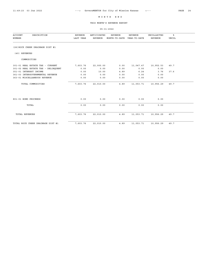THIS MONTH'S REVENUE REPORT

| <b>ACCOUNT</b><br>DESCRIPTION<br>NUMBER | <b>REVENUE</b><br>LAST YEAR | ANTICIPATED<br><b>REVENUE</b> | <b>REVENUE</b><br>MONTH-TO-DATE | <b>REVENUE</b><br>YEAR-TO-DATE | UNCOLLECTED<br><b>REVENUE</b> | ៖<br><b>UNCOL</b> |  |
|-----------------------------------------|-----------------------------|-------------------------------|---------------------------------|--------------------------------|-------------------------------|-------------------|--|
| (26) ROCK CREEK DRAINAGE DIST #1        |                             |                               |                                 |                                |                               |                   |  |
| (40) REVENUES                           |                             |                               |                                 |                                |                               |                   |  |
| COMMODITIES                             |                             |                               |                                 |                                |                               |                   |  |
| 301-01 REAL ESTATE TAX - CURRENT        | 7,603.76                    | 22,000.00                     | 0.00                            | 11,047.47                      | 10,952.53                     | 49.7              |  |
| 301-02 REAL ESTATE TAX - DELINQUENT     | 0.00                        | 0.00                          | 0.00                            | 0.00                           | 0.00                          |                   |  |
| 351-01 INTEREST INCOME                  | 0.00                        | 10.00                         | 4.89                            | 6.24                           | 3.76                          | 37.6              |  |
| 361-03 INTERGOVERNMENTAL REVENUE        | 0.00                        | 0.00                          | 0.00                            | 0.00                           | 0.00                          |                   |  |
| 363-01 MISCELLANEOUS REVENUE            | 0.00                        | 0.00                          | 0.00                            | 0.00                           | 0.00                          |                   |  |
| TOTAL COMMODITIES                       | 7,603.76                    | 22,010.00                     | 4.89                            | 11,053.71                      | 10,956.29                     | 49.7              |  |
| 801-01 BOND PROCEEDS                    | 0.00                        | 0.00                          | 0.00                            | 0.00                           | 0.00                          |                   |  |
| TOTAL                                   | 0.00                        | 0.00                          | 0.00                            | 0.00                           | 0.00                          |                   |  |
| <b>TOTAL REVENUES</b>                   | 7,603.76                    | 22,010.00                     | 4.89                            | 11,053.71                      | 10,956.29                     | 49.7              |  |
| TOTAL ROCK CREEK DRAINAGE DIST #1       | 7,603.76                    | 22,010.00                     | 4.89                            | 11,053.71                      | 10,956.29                     | 49.7              |  |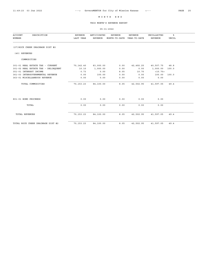THIS MONTH'S REVENUE REPORT

| <b>ACCOUNT</b><br>DESCRIPTION<br>NUMBER | <b>REVENUE</b><br>LAST YEAR | ANTICIPATED<br><b>REVENUE</b> | REVENUE<br>MONTH-TO-DATE | REVENUE<br>YEAR-TO-DATE | UNCOLLECTED<br><b>REVENUE</b> | ៖<br><b>UNCOL</b> |  |
|-----------------------------------------|-----------------------------|-------------------------------|--------------------------|-------------------------|-------------------------------|-------------------|--|
| (27) ROCK CREEK DRAINAGE DIST #2        |                             |                               |                          |                         |                               |                   |  |
| (40) REVENUES                           |                             |                               |                          |                         |                               |                   |  |
| COMMODITIES                             |                             |                               |                          |                         |                               |                   |  |
| 301-01 REAL ESTATE TAX - CURRENT        | 70,142.40                   | 83,000.00                     | 0.00                     | 42, 492.25              | 40,507.75                     | 48.8              |  |
| 301-02 REAL ESTATE TAX - DELINQUENT     | 10.10                       | 1,000.00                      | 0.00                     | 0.00                    | 1,000.00                      | 100.0             |  |
| 351-01 INTEREST INCOME                  | 0.73                        | 0.00                          | 8.05                     | 10.70                   | <10.70                        |                   |  |
| 361-03 INTERGOVERNMENTAL REVENUE        | 0.00                        | 100.00                        | 0.00                     | 0.00                    | 100.00                        | 100.0             |  |
| 363-01 MISCELLANEOUS REVENUE            | 0.00                        | 0.00                          | 0.00                     | 0.00                    | 0.00                          |                   |  |
| TOTAL COMMODITIES                       | 70, 153.23                  | 84,100.00                     | 8.05                     | 42,502.95               | 41,597.05                     | 49.4              |  |
| 801-01 BOND PROCEEDS                    | 0.00                        | 0.00                          | 0.00                     | 0.00                    | 0.00                          |                   |  |
| TOTAL                                   | 0.00                        | 0.00                          | 0.00                     | 0.00                    | 0.00                          |                   |  |
| <b>TOTAL REVENUES</b>                   | 70, 153.23                  | 84,100.00                     | 8.05                     | 42,502.95               | 41,597.05                     | 49.4              |  |
| TOTAL ROCK CREEK DRAINAGE DIST #2       | 70, 153.23                  | 84,100.00                     | 8.05                     | 42,502.95               | 41,597.05                     | 49.4              |  |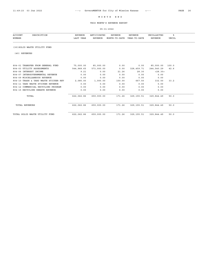THIS MONTH'S REVENUE REPORT

| <b>ACCOUNT</b><br>DESCRIPTION         | REVENUE    | ANTICIPATED | <b>REVENUE</b> | REVENUE      | UNCOLLECTED | ៖            |
|---------------------------------------|------------|-------------|----------------|--------------|-------------|--------------|
| NUMBER                                | LAST YEAR  | REVENUE     | MONTH-TO-DATE  | YEAR-TO-DATE | REVENUE     | <b>UNCOL</b> |
| (30) SOLID WASTE UTILITY FUND         |            |             |                |              |             |              |
| (40) REVENUES                         |            |             |                |              |             |              |
| 804-01 TRANSFER FROM GENERAL FUND     | 75,000.00  | 85,000.00   | 0.00           | 0.00         | 85,000.00   | 100.0        |
| 804-03 UTILITY ASSESSMENTS            | 544,968.65 | 573,000.00  | 0.00           | 328,459.71   | 244,540.29  | 42.6         |
| 804-06 INTEREST INCOME                | 9.21       | 0.00        | 21.26          | 28.30        | < 28.30 >   |              |
| 804-07 INTERGOVERNMENTAL REVENUE      | 0.00       | 0.00        | 0.00           | 0.00         | 0.00        |              |
| 804-09 MISCELLANEOUS REVENUE          | 0.00       | 0.00        | 0.00           | 0.00         | 0.00        |              |
| 804-10 TRASH & YARD WASTE STICKER REV | 2,085.00   | 1,000.00    | 150.00         | 667.50       | 332.50      | 33.2         |
| 804-11 YARD WASTE STICKER REVENUE     | 0.00       | 0.00        | 0.00           | 0.00         | 0.00        |              |
| 804-12 COMMERCIAL RECYCLING PROGRAM   | 0.00       | 0.00        | 0.00           | 0.00         | 0.00        |              |
| 804-15 RECYCLING REBATE REVENUE       | 0.00       | 0.00        | 0.00           | 0.00         | 0.00        |              |
| TOTAL                                 | 622,062.86 | 659,000.00  | 171.26         | 329,155.51   | 329,844.49  | 50.0         |
| <b>TOTAL REVENUES</b>                 | 622,062.86 | 659,000.00  | 171.26         | 329,155.51   | 329,844.49  | 50.0         |
| TOTAL SOLID WASTE UTILITY FUND        | 622,062.86 | 659,000.00  | 171.26         | 329,155.51   | 329,844.49  | 50.0         |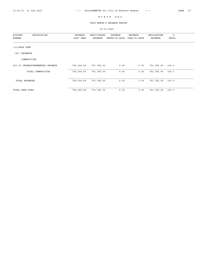THIS MONTH'S REVENUE REPORT

| <b>ACCOUNT</b><br>DESCRIPTION    | REVENUE    | ANTICIPATED | REVENUE       | REVENUE      | UNCOLLECTED | ៖     |  |
|----------------------------------|------------|-------------|---------------|--------------|-------------|-------|--|
| NUMBER                           | LAST YEAR  | REVENUE     | MONTH-TO-DATE | YEAR-TO-DATE | REVENUE     | UNCOL |  |
|                                  |            |             |               |              |             |       |  |
| (31) ARPA FUND                   |            |             |               |              |             |       |  |
| REVENUES<br>(40)                 |            |             |               |              |             |       |  |
| COMMODITIES                      |            |             |               |              |             |       |  |
| 361-03 INTERGOVERNMENTAL REVENUE | 756,254.66 | 751,782.00  | 0.00          | 0.00         | 751,782.00  | 100.0 |  |
| TOTAL COMMODITIES                | 756,254.66 | 751,782.00  | 0.00          | 0.00         | 751,782.00  | 100.0 |  |
| TOTAL REVENUES                   | 756,254.66 | 751,782.00  | 0.00          | 0.00         | 751,782.00  | 100.0 |  |
| TOTAL ARPA FUND                  | 756,254.66 | 751,782.00  | 0.00          | 0.00         | 751,782.00  | 100.0 |  |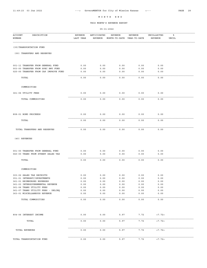THIS MONTH'S REVENUE REPORT

| <b>ACCOUNT</b><br>NUMBER | DESCRIPTION                           | <b>REVENUE</b><br>LAST YEAR | ANTICIPATED<br>REVENUE          | REVENUE<br>MONTH-TO-DATE | REVENUE<br>YEAR-TO-DATE | UNCOLLECTED<br>REVENUE                  | ៖<br>UNCOL |  |
|--------------------------|---------------------------------------|-----------------------------|---------------------------------|--------------------------|-------------------------|-----------------------------------------|------------|--|
|                          | (35) TRANSPORTATION FUND              |                             |                                 |                          |                         |                                         |            |  |
|                          | (00) TRANSFERS AND RESERVES           |                             |                                 |                          |                         |                                         |            |  |
|                          | 001-11 TRANSFER FROM GENERAL FUND     | 0.00                        | 0.00                            | 0.00                     | 0.00                    | 0.00                                    |            |  |
|                          | 003-00 TRANSFER FROM SPEC HWY FUND    | 0.00                        | 0.00                            | 0.00                     | 0.00                    | 0.00                                    |            |  |
|                          | 025-00 TRANSFER FROM CAP IMPROVE FUND | 0.00                        | 0.00                            | 0.00                     | 0.00                    | 0.00                                    |            |  |
| TOTAL                    |                                       | 0.00                        | 0.00                            | 0.00                     | 0.00                    | 0.00                                    |            |  |
|                          | COMMODITIES                           |                             |                                 |                          |                         |                                         |            |  |
|                          | 361-06 UTILITY FEES                   | 0.00                        | 0.00                            | 0.00                     | 0.00                    | 0.00                                    |            |  |
|                          | TOTAL COMMODITIES                     | 0.00                        | 0.00                            | 0.00                     | 0.00                    | 0.00                                    |            |  |
|                          |                                       |                             |                                 |                          |                         |                                         |            |  |
|                          | 808-01 BOND PROCEEDS                  | 0.00                        | 0.00                            | 0.00                     | 0.00                    | 0.00                                    |            |  |
| TOTAL                    |                                       | 0.00                        | 0.00                            | 0.00                     | 0.00                    | 0.00                                    |            |  |
|                          | TOTAL TRANSFERS AND RESERVES          | 0.00                        | 0.00                            | 0.00                     | 0.00                    | 0.00                                    |            |  |
| (40) REVENUES            |                                       |                             |                                 |                          |                         |                                         |            |  |
|                          | 001-00 TRANSFER FROM GENERAL FUND     |                             | 0.00                            | 0.00                     | 0.00                    |                                         |            |  |
|                          | 040-00 TRANS FROM STREET SALES TAX    | 0.00<br>0.00                | 0.00                            | 0.00                     | 0.00                    | 0.00<br>${\bf 0}$ . ${\bf 0}$ ${\bf 0}$ |            |  |
| TOTAL                    |                                       | 0.00                        | 0.00                            | 0.00                     | 0.00                    | 0.00                                    |            |  |
|                          | COMMODITIES                           |                             |                                 |                          |                         |                                         |            |  |
|                          | 303-02 SALES TAX RECEIPTS             | 0.00                        | 0.00                            | 0.00                     | 0.00                    | 0.00                                    |            |  |
|                          | 351-01 INTEREST/INVESTMENTS           | 0.00                        | ${\bf 0}$ . ${\bf 0}$ ${\bf 0}$ | 0.00                     | 0.00                    | 0.00                                    |            |  |
|                          | 361-01 REIMBURSED EXPENSES            | 0.00                        | 0.00                            | 0.00                     | 0.00                    | 0.00                                    |            |  |
|                          | 361-03 INTERGOVERNMENTAL REVENUE      | 0.00                        | 0.00                            | 0.00                     | 0.00                    | 0.00                                    |            |  |
|                          | 361-06 TRANS UTILITY FEES             | 0.00                        | 0.00                            | 0.00                     | 0.00                    | 0.00                                    |            |  |
|                          | 361-07 TRANS UTILITY FEES - DELINQ    | 0.00                        | 0.00                            | 0.00                     | 0.00                    | 0.00                                    |            |  |
|                          | 363-01 MISCELLANEOUS REVENUE          | 0.00                        | 0.00                            | 0.00                     | 0.00                    | 0.00                                    |            |  |
|                          | TOTAL COMMODITIES                     | 0.00                        | 0.00                            | 0.00                     | 0.00                    | 0.00                                    |            |  |
|                          |                                       |                             |                                 |                          |                         |                                         |            |  |
|                          | 804-06 INTEREST INCOME                | 0.00                        | 0.00                            | 5.97                     | 7.72                    | < 7.72                                  |            |  |
|                          | TOTAL                                 | 0.00                        | 0.00                            | 5.97                     | 7.72                    | < 7.72 >                                |            |  |
| TOTAL REVENUES           |                                       | 0.00                        | 0.00                            | 5.97                     | 7.72                    | < 7.72                                  |            |  |
|                          | TOTAL TRANSPORTATION FUND             | 0.00                        | 0.00                            | 5.97                     | 7.72                    | < 7.72                                  |            |  |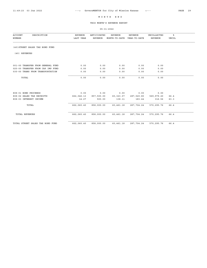THIS MONTH'S REVENUE REPORT

| <b>ACCOUNT</b><br>DESCRIPTION<br>NUMBER                               | <b>REVENUE</b><br>LAST YEAR | ANTICIPATED<br><b>REVENUE</b> | <b>REVENUE</b><br>MONTH-TO-DATE | <b>REVENUE</b><br>YEAR-TO-DATE | UNCOLLECTED<br><b>REVENUE</b> | ៖<br><b>UNCOL</b> |  |
|-----------------------------------------------------------------------|-----------------------------|-------------------------------|---------------------------------|--------------------------------|-------------------------------|-------------------|--|
| (40) STREET SALES TAX BOND FUND                                       |                             |                               |                                 |                                |                               |                   |  |
| (40) REVENUES                                                         |                             |                               |                                 |                                |                               |                   |  |
| 001-00 TRANSFER FROM GENERAL FUND                                     | 0.00                        | 0.00                          | 0.00                            | 0.00                           | 0.00                          |                   |  |
| 025-00 TRANSFER FROM CAP IMP FUND<br>035-00 TRANS FROM TRANSPORTATION | 0.00                        | 0.00                          | 0.00                            | 0.00                           | 0.00                          |                   |  |
|                                                                       | 0.00                        | 0.00                          | 0.00                            | 0.00                           | 0.00                          |                   |  |
| TOTAL                                                                 | 0.00                        | 0.00                          | 0.00                            | 0.00                           | 0.00                          |                   |  |
| 808-01 BOND PROCEEDS                                                  | 0.00                        | 0.00                          | 0.00                            | 0.00                           | 0.00                          |                   |  |
| 808-02 SALES TAX RECEIPTS                                             | 662,046.13                  | 857,500.00                    | 60,323.07                       | 287,520.80                     | 569,979.20                    | 66.4              |  |
| 808-03 INTEREST INCOME                                                | 14.27                       | 500.00                        | 138.11                          | 183.44                         | 316.56                        | 63.3              |  |
| TOTAL                                                                 | 662,060.40                  | 858,000.00                    | 60,461.18                       | 287,704.24                     | 570, 295.76                   | 66.4              |  |
| <b>TOTAL REVENUES</b>                                                 | 662,060.40                  | 858,000.00                    | 60,461.18                       | 287,704.24                     | 570, 295.76                   | 66.4              |  |
| TOTAL STREET SALES TAX BOND FUND                                      | 662,060.40                  | 858,000.00                    | 60,461.18                       | 287,704.24                     | 570, 295.76                   | 66.4              |  |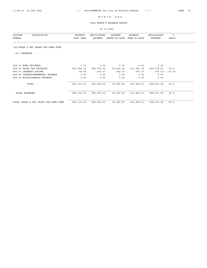THIS MONTH'S REVENUE REPORT

| <b>ACCOUNT</b><br>NUMBER              | DESCRIPTION | REVENUE<br>LAST YEAR | ANTICIPATED<br>REVENUE | <b>REVENUE</b><br>MONTH-TO-DATE | <b>REVENUE</b><br>YEAR-TO-DATE | UNCOLLECTED<br>REVENUE | ៖<br>UNCOL |  |
|---------------------------------------|-------------|----------------------|------------------------|---------------------------------|--------------------------------|------------------------|------------|--|
| (45) PARKS & REC SALES TAX BOND FUND  |             |                      |                        |                                 |                                |                        |            |  |
| (40) REVENUES                         |             |                      |                        |                                 |                                |                        |            |  |
| 808-01 BOND PROCEEDS                  |             | 0.00                 | 0.00                   | 0.00                            | 0.00                           | 0.00                   |            |  |
| 808-02 SALES TAX RECEIPTS             |             | 993,069.16           | 990,000.00             | 90,484.60                       | 431,281.18                     | 558,718.82             | 56.4       |  |
| 808-03 INTEREST INCOME                |             | 44.99                | 500.00                 | 442.02                          | 587.13                         | < 87.13>               | <17.4>     |  |
| 808-04 INTERGOVERNMENTAL REVENUE      |             | 0.00                 | 0.00                   | 0.00                            | 0.00                           | 0.00                   |            |  |
| 808-05 MISCELLANEOUS REVENUE          |             | 0.00                 | 0.00                   | 0.00                            | 0.00                           | 0.00                   |            |  |
| TOTAL                                 |             | 993, 114.15          | 990,500.00             | 90,926.62                       | 431,868.31                     | 558,631.69             | 56.3       |  |
| <b>TOTAL REVENUES</b>                 |             | 993, 114.15          | 990,500.00             | 90,926.62                       | 431,868.31                     | 558,631.69             | 56.3       |  |
| TOTAL PARKS & REC SALES TAX BOND FUND |             | 993, 114.15          | 990,500.00             | 90,926.62                       | 431,868.31                     | 558,631.69             | 56.3       |  |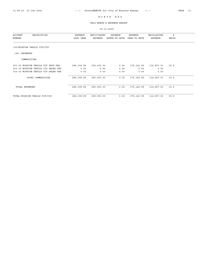THIS MONTH'S REVENUE REPORT

| <b>ACCOUNT</b><br>DESCRIPTION<br>NUMBER | REVENUE<br>LAST YEAR | ANTICIPATED<br>REVENUE | REVENUE<br>MONTH-TO-DATE | REVENUE<br>YEAR-TO-DATE | UNCOLLECTED<br><b>REVENUE</b> | ៖<br>UNCOL |  |
|-----------------------------------------|----------------------|------------------------|--------------------------|-------------------------|-------------------------------|------------|--|
| (50) MISSION TRAILS TIF/CID             |                      |                        |                          |                         |                               |            |  |
| (40) REVENUES                           |                      |                        |                          |                         |                               |            |  |
| COMMODITIES                             |                      |                        |                          |                         |                               |            |  |
| 301-03 MISSION TRAILS TIF PROP TAX      | 286,038.85           | 290,000.00             | 0.00                     | 175,142.99              | 114,857.01                    | 39.6       |  |
| 303-15 MISSION TRAILS CID SALES TAX     | 0.00                 | 0.00                   | 0.00                     | 0.00                    | 0.00                          |            |  |
| 303-16 MISSION TRAILS TIF SALES TAX     | 0.00                 | 0.00                   | 0.00                     | 0.00                    | 0.00                          |            |  |
| TOTAL COMMODITIES                       | 286,038.85           | 290,000.00             | 0.00                     | 175,142.99              | 114,857.01                    | 39.6       |  |
| <b>TOTAL REVENUES</b>                   | 286,038.85           | 290,000.00             | 0.00                     | 175, 142.99             | 114,857.01                    | 39.6       |  |
| TOTAL MISSION TRAILS TIF/CID            | 286,038.85           | 290,000.00             | 0.00                     | 175, 142.99             | 114,857.01                    | 39.6       |  |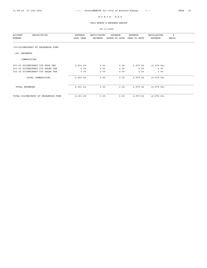THIS MONTH'S REVENUE REPORT

| DESCRIPTION<br><b>ACCOUNT</b><br>NUMBER | <b>REVENUE</b><br>LAST YEAR | ANTICIPATED<br>REVENUE | REVENUE<br>MONTH-TO-DATE | REVENUE<br>YEAR-TO-DATE | UNCOLLECTED<br>REVENUE | ిక<br>UNCOL |
|-----------------------------------------|-----------------------------|------------------------|--------------------------|-------------------------|------------------------|-------------|
| (55) SILVERCREST AT BROADMOOR FUND      |                             |                        |                          |                         |                        |             |
| (40) REVENUES                           |                             |                        |                          |                         |                        |             |
| COMMODITIES                             |                             |                        |                          |                         |                        |             |
| 301-03 SILVERCREST TIF PROP TAX         | 6,051.69                    | 0.00                   | 0.00                     | 2,979.54                | < 2, 979.54            |             |
| 303-15 SILVERCREST CID SALES TAX        | 0.00                        | 0.00                   | 0.00                     | 0.00                    | 0.00                   |             |
| 303-16 SILVERCREST TIF SALES TAX        | 0.00                        | 0.00                   | 0.00                     | 0.00                    | 0.00                   |             |
| TOTAL COMMODITIES                       | 6,051.69                    | 0.00                   | 0.00                     | 2,979.54                | < 2, 979.54            |             |
| TOTAL REVENUES                          | 6,051.69                    | 0.00                   | 0.00                     | 2,979.54                | < 2, 979.54            |             |
| TOTAL SILVERCREST AT BROADMOOR FUND     | 6,051.69                    | 0.00                   | 0.00                     | 2,979.54                | < 2, 979.54            |             |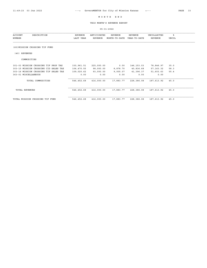THIS MONTH'S REVENUE REPORT

| <b>ACCOUNT</b><br>DESCRIPTION<br>NUMBER | <b>REVENUE</b><br>LAST YEAR | ANTICIPATED<br>REVENUE | <b>REVENUE</b><br>MONTH-TO-DATE | <b>REVENUE</b><br>YEAR-TO-DATE | UNCOLLECTED<br>REVENUE | ៖<br><b>UNCOL</b> |  |
|-----------------------------------------|-----------------------------|------------------------|---------------------------------|--------------------------------|------------------------|-------------------|--|
| (60) MISSION CROSSING TIF FUND          |                             |                        |                                 |                                |                        |                   |  |
| (40) REVENUES                           |                             |                        |                                 |                                |                        |                   |  |
| COMMODITIES                             |                             |                        |                                 |                                |                        |                   |  |
| 301-03 MISSION CROSSING TIF PROP TAX    | 330,961.51                  | 225,000.00             | 0.00                            | 146, 153.03                    | 78,846.97              | 35.0              |  |
| 303-15 MISSION CROSSING CID SALES TAX   | 106,470.55                  | 98,000.00              | 8,878.70                        | 40,836.68                      | 57, 163.32             | 58.3              |  |
| 303-16 MISSION CROSSING TIF SALES TAX   | 109,020.62                  | 93,000.00              | 9,005.07                        | 41,396.37                      | 51,603.63              | 55.4              |  |
| 363-01 MISCELLANEOUS                    | 0.00                        | 0.00                   | 0.00                            | 0.00                           | 0.00                   |                   |  |
| TOTAL COMMODITIES                       | 546, 452.68                 | 416,000.00             | 17,883.77                       | 228,386.08                     | 187,613.92             | 45.0              |  |
| TOTAL REVENUES                          | 546, 452.68                 | 416,000.00             | 17,883.77                       | 228,386.08                     | 187,613.92             | 45.0              |  |
| TOTAL MISSION CROSSING TIF FUND         | 546, 452.68                 | 416,000.00             | 17,883.77                       | 228,386.08                     | 187,613.92             | 45.0              |  |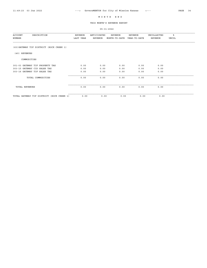THIS MONTH'S REVENUE REPORT

| <b>ACCOUNT</b><br>DESCRIPTION<br>NUMBER      | REVENUE<br>LAST YEAR | ANTICIPATED<br>REVENUE | REVENUE<br>MONTH-TO-DATE | REVENUE<br>YEAR-TO-DATE | UNCOLLECTED<br>REVENUE | ి<br>UNCOL |
|----------------------------------------------|----------------------|------------------------|--------------------------|-------------------------|------------------------|------------|
| (63) GATEWAY TIF DISTRICT (ROCK CREEK 1)     |                      |                        |                          |                         |                        |            |
| (40) REVENUES                                |                      |                        |                          |                         |                        |            |
| COMMODITIES                                  |                      |                        |                          |                         |                        |            |
| 301-03 GATEWAY TIF PROPERTY TAX              | 0.00                 | 0.00                   | 0.00                     | 0.00                    | 0.00                   |            |
| 303-15 GATEWAY CID SALES TAX                 | 0.00                 | 0.00                   | 0.00                     | 0.00                    | 0.00                   |            |
| 303-16 GATEWAY TIF SALES TAX                 | 0.00                 | 0.00                   | 0.00                     | 0.00                    | 0.00                   |            |
| TOTAL COMMODITIES                            | 0.00                 | 0.00                   | 0.00                     | 0.00                    | 0.00                   |            |
| <b>TOTAL REVENUES</b>                        | 0.00                 | 0.00                   | 0.00                     | 0.00                    | 0.00                   |            |
| TOTAL GATEWAY TIF DISTRICT<br>(ROCK CREEK 1) | 0.00                 | 0.00                   | 0.00                     | 0.00                    | 0.00                   |            |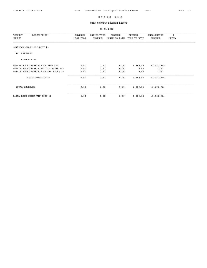THIS MONTH'S REVENUE REPORT

| ACCOUNT<br>DESCRIPTION<br>NUMBER      | REVENUE<br>LAST YEAR | ANTICIPATED<br>REVENUE | REVENUE<br>MONTH-TO-DATE | REVENUE<br>YEAR-TO-DATE | UNCOLLECTED<br>REVENUE | ిక<br>UNCOL |
|---------------------------------------|----------------------|------------------------|--------------------------|-------------------------|------------------------|-------------|
| (64) ROCK CREEK TIF DIST #2           |                      |                        |                          |                         |                        |             |
| (40) REVENUES                         |                      |                        |                          |                         |                        |             |
| COMMODITIES                           |                      |                        |                          |                         |                        |             |
| 301-03 ROCK CREEK TIF #2 PROP TAX     | 0.00                 | 0.00                   | 0.00                     | 3,380.95                | $<$ 3,380.95 $>$       |             |
| 301-15 ROCK CREEK TIF#2 CID SALES TAX | 0.00                 | 0.00                   | 0.00                     | 0.00                    | 0.00                   |             |
| 303-16 ROCK CREEK TIF #2 TIF SALES TX | 0.00                 | 0.00                   | 0.00                     | 0.00                    | 0.00                   |             |
| TOTAL COMMODITIES                     | 0.00                 | 0.00                   | 0.00                     | 3,380.95                | $<$ 3,380.95 $>$       |             |
| <b>TOTAL REVENUES</b>                 | 0.00                 | 0.00                   | 0.00                     | 3,380.95                | $<$ 3,380.95 $>$       |             |
| TOTAL ROCK CREEK TIF DIST #2          | 0.00                 | 0.00                   | 0.00                     | 3,380.95                | $<$ 3,380.95 $>$       |             |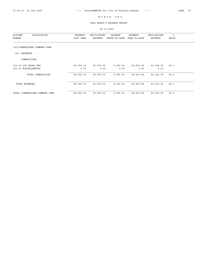THIS MONTH'S REVENUE REPORT

| DESCRIPTION<br>ACCOUNT<br>NUMBER             | REVENUE<br>LAST YEAR | ANTICIPATED<br>REVENUE | REVENUE<br>MONTH-TO-DATE | <b>REVENUE</b><br>YEAR-TO-DATE | UNCOLLECTED<br>REVENUE | ៖<br><b>UNCOL</b> |  |
|----------------------------------------------|----------------------|------------------------|--------------------------|--------------------------------|------------------------|-------------------|--|
| (65) CORNERSTONE COMMONS FUND                |                      |                        |                          |                                |                        |                   |  |
| REVENUES<br>(40)                             |                      |                        |                          |                                |                        |                   |  |
| COMMODITIES                                  |                      |                        |                          |                                |                        |                   |  |
| 303-18 CID SALES TAX<br>363-01 MISCELLANEOUS | 68,559.34<br>0.00    | 69,000.00<br>0.00      | 6,002.20<br>0.00         | 28,855.48<br>0.00              | 40,144.52<br>0.00      | 58.1              |  |
| TOTAL COMMODITIES                            | 68,559.34            | 69,000.00              | 6,002.20                 | 28,855.48                      | 40,144.52              | 58.1              |  |
| <b>TOTAL REVENUES</b>                        | 68,559.34            | 69,000.00              | 6,002.20                 | 28,855.48                      | 40,144.52              | 58.1              |  |
| TOTAL CORNERSTONE COMMONS FUND               | 68,559.34            | 69,000.00              | 6,002.20                 | 28,855.48                      | 40,144.52              | 58.1              |  |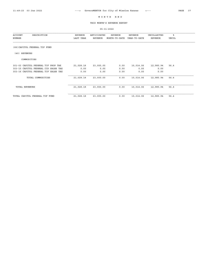THIS MONTH'S REVENUE REPORT

| ACCOUNT<br>DESCRIPTION<br>NUMBER     | REVENUE<br>LAST YEAR | ANTICIPATED<br><b>REVENUE</b> | REVENUE<br>MONTH-TO-DATE | REVENUE<br>YEAR-TO-DATE | UNCOLLECTED<br><b>REVENUE</b> | ៖<br><b>UNCOL</b> |  |
|--------------------------------------|----------------------|-------------------------------|--------------------------|-------------------------|-------------------------------|-------------------|--|
| (66) CAPITOL FEDERAL TIF FUND        |                      |                               |                          |                         |                               |                   |  |
| (40) REVENUES                        |                      |                               |                          |                         |                               |                   |  |
| COMMODITIES                          |                      |                               |                          |                         |                               |                   |  |
| 301-03 CAPITOL FEDERAL TIF PROP TAX  | 21,028.18            | 23,000.00                     | 0.00                     | 10,014.06               | 12,985.94                     | 56.4              |  |
| 303-15 CAPITOL FEDERAL CID SALES TAX | 0.00                 | 0.00                          | 0.00                     | 0.00                    | 0.00                          |                   |  |
| 303-16 CAPITOL FEDERAL TIF SALES TAX | 0.00                 | 0.00                          | 0.00                     | 0.00                    | 0.00                          |                   |  |
| TOTAL COMMODITIES                    | 21,028.18            | 23,000.00                     | 0.00                     | 10,014.06               | 12,985.94                     | 56.4              |  |
| TOTAL REVENUES                       | 21,028.18            | 23,000.00                     | 0.00                     | 10,014.06               | 12,985.94                     | 56.4              |  |
| TOTAL CAPITOL FEDERAL TIF FUND       | 21,028.18            | 23,000.00                     | 0.00                     | 10,014.06               | 12,985.94                     | 56.4              |  |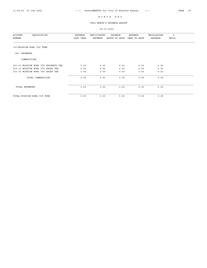THIS MONTH'S REVENUE REPORT

| DESCRIPTION<br>ACCOUNT<br>NUMBER     | REVENUE<br>LAST YEAR | ANTICIPATED<br>REVENUE | REVENUE<br>MONTH-TO-DATE | REVENUE<br>YEAR-TO-DATE | UNCOLLECTED<br>REVENUE | ៖<br>UNCOL |  |
|--------------------------------------|----------------------|------------------------|--------------------------|-------------------------|------------------------|------------|--|
| (67) MISSION BOWL TIF FUND           |                      |                        |                          |                         |                        |            |  |
| (40) REVENUES                        |                      |                        |                          |                         |                        |            |  |
| COMMODITIES                          |                      |                        |                          |                         |                        |            |  |
| 301-03 MISSION BOWL TIF PROPERTY TAX | 0.00                 | 0.00                   | 0.00                     | 0.00                    | 0.00                   |            |  |
| 303-15 MISSION BOWL CID SALES TAX    | 0.00                 | 0.00                   | 0.00                     | 0.00                    | 0.00                   |            |  |
| 303-16 MISSION BOWL TIF SALES TAX    | 0.00                 | 0.00                   | 0.00                     | 0.00                    | 0.00                   |            |  |
| TOTAL COMMODITIES                    | 0.00                 | 0.00                   | 0.00                     | 0.00                    | 0.00                   |            |  |
| TOTAL REVENUES                       | 0.00                 | 0.00                   | 0.00                     | 0.00                    | 0.00                   |            |  |
| TOTAL MISSION BOWL TIF FUND          | 0.00                 | 0.00                   | 0.00                     | 0.00                    | 0.00                   |            |  |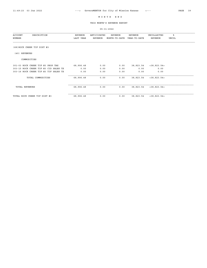THIS MONTH'S REVENUE REPORT

| ACCOUNT<br>DESCRIPTION<br>NUMBER      | REVENUE<br>LAST YEAR | ANTICIPATED<br><b>REVENUE</b> | REVENUE<br>MONTH-TO-DATE | REVENUE<br>YEAR-TO-DATE | UNCOLLECTED<br><b>REVENUE</b> | ៖<br><b>UNCOL</b> |  |
|---------------------------------------|----------------------|-------------------------------|--------------------------|-------------------------|-------------------------------|-------------------|--|
| (68) ROCK CREEK TIF DIST #3           |                      |                               |                          |                         |                               |                   |  |
| (40) REVENUES                         |                      |                               |                          |                         |                               |                   |  |
| COMMODITIES                           |                      |                               |                          |                         |                               |                   |  |
| 301-03 ROCK CREEK TIF #3 PROP TAX     | 68,906.48            | 0.00                          | 0.00                     | 38,823.54               | $<$ 38,823.54>                |                   |  |
| 303-15 ROCK CREEK TIF #3 CID SALES TX | 0.00                 | 0.00                          | 0.00                     | 0.00                    | 0.00                          |                   |  |
| 303-16 ROCK CREEK TIF #3 TIF SALES TX | 0.00                 | 0.00                          | 0.00                     | 0.00                    | 0.00                          |                   |  |
| TOTAL COMMODITIES                     | 68,906.48            | 0.00                          | 0.00                     | 38,823.54               | $<$ 38,823.54>                |                   |  |
| <b>TOTAL REVENUES</b>                 | 68,906.48            | 0.00                          | 0.00                     | 38,823.54               | $<$ 38, 823.54>               |                   |  |
| TOTAL ROCK CREEK TIF DIST #3          | 68,906.48            | 0.00                          | 0.00                     | 38,823.54               | $<$ 38,823.54>                |                   |  |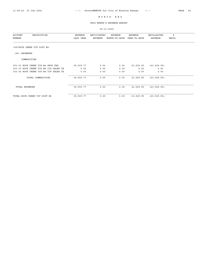THIS MONTH'S REVENUE REPORT

| ACCOUNT<br>DESCRIPTION<br>NUMBER      | REVENUE<br>LAST YEAR | ANTICIPATED<br>REVENUE | REVENUE<br>MONTH-TO-DATE | REVENUE<br>YEAR-TO-DATE | UNCOLLECTED<br><b>REVENUE</b> | ៖<br><b>UNCOL</b> |  |
|---------------------------------------|----------------------|------------------------|--------------------------|-------------------------|-------------------------------|-------------------|--|
| (69) ROCK CREEK TIF DIST #4           |                      |                        |                          |                         |                               |                   |  |
| (40) REVENUES                         |                      |                        |                          |                         |                               |                   |  |
| COMMODITIES                           |                      |                        |                          |                         |                               |                   |  |
| 301-03 ROCK CREEK TIF #4 PROP TAX     | 39,939.77            | 0.00                   | 0.00                     | 23,529.95               | $<$ 23, 529.95 $>$            |                   |  |
| 303-15 ROCK CREEK TIF #4 CID SALES TX | 0.00                 | 0.00                   | 0.00                     | 0.00                    | 0.00                          |                   |  |
| 303-16 ROCK CREEK TIF #4 TIF SALES TX | 0.00                 | 0.00                   | 0.00                     | 0.00                    | 0.00                          |                   |  |
| TOTAL COMMODITIES                     | 39,939.77            | 0.00                   | 0.00                     | 23,529.95               | < 23, 529.95 >                |                   |  |
| <b>TOTAL REVENUES</b>                 | 39,939.77            | 0.00                   | 0.00                     | 23,529.95               | < 23, 529.95 >                |                   |  |
| TOTAL ROCK CREEK TIF DIST #4          | 39,939.77            | 0.00                   | 0.00                     | 23,529.95               | $<$ 23, 529.95>               |                   |  |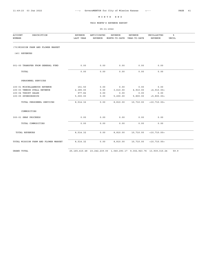THIS MONTH'S REVENUE REPORT

05-31-2022

| <b>ACCOUNT</b><br>DESCRIPTION<br>NUMBER | REVENUE<br>LAST YEAR | ANTICIPATED<br><b>REVENUE</b> | REVENUE<br>MONTH-TO-DATE | <b>REVENUE</b><br>YEAR-TO-DATE | UNCOLLECTED<br><b>REVENUE</b> | ⊱<br>UNCOL |
|-----------------------------------------|----------------------|-------------------------------|--------------------------|--------------------------------|-------------------------------|------------|
| (70) MISSION FARM AND FLOWER MARKET     |                      |                               |                          |                                |                               |            |
| (40) REVENUES                           |                      |                               |                          |                                |                               |            |
| 001-00 TRANSFER FROM GENERAL FUND       | 0.00                 | 0.00                          | 0.00                     | 0.00                           | 0.00                          |            |
| TOTAL                                   | 0.00                 | 0.00                          | 0.00                     | 0.00                           | 0.00                          |            |
| PERSONNEL SERVICES                      |                      |                               |                          |                                |                               |            |
| 100-01 MISCELLANEOUS REVENUE            | 151.50               | 0.00                          | 0.00                     | 0.00                           | 0.00                          |            |
| 100-03 VENDOR STALL REVENUE             | 2,385.00             | 0.00                          | 3,610.00                 | 4,910.00                       | < 4, 910.00 >                 |            |
| 100-04 TSHIRT SALES                     | 977.82               | 0.00                          | 0.00                     | 0.00                           | 0.00                          |            |
| 100-05 SPONSORSHIPS                     | 5,000.00             | 0.00                          | 5,200.00                 | 5,800.00                       | < 5, 800.00 >                 |            |
| TOTAL PERSONNEL SERVICES                | 8,514.32             | 0.00                          | 8,810.00                 | 10,710.00                      | $<$ 10,710.00>                |            |
| COMMODITIES                             |                      |                               |                          |                                |                               |            |
| 300-01 SNAP PROCEEDS                    | 0.00                 | 0.00                          | 0.00                     | 0.00                           | 0.00                          |            |
| TOTAL COMMODITIES                       | 0.00                 | 0.00                          | 0.00                     | 0.00                           | 0.00                          |            |
| TOTAL REVENUES                          | 8,514.32             | 0.00                          | 8,810.00                 | 10,710.00                      | $<$ 10,710.00>                |            |
| TOTAL MISSION FARM AND FLOWER MARKET    | 8,514.32             | 0.00                          | 8,810.00                 | 10,710.00                      | $<$ 10,710.00>                |            |
|                                         |                      |                               |                          |                                |                               |            |

GRAND TOTAL 25,165,415.48 23,242,239.00 1,040,293.17 9,302,923.76 13,939,315.24 59.9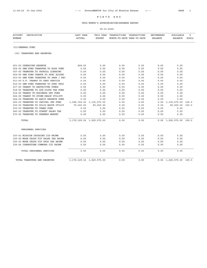# THIS MONTH'S APPROPRIATION/EXPENSE REPORT

| <b>ACCOUNT</b><br>DESCRIPTION<br>NUMBER | LAST YEAR<br><b>ACTUAL</b>    | THIS YEAR<br><b>BUDGET</b>    | TRANSACTIONS<br>MONTH-TO-DATE YEAR-TO-DATE | TRANSACTIONS | ENCUMBERED<br><b>BALANCE</b> | AVAILABLE<br><b>BALANCE</b>           | ిక<br>AVAIL |
|-----------------------------------------|-------------------------------|-------------------------------|--------------------------------------------|--------------|------------------------------|---------------------------------------|-------------|
| (01) GENERAL FUND                       |                               |                               |                                            |              |                              |                                       |             |
| (00) TRANSFERS AND RESERVES             |                               |                               |                                            |              |                              |                                       |             |
| 001-00 OPERATING RESERVE                | 409.00                        | 0.00                          | 0.00                                       | 0.00         | 0.00                         | 0.00                                  |             |
| 004-00 GEN FUND TRANSFER TO BLDG FUND   | 0.00                          | 0.00                          | 0.00                                       | 0.00         | 0.00                         | 0.00                                  |             |
| 007-00 TRANSFER TO PAYROLL CLEARING     | 0.00                          | 0.00                          | 0.00                                       | 0.00         | 0.00                         | 0.00                                  |             |
| 009-00 GEN FUND TRNSFR TO SPEC ALCOHO   | 0.00                          | 0.00                          | 0.00                                       | 0.00         | 0.00                         | 0.00                                  |             |
| 010-00 GEN FUND TRANSFER TO PARK / REC  | 0.00                          | 0.00                          | 0.00                                       | 0.00         | 0.00                         | 0.00                                  |             |
| 011-00 G.F. TRANSF TO DEBT SERVICE      | 0.00                          | 0.00                          | 0.00                                       | 0.00         | 0.00                         | 0.00                                  |             |
| 012-00 GEN FUND TRANSFER TO SPEC PROJ   | 0.00                          | 0.00                          | 0.00                                       | 0.00         | 0.00                         | 0.00                                  |             |
| 017-00 TRANSF TO RESTRICTED FUNDS       | 0.00                          | 0.00                          | 0.00                                       | 0.00         | 0.00                         | 0.00                                  |             |
| 018-00 TRANSFER TO SCH DISTR TAX FUND   | 0.00                          | 0.00                          | 0.00                                       | 0.00         | 0.00                         | 0.00                                  |             |
| 019-00 TRANSF TO BUSINESS DEV FUND      | 0.00                          | 0.00                          | 0.00                                       | 0.00         | 0.00                         | 0.00                                  |             |
| 022-00 TRANSF TO STORM DRAIN UTILITY    | 0.00                          | 0.00                          | 0.00                                       | 0.00         | 0.00                         | 0.00                                  |             |
| 024-00 TRANSFER TO EQUIP RESERVE FUND   | 0.00                          | 0.00                          | 0.00                                       | 0.00         | 0.00                         | 0.00                                  |             |
| 025-00 TRANSFER TO CAPITAL IMP FUND     |                               | 1,096,720.32 1,135,575.00     | 0.00                                       | 0.00         | 0.00                         | 1,135,575.00 100.0                    |             |
| 030-00 TRANSFER TO SOLID WASTE UTILIT   | 75,000.00                     | 85,000.00                     | 0.00                                       | 0.00         | 0.00                         | 85,000.00 100.0                       |             |
| 035-00 TRANSFER TO TRANS FUND           | 0.00                          | 0.00                          | 0.00                                       | 0.00         | 0.00                         | 0.00                                  |             |
| 040-00 TRANSFER TO STREET SALES TAX     | 0.00                          | 0.00                          | 0.00                                       | 0.00         | 0.00                         | 0.00                                  |             |
| 070-00 TRANSFER TO FARMERS MARKET       | 0.00                          | 0.00                          | 0.00                                       | 0.00         | 0.00                         | 0.00                                  |             |
| TOTAL                                   | 1, 172, 129.32 1, 220, 575.00 |                               | 0.00                                       | 0.00         |                              | $0.00 \quad 1,220,575.00 \quad 100.0$ |             |
| PERSONNEL SERVICES                      |                               |                               |                                            |              |                              |                                       |             |
| 100-01 MISSION CROSSING CID REIMB       | 0.00                          | 0.00                          | 0.00                                       | 0.00         | 0.00                         | 0.00                                  |             |
| 100-02 MSSN CROSS TIF SALES TAX REIMB   | 0.00                          | 0.00                          | 0.00                                       | 0.00         | 0.00                         | 0.00                                  |             |
| 100-03 MSSN CROSS TIF PROP TAX REIMB    | 0.00                          | 0.00                          | 0.00                                       | 0.00         | 0.00                         | 0.00                                  |             |
| 100-04 CONERSTONE COMMONS CID REIMB     | 0.00                          | 0.00                          | 0.00                                       | 0.00         | 0.00                         | 0.00                                  |             |
| TOTAL PERSONNEL SERVICES                | 0.00                          | 0.00                          | 0.00                                       | 0.00         | 0.00                         | 0.00                                  |             |
| TOTAL TRANSFERS AND RESERVES            |                               | 1, 172, 129.32 1, 220, 575.00 | 0.00                                       | 0.00         |                              | $0.00 \quad 1,220,575.00 \quad 100.0$ |             |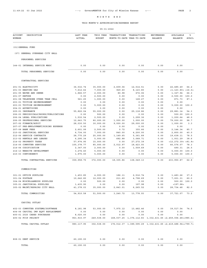# THIS MONTH'S APPROPRIATION/EXPENSE REPORT

| <b>ACCOUNT</b><br>DESCRIPTION<br>NUMBER                | LAST YEAR<br><b>ACTUAL</b> | THIS YEAR<br><b>BUDGET</b> | TRANSACTIONS       | TRANSACTIONS<br>MONTH-TO-DATE YEAR-TO-DATE | ENCUMBERED<br><b>BALANCE</b> | AVAILABLE<br><b>BALANCE</b>                                              | ៖<br><b>AVAIL</b> |
|--------------------------------------------------------|----------------------------|----------------------------|--------------------|--------------------------------------------|------------------------------|--------------------------------------------------------------------------|-------------------|
| (01) GENERAL FUND                                      |                            |                            |                    |                                            |                              |                                                                          |                   |
| (07) GENERAL OVERHEAD CITY HALL                        |                            |                            |                    |                                            |                              |                                                                          |                   |
| PERSONNEL SERVICES                                     |                            |                            |                    |                                            |                              |                                                                          |                   |
| 144-01 INTERNAL SERVICE MBDC                           | 0.00                       | 0.00                       | 0.00               | 0.00                                       | 0.00                         | 0.00                                                                     |                   |
| TOTAL PERSONNEL SERVICES                               | 0.00                       | 0.00                       | 0.00               | 0.00                                       | 0.00                         | 0.00                                                                     |                   |
| CONTRACTUAL SERVICES                                   |                            |                            |                    |                                            |                              |                                                                          |                   |
| 201-01 ELECTRICITY                                     | 36, 532.74                 | 35,000.00                  | 2,609.06           | 12,514.51                                  | 0.00                         | 22,485.49                                                                | 64.2              |
| 201-03 HEATING GAS                                     | 7,612.62                   | 7,000.00                   | 929.60             | 8,123.80                                   | 0.00                         | <1, 123.80> <16.0>                                                       |                   |
| 201-05 WATER AND SEWER                                 | 1,866.57                   | 2,000.00                   | 80.98              | 672.06                                     | 0.00                         | 1,327.94                                                                 | 66.3              |
| 201-07 REFUSE                                          | 0.00                       | 2,500.00                   | 0.00               | 0.00                                       | 0.00                         | 2,500.00                                                                 | 100.0             |
| 201-08 TELEPHONE OTHER THAN CELL                       | 561.25                     | 1,000.00                   | 0.00               | 128.27                                     | 0.00                         | 871.73                                                                   | 87.1              |
| 203-01 TUITION REIMBURSEMENT                           | 0.00                       | 0.00                       | 0.00               | 0.00                                       | 0.00                         | 0.00                                                                     |                   |
| 203-03 TUITION REIMBURSEMENT                           | 0.00                       | 5,000.00                   | 0.00               | 0.00                                       | 0.00                         | 5,000.00                                                                 | 100.0             |
| 204-01 ADVERTISING                                     | 0.00                       | 0.00                       | 0.00               | 0.00                                       | 0.00                         | 0.00                                                                     |                   |
| 205-01 INSURANCE                                       | 55,822.04                  | 55,000.00                  | 0.00               | 25, 118.86                                 | 0.00                         | 29,881.14                                                                | 54.3              |
| 206-03 PERIODICALS/BOOKS/PUBLICATIONS                  | 0.00                       | 500.00                     | 0.00               | 0.00                                       | 0.00                         | 500.00                                                                   | 100.0             |
| 206-04 LEGAL PUBLICATIONS                              | 1,532.54                   | 2,500.00                   | 0.00               | 1,299.36                                   | 0.00                         | 1,200.64                                                                 | 48.0              |
| 206-05 PROFESSIONAL SERVICES                           | 12,643.75                  | 80,000.00                  | 1,000.00           | 1,000.00                                   | 0.00                         | 79,000.00                                                                | 98.7              |
| 207-02 FINANCE/AUDIT                                   | 28,030.50                  | 30,000.00                  | 9,000.00           | 29,000.00                                  | 0.00                         | 1,000.00                                                                 | 3.3               |
| 207-07 PRE-EMPLOYMENT/HIRING EXPENSE                   | 0.00                       | 0.00                       | 0.00               | 0.00                                       | 0.00                         | 0.00                                                                     |                   |
| 207-08 BANK FEES                                       | 2,601.99                   | 2,500.00                   | 0.72               | 355.66                                     | 0.00                         | 2,144.34                                                                 | 85.7              |
| 210-02 JANITORIAL SERVICES<br>212-06 SERVICE CONTRACTS | 6,734.00                   | 7,000.00<br>25,000.00      | 840.00<br>1,149.65 | 4,200.00<br>5,361.89                       | 0.00                         | 2,800.00                                                                 | 40.0<br>78.5      |
| 213-02 RENTALS AND LEASES                              | 28,775.29<br>6,295.34      | 5,000.00                   | 682.88             | 3,068.71                                   | 0.00<br>0.00                 | 19,638.11<br>1,931.29                                                    | 38.6              |
| 214-02 PROPERTY TAXES                                  | 57, 974.95                 | 15,000.00                  | 0.00               | 27, 272.39                                 | 0.00                         | <12, 272.39 > <81.8>                                                     |                   |
| 214-05 COMPUTER SERVICES                               | 105, 378.77                | 85,000.00                  | 2,012.97           | 18, 423.93                                 | 0.00                         | 66,576.07                                                                | 78.3              |
| 214-06 CODIFICATION                                    | 2,347.00                   | 2,000.00                   | 0.00               | 1,509.69                                   | 0.00                         | 490.31                                                                   | 24.5              |
| 214-13 WEBSITE DEVELOPMENT                             | 3, 274.40                  | 5,000.00                   | 0.00               | 0.00                                       | 0.00                         | 5,000.00                                                                 | 100.0             |
| 215-03 CONTINGENCY                                     | 1,975.00                   | 5,000.00                   | 0.00               | 0.00                                       | 0.00                         | 5,000.00                                                                 | 100.0             |
| TOTAL CONTRACTUAL SERVICES                             | 359,958.75                 | 372,000.00                 | 18,305.86          | 138,049.13                                 | 0.00                         | 233,950.87                                                               | 62.8              |
| COMMODITIES                                            |                            |                            |                    |                                            |                              |                                                                          |                   |
| 301-01 OFFICE SUPPLIES                                 | 1,453.85                   | 4,000.00                   | 186.11             | 2,516.74                                   | 0.00                         | 1,483.26                                                                 | 37.0              |
| 301-04 POSTAGE                                         | 10,642.80                  | 12,000.00                  | 211.60             | 4,798.69                                   | 0.00                         | 7,201.31                                                                 | 60.0              |
| 304-04 MISCELLANEOUS SUPPLIES                          | 0.00                       | 500.00                     | 0.00               | 0.00                                       | 0.00                         | 500.00                                                                   | 100.0             |
| 305-01 JANITORIAL SUPPLIES                             | 1,435.90                   | 0.00                       | 0.00               | 197.98                                     | 0.00                         | <197.98>                                                                 |                   |
| 305-02 MAINT/REPAIRS CITY HALL                         | 41,378.03                  | 35,000.00                  | 2,843.01           | 6,265.52                                   | 0.00                         | 28,734.48                                                                | 82.0              |
| TOTAL COMMODITIES                                      | 54,910.58                  | 51,500.00                  | 3,240.72           | 13,778.93                                  | 0.00                         | 37,721.07                                                                | 73.2              |
| CAPITAL OUTLAY                                         |                            |                            |                    |                                            |                              |                                                                          |                   |
| 402-03 COMPUTER SYSTEMS/SOFTWARE                       | 8,181.98                   | 53,000.00                  | 7,975.12           | 13,482.46                                  | 0.00                         | 39,517.54                                                                | 74.5              |
| 404-06 CAPITAL IMP EQPT REPLACEMENT                    | 0.00                       | 0.00                       | 0.00               | 0.00                                       | 0.00                         | 0.00                                                                     |                   |
| 405-01 2020 CARES PURCHASES                            | 8,020.00                   | 0.00                       | 0.00               | 0.00                                       | 0.00                         | 0.00                                                                     |                   |
| 405-02 FCIP PROJECT                                    | 963, 915.97                | 249,538.00                 |                    |                                            |                              | 168, 037.25 1, 376, 112.83 1, 332, 431.65 < 2, 459, 006.48 > < 985.4 >   |                   |
| TOTAL CAPITAL OUTLAY                                   | 980, 117.95                | 302,538.00                 |                    |                                            |                              | 176, 012.37 1, 389, 595.29 1, 332, 431.65 < 2, 419, 488. 94 > < 799. 7 > |                   |
| 808-01 DEBT SERVICE                                    | 60,190.00                  | 0.00                       | 0.00               | 0.00                                       | 0.00                         | 0.00                                                                     |                   |
| TOTAL                                                  | 60,190.00                  | 0.00                       | 0.00               | 0.00                                       | 0.00                         | 0.00                                                                     |                   |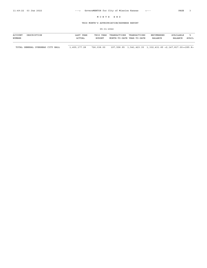## THIS MONTH'S APPROPRIATION/EXPENSE REPORT

#### 05-31-2022

| ACCOUNT | DESCRIPTION | YEAR<br>∟AST  | THIS YEAR     | TRANSACTIONS               | TRANSACTIONS | <b>ENCUMBERED</b> | AVAILARLE      |       |
|---------|-------------|---------------|---------------|----------------------------|--------------|-------------------|----------------|-------|
| NUMBER  |             | <b>ACTUAL</b> | <b>BUDGET</b> | MONTH-TO-DATE YEAR-TO-DATE |              | BALANCE           | <b>BALANCE</b> | AVAII |
|         |             |               |               |                            |              |                   |                |       |

TOTAL GENERAL OVERHEAD CITY HALL 1,455,177.28 726,038.00 197,558.95 1,541,423.35 1,332,431.65 <2,147,817.00><295.8>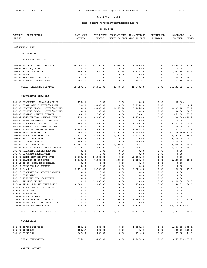# THIS MONTH'S APPROPRIATION/EXPENSE REPORT

05-31-2022

| <b>ACCOUNT</b><br>DESCRIPTION<br>NUMBER                                | LAST YEAR<br><b>ACTUAL</b> | THIS YEAR<br><b>BUDGET</b> | TRANSACTIONS   | TRANSACTIONS<br>MONTH-TO-DATE YEAR-TO-DATE | ENCUMBERED<br><b>BALANCE</b> | AVAILABLE<br><b>BALANCE</b> | ಕಿ<br>AVAIL |
|------------------------------------------------------------------------|----------------------------|----------------------------|----------------|--------------------------------------------|------------------------------|-----------------------------|-------------|
| (01) GENERAL FUND                                                      |                            |                            |                |                                            |                              |                             |             |
| (09) LEGISLATIVE                                                       |                            |                            |                |                                            |                              |                             |             |
| PERSONNEL SERVICES                                                     |                            |                            |                |                                            |                              |                             |             |
| 101-03 MAYOR & COUNCIL SALARIES                                        | 49,700.00                  | 52,200.00                  | 4,025.00       | 19,750.00                                  | 0.00                         | 32,450.00                   | 62.1        |
| 102-01 HEALTH / LIFE                                                   | 0.00                       | 0.00                       | 0.00           | 0.00                                       | 0.00                         | 0.00                        |             |
| 102-02 SOCIAL SECURITY                                                 | 4,105.57                   | 3,670.00                   | 342.15         | 1,678.15                                   | 0.00                         | 1,991.85                    | 54.2        |
| 102-03 KPERS                                                           | 0.00                       | 0.00                       | 0.00           | 0.00                                       | 0.00                         | 0.00                        |             |
| 102-04 EMPLOYMENT SECURITY                                             | 96.78                      | 140.00                     | 8.91           | 43.72                                      | 0.00                         | 96.28                       | 68.7        |
| 102-05 WORKERS COMPENSATION                                            | 855.16                     | 1,000.00                   | 0.00           | 406.81                                     | 0.00                         | 593.19                      | 59.3        |
| TOTAL PERSONNEL SERVICES                                               | 54,757.51                  | 57,010.00                  | 4,376.06       | 21,878.68                                  | 0.00                         | 35, 131.32                  | 61.6        |
| CONTRACTUAL SERVICES                                                   |                            |                            |                |                                            |                              |                             |             |
| 201-07 TELEPHONE - MAYOR'S OFFICE                                      | 118.14                     | 0.00                       | 9.60           | 48.06                                      | 0.00                         | < 48.06                     |             |
| 202-06 TRAVEL/COM'L-MAYOR/COUNCIL                                      | 32.68                      | 3,000.00                   | 0.00           | 2,995.99                                   | 0.00                         | 4.01                        | 0.1         |
| 202-07 LODGING/MEALS - MAYOR/COUNCIL                                   | 0.00                       | 8,000.00                   | 1,175.76       | 5,166.58                                   | 0.00                         | 2,833.42                    | 35.4        |
| 202-08 PARKING/TOLLS - MAYOR/COUNCIL                                   | 0.00                       | 100.00                     | 0.00           | 0.00                                       | 0.00                         | 100.00                      | 100.0       |
| 202-09 MILEAGE - MAYOR/COUNCIL                                         | 44.80                      | 500.00                     | 0.00           | 30.42                                      | 0.00                         | 469.58                      | 93.9        |
| 203-02 REGISTRATION - MAYOR/COUNCIL                                    | 239.00                     | 4,000.00                   | 0.00           | 4,730.00                                   | 0.00                         | < 730.00 > 18.2 >           |             |
| 203-05 PLANNING COMM - DO NOT USE<br>205-01 INSURANCE - PUBLIC OFC E&O | 0.00<br>7,149.16           | 0.00<br>7,000.00           | 0.00           | 0.00<br>2,608.34                           | 0.00                         | 0.00<br>4,391.66            | 62.7        |
| 206-01 PROFESSIONAL ORGANIZATIONS                                      | 0.00                       | 100.00                     | 0.00<br>0.00   | 50.00                                      | 0.00<br>0.00                 | 50.00                       | 50.0        |
| 206-02 MUNICIPAL ORGANIZATIONS                                         | 8,944.06                   | 9,500.00                   | 0.00           | 9,157.27                                   | 0.00                         | 342.73                      | 3.6         |
| 206-03 PERIODICALS/BOOKS                                               | 460.00                     | 500.00                     | 1,682.00       | 1,706.46                                   | 0.00                         | $<1, 206.46$ > $< 241.2$ >  |             |
| 208-01 ANNUAL CELEBRATIONS                                             | 2,621.18                   | 20,000.00                  | 1,281.40       | 2,717.19                                   | 0.00                         | 17,282.81                   | 86.4        |
| 208-02 ELECTION EXPENSE                                                | 22,569.17                  | 15,000.00                  | 0.00           | 0.00                                       | 0.00                         | 15,000.00                   | 100.0       |
| 208-03 HOLIDAY PARTIES                                                 | 147.10                     | 0.00                       | 0.00           | 650.00                                     | 0.00                         | < 650.00>                   |             |
| 208-04 PUBLIC RELATIONS                                                | 30,596.54                  | 15,000.00                  | 1,134.52       | 2,053.76                                   | 0.00                         | 12,946.24                   | 86.3        |
| 208-05 MEETING EXPENSE-MAYOR/COUNCIL                                   | 3,978.31                   | 5,000.00                   | 121.74         | 702.74                                     | 0.00                         | 4,297.26                    | 85.9        |
| 208-06 FRANCHISE REBATE PROGRAM                                        | 0.00                       | 0.00                       | 0.00           | 0.00                                       | 0.00                         | 0.00                        |             |
| 208-07 ECONOMIC DEVELOPMENT                                            | 0.00                       | 0.00                       | 0.00           | 0.00                                       | 0.00                         | 0.00                        |             |
| 208-08 HUMAN SERVICE FUND (UCS)                                        | 8,300.00                   | 10,000.00                  | 0.00           | 10,000.00                                  | 0.00                         | 0.00                        |             |
| 208-09 CHAMBER OF COMMERCE<br>208-10 JO CO MINOR HOME REPAIRS          | 6,560.00                   | 7,000.00                   | 290.00         | 2,820.00                                   | 0.00                         | 4,180.00                    | 59.7        |
| 208-11 SERVICES FOR SENIORS                                            | 0.00<br>0.00               | 0.00<br>0.00               | 0.00<br>0.00   | 0.00<br>0.00                               | 0.00<br>0.00                 | 0.00<br>0.00                |             |
| 208-12 M.A.R.C.                                                        | 2,111.00                   | 2,500.00                   | 0.00           | 2,224.00                                   | 0.00                         | 276.00                      | 11.0        |
| 208-13 PROPERTY TAX REBATE PROGRAM                                     | 0.00                       | 0.00                       | 0.00           | 0.00                                       | 0.00                         | 0.00                        |             |
| 208-14 EASY RIDE                                                       | 0.00                       | 0.00                       | 0.00           | 0.00                                       | 0.00                         | 0.00                        |             |
| 208-15 JOCO UTILITY ASSISTANCE                                         | 0.00                       | 0.00                       | 0.00           | 0.00                                       | 0.00                         | 0.00                        |             |
| 208-16 FARMERS MARKET                                                  | 0.00                       | 10,000.00                  | 0.00           | 0.00                                       | 0.00                         | 10,000.00                   | 100.0       |
| 210-04 PARKS, REC AND TREE BOARD                                       | 4,589.61                   | 3,000.00                   | 120.00         | 159.69                                     | 0.00                         | 2,840.31                    | 94.6        |
| 212-07 VOLUNTEER ACTION CENTER                                         | 0.00                       | 0.00                       | 0.00           | 0.00                                       | 0.00                         | 0.00                        |             |
| 214-03 PRINTING                                                        | 0.00                       | 0.00                       | 0.00           | 0.00                                       | 0.00                         | 0.00                        |             |
| 214-07 NEWSLETTER                                                      | 0.00                       | 0.00                       | 0.00           | 0.00                                       | 0.00                         | 0.00                        |             |
| 215-03 MISCELLANEOUS<br>215-04 SUSTAINABILITY EXPENSE                  | 0.00                       | 0.00                       | 0.00           | 0.00                                       | 0.00                         | 0.00                        |             |
| 215-05 PARKS, REC, TREE DO NOT USE                                     | 2,733.23<br>14.00          | 3,000.00<br>0.00           | 120.00<br>0.00 | 1,285.98<br>0.00                           | 0.00<br>0.00                 | 1,714.02<br>0.00            | 57.1        |
| 215-06 PLANNING COMMISSION                                             | 817.02                     | 3,000.00                   | 192.20         | 5,310.31                                   | 0.00                         | <2,310.31> <77.0>           |             |
|                                                                        |                            |                            |                |                                            |                              |                             |             |
| TOTAL CONTRACTUAL SERVICES                                             | 102,025.00                 | 126,200.00                 | 6,127.22       | 54, 416.79                                 | 0.00                         | 71,783.21                   | 56.8        |
| COMMODITIES                                                            |                            |                            |                |                                            |                              |                             |             |
| 301-01 OFFICE SUPPLIES                                                 | 113.44                     | 500.00                     | 0.00           | 1,856.93                                   | 0.00                         | <1, 356.93><271.3>          |             |
| 301-02 CLOTHING                                                        | 456.17                     | 500.00                     | 0.00           | 0.00                                       | 0.00                         | 500.00 100.0                |             |
| 301-04 PRINTING                                                        | 267.30                     | 200.00                     | 0.00           | 111.00                                     | 0.00                         | 89.00                       | 44.5        |
|                                                                        |                            |                            |                |                                            |                              |                             |             |
| TOTAL COMMODITIES                                                      | 836.91                     | 1,200.00                   | 0.00           | 1,967.93                                   | 0.00                         | <767.93> <63.9>             |             |

CAPITAL OUTLAY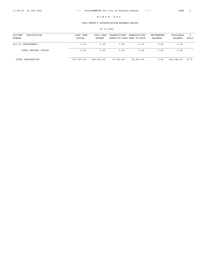# THIS MONTH'S APPROPRIATION/EXPENSE REPORT

| ACCOUNT<br>DESCRIPTION<br>NUMBER | LAST YEAR<br>ACTUAL | THIS YEAR<br>BUDGET | TRANSACTIONS<br>MONTH-TO-DATE YEAR-TO-DATE | TRANSACTIONS | ENCUMBERED<br>BALANCE | AVAILABLE<br>BALANCE | ิ≽<br>AVAIL |
|----------------------------------|---------------------|---------------------|--------------------------------------------|--------------|-----------------------|----------------------|-------------|
| 407-05 CONTINGENCY               | 0.00                | 0.00                | 0.00                                       | 0.00         | 0.00                  | 0.00                 |             |
| TOTAL CAPITAL OUTLAY             | 0.00                | 0.00                | 0.00                                       | 0.00         | 0.00                  | 0.00                 |             |
| TOTAL LEGISLATIVE                | 157,619.42          | 184,410.00          | 10,503.28                                  | 78,263.40    | 0.00                  | 106,146.60           | 57.5        |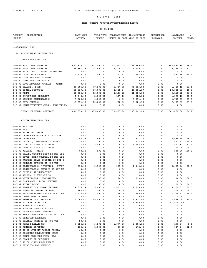# THIS MONTH'S APPROPRIATION/EXPENSE REPORT

| <b>ACCOUNT</b><br>DESCRIPTION<br>NUMBER                                  | LAST YEAR<br><b>ACTUAL</b> | THIS YEAR<br><b>BUDGET</b> | TRANSACTIONS TRANSACTIONS<br>MONTH-TO-DATE YEAR-TO-DATE |                   | ENCUMBERED<br>BALANCE | AVAILABLE<br><b>BALANCE</b>   | ిక<br>AVAIL |
|--------------------------------------------------------------------------|----------------------------|----------------------------|---------------------------------------------------------|-------------------|-----------------------|-------------------------------|-------------|
| (01) GENERAL FUND                                                        |                            |                            |                                                         |                   |                       |                               |             |
| (10) ADMINISTRATIVE SERVICES                                             |                            |                            |                                                         |                   |                       |                               |             |
| PERSONNEL SERVICES                                                       |                            |                            |                                                         |                   |                       |                               |             |
| 101-01 FULL TIME SALARIES                                                | 632,978.20                 | 627,000.00                 | 51,917.79                                               | 273,369.90        | 0.00                  | 353,630.10                    | 56.4        |
| 101-02 PART TIME SALARIES                                                | 39,804.36                  | 41,500.00                  | 4,100.21                                                | 15,740.21         | 0.00                  | 25,759.79                     | 62.0        |
| 101-03 MAYR COUNCIL SALRY DO NOT USE                                     | 0.00                       | 0.00                       | 0.00                                                    | 0.00              | 0.00                  | 0.00                          |             |
| 101-04 OVERTIME SALARIES                                                 | 4,472.32                   | 3,000.00                   | 327.11                                                  | 2,566.64          | 0.00                  | 433.36                        | 14.4        |
| 101-06 CITY ATTORNEY - ADMIN                                             | 0.00                       | 0.00                       | 0.00                                                    | 0.00              | 0.00                  | 0.00                          |             |
| 101-07 ICMA EMPLOYER MATCH                                               | 0.00                       | 0.00                       | 0.00                                                    | 0.00              | 0.00                  | 0.00                          |             |
| 101-09 CITY ATTORNEY APPEALS - ADMIN<br>102-01 HEALTH / LIFE             | 0.00<br>80,985.88          | 0.00<br>77,500.00          | 0.00<br>6,637.75                                        | 0.00<br>36,083.88 | 0.00<br>0.00          | 0.00<br>41, 416.12            | 53.4        |
| 102-02 SOCIAL SECURITY                                                   | 55,939.60                  | 48,000.00                  | 4,885.84                                                | 24,094.17         | 0.00                  | 23,905.83                     | 49.8        |
| 102-03 KPERS                                                             | 59,716.08                  | 65,000.00                  | 4,136.92                                                | 21,880.98         | 0.00                  | 43,119.02                     | 66.3        |
| 102-04 EMPLOYMENT SECURITY                                               | 1,342.09                   | 2,000.00                   | 127.18                                                  | 626.82            | 0.00                  | 1,373.18                      | 68.6        |
| 102-05 WORKERS COMPENSATION                                              | 7,580.54                   | 8,000.00                   | 0.00                                                    | 3,254.45          | 0.00                  | 4,745.55                      | 59.3        |
| 102-06 CITY PENSION                                                      | 13,254.90                  | 13,000.00                  | 902.90                                                  | 5,524.15          | 0.00                  | 7,475.85                      | 57.5        |
| 102-07 ADMINISTRATIVE CHGS / PENSION PL                                  | 0.00                       | 0.00                       | 0.00                                                    | 0.00              | 0.00                  | 0.00                          |             |
| TOTAL PERSONNEL SERVICES                                                 | 896,073.97                 | 885,000.00                 | 73,035.70                                               | 383, 141.20       | 0.00                  | 501,858.80                    | 56.7        |
| CONTRACTUAL SERVICES                                                     |                            |                            |                                                         |                   |                       |                               |             |
|                                                                          |                            |                            |                                                         |                   |                       |                               |             |
| 201-01 ELECTRIC                                                          | 0.00                       | 0.00                       | 0.00                                                    | 0.00              | 0.00                  | 0.00                          |             |
| 201-03 GAS                                                               | 0.00                       | 0.00                       | 0.00                                                    | 0.00              | 0.00                  | 0.00                          |             |
| 201-05 WATER AND SEWER                                                   | 0.00                       | 0.00                       | 0.00                                                    | 0.00              | 0.00                  | 0.00                          |             |
| 201-07 TELEPHONE MAYOR - DO NOT USE<br>201-08 TELEPHONE                  | 0.00<br>2,046.73           | 0.00<br>3,500.00           | 0.00<br>162.50                                          | 0.00<br>813.10    | 0.00<br>0.00          | 0.00<br>2,686.90              | 76.7        |
| 202-02 TRAVEL / COMMERCIAL - STAFF                                       | 0.00                       | 700.00                     | 0.00                                                    | 276.48            | 0.00                  | 423.52                        | 60.5        |
| 202-03 LODGING / MEALS - STAFF                                           | 26.02                      | 2,000.00                   | 0.00                                                    | 1,147.89          | 0.00                  | 852.11                        | 42.6        |
| 202-04 PARKING / TOLLS - STAFF                                           | 0.00                       | 50.00                      | 0.00                                                    | 0.00              | 0.00                  | 50.00                         | 100.0       |
| 202-05 MILEAGE - STAFF                                                   | 68.32                      | 500.00                     | 0.00                                                    | 0.00              | 0.00                  | 500.00                        | 100.0       |
| 202-06 TRAVEL GOVERNG BODY DO NOT USE                                    | 0.00                       | 0.00                       | 0.00                                                    | 0.00              | 0.00                  | 0.00                          |             |
| 202-07 HOTEL MEALS COUNCIL DO NOT USE                                    | 0.00                       | 0.00                       | 0.00                                                    | 0.00              | 0.00                  | 0.00                          |             |
| 202-08 PARKING TOLLS COUNCIL DO NOT U                                    | 0.00                       | 0.00                       | 0.00                                                    | 0.00              | 0.00                  | 0.00                          |             |
| 202-09 MIELAGE COUNCIL DO NOT USE                                        | 0.00                       | 0.00                       | 0.00                                                    | 0.00              | 0.00                  | 0.00                          |             |
| 203-01 REGISTRATION / TUITION - STAFF                                    | 830.00                     | 3,500.00                   | 375.00                                                  | 1,448.04          | 0.00                  | 2,051.96                      | 58.6        |
| 203-02 REGISTRATION COUNCIL DO NOT US                                    | 0.00                       | 0.00                       | 0.00                                                    | 0.00              | 0.00                  | 0.00                          |             |
| 203-03 TUITION REIMBURSEMENT                                             | 0.00                       | 0.00                       | 0.00                                                    | 0.00              | 0.00                  | 0.00                          |             |
| 203-04 WORKMAN'S COMP CLAIMS                                             | 0.00                       | 0.00                       | 0.00                                                    | 0.00              | 0.00                  | 0.00                          |             |
| 204-01 ADVERTISING - CLASSIFIED                                          | 0.00                       | 500.00                     | 90.00                                                   | 190.00            | 0.00                  | 310.00                        | 62.0        |
| 205-01 INSURANCE - BLDG, EQUIPMT                                         | 0.00                       | 0.00                       | 0.00                                                    | 0.00              | 0.00                  | 0.00                          |             |
| 205-02 NOTARY BONDS<br>206-01 PROFESSIONAL ORGANIZATIONS                 | 0.00                       | 100.00                     | 0.00                                                    | 0.00<br>1,899.69  | 0.00                  | 100.00 100.0                  |             |
| 206-02 MUNICIPAL ORGANIZATIONS                                           | 4,936.94<br>200.00         | 5,000.00<br>500.00         | 1,099.69<br>0.00                                        | 0.00              | 0.00<br>0.00          | 3,100.31 62.0<br>500.00 100.0 |             |
| 206-03 PERIODICALS/BOOKS/PUBLICATIONS                                    | 3,570.85                   | 2,500.00                   | 90.00                                                   | 385.08            | 0.00                  | 2,114.92                      | 84.5        |
| 206-04 LEGAL PUBLICATIONS                                                | 0.00                       | 0.00                       | 0.00                                                    | 0.00              | 0.00                  | 0.00                          |             |
| 206-05 PROFESSIONAL SERVICES                                             | 10,000.00                  | 10,000.00                  | 0.00                                                    | 5,974.00          | 0.00                  | 4,026.00                      | 40.2        |
| 206-06 ATTORNEY SERVICES                                                 | 13.00                      | 0.00                       | 0.00                                                    | 1,500.00          | 0.00                  | <1,500.00>                    |             |
| 207-02 FINANCE / AUDIT                                                   | 0.00                       | 0.00                       | 0.00                                                    | 0.00              | 0.00                  | 0.00                          |             |
| 207-03 MISSION NIGHT / ROYALS                                            | 0.00                       | 0.00                       | 0.00                                                    | 0.00              | 0.00                  | 0.00                          |             |
| 207-07 PRE-EMPLOYMENT TESTING                                            | 361.20                     | 0.00                       | 0.00                                                    | 0.00              | 0.00                  | 0.00                          |             |
| 208-01 ANNUAL CELEBRATIONS DO NOT USE                                    | 0.00                       | 0.00                       | 0.00                                                    | 0.00              | 0.00                  | 0.00                          |             |
| 208-02 ELECTION EXPENSES                                                 | 0.00                       | 0.00                       | 0.00                                                    | 0.00              | 0.00                  | 0.00                          |             |
| 208-03 HOLIDAY PARTIES DO NOT USE                                        | 50.00                      | 0.00                       | 0.00                                                    | 0.00              | 0.00                  | 0.00                          |             |
| 208-04 PUBLIC RELATIONS                                                  | 4,926.95                   | 3,500.00                   | 1,977.88                                                | 3,303.16          | 0.00                  | 196.84                        | 5.6         |
| 208-05 MEETING EXPENSES                                                  | 135.01                     | 1,000.00                   | 60.05                                                   | 172.46            | 0.00                  | 827.54                        | 82.7        |
| 208-06 JO CO UTILITY ASSIST PROGRAM<br>208-07 ECONOMIC DEVELOPMENT (DRC) | 65.62<br>0.00              | 0.00<br>0.00               | 0.00<br>0.00                                            | 0.00<br>0.00      | 0.00<br>0.00          | 0.00<br>0.00                  |             |
| 208-08 HUMAN SERVICES FUND (UCS)                                         | 0.00                       | 0.00                       | 0.00                                                    | 0.00              | 0.00                  | 0.00                          |             |
| 208-09 CHAMBER OF COMMERCE                                               | 0.00                       | 0.00                       | 0.00                                                    | 0.00              | 0.00                  | 0.00                          |             |
| 208-10 JO CO MINOR HOME REPAIR                                           | 0.00                       | 0.00                       | 0.00                                                    | 0.00              | 0.00                  | 0.00                          |             |
| 208-11 SERVICES FOR SENIORS                                              | 0.00                       | 0.00                       | 0.00                                                    | 0.00              | 0.00                  | 0.00                          |             |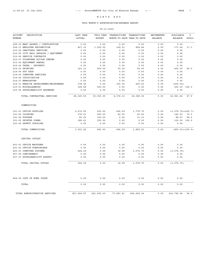# THIS MONTH'S APPROPRIATION/EXPENSE REPORT

| <b>ACCOUNT</b><br>DESCRIPTION         | LAST YEAR     | THIS YEAR     | TRANSACTIONS | TRANSACTIONS               | <b>ENCUMBERED</b> | AVAILABLE            | ៖     |
|---------------------------------------|---------------|---------------|--------------|----------------------------|-------------------|----------------------|-------|
| <b>NUMBER</b>                         | <b>ACTUAL</b> | <b>BUDGET</b> |              | MONTH-TO-DATE YEAR-TO-DATE | BALANCE           | BALANCE              | AVAIL |
| 208-12 MARC ASSESS / CONTRIBUTION     | 0.00          | 0.00          | 0.00         | 0.00                       | 0.00              | 0.00                 |       |
| 208-13 EMPLOYEE RECOGNITION           | 427.15        | 1,000.00      | 169.01       | 828.46                     | 0.00              | 171.54               | 17.1  |
| 210-02 JANITORAL SERVICES             | 0.00          | 0.00          | 0.00         | 0.00                       | 0.00              | 0.00                 |       |
| 212-05 CITY HALL REPAIRS / EQUIPMENT  | 0.00          | 0.00          | 0.00         | 0.00                       | 0.00              | 0.00                 |       |
| 212-06 SERVICE CONTRACTS              | 0.00          | 0.00          | 0.00         | 0.00                       | 0.00              | 0.00                 |       |
| 212-07 VOLUNTEER ACTION CENTER        | 0.00          | 0.00          | 0.00         | 0.00                       | 0.00              | 0.00                 |       |
| 213-02 EQUIPMENT RENTAL               | 0.00          | 0.00          | 0.00         | 0.00                       | 0.00              | 0.00                 |       |
| 214-02 TAXES - PROPERTY               | 0.00          | 0.00          | 0.00         | 0.00                       | 0.00              | 0.00                 |       |
| 214-03 PRINTING                       | 161.13        | 500.00        | 50.00        | 50.00                      | 0.00              | 450.00               | 90.0  |
| 214-04 DOG TAGS                       | 0.00          | 0.00          | 0.00         | 0.00                       | 0.00              | 0.00                 |       |
| 214-05 COMPUTER SERVICES              | 0.00          | 0.00          | 0.00         | 0.00                       | 0.00              | 0.00                 |       |
| 214-06 CODIFICATION                   | 0.00          | 0.00          | 0.00         | 0.00                       | 0.00              | 0.00                 |       |
| 214-07 NEWSLETTER                     | 0.00          | 0.00          | 0.00         | 0.00                       | 0.00              | 0.00                 |       |
| 214-13 WEBSITE DEVELOPMENT/MAINTENANC | 178.00        | 0.00          | 300.00       | 400.00                     | 0.00              | < 400.00             |       |
| 215-03 MISCELLANEOUS                  | 328.58        | 500.00        | 0.00         | 0.00                       | 0.00              | 500.00 100.0         |       |
| 215-04 SUSTAINABILITY EXPENSES        | 0.00          | 0.00          | 0.00         | 0.00                       | 0.00              | 0.00                 |       |
| TOTAL CONTRACTUAL SERVICES            | 28,325.50     | 35,350.00     | 4,374.13     | 18,388.36                  | 0.00              | 16,961.64            | 47.9  |
| COMMODITIES                           |               |               |              |                            |                   |                      |       |
| 301-01 OFFICE SUPPLIES                | 2,670.55      | 500.00        | 406.59       | 1,778.70                   | 0.00              | $<$ 1,278.70><255.7> |       |
| 301-02 CLOTHING                       | 376.01        | 200.00        | 60.00        | 60.00                      | 0.00              | 140.00               | 70.0  |
| 301-04 POSTAGE                        | 66.05         | 100.00        | 0.00         | 11.33                      | 0.00              | 88.67                | 88.6  |
| 301-05 PRINTED FORMS                  | 188.61        | 100.00        | 0.00         | 0.00                       | 0.00              | 100.00 100.0         |       |
| 303-04 SAFETY SUPPLIES                | 0.00          | 0.00          | 0.00         | 0.00                       | 0.00              | 0.00                 |       |
| TOTAL COMMODITIES                     | 3,301.22      | 900.00        | 466.59       | 1,850.03                   | 0.00              | <950.03><105.5>      |       |
| CAPITAL OUTLAY                        |               |               |              |                            |                   |                      |       |
| 401-01 OFFICE MACHINES                | 0.00          | 0.00          | 0.00         | 0.00                       | 0.00              | 0.00                 |       |
| 401-02 OFFICE FURNISHINGS             | 0.00          | 0.00          | 0.00         | 0.00                       | 0.00              | 0.00                 |       |
| 402-03 COMPUTER SYSTEMS               | 224.18        | 0.00          | 14.99        | 1,074.75                   | 0.00              | <1,074.75>           |       |
| 407-05 CONTINGENCY                    | 0.00          | 0.00          | 0.00         | 0.00                       | 0.00              | 0.00                 |       |
| 407-10 SUSTAINABILITY ASSETS          | 0.00          | 0.00          | 0.00         | 0.00                       | 0.00              | 0.00                 |       |
| TOTAL CAPITAL OUTLAY                  | 224.18        | 0.00          | 14.99        | 1,074.75                   | 0.00              | <1,074.75>           |       |
|                                       |               |               |              |                            |                   |                      |       |
| 804-05 COST OF BOND ISSUE             | 0.00          | 0.00          | 0.00         | 0.00                       | 0.00              | 0.00                 |       |
| TOTAL                                 | 0.00          | 0.00          | 0.00         | 0.00                       | 0.00              | 0.00                 |       |
| TOTAL ADMINISTRATIVE SERVICES         | 927, 924.87   | 921,250.00    | 77,891.41    | 404, 454.34                | 0.00              | 516,795.66           | 56.0  |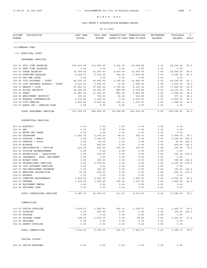# THIS MONTH'S APPROPRIATION/EXPENSE REPORT

| <b>ACCOUNT</b><br>DESCRIPTION                                         | LAST YEAR              | THIS YEAR              | TRANSACTIONS               | TRANSACTIONS         | <b>ENCUMBERED</b> | AVAILABLE               | ៖            |
|-----------------------------------------------------------------------|------------------------|------------------------|----------------------------|----------------------|-------------------|-------------------------|--------------|
| NUMBER                                                                | <b>ACTUAL</b>          | <b>BUDGET</b>          | MONTH-TO-DATE YEAR-TO-DATE |                      | <b>BALANCE</b>    | <b>BALANCE</b>          | AVAIL        |
| (01) GENERAL FUND                                                     |                        |                        |                            |                      |                   |                         |              |
| (11) MUNICIPAL COURT                                                  |                        |                        |                            |                      |                   |                         |              |
| PERSONNEL SERVICES                                                    |                        |                        |                            |                      |                   |                         |              |
| 101-01 FULL TIME SALARIES                                             | 139,633.59             | 115,000.00             | 9,122.75                   | 50,654.58            | 0.00              | 64, 345.42              | 55.9         |
| 101-02 PART TIME SALARIES                                             | 0.00                   | 0.00                   | 0.00                       | 0.00                 | 0.00              | 0.00                    |              |
| 101-03 JUDGE SALARIES                                                 | 30,000.00              | 32,000.00              | 2,500.00                   | 12,500.00            | 0.00              | 19,500.00               | 60.9         |
| 101-04 OVERTIME SALARIES                                              | 8,025.57               | 8,000.00               | 782.21                     | 2,919.09             | 0.00              | 5,080.91                | 63.5         |
| 101-05 PRO-TEM JUDGE                                                  | 0.00                   | 0.00                   | 0.00                       | 0.00                 | 0.00              | 0.00                    |              |
| 101-06 CITY ATTORNEY - COURT                                          | 84, 155. 16            | 55,000.00              | 9,185.00                   | 30,945.00            | 0.00              | 24,055.00               | 43.7         |
| 101-09 CITY ATTORNEY APPEALS - COURT                                  | 6, 120.00              | 5,000.00               | 10.00                      | 1,090.00             | 0.00              | 3,910.00                | 78.2         |
| 102-01 HEALTH / LIFE<br>102-02 SOCIAL SECURITY                        | 23,993.51              | 27,000.00<br>19,000.00 | 1,765.26<br>880.98         | 9,190.36             | 0.00              | 17,809.64<br>14, 273.14 | 65.9<br>75.1 |
| 102-03 KPERS                                                          | 18,346.06<br>13,887.45 | 11,250.00              | 881.54                     | 4,726.86<br>6,965.48 | 0.00<br>0.00      | 4,284.52                | 38.0         |
| 102-04 EMPLOYMENT SECURITY                                            | 303.41                 | 700.00                 | 23.00                      | 122.69               | 0.00              | 577.31                  | 82.4         |
| 102-05 WORKERS COMPENSATION                                           | 4,275.81               | 5,000.00               | 0.00                       | 2,034.03             | 0.00              | 2,965.97                | 59.3         |
| 102-06 CITY PENSION                                                   | 2,618.99               | 2,500.00               | 198.11                     | 1,211.50             | 0.00              | 1,288.50                | 51.5         |
| 102-07 ADMIN CHG / PENSION PLAN                                       | 0.00                   | 0.00                   | 0.00                       | 0.00                 | 0.00              | 0.00                    |              |
| TOTAL PERSONNEL SERVICES                                              | 331, 359.55            | 280,450.00             | 25, 348.85                 | 122, 359.59          | 0.00              | 158,090.41              | 56.3         |
| CONTRACTUAL SERVICES                                                  |                        |                        |                            |                      |                   |                         |              |
| 201-01 ELECTRIC                                                       | 0.00                   | 0.00                   | 0.00                       | 0.00                 | 0.00              | 0.00                    |              |
| 201-03 GAS                                                            | 0.00                   | 0.00                   | 0.00                       | 0.00                 | 0.00              | 0.00                    |              |
| 201-05 WATER AND SEWER                                                | 0.00                   | 0.00                   | 0.00                       | 0.00                 | 0.00              | 0.00                    |              |
| 201-08 TELEPHONE                                                      | 1,062.70               | 2,500.00               | 86.41                      | 530.03               | 0.00              | 1,969.97                | 78.7         |
| 202-03 LODGING / MEALS                                                | 0.00                   | 1,000.00               | 0.00                       | 0.00                 | 0.00              | 1,000.00                | 100.0        |
| 202-04 PARKING / TOLLS                                                | 0.00                   | 50.00                  | 0.00                       | 0.00                 | 0.00              | 50.00                   | 100.0        |
| 202-05 MILEAGE                                                        | 0.00                   | 400.00                 | 0.00                       | 0.00                 | 0.00              | 400.00                  | 100.0        |
| 203-01 REGISTRATION / TUITION                                         | 125.00                 | 500.00                 | 100.00                     | 125.00               | 0.00              | 375.00                  | 75.0         |
| 203-03 TUITION REIMBURSEMENT                                          | 0.00                   | 0.00                   | 0.00                       | 0.00                 | 0.00              | 0.00                    |              |
| 204-01 ADVERTISING - CLASSIFIED<br>205-01 INSURANCE - BLDG, EQUIPMENT | 0.00<br>0.00           | 100.00<br>0.00         | 0.00<br>0.00               | 0.00<br>0.00         | 0.00<br>0.00      | 100.00<br>0.00          | 100.0        |
| 205-02 NOTARY BOND                                                    | 0.00                   | 100.00                 | 0.00                       | 0.00                 | 0.00              | 100.00                  | 100.0        |
| 206-05 PROFESSIONAL SERVICES                                          | 0.00                   | 5,000.00               | 0.00                       | 0.00                 | 0.00              | 5,000.00                | 100.0        |
| 206-06 CITY ATTORNEY SERVICES                                         | 0.00                   | 0.00                   | 0.00                       | 0.00                 | 0.00              | 0.00                    |              |
| 207-07 PRE-EMPLOYMENT EXPENSES                                        | 0.00                   | 150.00                 | 0.00                       | 0.00                 | 0.00              | 150.00                  | 100.0        |
| 208-13 EMPLOYEE RECOGNITION                                           | 70.09                  | 200.00                 | 0.00                       | 0.00                 | 0.00              | 200.00                  | 100.0        |
| 209-01 APPEALS                                                        | 0.00                   | 0.00                   | 0.00                       | 0.00                 | 0.00              | 0.00                    |              |
| 209-02 COMPUTER MAINTENANCE                                           | 6,000.00               | 9,000.00               | 0.00                       | 3,000.00             | 0.00              | 6,000.00                | 66.6         |
| 209-03 DEFENSE                                                        | 1,125.00               | 3,000.00               | 125.00                     | 1,115.00             | 0.00              | 1,885.00                | 62.8         |
| 213-02 EQUIPMENT RENTAL                                               | 0.00                   | 0.00                   | 0.00                       | 0.00                 | 0.00              | 0.00                    |              |
| 214-08 PRISONER CARE                                                  | 0.00                   | 0.00                   | 0.00                       | 0.00                 | 0.00              | 0.00                    |              |
| TOTAL CONTRACTUAL SERVICES                                            | 8,382.79               | 22,000.00              | 311.41                     | 4,770.03             | 0.00              | 17,229.97               | 78.3         |
| COMMODITIES                                                           |                        |                        |                            |                      |                   |                         |              |
| 301-01 OFFICE SUPPLIES                                                | 3,039.13               | 3,000.00               | 291.15                     | 1,374.27             | 0.00              | 1,625.73                | 54.1         |
| 301-02 CLOTHING                                                       | 0.00                   | 250.00                 | 0.00                       | 0.00                 | 0.00              | 250.00                  | 100.0        |
| 301-04 POSTAGE                                                        | 0.00                   | 0.00                   | 0.00                       | 0.00                 | 0.00              | 0.00                    |              |
| 301-05 PRINTED FORMS                                                  | 195.00                 | 3,500.00               | 0.00                       | 89.00                | 0.00              | 3,411.00                | 97.4         |
| 301-06 UNIFORMS                                                       | 0.00                   | 0.00                   | 0.00                       | 0.00                 | 0.00              | 0.00                    |              |
| 303-04 SAFETY SUPPLIES                                                | 0.00                   | 0.00                   | 0.00                       | 0.00                 | 0.00              | 0.00                    |              |
| TOTAL COMMODITIES                                                     | 3,234.13               | 6,750.00               | 291.15                     | 1,463.27             | 0.00              | 5,286.73                | 78.3         |
| CAPITAL OUTLAY                                                        |                        |                        |                            |                      |                   |                         |              |
| 401-01 OFFICE MACHINES                                                | 0.00                   | 0.00                   | 0.00                       | 0.00                 | 0.00              | 0.00                    |              |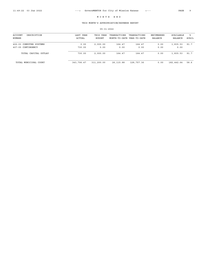# THIS MONTH'S APPROPRIATION/EXPENSE REPORT

| ACCOUNT<br>DESCRIPTION<br>NUMBER | LAST YEAR<br>ACTUAL | THIS YEAR<br>BUDGET | TRANSACTIONS<br>MONTH-TO-DATE YEAR-TO-DATE | TRANSACTIONS | ENCUMBERED<br>BALANCE | AVAILABLE<br>BALANCE | °≈<br>AVAIL |
|----------------------------------|---------------------|---------------------|--------------------------------------------|--------------|-----------------------|----------------------|-------------|
| 402-03 COMPUTER SYSTEMS          | 0.00                | 2,000.00            | 164.47                                     | 164.47       | 0.00                  | 1,835.53             | 91.7        |
| 407-05 CONTINGENCY               | 730.00              | 0.00                | 0.00                                       | 0.00         | 0.00                  | 0.00                 |             |
| TOTAL CAPITAL OUTLAY             | 730.00              | 2,000.00            | 164.47                                     | 164.47       | 0.00                  | 1,835.53             | 91.7        |
| TOTAL MUNICIPAL COURT            | 343,706.47          | 311,200.00          | 26, 115.88                                 | 128,757.36   | 0.00                  | 182,442.64           | 58.6        |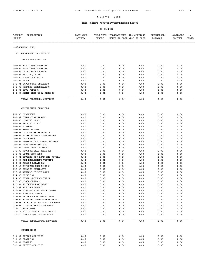# THIS MONTH'S APPROPRIATION/EXPENSE REPORT

| <b>ACCOUNT</b><br>DESCRIPTION<br>NUMBER                             | LAST YEAR<br><b>ACTUAL</b> | THIS YEAR<br><b>BUDGET</b> | TRANSACTIONS<br>MONTH-TO-DATE YEAR-TO-DATE | TRANSACTIONS | ENCUMBERED<br><b>BALANCE</b> | AVAILABLE<br><b>BALANCE</b>     | ి<br>AVAIL |
|---------------------------------------------------------------------|----------------------------|----------------------------|--------------------------------------------|--------------|------------------------------|---------------------------------|------------|
| (01) GENERAL FUND                                                   |                            |                            |                                            |              |                              |                                 |            |
| (15) NEIGHBORHOOD SERVICES                                          |                            |                            |                                            |              |                              |                                 |            |
| PERSONNEL SERVICES                                                  |                            |                            |                                            |              |                              |                                 |            |
| 101-01 FULL TIME SALARIES                                           | 0.00                       | 0.00                       | 0.00                                       | 0.00         | 0.00                         | 0.00                            |            |
| 101-02 PART TIME SALARIES                                           | 0.00                       | 0.00                       | 0.00                                       | 0.00         | 0.00                         | 0.00                            |            |
| 101-04 OVERTIME SALARIES                                            | 0.00                       | 0.00                       | 0.00                                       | 0.00         | 0.00                         | 0.00                            |            |
| 102-01 HEALTH / LIFE                                                | 0.00                       | 0.00                       | 0.00                                       | 0.00         | 0.00                         | 0.00                            |            |
| 102-02 SOCIAL SECURITY                                              | 0.00                       | 0.00                       | 0.00                                       | 0.00         | 0.00                         | 0.00                            |            |
| 102-03 KPERS                                                        | 0.00                       | 0.00                       | 0.00                                       | 0.00         | 0.00                         | 0.00                            |            |
| 102-04 EMPLOYMENT SECURITY                                          | 0.00                       | 0.00                       | 0.00                                       | 0.00         | 0.00                         | 0.00                            |            |
| 102-05 WORKERS COMPENSATION                                         | 0.00                       | 0.00                       | 0.00                                       | 0.00         | 0.00                         | 0.00                            |            |
| 102-06 CITY PENSION<br>102-07 ADMIN CHGS/CITY PENSION               | 0.00<br>0.00               | 0.00<br>0.00               | 0.00<br>0.00                               | 0.00<br>0.00 | 0.00<br>0.00                 | 0.00<br>0.00                    |            |
|                                                                     |                            |                            |                                            |              |                              |                                 |            |
| TOTAL PERSONNEL SERVICES                                            | 0.00                       | 0.00                       | 0.00                                       | 0.00         | 0.00                         | 0.00                            |            |
| CONTRACTUAL SERVICES                                                |                            |                            |                                            |              |                              |                                 |            |
| 201-08 TELEPHONE                                                    | 0.00                       | 0.00                       | 0.00                                       | 0.00         | 0.00                         | 0.00                            |            |
| 202-02 COMMERCIAL TRAVEL                                            | 0.00                       | 0.00                       | 0.00                                       | 0.00         | 0.00                         | 0.00                            |            |
| 202-03 LODGING/MEALS                                                | 0.00                       | 0.00                       | 0.00                                       | 0.00         | 0.00                         | 0.00                            |            |
| 202-04 PARKING/TOLLS                                                | 0.00                       | 0.00                       | 0.00                                       | 0.00         | 0.00                         | 0.00                            |            |
| 202-05 MILEAGE                                                      | 0.00                       | 0.00                       | 0.00                                       | 0.00         | 0.00                         | 0.00                            |            |
| 203-01 REGISTRATION                                                 | 0.00                       | 0.00                       | 0.00                                       | 0.00         | 0.00                         | 0.00                            |            |
| 203-03 TUITION REIMBURSEMENT                                        | 0.00                       | 0.00                       | 0.00                                       | 0.00         | 0.00                         | 0.00                            |            |
| 204-01 ADVERTISING - CLASSIFIED                                     | 0.00                       | 0.00                       | 0.00                                       | 0.00         | 0.00                         | 0.00                            |            |
| 205-01 INSURANCE                                                    | 0.00                       | 0.00                       | 0.00                                       | 0.00         | 0.00                         | 0.00                            |            |
| 206-01 PROFESSIONAL ORGANIZATIONS                                   | 0.00                       | 0.00                       | 0.00                                       | 0.00         | 0.00                         | 0.00                            |            |
| 206-03 PERIODICALS/BOOKS                                            | 0.00                       | 0.00                       | 0.00                                       | 0.00         | 0.00                         | 0.00                            |            |
| 206-04 LEGAL PUBLICATIONS                                           | 0.00                       | 0.00                       | 0.00                                       | 0.00         | 0.00                         | 0.00                            |            |
| 206-05 PROFESSIONAL SERVICES                                        | 0.00                       | 0.00                       | 0.00                                       | 0.00         | 0.00                         | 0.00                            |            |
| 206-06 LEGAL SERVICES<br>207-04 HOUSING PRO LOAN IMP PROGRAM        | 0.00<br>0.00               | 0.00<br>0.00               | 0.00<br>0.00                               | 0.00<br>0.00 | 0.00<br>0.00                 | 0.00<br>0.00                    |            |
| 207-07 PRE-EMPLOYMENT TESTING                                       | 0.00                       | 0.00                       | 0.00                                       | 0.00         | 0.00                         | 0.00                            |            |
| 208-04 PUBLIC RELATIONS                                             | 0.00                       | 0.00                       | 0.00                                       | 0.00         | 0.00                         | 0.00                            |            |
| 208-13 EMPLOYEE RECOGNITION                                         | 0.00                       | 0.00                       | 0.00                                       | 0.00         | 0.00                         | $0.00$                          |            |
| 212-06 SERVICE CONTRACTS                                            | 0.00                       | 0.00                       | 0.00                                       | 0.00         | 0.00                         | 0.00                            |            |
| 212-07 VEHICLE MAINTENANCE                                          | 0.00                       | 0.00                       | 0.00                                       | 0.00         | 0.00                         | 0.00                            |            |
| 214-03 PRINTING                                                     | 0.00                       | 0.00                       | 0.00                                       | 0.00         | 0.00                         | 0.00                            |            |
| 214-05 SOLID WASTE CONTRACT                                         | 0.00                       | 0.00                       | 0.00                                       | 0.00         | 0.00                         | 0.00                            |            |
| 215-03 MISCELLANEOUS                                                | 0.00                       | 0.00                       | 0.00                                       | 0.00         | 0.00                         | 0.00                            |            |
| 216-01 NUISANCE ABATEMENT                                           | 0.00                       | 0.00                       | 0.00                                       | 0.00         | 0.00                         | 0.00                            |            |
| 216-02 WEED ABATEMENT                                               | 0.00                       | 0.00                       | 0.00                                       | 0.00         | 0.00                         | 0.00                            |            |
| 216-04 MISSION POSSIBLE PROGRAM                                     | 0.00                       | 0.00                       | 0.00                                       | 0.00         | 0.00                         | 0.00                            |            |
| 216-05 HOW-TO CLINICS                                               | 0.00                       | 0.00                       | 0.00                                       | 0.00         | 0.00                         | 0.00                            |            |
| 216-06 NEIGHBORHOOD GRANT PRGM<br>216-07 BUSINESS IMPROVEMENT GRANT | 0.00<br>0.00               | 0.00                       | 0.00                                       | 0.00         | 0.00                         | 0.00                            |            |
| 216-08 TREE TRIMMING GRANT PROGRAM                                  | 0.00                       | 0.00<br>0.00               | 0.00<br>0.00                               | 0.00<br>0.00 | 0.00<br>0.00                 | 0.00<br>0.00                    |            |
| 216-09 CITIZEN REBATE PROGRAM                                       | 0.00                       | 0.00                       | 0.00                                       | 0.00         | 0.00                         | 0.00                            |            |
| 216-10 EASY RIDE                                                    | 0.00                       | 0.00                       | 0.00                                       | 0.00         | 0.00                         | 0.00                            |            |
| 216-11 JO CO UTILITY ASSISTANCE                                     | 0.00                       | 0.00                       | 0.00                                       | 0.00         | 0.00                         | 0.00                            |            |
| 216-12 STORMWATER BMP PROGRAM                                       | 0.00                       | 0.00                       | 0.00                                       | 0.00         | 0.00                         | 0.00                            |            |
| TOTAL CONTRACTUAL SERVICES                                          | 0.00                       | 0.00                       | 0.00                                       | 0.00         | 0.00                         | 0.00                            |            |
| COMMODITIES                                                         |                            |                            |                                            |              |                              |                                 |            |
| 301-01 OFFICE SUPPLIES                                              | 0.00                       | 0.00                       | 0.00                                       | 0.00         | 0.00                         | 0.00                            |            |
| 301-02 CLOTHING                                                     | 0.00                       | 0.00                       | 0.00                                       | 0.00         | 0.00                         | 0.00                            |            |
| 301-04 POSTAGE                                                      | 0.00                       | 0.00                       | 0.00                                       | 0.00         | 0.00                         | 0.00                            |            |
| 303-04 SAFETY SUPPLIES                                              | 0.00                       | 0.00                       | 0.00                                       | 0.00         | 0.00                         | ${\bf 0}$ . ${\bf 0}$ ${\bf 0}$ |            |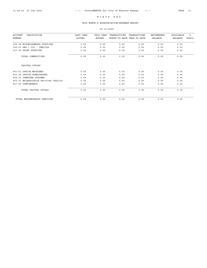# THIS MONTH'S APPROPRIATION/EXPENSE REPORT

| DESCRIPTION<br><b>ACCOUNT</b>        | <b>LAST YEAR</b> | THIS YEAR     | TRANSACTIONS               | TRANSACTIONS | <b>ENCUMBERED</b> | <b>AVAILABLE</b> | ፠            |
|--------------------------------------|------------------|---------------|----------------------------|--------------|-------------------|------------------|--------------|
| NUMBER                               | <b>ACTUAL</b>    | <b>BUDGET</b> | MONTH-TO-DATE YEAR-TO-DATE |              | <b>BALANCE</b>    | <b>BALANCE</b>   | <b>AVAIL</b> |
| 304-04 MISCELLANEOUS SUPPLIES        | 0.00             | 0.00          | 0.00                       | 0.00         | 0.00              | 0.00             |              |
| 306-01 GAS / OIL - VEHICLE           | 0.00             | 0.00          | 0.00                       | 0.00         | 0.00              | 0.00             |              |
| 307-09 PAINT SUPPLIES                | 0.00             | 0.00          | 0.00                       | 0.00         | 0.00              | 0.00             |              |
| TOTAL COMMODITIES                    | 0.00             | 0.00          | 0.00                       | 0.00         | 0.00              | 0.00             |              |
| CAPITAL OUTLAY                       |                  |               |                            |              |                   |                  |              |
| 401-01 OFFICE MACHINES               | 0.00             | 0.00          | 0.00                       | 0.00         | 0.00              | 0.00             |              |
| 401-02 OFFICE FURNISHINGS            | 0.00             | 0.00          | 0.00                       | 0.00         | 0.00              | 0.00             |              |
| 402-03 COMPUTER SYSTEMS              | 0.00             | 0.00          | 0.00                       | 0.00         | 0.00              | 0.00             |              |
| 403-01 Neighborhood Services Vehicle | 0.00             | 0.00          | 0.00                       | 0.00         | 0.00              | 0.00             |              |
| 407-05 CONTINGENCY                   | 0.00             | 0.00          | 0.00                       | 0.00         | 0.00              | 0.00             |              |
| TOTAL CAPITAL OUTLAY                 | 0.00             | 0.00          | 0.00                       | 0.00         | 0.00              | 0.00             |              |
| TOTAL NEIGHBORHOOD SERVICES          | 0.00             | 0.00          | 0.00                       | 0.00         | 0.00              | 0.00             |              |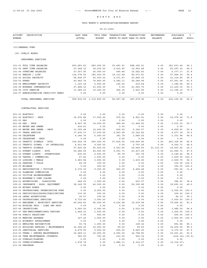# THIS MONTH'S APPROPRIATION/EXPENSE REPORT

| <b>ACCOUNT</b><br>DESCRIPTION<br>NUMBER                          | LAST YEAR<br><b>ACTUAL</b> | THIS YEAR<br><b>BUDGET</b> | TRANSACTIONS       | TRANSACTIONS<br>MONTH-TO-DATE YEAR-TO-DATE | ENCUMBERED<br>BALANCE | AVAILABLE<br>BALANCE       | ៖<br>AVAIL   |
|------------------------------------------------------------------|----------------------------|----------------------------|--------------------|--------------------------------------------|-----------------------|----------------------------|--------------|
| (01) GENERAL FUND                                                |                            |                            |                    |                                            |                       |                            |              |
| (20) PUBLIC WORKS                                                |                            |                            |                    |                                            |                       |                            |              |
| PERSONNEL SERVICES                                               |                            |                            |                    |                                            |                       |                            |              |
| 101-01 FULL TIME SALARIES                                        | 600,683.81                 | 680,000.00                 | 53,681.91          | 298,366.51                                 | 0.00                  | 381,633.49                 | 56.1         |
| 101-02 PART TIME SALARIES                                        | 27,048.12                  | 38,000.00                  | 2,415.60           | 12,902.68                                  | 0.00                  | 25,097.32                  | 66.0         |
| 101-04 OVERTIME SALARIES                                         | 27,557.95                  | 20,000.00                  | 690.84             | 15,622.83                                  | 0.00                  | 4,377.17                   | 21.8         |
| 102-01 HEALTH / LIFE                                             | 134, 378.52                | 180,000.00                 | 15, 113. 48        | 82,073.81                                  | 0.00                  | 97, 926.19                 | 54.4         |
| 102-02 SOCIAL SECURITY                                           | 58,608.97                  | 55,000.00                  | 4,071.67           | 23,685.15                                  | 0.00                  | 31, 314.85                 | 56.9         |
| 102-03 KPERS<br>102-04 EMPLOYMENT SECURITY                       | 60,942.76<br>1,123.18      | 76,800.00<br>2,000.00      | 5,082.11<br>106.02 | 29, 248.94<br>615.44                       | 0.00<br>0.00          | 47,551.06<br>1,384.56      | 61.9<br>69.2 |
| 102-05 WORKERS COMPENSATION                                      | 47,488.03                  | 53,000.00                  | 0.00               | 21,560.70                                  | 0.00                  | 31,439.30                  | 59.3         |
| 102-06 CITY PENSION                                              | 11,985.21                  | 15,000.00                  | 926.35             | 3,603.90                                   | 0.00                  | 11,396.10                  | 75.9         |
| 102-07 ADMINISTRATION CHGS/CITY PENSI                            | 0.00                       | 0.00                       | 0.00               | 0.00                                       | 0.00                  | 0.00                       |              |
| TOTAL PERSONNEL SERVICES                                         |                            | 969, 816.55 1, 119, 800.00 | 82,087.98          | 487,679.96                                 | 0.00                  | 632,120.04                 | 56.4         |
| CONTRACTUAL SERVICES                                             |                            |                            |                    |                                            |                       |                            |              |
|                                                                  |                            |                            |                    |                                            |                       |                            |              |
| 201-01 ELECTRIC<br>201-02 ELECTRIC - SHOP                        | 0.00<br>15,972.86          | 0.00                       | 0.00<br>970.59     | 0.00                                       | 0.00                  | 0.00                       |              |
| 201-03 GAS                                                       | 0.00                       | 17,500.00<br>0.00          | 0.00               | 4,923.91<br>0.00                           | 0.00<br>0.00          | 12,576.09<br>0.00          | 71.8         |
| 201-04 GAS - SHOP                                                | 8,647.36                   | 14,500.00                  | 499.46             | 11,484.65                                  | 0.00                  | 3,015.35                   | 20.7         |
| 201-05 WATER AND SEWER                                           | 434.61                     | 0.00                       | 0.00               | 0.00                                       | 0.00                  | 0.00                       |              |
| 201-06 WATER AND SEWER - SHOP                                    | 11,355.49                  | 12,000.00                  | 624.52             | 5,340.07                                   | 0.00                  | 6,659.93                   | 55.4         |
| 201-07 TRASH SERVICE                                             | 17,436.37                  | 17,000.00                  | 2,963.99           | 10,322.82                                  | 0.00                  | 6,677.18                   | 39.2         |
| 201-08 TELEPHONE                                                 | 4,344.74                   | 5,000.00                   | 341.78             | 1,668.02                                   | 0.00                  | 3,331.98                   | 66.6         |
| 201-09 TELEPHONE - SHOP                                          | 0.00                       | 0.00                       | 0.00               | 0.00                                       | 0.00                  | 0.00                       |              |
| 201-10 TRAFFIC SIGNALS - KCPL                                    | 334,402.78                 | 400,000.00                 | 27,814.50          | 136,640.96                                 | 0.00                  | 263,359.04                 | 65.8         |
| 201-11 TRAFFIC SIGNAL - OP INTERLOCAL                            | 6,911.64                   | 9,000.00                   | 0.00               | 2,797.29                                   | 0.00                  | 6,202.71                   | 68.9         |
| 201-12 TRAFFIC SIGNALS                                           | 67,420.24                  | 65,000.00                  | 2,023.65           | 29,464.55                                  | 21, 132.03            | 14,403.42                  | 22.1         |
| 201-13 STREET LIGHTS - KCPL                                      | 55,482.56                  | 45,000.00                  | 5,001.71           | 23, 437.29                                 | 0.00                  | 21,562.71                  | 47.9         |
| 201-15 STREET LIGHTS - STREETSCAPE<br>202-02 TRAVEL / COMMERCIAL | 836.83<br>67.42            | 2,500.00                   | 85.78<br>0.00      | 351.78<br>0.00                             | 0.00                  | 2,148.22<br>1,500.00 100.0 | 85.9         |
| 202-03 LODGING / MEALS                                           | 3,283.84                   | 1,500.00<br>3,000.00       | 0.00               | 1,430.25                                   | 0.00<br>0.00          | 1,569.75                   | 52.3         |
| 202-04 PARKING / TOLLS                                           | 69.39                      | 100.00                     | 0.00               | 0.00                                       | 0.00                  | 100.00 100.0               |              |
| 202-05 MILEAGE                                                   | 0.00                       | 300.00                     | 0.00               | 0.00                                       | 0.00                  | 300.00                     | 100.0        |
| 203-01 REGISTRATION / TUITION                                    | 4,372.35                   | 5,000.00                   | 260.00             | 4,406.48                                   | 0.00                  | 593.52                     | 11.8         |
| 203-02 PLANNING COMMISSION                                       | 0.00                       | 0.00                       | 0.00               | 0.00                                       | 0.00                  | 0.00                       |              |
| 203-03 TUITION REIMBURSEMENT                                     | 80.00                      | 0.00                       | 0.00               | 0.00                                       | 0.00                  | 0.00                       |              |
| 203-04 WORKMAN'S COMP CLAIMS                                     | 0.00                       | 0.00                       | 0.00               | 0.00                                       | 0.00                  | 0.00                       |              |
| 204-01 ADVERTISING - CLASSIFIED                                  | 644.93                     | 1,000.00                   | 0.00               | 615.07                                     | 0.00                  | 384.93                     | 38.4         |
| 205-01 INSURANCE - BLDG, EQUIPMENT                               | 38, 149. 76                | 40,000.00                  | 0.00               | 20,306.88                                  | 0.00                  | 19,693.12                  | 49.2         |
| 205-02 NOTARY BONDS<br>206-01 PROFESSIONAL ORGANIZATION DUES     | 0.00<br>0.00               | 0.00<br>2,000.00           | 0.00<br>0.00       | 0.00<br>0.00                               | 0.00<br>0.00          | 0.00<br>2,000.00 100.0     |              |
| 206-03 PERIODICALS/BOOKS/PUBLICATIONS                            | 110.00                     | 300.00                     | 0.00               | 0.00                                       | 0.00                  | 300.00 100.0               |              |
| 206-04 LEGAL ADVERTISING                                         | 18.27                      | 100.00                     | 0.00               | 9.90                                       | 0.00                  | 90.10                      | 90.1         |
| 206-05 PROFESSIONAL SERVICES                                     | 9,719.45                   | 3,000.00                   | 0.00               | 0.00                                       | 0.00                  | 3,000.00 100.0             |              |
| 207-03 ENGINEER / ARCHITECT SERVICES                             | 60,604.83                  | 95,000.00                  | 6,616.48           | 15,539.98                                  | 0.00                  | 79,460.02                  | 83.6         |
| 207-04 HOUSING PROJ - LOAN IMP PROG                              | 0.00                       | 0.00                       | 0.00               | 0.00                                       | 0.00                  | 0.00                       |              |
| 207-06 INSPECTIONS                                               | 5,560.00                   | 6,000.00                   | 0.00               | 2,015.00                                   | 0.00                  | 3,985.00                   | 66.4         |
| 207-07 PRE-EMPLOYMENT/DRUG TESTING                               | 1,464.12                   | 1,500.00                   | 0.00               | 0.00                                       | 0.00                  | 1,500.00 100.0             |              |
| 208-04 PUBLIC RELATIONS                                          | 0.00                       | 500.00                     | 0.00               | 0.00                                       | 0.00                  | 500.00 100.0               |              |
| 208-05 MEETING EXPENSE                                           | 127.22                     | 1,000.00                   | 0.00               | 0.00                                       | 0.00                  | 1,000.00 100.0             |              |
| 208-10 ECONOMIC DEVELOPMENT<br>208-13 EMPLOYEE RECOGNITION       | 0.00<br>93.74              | 0.00<br>1,000.00           | 0.00<br>0.00       | 0.00<br>108.16                             | 0.00<br>0.00          | 0.00<br>891.84             | 89.1         |
| 210-01 BUILDING REPAIRS / MAINTENANCE                            | 12,364.00                  | 14,500.00                  | 69.50              | 69.50                                      | 0.00                  | 14,430.50                  | 99.5         |
| 210-02 JANITORIAL SERVICES                                       | 4,479.50                   | 5,000.00                   | 525.00             | 2,625.00                                   | 0.00                  | 2,375.00                   | 47.5         |
| 210-03 TREES / SHRUBS MAINTENANCE                                | 35,969.11                  | 30,000.00                  | 4,565.00           | 14,798.80                                  | 0.00                  | 15,201.20                  | 50.6         |
| 210-04 TREE MAINTENANCE (STREETS)                                | 560.00                     | 700.00                     | 212.00             | 916.34                                     | 0.00                  | <216.34> <30.9>            |              |
| 211-02 OVERLAY/PLANING                                           | 0.00                       | 0.00                       | 0.00               | 0.00                                       | 0.00                  | 0.00                       |              |
| 211-03 CURBS/SIDEWALKS                                           | 1,278.74                   | 0.00                       | 3,984.11           | 6,314.27                                   | 0.00                  | $<$ 6, 314.27>             |              |
| 211-04 DRAINAGE                                                  | 0.00                       | 0.00                       | 0.00               | 0.00                                       | 0.00                  | 0.00                       |              |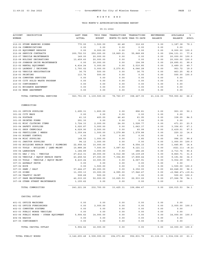# THIS MONTH'S APPROPRIATION/EXPENSE REPORT

| <b>ACCOUNT</b><br>DESCRIPTION<br>NUMBER            | LAST YEAR<br><b>ACTUAL</b>    | THIS YEAR<br><b>BUDGET</b> | TRANSACTIONS<br>MONTH-TO-DATE YEAR-TO-DATE | TRANSACTIONS | ENCUMBERED<br><b>BALANCE</b> | AVAILABLE<br><b>BALANCE</b> | ిక<br>AVAIL |
|----------------------------------------------------|-------------------------------|----------------------------|--------------------------------------------|--------------|------------------------------|-----------------------------|-------------|
| 212-03 STORM WARNING SIRENS                        | 770.00                        | 1,500.00                   | 62.48                                      | 312.62       | 0.00                         | 1,187.38                    | 79.1        |
| 212-04 COMMUNICATIONS                              | 0.00                          | 0.00                       | 0.00                                       | 0.00         | 0.00                         | 0.00                        |             |
| 212-05 EQUIPMENT REPAIRS                           | 0.00                          | 8,000.00                   | 0.00                                       | 0.00         | 0.00                         | 8,000.00                    | 100.0       |
| 212-06 SERVICE CONTRACTS                           | 200, 752.53                   | 250,000.00                 | 19,869.21                                  | 55,868.89    | 0.00                         | 194, 131. 11                | 77.6        |
| 212-07 VEHICLE MAINTENANCE                         | 149.00                        | 20,000.00                  | 0.00                                       | 0.00         | 0.00                         | 20,000.00                   | 100.0       |
| 212-08 HOLIDAY DECORATIONS                         | 13,459.60                     | 20,000.00                  | 0.00                                       | 0.00         | 0.00                         | 20,000.00                   | 100.0       |
| 212-09 JOHNSON DRIVE MAINTENANCE                   | 0.00                          | 30,000.00                  | 0.00                                       | 104.99       | 0.00                         | 29,895.01                   | 99.6        |
| 213-02 RENTAL EQUIPMENT                            | 4, 414.24                     | 5,000.00                   | 0.00                                       | 2,510.85     | 0.00                         | 2,489.15                    | 49.7        |
| 213-03 LAUNDRY / UNIFORMS                          | 1,793.02                      | 5,000.00                   | 2,270.81                                   | 4,046.28     | 0.00                         | 953.72                      | 19.0        |
| 214-02 VEHICLE REGISTRATION                        | 36.75                         | 500.00                     | 0.00                                       | 36.75        | 0.00                         | 463.25                      | 92.6        |
| 214-03 PRINTING                                    | 113.76                        | 500.00                     | 0.00                                       | 0.00         | 0.00                         | 500.00                      | 100.0       |
| 214-04 COMPUTER SERVICES                           | 0.00                          | 0.00                       | 0.00                                       | 0.00         | 0.00                         | 0.00                        |             |
| 214-05 CITY SOLID WASTE PROGRAM                    | 0.00                          | 0.00                       | 0.00                                       | 0.00         | 0.00                         | 0.00                        |             |
| 215-03 CONTINGENCY                                 | 0.00                          | 0.00                       | 0.00                                       | 0.00         | 0.00                         | 0.00                        |             |
| 216-01 NUISANCE ABATEMENT                          | 0.00                          | 0.00                       | 0.00                                       | 0.00         | 0.00                         | 0.00                        |             |
| 216-02 WEED ABATEMENT                              | 0.00                          | 0.00                       | 0.00                                       | 0.00         | 0.00                         | 0.00                        |             |
| TOTAL CONTRACTUAL SERVICES                         |                               | 923, 751.05 1, 139, 500.00 | 78,760.57                                  | 358,467.35   | 21, 132.03                   | 759,900.62                  | 66.6        |
| COMMODITIES                                        |                               |                            |                                            |              |                              |                             |             |
| 301-01 OFFICE SUPPLIES                             | 1,695.31                      | 1,800.00                   | 0.00                                       | 896.81       | 0.00                         | 903.19                      | 50.1        |
| 301-02 CITY MAPS                                   | 0.00                          | 0.00                       | 0.00                                       | 0.00         | 0.00                         | 0.00                        |             |
| 301-04 POSTAGE                                     | 41.10                         | 400.00                     | 46.40                                      | 61.95        | 0.00                         | 338.05                      | 84.5        |
| 301-05 PRINTED FORMS                               | 291.30                        | 0.00                       | 0.00                                       | 0.00         | 0.00                         | 0.00                        |             |
| 302-01 MISC CLOTHING ITEMS                         | 3,724.33                      | 2,000.00                   | 24.00                                      | 1,528.77     | 0.00                         | 471.23                      | 23.5        |
| 303-04 SAFETY SUPPLIES                             | 5,020.87                      | 5,000.00                   | 0.00                                       | 1,643.37     | 0.00                         | 3,356.63                    | 67.1        |
| 304-01 SHOP CHEMICALS                              | 4,029.90                      |                            | 0.00                                       | 60.99        | 0.00                         | 2,439.01                    | 97.5        |
|                                                    |                               | 2,500.00                   |                                            |              |                              |                             |             |
| 304-02 FERTILIZER / WEEDS<br>304-03 RODENT CONTROL | 1,359.64                      | 1,500.00                   | 1,279.88                                   | 1,279.88     | 0.00                         | 220.12                      | 14.6        |
|                                                    | 0.00                          | 0.00                       | 0.00                                       | 0.00         | 0.00                         | 0.00                        |             |
| 304-04 MISC SUPPLIES                               | 168.55                        | 1,000.00                   | 0.00                                       | 3.85         | 0.00                         | 996.15                      | 99.6        |
| 305-01 JANITOR SUPPLIES                            | 94.12                         | 1,000.00                   | 0.00                                       | 0.00         | 0.00                         | 1,000.00                    | 100.0       |
| 305-02 BUILDING REPAIR PARTS / PLUMBING            | 22,958.02                     | 10,000.00                  | 0.00                                       | 8,554.15     | 0.00                         | 1,445.85                    | 14.4        |
| 305-03 TOOLS - BUILDING / LAND MAINT               | 10,888.26                     | 7,500.00                   | 3,087.62                                   | 8,121.11     | 0.00                         | < 621.11                    | < 8.2 >     |
| 305-04 LANDSCAPE                                   | 1,184.89                      | 3,000.00                   | 0.00                                       | 286.26       | 0.00                         | 2,713.74                    | 90.4        |
| 306-01 GAS / OIL - VEHICLE                         | 27, 412.31                    | 28,000.00                  | 6,012.08                                   | 19,139.29    | 0.00                         | 8,860.71                    | 31.6        |
| 306-02 VEHICLE / EQUIP REPAIR PARTS                | 43, 458.52                    | 27,000.00                  | 7,354.80                                   | 17,808.44    | 0.00                         | 9,191.56                    | 34.0        |
| 306-03 TOOLS - VEHICLE / EQUIP MAINT               | 8, 415.24                     | 10,000.00                  | 0.00                                       | 4,067.91     | 0.00                         | 5,932.09                    | 59.3        |
| 307-01 ASPHALT PATCH                               | 0.00                          | 0.00                       | 0.00                                       | 0.00         | 0.00                         | 0.00                        |             |
| 307-02 ROCK                                        | 0.00                          | 1,500.00                   | 0.00                                       | 0.00         | 0.00                         | 1,500.00                    | 100.0       |
| 307-03 SAND / SALT                                 | 57, 444.27                    | 65,000.00                  | 0.00                                       | 2,352.00     | 0.00                         | 62,648.00                   | 96.3        |
| 307-05 SIGNS                                       | 11, 355.13                    | 15,000.00                  | 4,995.00                                   | 17,946.47    | 0.00                         | <2,946.47> <19.6>           |             |
| 307-06 TRAFFIC PAINT                               | 508.68                        | 500.00                     | 0.00                                       | 0.00         | 0.00                         | 500.00 100.0                |             |
| 307-07 PARK MAINTENANCE                            | 42,015.20                     | 50,000.00                  | 10,625.53                                  | 22,933.22    | 0.00                         | 27,066.78                   | 54.1        |
| 307-08 OTHER STREET MAINTENANCE                    | 1,155.62                      | 0.00                       | 0.00                                       | 0.00         | 0.00                         | 0.00                        |             |
| TOTAL COMMODITIES                                  | 243,221.26                    | 232,700.00                 | 33,425.31                                  | 106,684.47   | 0.00                         | 126,015.53                  | 54.1        |
| CAPITAL OUTLAY                                     |                               |                            |                                            |              |                              |                             |             |
| 401-01 OFFICE MACHINES                             | 0.00                          | 0.00                       | 0.00                                       | 0.00         | 0.00                         | 0.00                        |             |
| 401-02 OFFICE FURNISHINGS                          | 0.00                          | 2,000.00                   | 0.00                                       | 0.00         | 0.00                         | 2,000.00 100.0              |             |
| 402-03 COMPUTER SYSTEMS                            | 0.00                          | 0.00                       | 0.00                                       | 0.00         | 0.00                         | 0.00                        |             |
| 403-03 PUBLIC WORKS VEHICLES                       | 0.00                          | 0.00                       | 0.00                                       | 0.00         | 0.00                         | 0.00                        |             |
| 403-06 PUBLIC WORKS - OTHER EQUIPMENT              | 5,904.62                      | 14,000.00                  | 0.00                                       | 0.00         | 0.00                         | 14,000.00                   | 100.0       |
| 404-04 RADIOS                                      | 0.00                          | 0.00                       | 0.00                                       | 0.00         | 0.00                         | 0.00                        |             |
| 407-05 CONTINGENCY                                 | 0.00                          | 0.00                       | 0.00                                       | 0.00         | 0.00                         | 0.00                        |             |
| TOTAL CAPITAL OUTLAY                               | 5,904.62                      | 16,000.00                  | 0.00                                       | 0.00         | 0.00                         | 16,000.00 100.0             |             |
| TOTAL PUBLIC WORKS                                 | 2, 142, 693.48 2, 508, 000.00 |                            | 194, 273.86                                | 952,831.78   |                              | 21, 132.03 1, 534, 036.19   | 61.1        |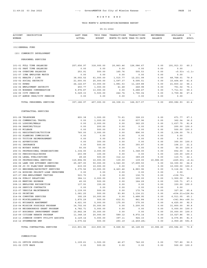# THIS MONTH'S APPROPRIATION/EXPENSE REPORT

| <b>ACCOUNT</b><br>DESCRIPTION<br>NUMBER                                     | LAST YEAR<br><b>ACTUAL</b> | THIS YEAR<br><b>BUDGET</b> | TRANSACTIONS<br>MONTH-TO-DATE YEAR-TO-DATE | TRANSACTIONS       | ENCUMBERED<br><b>BALANCE</b> | AVAILABLE<br><b>BALANCE</b> | ి<br>AVAIL   |
|-----------------------------------------------------------------------------|----------------------------|----------------------------|--------------------------------------------|--------------------|------------------------------|-----------------------------|--------------|
| (01) GENERAL FUND                                                           |                            |                            |                                            |                    |                              |                             |              |
| (23) COMMUNITY DEVELOPMENT                                                  |                            |                            |                                            |                    |                              |                             |              |
| PERSONNEL SERVICES                                                          |                            |                            |                                            |                    |                              |                             |              |
| 101-01 FULL TIME SALARIES                                                   | 257,656.97                 | 318,000.00                 | 20,863.46                                  | 126,086.67         | 0.00                         | 191, 913.33                 | 60.3         |
| 101-02 PART TIME SALARIES                                                   | 0.00                       | 0.00                       | 0.00                                       | 0.00               | 0.00                         | 0.00                        |              |
| 101-04 OVERTIME SALARIES                                                    | 253.91                     | 500.00                     | 165.76                                     | 505.53             | 0.00                         | < 5.53 >                    | <1.1>        |
| 101-07 ICMA EMPLOYER MATCH                                                  | 0.00                       | 0.00                       | 0.00                                       | 0.00               | 0.00                         | 0.00                        |              |
| 102-01 HEALTH / LIFE                                                        | 38,002.52                  | 61,000.00                  | 1,515.77                                   | 12,231.99          | 0.00                         | 48,768.01                   | 79.9         |
| 102-02 SOCIAL SECURITY                                                      | 21,693.93                  | 25,000.00                  | 1,597.37                                   | 9,595.51           | 0.00                         | 15,404.49                   | 61.6         |
| 102-03 KPERS                                                                | 24, 122.67                 | 33,000.00                  | 1,881.53                                   | 11, 169.88         | 0.00                         | 21,830.12                   | 66.1         |
| 102-04 EMPLOYMENT SECURITY<br>102-05 WORKERS COMPENSATION                   | 450.77<br>9,976.87         | 1,000.00<br>13,000.00      | 41.48<br>0.00                              | 248.98<br>5,288.47 | 0.00<br>0.00                 | 751.02<br>7,711.53          | 75.1<br>59.3 |
| 102-06 CITY PENSION                                                         | 5,029.33                   | 5,500.00                   | 242.74                                     | 1,790.04           | 0.00                         | 3,709.96                    | 67.4         |
| 102-07 ADMIN CHGS/CITY PENSION                                              | 0.00                       | 0.00                       | 0.00                                       | 0.00               | 0.00                         | 0.00                        |              |
| TOTAL PERSONNEL SERVICES                                                    | 357,186.97                 | 457,000.00                 | 26,308.11                                  | 166,917.07         | 0.00                         | 290,082.93                  | 63.4         |
| CONTRACTUAL SERVICES                                                        |                            |                            |                                            |                    |                              |                             |              |
| 201-08 TELEPHONE                                                            | 893.38                     | 1,000.00                   | 73.61                                      | 328.23             | 0.00                         | 671.77                      | 67.1         |
| 202-02 COMMERCIAL TRAVEL                                                    | 0.00                       | 1,000.00                   | 0.00                                       | 637.96             | 0.00                         | 362.04                      | 36.2         |
| 202-03 LODGING/MEALS                                                        | 0.00                       | 2,000.00                   | 0.00                                       | 362.25             | 0.00                         | 1,637.75                    | 81.8         |
| 202-04 PARKING/TOLLS                                                        | 0.00                       | 200.00                     | 0.00                                       | 0.00               | 0.00                         | 200.00                      | 100.0        |
| 202-05 MILEAGE                                                              | 0.00                       | 500.00                     | 0.00                                       | 0.00               | 0.00                         | 500.00                      | 100.0        |
| 203-01 REGISTRATION/TUITION                                                 | 760.00                     | 3,000.00                   | 0.00                                       | 896.00             | 0.00                         | 2,104.00                    | 70.1         |
| 203-02 PLANNING COMMISSION                                                  | 0.00                       | 0.00                       | 0.00                                       | 0.00               | 0.00                         | 0.00                        |              |
| 203-03 TUITION REIMBURSEMENT<br>204-01 ADVERTISING                          | 0.00<br>0.00               | 0.00                       | 0.00<br>0.00                               | 0.00               | 0.00                         | 0.00                        | 100.0        |
| 205-01 INSURANCE                                                            | 0.00                       | 300.00<br>500.00           | 0.00                                       | 0.00<br>393.87     | 0.00<br>0.00                 | 300.00<br>106.13            | 21.2         |
| 205-02 NOTARY BONDS                                                         | 50.00                      | 50.00                      | 0.00                                       | 0.00               | 0.00                         | 50.00                       | 100.0        |
| 206-01 PROFESSIONAL ORGANIZATIONS                                           | 1,334.00                   | 2,000.00                   | 0.00                                       | 1,348.00           | 0.00                         | 652.00                      | 32.6         |
| 206-03 PERIODICALS/BOOKS                                                    | 203.99                     | 100.00                     | 0.00                                       | 0.00               | 0.00                         | 100.00                      | 100.0        |
| 206-04 LEGAL PUBLICATIONS                                                   | 28.45                      | 500.00                     | 312.12                                     | 389.29             | 0.00                         | 110.71                      | 22.1         |
| 206-05 PROFESSIONAL SERVICES                                                | 115,894.90                 | 10,000.00                  | 139.00                                     | 139.00             | 10,086.60                    | <225.60>                    | < 2.2 >      |
| 206-06 LAND USE ATTORNEY SERVICES                                           | 25,087.00                  | 50,000.00                  | 1,540.00                                   | 17,699.50          | 0.00                         | 32,300.50                   | 64.6         |
| 206-08 JO CO PLAN/INSP EXPENSES                                             | 615.00                     | 10,000.00                  | 0.00                                       | 0.00               | 0.00                         | 10,000.00                   | 100.0        |
| 207-03 ENGINEER/ARCHITECT SERVICES<br>207-04 HOUSING PROJECT-LOAN IMPROVEME | 5,375.56                   | 10,000.00                  | 4,423.46<br>0.00                           | 4,883.96<br>0.00   | 0.00                         | 5,116.04<br>0.00            | 51.1         |
| 207-07 PRE-EMPLOYMENT TESTING                                               | 0.00<br>503.70             | 0.00<br>0.00               | 0.00                                       | 136.70             | 0.00<br>0.00                 | <136.70>                    |              |
| 208-04 PUBLIC RELATIONS                                                     | 384.11                     | 2,000.00                   | 0.00                                       | 100.00             | 0.00                         | 1,900.00                    | 95.0         |
| 208-05 MEETING EXPENSE                                                      | 45.00                      | 500.00                     | 0.00                                       | 164.29             | 0.00                         | 335.71                      | 67.1         |
| 208-13 EMPLOYEE RECOGNITION                                                 | 137.93                     | 150.00                     | 0.00                                       | 0.00               | 0.00                         | 150.00                      | 100.0        |
| 212-06 SERVICE CONTRACTS                                                    | 0.00                       | 0.00                       | 0.00                                       | 0.00               | 0.00                         | 0.00                        |              |
| 212-07 VEHICLE MAINTENANCE                                                  | 1,139.00                   | 500.00                     | 0.00                                       | 172.74             | 0.00                         | 327.26                      | 65.4         |
| 214-03 PRINTING                                                             | 1,081.25                   | 500.00                     | 93.80                                      | 1,134.21           | 0.00                         | < 634.21 > < 126.8 >        |              |
| 214-04 COMPUTER SERVICES                                                    | 392.29                     | 10,000.00                  | 0.00                                       | 3,488.95           | 0.00                         | 6,511.05                    | 65.1         |
| 215-03 MISCELLANEOUS<br>216-01 NUISANCE ABATEMENT                           | 1,875.29<br>6,621.00       | 500.00<br>5,000.00         | 632.51<br>175.00                           | 841.84<br>375.00   | 0.00<br>0.00                 | <341.84> <68.3><br>4,625.00 | 92.5         |
| 216-04 MISSION POSSIBLE PROGRAM                                             | 14,702.00                  | 35,000.00                  | 0.00                                       | 3,200.00           | 0.00                         | 31,800.00                   | 90.8         |
| 216-06 NEIGHBORHOOD GRANT PROGRAM                                           | 4,782.71                   | 5,000.00                   | 0.00                                       | 0.00               | 0.00                         | 5,000.00                    | 100.0        |
| 216-07 BUSINESS IMPROVEMENT GRANT                                           | 15,842.38                  | 35,000.00                  | 0.00                                       | 0.00               | 0.00                         | 35,000.00                   | 100.0        |
| 216-09 CITIZEN REBATE PROGRAM                                               | 11,348.16                  | 20,000.00                  | 589.12                                     | 9,972.14           | 0.00                         | 10,027.86                   | 50.1         |
| 216-11 JOHNSON COUNTY UTILITY ASSISTA                                       | 2,129.14                   | 5,000.00                   | 397.11                                     | 924.15             | 0.00                         | 4,075.85                    | 81.5         |
| 216-12 STORMWATER BMP                                                       | 2,575.62                   | 500.00                     | 293.19                                     | <2,459.28>         | 0.00                         | 2,959.28                    | 591.8        |
| TOTAL CONTRACTUAL SERVICES                                                  | 213,801.86                 | 210,800.00                 | 8,668.92                                   | 45,128.80          | 10,086.60                    | 155,584.60                  | 73.8         |
| COMMODITIES                                                                 |                            |                            |                                            |                    |                              |                             |              |
| 301-01 OFFICE SUPPLIES                                                      | 1,109.61                   | 1,500.00                   | 42.67                                      | 742.20             | 0.00                         | 757.80                      | 50.5         |
| 301-02 CITY MAPS                                                            | 0.00                       | 500.00                     | 0.00                                       | 0.00               | 0.00                         | 500.00 100.0                |              |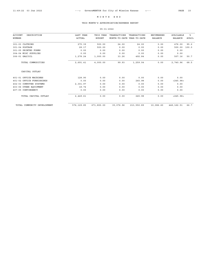## THIS MONTH'S APPROPRIATION/EXPENSE REPORT

#### 05-31-2022

| <b>ACCOUNT</b><br>DESCRIPTION<br>NUMBER | LAST YEAR<br><b>ACTUAL</b> | THIS YEAR<br><b>BUDGET</b> | TRANSACTIONS<br>MONTH-TO-DATE YEAR-TO-DATE | TRANSACTIONS | <b>ENCUMBERED</b><br><b>BALANCE</b> | <b>AVAILABLE</b><br><b>BALANCE</b> | ៖<br><b>AVAIL</b> |
|-----------------------------------------|----------------------------|----------------------------|--------------------------------------------|--------------|-------------------------------------|------------------------------------|-------------------|
| 301-03 CLOTHING                         | 275.39                     | 500.00                     | 24.00                                      | 24.00        | 0.00                                | 476.00                             | 95.2              |
| 301-04 POSTAGE                          | 28.17                      | 500.00                     | 0.00                                       | 0.00         | 0.00                                | 500.00                             | 100.0             |
| 301-05 PRINTED FORMS                    | 0.00                       | 0.00                       | 0.00                                       | 0.00         | 0.00                                | 0.00                               |                   |
| 304-04 MISC SUPPLIES                    | 0.00                       | 0.00                       | 0.00                                       | 0.00         | 0.00                                | 0.00                               |                   |
| 306-01 GAS/OIL                          | 1,278.24                   | 1,000.00                   | 33.26                                      | 492.84       | 0.00                                | 507.16                             | 50.7              |
| TOTAL COMMODITIES                       | 2,691.41                   | 4,000.00                   | 99.93                                      | 1,259.04     | 0.00                                | 2,740.96                           | 68.5              |
| CAPITAL OUTLAY                          |                            |                            |                                            |              |                                     |                                    |                   |
| 401-01 OFFICE MACHINES                  | 128.90                     | 0.00                       | 0.00                                       | 0.00         | 0.00                                | 0.00                               |                   |
| 401-02 OFFICE FURNISHINGS               | 0.00                       | 0.00                       | 0.00                                       | 245.98       | 0.00                                | < 245.98 >                         |                   |
| 402-03 COMPUTER SYSTEMS                 | 2,301.97                   | 0.00                       | 0.00                                       | 0.00         | 0.00                                | 0.00                               |                   |
| 403-06 OTHER EQUIPMENT                  | 18.74                      | 0.00                       | 0.00                                       | 0.00         | 0.00                                | 0.00                               |                   |
| 407-05 CONTINGENCY                      | 0.00                       | 0.00                       | 0.00                                       | 0.00         | 0.00                                | 0.00                               |                   |
| TOTAL CAPITAL OUTLAY                    | 2,449.61                   | 0.00                       | 0.00                                       | 245.98       | 0.00                                | < 245.98 >                         |                   |
|                                         |                            |                            |                                            |              |                                     |                                    |                   |

TOTAL COMMUNITY DEVELOPMENT 576,129.85 671,800.00 35,076.96 213,550.89 10,086.60 448,162.51 66.7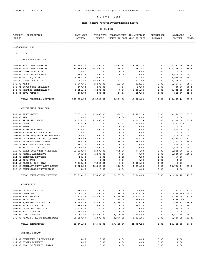# THIS MONTH'S APPROPRIATION/EXPENSE REPORT

| <b>ACCOUNT</b><br>DESCRIPTION<br>NUMBER                           | LAST YEAR<br><b>ACTUAL</b> | THIS YEAR<br><b>BUDGET</b> | TRANSACTIONS<br>MONTH-TO-DATE YEAR-TO-DATE | TRANSACTIONS        | ENCUMBERED<br><b>BALANCE</b> | AVAILABLE<br><b>BALANCE</b> | ిక<br>AVAIL  |
|-------------------------------------------------------------------|----------------------------|----------------------------|--------------------------------------------|---------------------|------------------------------|-----------------------------|--------------|
| (01) GENERAL FUND                                                 |                            |                            |                                            |                     |                              |                             |              |
| (25) POOL                                                         |                            |                            |                                            |                     |                              |                             |              |
| PERSONNEL SERVICES                                                |                            |                            |                                            |                     |                              |                             |              |
| 101-01 FULL TIME SALARIES                                         | 20,250.31                  | 22,400.00                  | 1,687.68                                   | 9,267.24            | 0.00                         | 13, 132.76                  | 58.6         |
| 101-02 PART TIME SALARIES                                         | 80,809.68                  | 114,000.00                 | 745.58                                     | 783.91              | 0.00                         | 113,216.09                  | 99.3         |
| 101-03 OTHER PART TIME                                            | 0.00                       | 0.00                       | 0.00                                       | 0.00                | 0.00                         | 0.00                        |              |
| 101-04 OVERTIME SALARIES                                          | 155.25                     | 2,000.00                   | 0.00                                       | 0.00                | 0.00                         | 2,000.00                    | 100.0        |
| 102-01 HEALTH / LIFE                                              | 5, 354.77                  | 5,500.00                   | 503.01                                     | 2,515.05            | 0.00                         | 2,984.95                    | 54.2         |
| 102-02 SOCIAL SECURITY                                            | 7,945.42                   | 10,000.00                  | 177.93                                     | 731.57              | 0.00                         | 9,268.43                    | 92.6         |
| 102-03 KPERS                                                      | 1,877.76                   | 2,500.00                   | 151.58                                     | 832.36              | 0.00                         | 1,667.64                    | 66.7         |
| 102-04 EMPLOYMENT SECURITY<br>102-05 WORKERS COMPENSATION         | 179.73<br>8,551.61         | 500.00<br>9,500.00         | 4.64<br>0.00                               | 19.03<br>3,864.65   | 0.00<br>0.00                 | 480.97<br>5,635.35          | 96.1<br>59.3 |
| 102-06 CITY PENSION                                               | 408.79                     | 500.00                     | 34.06                                      | 187.03              | 0.00                         | 312.97                      | 62.5         |
| TOTAL PERSONNEL SERVICES                                          | 125, 533.32                | 166,900.00                 | 3,304.48                                   | 18,200.84           | 0.00                         | 148,699.16                  | 89.0         |
|                                                                   |                            |                            |                                            |                     |                              |                             |              |
| CONTRACTUAL SERVICES                                              |                            |                            |                                            |                     |                              |                             |              |
| 201-01 ELECTRICITY                                                | 13,571.11                  | 17,000.00                  | 522.59                                     | 2,727.33            | 0.00                         | 14, 272.67                  | 83.9         |
| 201-03 GAS                                                        | 0.00                       | 0.00                       | 0.00                                       | 0.00                | 0.00                         | 0.00                        |              |
| 201-05 WATER AND SEWER                                            | 22, 335.59                 | 22,000.00                  | 309.79                                     | 1,061.94            | 0.00                         | 20,938.06                   | 95.1         |
| 201-07 TRASH                                                      | 277.34                     | 0.00                       | 123.87                                     | 123.87              | 0.00                         | <123.87>                    |              |
| 201-08 PHONE                                                      | 0.00                       | 0.00                       | 0.00                                       | 0.00                | 0.00                         | 0.00                        |              |
| 203-03 STAFF TRAINING                                             | 920.00                     | 1,000.00                   | 0.00                                       | 0.00                | 0.00                         | 1,000.00                    | 100.0        |
| 203-04 WORKMAN'S COMP CLAIMS                                      | 0.00                       | 0.00                       | 0.00                                       | 0.00                | 0.00                         | 0.00                        |              |
| 204-01 MARKETING/REGISTRATION MTLS                                | 50.00                      | 1,500.00                   | 0.00                                       | 0.00                | 0.00                         | 1,500.00 100.0              | 57.0         |
| 205-01 INSURANCE - BLDG, EQUIPMENT<br>207-07 PRE-EMPLOYMENT EXAMS | 4,766.08<br>2,890.38       | 5,000.00<br>2,000.00       | 0.00<br>288.00                             | 2, 145.78<br>288.00 | 0.00<br>0.00                 | 2,854.22<br>1,712.00        | 85.6         |
| 208-13 EMPLOYEE RECOGNITION                                       | 354.11                     | 500.00                     | 0.00                                       | 0.00                | 0.00                         | 500.00                      | 100.0        |
| 210-01 MAINT BLDG / LAND                                          | 5,989.48                   | 5,000.00                   | 0.00                                       | 0.00                | 0.00                         | 5,000.00                    | 100.0        |
| 212-05 OTHER EQUIPMENT / REPAIRS                                  | 13,613.07                  | 2,000.00                   | 775.00                                     | 775.00              | 0.00                         | 1,225.00                    | 61.2         |
| 213-02 RENTAL AGREEMENTS                                          | 775.00                     | 1,500.00                   | 0.00                                       | 0.00                | 0.00                         | 1,500.00                    | 100.0        |
| 214-05 COMPUTER SERVICES                                          | 23.40                      | 0.00                       | 1.95                                       | 7.80                | 0.00                         | < 7.80                      |              |
| 214-10 POOL TAGS                                                  | 0.00                       | 0.00                       | 0.00                                       | 0.00                | 0.00                         | 0.00                        |              |
| 214-12 MISSION SWIM TEAM                                          | 7,500.00                   | 7,500.00                   | 0.00                                       | 7,500.00            | 0.00                         | 0.00                        |              |
| 215-02 CONTRACT SERV/MAINT AGREEM                                 | 2,328.36                   | 12,000.00                  | 346.60                                     | 1,233.56            | 0.00                         | 10,766.44                   | 89.7         |
| 215-05 CONSULTANTS/INSTRUCTORS                                    | 0.00                       | 0.00                       | 0.00                                       | 0.00                | 0.00                         | 0.00                        |              |
| TOTAL CONTRACTUAL SERVICES                                        | 75, 393.92                 | 77,000.00                  | 2,367.80                                   | 15,863.28           | 0.00                         | 61, 136.72                  | 79.3         |
| COMMODITIES                                                       |                            |                            |                                            |                     |                              |                             |              |
| 301-01 OFFICE SUPPLIES                                            | 107.82                     | 300.00                     | 0.00                                       | 66.63               | 0.00                         | 233.37                      | 77.7         |
| 301-02 CLOTHING                                                   | 2,062.78                   | 2,500.00                   | 1,144.00                                   | 2,738.36            | 0.00                         | <238.36> <9.5>              |              |
| 301-03 FOOD SERVICE                                               | 12, 474.34                 | 25,000.00                  | 4,714.30                                   | 4,714.30            | 0.00                         | 20,285.70                   | 81.1         |
| 301-04 PRINTING                                                   | 180.00                     | 0.00                       | 259.00                                     | 259.00              | 0.00                         | < 259.00 >                  |              |
| 301-08 EQUIPMENT & SUPPLIES                                       | 6,742.13                   | 6,000.00                   | 4,255.45                                   | 4,420.39            | 0.00                         | 1,579.61                    | 26.3         |
| 303-04 SAFETY SUPPLIES                                            | 1,865.58                   | 900.00                     | 0.00                                       | 665.22              | 0.00                         | 234.78                      | 26.0         |
| 304-02 CLEANING CHEMICALS<br>304-04 MISC SUPPLIES                 | 1,219.36<br>494.57         | 750.00<br>0.00             | 0.00<br>0.00                               | 0.00<br>0.00        | 0.00<br>0.00                 | 750.00 100.0<br>0.00        |              |
| 304-05 POOL CHEMICALS                                             | 6,995.41                   | 12,000.00                  | 3,108.50                                   | 3,108.50            | 0.00                         | 8,891.50                    | 74.0         |
| 305-05 REPAIR / PARTS MAINTENANCE                                 | 10,229.89                  | 1,000.00                   | 3,977.82                                   | 6,014.85            | 0.00                         | $<$ 5,014.85><501.4>        |              |
| TOTAL COMMODITIES                                                 | 42, 371.88                 | 48,450.00                  | 17,459.07                                  | 21,987.25           | 0.00                         | 26, 462.75                  | 54.6         |
| CAPITAL OUTLAY                                                    |                            |                            |                                            |                     |                              |                             |              |
| 407-01 EQUIPMENT / REPLACEMENT                                    | 0.00                       | 0.00                       | 0.00                                       | 0.00                | 0.00                         | 0.00                        |              |
| 407-02 FILTER ELEMENTS                                            | 0.00                       | 0.00                       | 0.00                                       | 0.00                | 0.00                         | 0.00                        |              |
| 407-03 POOL IMP/REPAIR/DESIGN                                     | 0.00                       | 0.00                       | 0.00                                       | 0.00                | 0.00                         | 0.00                        |              |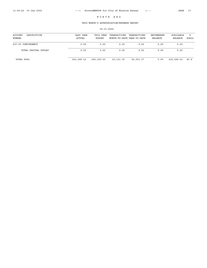# THIS MONTH'S APPROPRIATION/EXPENSE REPORT

| ACCOUNT<br>DESCRIPTION<br>NUMBER | LAST YEAR<br>ACTUAL | THIS YEAR<br>BUDGET | TRANSACTIONS<br>MONTH-TO-DATE YEAR-TO-DATE | TRANSACTIONS | ENCUMBERED<br>BALANCE | AVAILABLE<br>BALANCE | ิ≽<br>AVAIL |
|----------------------------------|---------------------|---------------------|--------------------------------------------|--------------|-----------------------|----------------------|-------------|
| 407-05 CONTINGENCY               | 0.00                | 0.00                | 0.00                                       | 0.00         | 0.00                  | 0.00                 |             |
| TOTAL CAPITAL OUTLAY             | 0.00                | 0.00                | 0.00                                       | 0.00         | 0.00                  | 0.00                 |             |
| TOTAL POOL                       | 243,299.12          | 292,350.00          | 23, 131.35                                 | 56,051.37    | 0.00                  | 236,298.63           | 80.8        |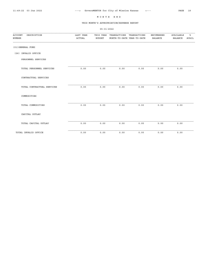05-31-2022

#### THIS MONTH'S APPROPRIATION/EXPENSE REPORT

ACCOUNT DESCRIPTION LAST YEAR THIS YEAR TRANSACTIONS TRANSACTIONS ENCUMBERED AVAILABLE % NUMBER ACTUAL BUDGET MONTH-TO-DATE YEAR-TO-DATE BALANCE BALANCE AVAIL (01)GENERAL FUND (26) INVALID OFFICE PERSONNEL SERVICES TOTAL PERSONNEL SERVICES 0.00 0.00 0.00 0.00 0.00 0.00 CONTRACTUAL SERVICES TOTAL CONTRACTUAL SERVICES 0.00 0.00 0.00 0.00 0.00 0.00 COMMODITIES TOTAL COMMODITIES 0.00 0.00 0.00 0.00 0.00 0.00 CAPITAL OUTLAY TOTAL CAPITAL OUTLAY 0.00 0.00 0.00 0.00 0.00 0.00

TOTAL INVALID OFFICE  $0.00$  0.00 0.00 0.00 0.00 0.00 0.00 0.00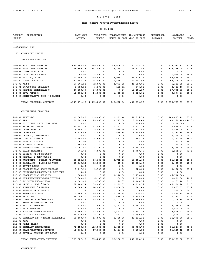# THIS MONTH'S APPROPRIATION/EXPENSE REPORT

| <b>ACCOUNT</b><br>DESCRIPTION<br>NUMBER                   | LAST YEAR<br><b>ACTUAL</b> | THIS YEAR<br><b>BUDGET</b> | TRANSACTIONS TRANSACTIONS<br>MONTH-TO-DATE YEAR-TO-DATE |                      | ENCUMBERED<br><b>BALANCE</b> | AVAILABLE<br><b>BALANCE</b> | ిక<br>AVAIL  |
|-----------------------------------------------------------|----------------------------|----------------------------|---------------------------------------------------------|----------------------|------------------------------|-----------------------------|--------------|
| (01) GENERAL FUND                                         |                            |                            |                                                         |                      |                              |                             |              |
| (27) COMMUNITY CENTER                                     |                            |                            |                                                         |                      |                              |                             |              |
| PERSONNEL SERVICES                                        |                            |                            |                                                         |                      |                              |                             |              |
| 101-01 FULL TIME SALARIES                                 | 690,102.54                 | 750,000.00                 | 52,006.05                                               | 320,038.13           | 0.00                         | 429,961.87                  | 57.3         |
| 101-02 PART TIME SALARIES                                 | 348,809.38                 | 512,000.00                 | 27,848.73                                               | 136, 271.96          | 0.00                         | 375,728.04                  | 73.3         |
| 101-03 OTHER PART TIME                                    | 0.00                       | 0.00                       | 0.00                                                    | 0.00                 | 0.00                         | 0.00                        |              |
| 101-04 OVERTIME SALARIES                                  | 56.99                      | 5,000.00                   | 0.00                                                    | 10.00                | 0.00                         | 4,990.00                    | 99.8         |
| 102-01 HEALTH / LIFE                                      | 161, 488.14                | 160,500.00                 | 13,934.42                                               | 71,810.30            | 0.00                         | 88,689.70                   | 55.2         |
| 102-02 SOCIAL SECURITY                                    | 87, 344.23                 | 96,000.00                  | 5,856.07                                                | 33,705.92            | 0.00                         | 62,294.08                   | 64.8         |
| 102-03 KPERS                                              | 67,806.22                  | 72,000.00                  | 4,773.95                                                | 26,688.01            | 0.00                         | 45, 311.99                  | 62.9         |
| 102-04 EMPLOYMENT SECURITY                                | 1,798.28                   | 3,500.00                   | 152.61                                                  | 876.84               | 0.00                         | 2,623.16                    | 74.9         |
| 102-05 WORKERS COMPENSATION                               | 27,080.09                  | 30,000.00                  | 0.00                                                    | 12,204.17            | 0.00                         | 17,795.83                   | 59.3         |
| 102-06 CITY PENSION<br>102-07 ADMISTRATIVE CHGS / PENSION | 12,686.08<br>0.00          | 14,000.00<br>0.00          | 1,061.03<br>0.00                                        | 5,625.04<br>0.00     | 0.00<br>0.00                 | 8,374.96<br>0.00            | 59.8         |
|                                                           |                            |                            |                                                         |                      |                              |                             |              |
| TOTAL PERSONNEL SERVICES                                  | 1,397,171.95 1,643,000.00  |                            | 105,632.86                                              | 607,230.37           | 0.00                         | 1,035,769.63                | 63.0         |
| CONTRACTUAL SERVICES                                      |                            |                            |                                                         |                      |                              |                             |              |
| 201-01 ELECTRIC                                           | 181,007.60                 | 160,000.00                 | 10,339.46                                               | 51,596.58            | 0.00                         | 108,403.42                  | 67.7         |
| 201-03 GAS                                                | 56, 361.64                 | 20,000.00                  | 3,777.00                                                | 29,260.48            | 0.00                         | $<$ 9,260.48> <46.3>        |              |
| 201-04 UTILITIES - WTR DIST BLDG                          | 0.00                       | 0.00                       | 0.00                                                    | 150.00               | 0.00                         | <150.00>                    |              |
| 201-05 WATER AND SEWER                                    | 33,751.78                  | 37,000.00                  | 1,351.09                                                | 6,511.19             | 0.00                         | 30,488.81                   | 82.4         |
| 201-07 TRASH SERVICE                                      | 6,248.20                   | 5,400.00                   | 564.40                                                  | 2,822.00             | 0.00                         | 2,578.00                    | 47.7         |
| 201-08 TELEPHONE                                          | 8,235.05                   | 8,000.00                   | 640.35                                                  | 3,205.66             | 0.00                         | 4,794.34                    | 59.9         |
| 202-02 TRAVEL / COMMERCIAL                                | 0.00                       | 2,700.00                   | 0.00                                                    | 0.00                 | 0.00                         | 2,700.00 100.0              |              |
| 202-03 LODGING / MEALS                                    | 1,253.41                   | 4,800.00                   | 442.46                                                  | 658.75               | 0.00                         | 4, 141.25                   | 86.2         |
| 202-04 PARKING / TOLLS                                    | 61.95                      | 50.00                      | 0.00                                                    | 7.00                 | 0.00                         | 43.00                       | 86.0         |
| 202-05 MILEAGE - STAFF                                    | 164.64                     | 750.00                     | 0.00                                                    | 0.00                 | 0.00                         | 750.00 100.0                |              |
| 203-01 REGISTRATION / TUITION<br>203-02 STAFF TRAINING    | 1,061.00                   | 4,200.00                   | 0.00                                                    | 1,454.00             | 0.00                         | 2,746.00                    | 65.3         |
| 203-03 TUITION REIMBURSEMENT                              | 976.00<br>0.00             | 6,000.00<br>0.00           | 0.00<br>0.00                                            | 1,700.46<br>0.00     | 0.00<br>0.00                 | 4,299.54<br>0.00            | 71.6         |
| 203-04 WORKMAN'S COMP CLAIMS                              | 0.00                       | 0.00                       | 0.00                                                    | 0.00                 | 0.00                         | 0.00                        |              |
| 204-01 MARKETING / PUBLIC RELATIONS                       | 69,816.53                  | 58,650.00                  | 8,762.99                                                | 43,801.68            | 0.00                         | 14,848.32                   | 25.3         |
| 205-01 INSURANCE - BLDG, EQUIPMENT                        | 35, 269.12                 | 35,000.00                  | 45.00                                                   | 28,500.69            | 0.00                         | 6,499.31                    | 18.5         |
| 205-02 NOTARY BONDS                                       | 0.00                       | 0.00                       | 0.00                                                    | 0.00                 | 0.00                         | 0.00                        |              |
| 206-01 PROFESSIONAL ORGANIZATIONS                         | 1,747.31                   | 3,500.00                   | 0.00                                                    | 520.00               | 0.00                         | 2,980.00                    | 85.1         |
| 206-03 PERIODICALS/BOOKS/PUBLICATIONS                     | 0.00                       | 0.00                       | 0.00                                                    | 0.00                 | 0.00                         | 0.00                        |              |
| 206-05 PROFESSIONAL SERVICES                              | 200.00                     | 0.00                       | 3,340.00                                                | 6,730.00             | 0.00                         | < 6, 730.00 >               |              |
| 207-07 PRE-EMPLOYMENT/DRUG TESTING                        | 5,080.02                   | 6, 100.00                  | 384.00                                                  | 1,299.00             | 0.00                         | 4,801.00                    | 78.7         |
| 208-13 EMPLOYEE RECOGNITION                               | 4,661.61                   | 3,500.00                   | 172.87                                                  | 1,340.56             | 0.00                         | 2,159.44                    | 61.6         |
| 210-01 MAINT - BLDG / LAND                                | 52,109.74                  | 50,000.00                  | 2,332.35                                                | 4,093.76             | 0.00                         | 45,906.24                   | 91.8         |
| 212-05 EQUIPMENT / REPAIRS                                | 14,804.54                  | 14,000.00                  | 1,050.00                                                | 6,542.43             | 0.00                         | 7,457.57                    | 53.2         |
| 212-07 VEHICLE MAINTENANCE                                | 21.37                      | 500.00                     | 0.00                                                    | 0.00                 | 0.00                         | 500.00 100.0                |              |
| 213-02 RENTAL EQUIPMENT                                   | 11,809.12                  | 10,000.00                  | 1,766.25                                                | 7,174.51             | $0.00$                       | 2,825.49                    | 28.2         |
| 214-03 PRINTING<br>214-05 COMPUTER SERV/SOFTWARE          | 26,085.70<br>15,247.32     | 20,000.00<br>15,000.00     | 480.00                                                  | 5,646.99<br>3,690.62 | 0.00                         | 14,353.01<br>11,309.38      | 71.7<br>75.3 |
| 214-10 REGISTRATION MATERIALS                             | 0.00                       | 0.00                       | 1,101.82<br>0.00                                        | 0.00                 | 0.00<br>0.00                 | 0.00                        |              |
| 214-11 SPECIAL PROGRAMS                                   | 12,272.00                  | 23,500.00                  | 1,377.05                                                | 5, 153.43            | 0.00                         | 18,346.57                   | 78.0         |
| 214-12 SWIM PROGRAMS                                      | 679.49                     | 3,000.00                   | 0.00                                                    | 0.00                 | 0.00                         | 3,000.00 100.0              |              |
| 214-13 MISSION SUMMER PROGRAM                             | 19,502.79                  | 37,000.00                  | 1,523.93                                                | 9,301.78             | 0.00                         | 27,698.22                   | 74.8         |
| 215-01 SEASONAL PROGRAMS                                  | 28, 477.53                 | 28,300.00                  | 882.07                                                  | 6,799.99             | 0.00                         | 21,500.01                   | 75.9         |
| 215-02 CONTRACT SER / MAINT AGREEMENTS                    | 58,163.07                  | 63,000.00                  | 2,688.38                                                | 28, 221.14           | 0.00                         | 34,778.86                   | 55.2         |
| 215-03 MISC                                               | 0.00                       | 0.00                       | 0.00                                                    | 0.00                 | 0.00                         | 0.00                        |              |
| 215-04 FIELD TRIPS                                        | 0.00                       | 0.00                       | $0.00$                                                  | 0.00                 | 0.00                         | 0.00                        |              |
| 215-05 CONTRACT INSTRUCTORS                               | 72,450.89                  | 125,000.00                 | 6,951.00                                                | 30,755.70            | 0.00                         | 94,244.30                   | 75.3         |
| 215-06 TRANSPORTATION SERVICES                            | 12,008.00                  | 17,300.00                  | 2,416.18                                                | 3,150.58             | 0.00                         | 14, 149. 42                 | 81.7         |
| 215-10 BEVERLY PARKING LOT LEASE                          | 0.00                       | 0.00                       | 0.00                                                    | 0.00                 | 0.00                         | 0.00                        |              |
| TOTAL CONTRACTUAL SERVICES                                | 729,527.42                 | 762,250.00                 | 52,388.65                                               | 290,088.98           | 0.00                         | 472,161.02                  | 61.9         |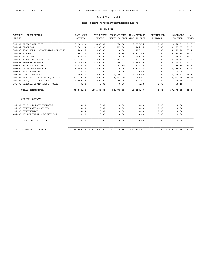# THIS MONTH'S APPROPRIATION/EXPENSE REPORT

| <b>ACCOUNT</b><br>DESCRIPTION          | LAST YEAR  | THIS YEAR                     | TRANSACTIONS               | TRANSACTIONS | <b>ENCUMBERED</b> | AVAILABLE                 | ิัะ   |
|----------------------------------------|------------|-------------------------------|----------------------------|--------------|-------------------|---------------------------|-------|
| NUMBER                                 | ACTUAL     | <b>BUDGET</b>                 | MONTH-TO-DATE YEAR-TO-DATE |              | <b>BALANCE</b>    | <b>BALANCE</b>            | AVAIL |
| 301-01 OFFICE SUPPLIES                 | 3,681.93   | 4,000.00                      | 766.08                     | 2,637.76     | 0.00              | 1,362.24                  | 34.0  |
| 301-02 CLOTHING                        | 8,381.74   | 8,900.00                      | 623.00                     | 746.35       | 0.00              | 8,153.65                  | 91.6  |
| 301-03 FOOD SERV / CONCESSION SUPPLIES | 163.35     | 5,000.00                      | 0.00                       | 127.22       | 0.00              | 4,872.78                  | 97.4  |
| 301-04 POSTAGE                         | 7,402.28   | 5,000.00                      | 704.40                     | 1,451.84     | 0.00              | 3,548.16                  | 70.9  |
| 301-05 PRINTING                        | 255.65     | 1,300.00                      | 0.00                       | 305.25       | 0.00              | 994.75                    | 76.5  |
| 301-08 EQUIPMENT & SUPPLIES            | 28,826.71  | 39,000.00                     | 5,673.95                   | 13,291.78    | 0.00              | 25,708.22                 | 65.9  |
| 301-09 PROGRAM SUPPLIES                | 5,797.45   | 10,000.00                     | 540.41                     | 2,695.79     | 0.00              | 7,304.21                  | 73.0  |
| 303-04 SAFETY SUPPLIES                 | 1,472.03   | 1,200.00                      | 31.99                      | 423.90       | 0.00              | 776.10                    | 64.6  |
| 304-02 CLEANING SUPPLIES               | 8,548.24   | 15,000.00                     | 0.00                       | 1,313.13     | 0.00              | 13,686.87                 | 91.2  |
| 304-04 MISC SUPPLIES                   | 0.00       | 0.00                          | 0.00                       | 0.00         | 0.00              | 0.00                      |       |
| 304-05 POOL CHEMICALS                  | 10,682.29  | 8,500.00                      | 1,389.23                   | 3,900.69     | 0.00              | 4,599.31                  | 54.1  |
| 305-05 BLDG MAINT / REPAIR / PARTS     | 20, 237.58 | 9,000.00                      | 3,012.09                   | 12,992.64    | 0.00              | $<$ 3,992.64> $<$ 44.3>   |       |
| 306-01 GAS / OIL - VEHICLE             | 1,187.13   | 500.00                        | 38.20                      | 135.56       | 0.00              | 364.44                    | 72.8  |
| 306-02 VEHICLE/EQUIP REPAIR PARTS      | 9.98       | 0.00                          | 0.00                       | 6.18         | 0.00              | < 6.18>                   |       |
| TOTAL COMMODITIES                      | 96,646.36  | 107,400.00                    | 12,779.35                  | 40,028.09    | 0.00              | 67,371.91                 | 62.7  |
| CAPITAL OUTLAY                         |            |                               |                            |              |                   |                           |       |
| 407-01 EOPT AND EOPT REPLACEM          | 0.00       | 0.00                          | 0.00                       | 0.00         | 0.00              | 0.00                      |       |
| 407-03 CONSTRUCTION/REPAIR             | 0.00       | 0.00                          | 0.00                       | 0.00         | 0.00              | 0.00                      |       |
| 407-05 CONTINGENCY                     | 9.99       | 0.00                          | 0.00                       | 0.00         | 0.00              | 0.00                      |       |
| 407-07 MORROW TRUST - DO NOT USE!      | 0.00       | 0.00                          | 0.00                       | 0.00         | 0.00              | 0.00                      |       |
| TOTAL CAPITAL OUTLAY                   | 9.99       | 0.00                          | 0.00                       | 0.00         | 0.00              | 0.00                      |       |
| TOTAL COMMUNITY CENTER                 |            | 2, 223, 355.72 2, 512, 650.00 | 170,800.86                 | 937, 347.44  |                   | $0.00 \quad 1,575,302.56$ | 62.6  |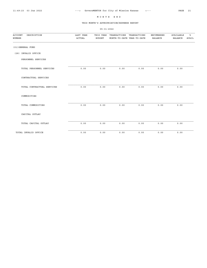#### THIS MONTH'S APPROPRIATION/EXPENSE REPORT

05-31-2022

ACCOUNT DESCRIPTION LAST YEAR THIS YEAR TRANSACTIONS TRANSACTIONS ENCUMBERED AVAILABLE % NUMBER ACTUAL BUDGET MONTH-TO-DATE YEAR-TO-DATE BALANCE BALANCE AVAIL (01)GENERAL FUND (28) INVALID OFFICE PERSONNEL SERVICES TOTAL PERSONNEL SERVICES 0.00 0.00 0.00 0.00 0.00 0.00 CONTRACTUAL SERVICES TOTAL CONTRACTUAL SERVICES 0.00 0.00 0.00 0.00 0.00 0.00 COMMODITIES TOTAL COMMODITIES 0.00 0.00 0.00 0.00 0.00 0.00 CAPITAL OUTLAY TOTAL CAPITAL OUTLAY 0.00 0.00 0.00 0.00 0.00 0.00

TOTAL INVALID OFFICE  $0.00$  0.00 0.00 0.00 0.00 0.00 0.00 0.00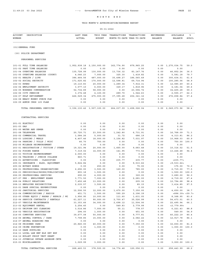# THIS MONTH'S APPROPRIATION/EXPENSE REPORT

| ACCOUNT<br>DESCRIPTION<br>NUMBER                                   | LAST YEAR<br>ACTUAL           | THIS YEAR<br><b>BUDGET</b> | TRANSACTIONS        | TRANSACTIONS<br>MONTH-TO-DATE YEAR-TO-DATE | ENCUMBERED<br><b>BALANCE</b> | AVAILABLE<br><b>BALANCE</b> | ిక<br>AVAIL  |
|--------------------------------------------------------------------|-------------------------------|----------------------------|---------------------|--------------------------------------------|------------------------------|-----------------------------|--------------|
| (01) GENERAL FUND                                                  |                               |                            |                     |                                            |                              |                             |              |
| (30) POLICE DEPARTMENT                                             |                               |                            |                     |                                            |                              |                             |              |
| PERSONNEL SERVICES                                                 |                               |                            |                     |                                            |                              |                             |              |
| 101-01 FULL TIME SALARIES                                          | 1,952,938.18 2,150,000.00     |                            | 162,774.90          | 879,965.25                                 |                              | $0.00 \quad 1,270,034.75$   | 59.0         |
| 101-02 PART TIME SALARIES                                          | 0.00                          | 0.00                       | 0.00                | 0.00                                       | 0.00                         | 0.00                        |              |
| 101-04 OVERTIME SALARIES                                           | 135,728.99                    | 130,000.00                 | 13,736.32           | 83, 147. 76                                | 0.00                         | 46,852.24                   | 36.0         |
| 101-05 OVERTIME SALARIES (COURT)<br>102-01 HEALTH / LIFE           | 4,046.23<br>386, 464.56       | 7,000.00<br>487,000.00     | 325.30<br>35,498.27 | 1,418.82<br>186,565.49                     | 0.00<br>0.00                 | 5,581.18<br>300, 434.51     | 79.7<br>61.6 |
| 102-02 SOCIAL SECURITY                                             | 171,625.82                    | 170,000.00                 | 12,598.81           | 69,714.94                                  | 0.00                         | 100,285.06                  | 58.9         |
| 102-03 KPERS                                                       | 19,110.83                     | 20,000.00                  | 1,289.34            | 7,914.31                                   | 0.00                         | 12,085.69                   | 60.4         |
| 102-04 EMPLOYMENT SECURITY                                         | 3,577.10                      | 6,000.00                   | 329.17              | 1,818.96                                   | 0.00                         | 4,181.04                    | 69.6         |
| 102-05 WORKERS COMPENSATION                                        | 52,734.89                     | 58,000.00                  | 0.00                | 23,594.72                                  | 0.00                         | 34,405.28                   | 59.3         |
| 102-06 CITY PENSION                                                | 3,374.48                      | 4,100.00                   | 289.70              | 1,544.63                                   | 0.00                         | 2,555.37                    | 62.3         |
| 102-07 KP&F RETIREMENT<br>102-08 NEACC MONEY PURCH PLN             | 426,529.34<br>0.00            | 475,000.00<br>0.00         | 37,395.28<br>0.00   | 202, 341.16<br>0.00                        | 0.00<br>0.00                 | 272,658.84<br>0.00          | 57.4         |
| 102-09 ADMIN CHGS 125 PLAN                                         | 0.00                          | 0.00                       | 0.00                | 0.00                                       | 0.00                         | 0.00                        |              |
|                                                                    |                               |                            |                     |                                            |                              |                             |              |
| TOTAL PERSONNEL SERVICES                                           | 3, 156, 130.42 3, 507, 100.00 |                            |                     | 264, 237.09 1, 458, 026.04                 |                              | $0.00 \quad 2.049.073.96$   | 58.4         |
| CONTRACTUAL SERVICES                                               |                               |                            |                     |                                            |                              |                             |              |
| 201-01 ELECTRIC                                                    | 0.00                          | 0.00                       | 0.00                | 0.00                                       | 0.00                         | 0.00                        |              |
| 201-03 GAS                                                         | 0.00                          | 0.00                       | 0.00                | 0.00                                       | 0.00                         | 0.00                        |              |
| 201-05 WATER AND SEWER                                             | 0.00                          | 0.00                       | 0.00                | 0.00                                       | 0.00                         | 0.00                        |              |
| 201-08 TELEPHONE                                                   | 20,720.71                     | 23,500.00                  | 1,242.80            | 6,731.91                                   | 0.00                         | 16,768.09                   | 71.3         |
| 202-02 COMMERCIAL TRAVEL                                           | 1,584.26                      | 5,000.00                   | 31.72               | 686.19                                     | 0.00                         | 4,313.81                    | 86.2         |
| 202-03 LODGING / MEALS                                             | 6,407.46                      | 18,000.00                  | 3,156.82            | 7,031.97                                   | 0.00                         | 10,968.03                   | 60.9         |
| 202-04 PARKING / TOLLS / MISC<br>202-05 MILEAGE REIMBURSEMENT      | 66.70<br>0.00                 | 750.00<br>0.00             | 0.00<br>0.00        | 0.00<br>0.00                               | 0.00<br>0.00                 | 750.00 100.0<br>0.00        |              |
| 203-01 REGISTRATION / TUITION / OTHER                              | 19,321.94                     | 20,000.00                  | 1,665.00            | 9,683.48                                   | 0.00                         | 10,316.52                   | 51.5         |
| 203-02 FIRING RANGE                                                | 7,319.02                      | 14,000.00                  | 141.95              | 773.52                                     | 0.00                         | 13, 226.48                  | 94.4         |
| 203-03 TUITION REIMBURSEMENT                                       | 2,000.00                      | 0.00                       | 0.00                | 0.00                                       | 0.00                         | 0.00                        |              |
| 203-04 TRAINING / JUNIOR COLLEGE                                   | 860.71                        | 0.00                       | 0.00                | 0.00                                       | 0.00                         | 0.00                        |              |
| 204-01 ADVERTISING - CLASSIFIED                                    | 0.00                          | 0.00                       | 235.77              | 235.77                                     | 0.00                         | < 235.77                    |              |
| 205-01 INSURANCE - BLDG, EQUIPMENT<br>205-02 NOTARY BONDS          | 5,824.84<br>0.00              | 0.00<br>250.00             | 0.00<br>0.00        | 9,533.62<br>75.00                          | 0.00<br>0.00                 | < 9, 533.62<br>175.00       | 70.0         |
| 206-01 PROFESSIONAL ORGANIZATIONS                                  | 2,692.00                      | 3,500.00                   | 120.00              | 785.00                                     | 0.00                         | 2,715.00                    | 77.5         |
| 206-03 PERIODICALS/BOOKS/PUBLICATIONS                              | 893.18                        | 1,500.00                   | 0.00                | 0.00                                       | 0.00                         | 1,500.00 100.0              |              |
| 206-05 PROFESSIONAL SERVICES                                       | 690.00                        | 4,000.00                   | 0.00                | 320.00                                     | 0.00                         | 3,680.00                    | 92.0         |
| 207-07 PRE - EMPLOYMENT EXAMS                                      | 3,771.50                      | 7,000.00                   | 0.00                | 2,281.00                                   | 0.00                         | 4,719.00                    | 67.4         |
| 208-04 PUBLIC RELATIONS                                            | 7,452.48                      | 13,000.00                  | 0.00                | 205.32                                     | 0.00                         | 12,794.68                   | 98.4         |
| 208-13 EMPLOYEE RECOGNITITON                                       | 2,035.57                      | 3,500.00                   | 0.00                | 85.15                                      | 0.00                         | 3,414.85                    | 97.5         |
| 210-01 DARE SPECIAL EXPENDITURES<br>210-02 JANITORIAL SERVICES     | 0.00<br>12,506.50             | 0.00<br>12,000.00          | 0.00<br>1,470.00    | 0.00<br>7,350.00                           | 0.00<br>0.00                 | 0.00<br>4,650.00 38.7       |              |
| 212-04 COMMUNICATIONS / RADIOS                                     | 451.71                        | 1,500.00                   | 595.29              | 2,396.39                                   | 0.00                         | <896.39> <59.7>             |              |
| 212-05 OTHER EQUIP / RADAR / REPAIR / MI                           | 3,956.95                      | 10,000.00                  | 111.60              | 1,631.05                                   | 0.00                         | 8,368.95                    | 83.6         |
| 212-06 SERVICE CONTRACTS / RENTALS                                 | 61,227.11                     | 90,000.00                  | 2,700.47            | 35,526.99                                  | 0.00                         | 54,473.01                   | 60.5         |
| 212-07 VEHICLE MAINTENANCE                                         | 33, 353.66                    | 34,000.00                  | 2,698.12            | 11,504.06                                  | 0.00                         | 22,495.94                   | 66.1         |
| 213-02 EQUIPMENT RENTAL                                            | 2,254.45                      | 0.00                       | 549.83              | 2,779.99                                   | 0.00                         | <2,779.99>                  |              |
| 213-03 UNIFORM DRY CLEANING<br>214-02 VEHICLE REGISTRATION         | 3,514.86<br>294.00            | 7,000.00<br>1,000.00       | 55.11<br>0.00       | 778.57<br>451.00                           | 0.00<br>0.00                 | 6,221.43<br>549.00          | 88.8<br>54.9 |
| 214-05 COMPUTER SERVICES                                           | 39,677.08                     | 50,000.00                  | 0.00                | 9,777.81                                   | 0.00                         | 40,222.19                   | 80.4         |
| 214-06 ANIMAL CONTROL / CARE                                       | 7,708.85                      | 15,000.00                  | 0.00                | 2,082.22                                   | 0.00                         | 12,917.78                   | 86.1         |
| 214-07 ANIMAL BOARDING FEE                                         | 0.00                          | 0.00                       | 0.00                | 0.00                                       | 0.00                         | 0.00                        |              |
| 214-08 PRISONER CARE                                               | 20,845.00                     | 40,000.00                  | 0.00                | 7,350.00                                   | 0.00                         | 32,650.00                   | 81.6         |
| 214-09 CRIME PREVENTION                                            | 0.00                          | 1,000.00                   | 0.00                | 0.00                                       | 0.00                         | 1,000.00                    | 100.0        |
| 214-10 DARE SUPPLIES                                               | 0.00                          | 0.00                       | 0.00                | 0.00                                       | 0.00                         | 0.00                        |              |
| 214-11 LOCAL LAW ENF BLK GRT EXP<br>214-12 BULLET PROOF VEST GRANT | 0.00<br>0.00                  | 0.00<br>0.00               | 0.00<br>0.00        | 0.00<br>0.00                               | 0.00<br>0.00                 | 0.00<br>0.00                |              |
| 214-13 JUVENILE INTAKE ASSESSM CNTR                                | 0.00                          | 0.00                       | 0.00                | 0.00                                       | 0.00                         | 0.00                        |              |
| 215-03 MISCELLANEOUS                                               | 1,029.99                      | 3,000.00                   | 0.00                | 0.00                                       | 0.00                         | 3,000.00 100.0              |              |
| TOTAL CONTRACTUAL SERVICES                                         | 268,460.53                    | 378,500.00                 | 14,774.48           | 120,056.01                                 | 0.00                         | 258,443.99                  | 68.2         |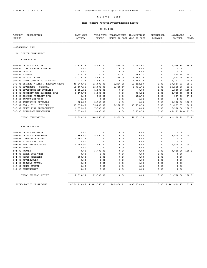# THIS MONTH'S APPROPRIATION/EXPENSE REPORT

| (01) GENERAL FUND<br>(30) POLICE DEPARTMENT<br>COMMODITIES<br>301-01 OFFICE SUPPLIES<br>2,939.25<br>5,000.00<br>545.44<br>2,053.61<br>0.00<br>301-02 COPY MACHINE SUPPLIES<br>0.00<br>0.00<br>0.00<br>0.00<br>0.00<br>301-03 IMAGING<br>0.00<br>0.00<br>0.00<br>0.00<br>0.00<br>301-04 POSTAGE<br>270.27<br>750.00<br>13.93<br>189.11<br>0.00<br>301-05 PRINTED FORMS<br>288.00<br>1,488.72<br>1,078.28<br>2,500.00<br>0.00<br>301-06 OTHER OPERATING SUPPLIES<br>2,924.13<br>4,500.00<br>1,342.78<br>0.00<br>0.00<br>302-01 UNIFRMS / LTHR / PROTECT VESTS<br>30,570.71<br>33,000.00<br>1,227.95<br>13, 452.29<br>0.00<br>302-02 EQUIPMENT - GENERAL<br>25,000.00<br>1,608.47<br>9,731.74<br>19,407.35<br>0.00<br>303-01 INVESTIGATION SUPPLIES<br>1,500.00<br>0.00<br>0.00<br>0.00<br>1,891.51<br>303-02 PROPERTY AND EVIDENCE SPLS<br>3,478.78<br>3,500.00<br>0.00<br>730.32<br>0.00 |            |                         |
|-----------------------------------------------------------------------------------------------------------------------------------------------------------------------------------------------------------------------------------------------------------------------------------------------------------------------------------------------------------------------------------------------------------------------------------------------------------------------------------------------------------------------------------------------------------------------------------------------------------------------------------------------------------------------------------------------------------------------------------------------------------------------------------------------------------------------------------------------------------------------------------------|------------|-------------------------|
|                                                                                                                                                                                                                                                                                                                                                                                                                                                                                                                                                                                                                                                                                                                                                                                                                                                                                         |            |                         |
|                                                                                                                                                                                                                                                                                                                                                                                                                                                                                                                                                                                                                                                                                                                                                                                                                                                                                         |            |                         |
|                                                                                                                                                                                                                                                                                                                                                                                                                                                                                                                                                                                                                                                                                                                                                                                                                                                                                         |            |                         |
|                                                                                                                                                                                                                                                                                                                                                                                                                                                                                                                                                                                                                                                                                                                                                                                                                                                                                         |            |                         |
|                                                                                                                                                                                                                                                                                                                                                                                                                                                                                                                                                                                                                                                                                                                                                                                                                                                                                         | 2,946.39   | 58.9                    |
|                                                                                                                                                                                                                                                                                                                                                                                                                                                                                                                                                                                                                                                                                                                                                                                                                                                                                         | 0.00       |                         |
|                                                                                                                                                                                                                                                                                                                                                                                                                                                                                                                                                                                                                                                                                                                                                                                                                                                                                         | 0.00       |                         |
|                                                                                                                                                                                                                                                                                                                                                                                                                                                                                                                                                                                                                                                                                                                                                                                                                                                                                         | 560.89     | 74.7                    |
|                                                                                                                                                                                                                                                                                                                                                                                                                                                                                                                                                                                                                                                                                                                                                                                                                                                                                         | 1,011.28   | 40.4                    |
|                                                                                                                                                                                                                                                                                                                                                                                                                                                                                                                                                                                                                                                                                                                                                                                                                                                                                         | 3, 157.22  | 70.1                    |
|                                                                                                                                                                                                                                                                                                                                                                                                                                                                                                                                                                                                                                                                                                                                                                                                                                                                                         | 19,547.71  | 59.2                    |
|                                                                                                                                                                                                                                                                                                                                                                                                                                                                                                                                                                                                                                                                                                                                                                                                                                                                                         | 15,268.26  | 61.0                    |
|                                                                                                                                                                                                                                                                                                                                                                                                                                                                                                                                                                                                                                                                                                                                                                                                                                                                                         | 1,500.00   | 100.0                   |
|                                                                                                                                                                                                                                                                                                                                                                                                                                                                                                                                                                                                                                                                                                                                                                                                                                                                                         | 2,769.68   | 79.1                    |
| 303-03 BOOKING FACILITY SPLS<br>112.70<br>0.00<br>500.00<br>0.00<br>0.00                                                                                                                                                                                                                                                                                                                                                                                                                                                                                                                                                                                                                                                                                                                                                                                                                | 387.30     | 77.4                    |
| 303-04 SAFETY SUPPLIES<br>0.00<br>0.00<br>0.00<br>0.00<br>0.00                                                                                                                                                                                                                                                                                                                                                                                                                                                                                                                                                                                                                                                                                                                                                                                                                          | 0.00       |                         |
| 305-01 JANITORIAL SUPPLIES<br>820.25<br>2,500.00<br>0.00<br>0.00<br>0.00                                                                                                                                                                                                                                                                                                                                                                                                                                                                                                                                                                                                                                                                                                                                                                                                                | 2,500.00   | 100.0                   |
| 306-01 GAS / OIL - VEHICLE<br>47,818.60<br>55,000.00<br>5,308.75<br>23,770.73<br>0.00                                                                                                                                                                                                                                                                                                                                                                                                                                                                                                                                                                                                                                                                                                                                                                                                   | 31,229.27  | 56.7                    |
| 306-02 FLEET TIRE REPLACEMENTS<br>4,652.00<br>7,500.00<br>0.00<br>0.00<br>0.00                                                                                                                                                                                                                                                                                                                                                                                                                                                                                                                                                                                                                                                                                                                                                                                                          | 7,500.00   | 100.0                   |
| 306-03 EMERGENCY MANAGEMENT<br>3,078.40<br>3,000.00<br>0.00<br>8,979.78<br>0.00                                                                                                                                                                                                                                                                                                                                                                                                                                                                                                                                                                                                                                                                                                                                                                                                         |            | $<$ 5, 979.78> < 199.3> |
| TOTAL COMMODITIES<br>118,929.53<br>144,250.00<br>8,992.54<br>61,851.78<br>0.00                                                                                                                                                                                                                                                                                                                                                                                                                                                                                                                                                                                                                                                                                                                                                                                                          | 82, 398.22 | 57.1                    |
| CAPITAL OUTLAY                                                                                                                                                                                                                                                                                                                                                                                                                                                                                                                                                                                                                                                                                                                                                                                                                                                                          |            |                         |
| 401-01 OFFICE MACHINES<br>0.00<br>0.00<br>0.00<br>0.00<br>0.00                                                                                                                                                                                                                                                                                                                                                                                                                                                                                                                                                                                                                                                                                                                                                                                                                          | 0.00       |                         |
| 402-02 OFFICE FURNISHINGS<br>2,369.00<br>5,000.00<br>0.00<br>0.00<br>0.00                                                                                                                                                                                                                                                                                                                                                                                                                                                                                                                                                                                                                                                                                                                                                                                                               | 5,000.00   | 100.0                   |
| 402-03 COMPUTER SYSTEMS<br>4, 454.29<br>0.00<br>0.00<br>0.00<br>0.00                                                                                                                                                                                                                                                                                                                                                                                                                                                                                                                                                                                                                                                                                                                                                                                                                    | 0.00       |                         |
| 403-01 POLICE VEHICLES<br>0.00<br>0.00<br>0.00<br>0.00<br>0.00                                                                                                                                                                                                                                                                                                                                                                                                                                                                                                                                                                                                                                                                                                                                                                                                                          | 0.00       |                         |
| 404-03 HANDGUNS/SHOTGUNS<br>4,789.90<br>3,000.00<br>0.00<br>0.00<br>0.00                                                                                                                                                                                                                                                                                                                                                                                                                                                                                                                                                                                                                                                                                                                                                                                                                | 3,000.00   | 100.0                   |
| 404-04 RADIOS<br>0.00<br>0.00<br>0.00<br>0.00<br>0.00                                                                                                                                                                                                                                                                                                                                                                                                                                                                                                                                                                                                                                                                                                                                                                                                                                   | 0.00       |                         |
| 404-05 RADARS<br>3,700.00<br>0.00<br>0.00<br>0.00<br>0.00                                                                                                                                                                                                                                                                                                                                                                                                                                                                                                                                                                                                                                                                                                                                                                                                                               | 3,700.00   | 100.0                   |
| 404-06 OTHER EQUIPMENT<br>0.00<br>0.00<br>0.00<br>0.00<br>0.00                                                                                                                                                                                                                                                                                                                                                                                                                                                                                                                                                                                                                                                                                                                                                                                                                          | 0.00       |                         |
| 404-07 VIDEO RECORDER<br>980.00<br>0.00<br>0.00<br>0.00<br>0.00                                                                                                                                                                                                                                                                                                                                                                                                                                                                                                                                                                                                                                                                                                                                                                                                                         | 0.00       |                         |
| 404-08 MOTORCYCLES<br>0.00<br>0.00<br>0.00<br>0.00<br>0.00                                                                                                                                                                                                                                                                                                                                                                                                                                                                                                                                                                                                                                                                                                                                                                                                                              | 0.00       |                         |
| 404-09 BICYCLE PATROL<br>0.00<br>0.00<br>0.00<br>0.00<br>0.00                                                                                                                                                                                                                                                                                                                                                                                                                                                                                                                                                                                                                                                                                                                                                                                                                           | 0.00       |                         |
| 406-01 KPERS BUYOUT<br>0.00<br>0.00<br>0.00<br>0.00<br>0.00                                                                                                                                                                                                                                                                                                                                                                                                                                                                                                                                                                                                                                                                                                                                                                                                                             | 0.00       |                         |
| 407-05 CONTINGENCY<br>0.00<br>0.00<br>0.00<br>0.00<br>0.00                                                                                                                                                                                                                                                                                                                                                                                                                                                                                                                                                                                                                                                                                                                                                                                                                              | 0.00       |                         |
| TOTAL CAPITAL OUTLAY<br>12,593.19<br>11,700.00<br>0.00<br>0.00<br>0.00                                                                                                                                                                                                                                                                                                                                                                                                                                                                                                                                                                                                                                                                                                                                                                                                                  | 11,700.00  | 100.0                   |
| TOTAL POLICE DEPARTMENT<br>3,556,113.67<br>4,041,550.00<br>288,004.11<br>1,639,933.83<br>0.00<br>2,401,616.17                                                                                                                                                                                                                                                                                                                                                                                                                                                                                                                                                                                                                                                                                                                                                                           |            | 59.4                    |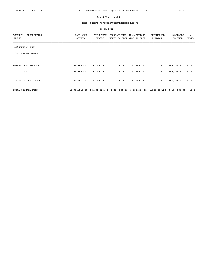# THIS MONTH'S APPROPRIATION/EXPENSE REPORT

| DESCRIPTION<br><b>ACCOUNT</b> | LAST YEAR     | THIS YEAR     | TRANSACTIONS                            | TRANSACTIONS | <b>ENCUMBERED</b> | AVAILABLE    | ి     |
|-------------------------------|---------------|---------------|-----------------------------------------|--------------|-------------------|--------------|-------|
| NUMBER                        | ACTUAL        | <b>BUDGET</b> | MONTH-TO-DATE YEAR-TO-DATE              |              | <b>BALANCE</b>    | BALANCE      | AVAIL |
| (01) GENERAL FUND             |               |               |                                         |              |                   |              |       |
| EXPENDITURES<br>(90)          |               |               |                                         |              |                   |              |       |
| 808-01 DEBT SERVICE           | 183,366.40    | 183,000.00    | 0.00                                    | 77,690.37    | 0.00              | 105, 309.63  | 57.5  |
| TOTAL                         | 183,366.40    | 183,000.00    | 0.00                                    | 77,690.37    | 0.00              | 105,309.63   | 57.5  |
| TOTAL EXPENDITURES            | 183,366.40    | 183,000.00    | 0.00                                    | 77,690.37    | 0.00              | 105,309.63   | 57.5  |
| TOTAL GENERAL FUND            | 12,981,515.60 |               | 13,572,823.00 1,023,356.66 6,030,304.13 |              | 1,363,650.28      | 6,178,868.59 | 45.5  |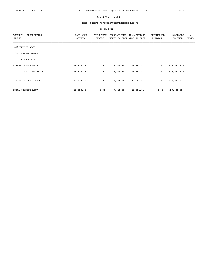# THIS MONTH'S APPROPRIATION/EXPENSE REPORT

| DESCRIPTION<br><b>ACCOUNT</b> | LAST YEAR  | THIS YEAR     | TRANSACTIONS               | TRANSACTIONS | ENCUMBERED     | AVAILABLE      | ႜ     |
|-------------------------------|------------|---------------|----------------------------|--------------|----------------|----------------|-------|
| NUMBER                        | ACTUAL     | <b>BUDGET</b> | MONTH-TO-DATE YEAR-TO-DATE |              | <b>BALANCE</b> | <b>BALANCE</b> | AVAIL |
| (02) CONDUIT ACCT             |            |               |                            |              |                |                |       |
| <b>EXPENDITURES</b><br>(90)   |            |               |                            |              |                |                |       |
| COMMODITIES                   |            |               |                            |              |                |                |       |
| 374-03 CLAIMS PAID            | 49, 318.56 | 0.00          | 7,515.35                   | 29,981.81    | 0.00           | $<$ 29,981.81> |       |
| TOTAL COMMODITIES             | 49, 318.56 | 0.00          | 7,515.35                   | 29,981.81    | 0.00           | < 29, 981.81 > |       |
| TOTAL EXPENDITURES            | 49, 318.56 | 0.00          | 7,515.35                   | 29,981.81    | 0.00           | $<$ 29,981.81> |       |
| TOTAL CONDUIT ACCT            | 49, 318.56 | 0.00          | 7,515.35                   | 29,981.81    | 0.00           | < 29, 981.81   |       |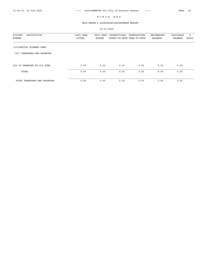#### THIS MONTH'S APPROPRIATION/EXPENSE REPORT

05-31-2022 ACCOUNT DESCRIPTION LAST YEAR THIS YEAR TRANSACTIONS TRANSACTIONS ENCUMBERED AVAILABLE % NUMBER ACTUAL BUDGET MONTH-TO-DATE YEAR-TO-DATE BALANCE BALANCE AVAIL (03)SPECIAL HIGHWAY FUND (00) TRANSFERS AND RESERVES 025-00 TRANSFER TO CIP FUND 0.00 0.00 0.00 0.00 0.00 0.00 TOTAL 0.00 0.00 0.00 0.00 0.00 0.00 TOTAL TRANSFERS AND RESERVES 0.00 0.00 0.00 0.00 0.00 0.00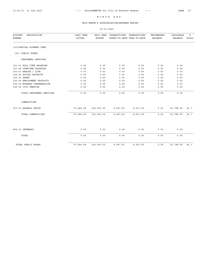# THIS MONTH'S APPROPRIATION/EXPENSE REPORT

| <b>ACCOUNT</b><br>DESCRIPTION<br>NUMBER | LAST YEAR<br>ACTUAL | THIS YEAR<br><b>BUDGET</b> | TRANSACTIONS<br>MONTH-TO-DATE YEAR-TO-DATE | TRANSACTIONS | <b>ENCUMBERED</b><br><b>BALANCE</b> | AVAILABLE<br><b>BALANCE</b> | ៖<br><b>AVAIL</b> |
|-----------------------------------------|---------------------|----------------------------|--------------------------------------------|--------------|-------------------------------------|-----------------------------|-------------------|
|                                         |                     |                            |                                            |              |                                     |                             |                   |
| (03) SPECIAL HIGHWAY FUND               |                     |                            |                                            |              |                                     |                             |                   |
| (20) PUBLIC WORKS                       |                     |                            |                                            |              |                                     |                             |                   |
| PERSONNEL SERVICES                      |                     |                            |                                            |              |                                     |                             |                   |
| 101-01 FULL TIME SALARIES               | 0.00                | 0.00                       | 0.00                                       | 0.00         | 0.00                                | 0.00                        |                   |
| 101-04 OVERTIME SALARIES                | 0.00                | 0.00                       | 0.00                                       | 0.00         | 0.00                                | 0.00                        |                   |
| 102-01 HEALTH / LIFE                    | 0.00                | 0.00                       | 0.00                                       | 0.00         | 0.00                                | 0.00                        |                   |
| 102-02 SOCIAL SECURITY                  | 0.00                | 0.00                       | 0.00                                       | 0.00         | 0.00                                | 0.00                        |                   |
| 102-03 KPERS                            | 0.00                | 0.00                       | 0.00                                       | 0.00         | 0.00                                | 0.00                        |                   |
| 102-04 EMPLOYMENT SECURITY              | 0.00                | 0.00                       | 0.00                                       | 0.00         | 0.00                                | 0.00                        |                   |
| 102-05 WORKERS COMPENSATION             | 0.00                | 0.00                       | 0.00                                       | 0.00         | 0.00                                | 0.00                        |                   |
| 102-06 CITY PENSION                     | 0.00                | 0.00                       | 0.00                                       | 0.00         | 0.00                                | 0.00                        |                   |
| TOTAL PERSONNEL SERVICES                | 0.00                | 0.00                       | 0.00                                       | 0.00         | 0.00                                | 0.00                        |                   |
| COMMODITIES                             |                     |                            |                                            |              |                                     |                             |                   |
| 307-01 ASPHALT PATCH                    | 57,464.08           | 100,000.00                 | 4,047.81                                   | 8,201.05     | 0.00                                | 91,798.95                   | 91.7              |
| TOTAL COMMODITIES                       | 57,464.08           | 100,000.00                 | 4,047.81                                   | 8,201.05     | 0.00                                | 91,798.95                   | 91.7              |
|                                         |                     |                            |                                            |              |                                     |                             |                   |
| 808-10 INTEREST                         | 0.00                | 0.00                       | 0.00                                       | 0.00         | 0.00                                | 0.00                        |                   |
| TOTAL                                   | 0.00                | 0.00                       | 0.00                                       | 0.00         | 0.00                                | 0.00                        |                   |
| TOTAL PUBLIC WORKS                      | 57,464.08           | 100,000.00                 | 4,047.81                                   | 8,201.05     | 0.00                                | 91,798.95                   | 91.7              |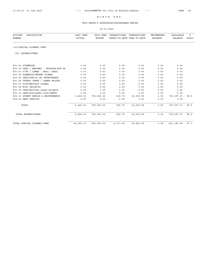# THIS MONTH'S APPROPRIATION/EXPENSE REPORT

| <b>ACCOUNT</b><br>DESCRIPTION<br><b>NUMBER</b> | LAST YEAR<br><b>ACTUAL</b> | THIS YEAR<br><b>BUDGET</b> | TRANSACTIONS<br>MONTH-TO-DATE YEAR-TO-DATE | TRANSACTIONS | ENCUMBERED<br><b>BALANCE</b> | AVAILABLE<br><b>BALANCE</b> | ిక<br>AVAIL |
|------------------------------------------------|----------------------------|----------------------------|--------------------------------------------|--------------|------------------------------|-----------------------------|-------------|
| (03) SPECIAL HIGHWAY FUND                      |                            |                            |                                            |              |                              |                             |             |
| (90) EXPENDITURES                              |                            |                            |                                            |              |                              |                             |             |
| 801-01 SIDEWALKS                               | 0.00                       | 0.00                       | 0.00                                       | 0.00         | 0.00                         | 0.00                        |             |
| 801-02 CARS / MARTWAY - WOODSON-ROE DR         | 0.00                       | 0.00                       | 0.00                                       | 0.00         | 0.00                         | 0.00                        |             |
| 801-03 67TH / LAMAR - NALL (CARS)              | 0.00                       | 0.00                       | 0.00                                       | 0.00         | 0.00                         | 0.00                        |             |
| 801-04 GLENWOOD/SMPKWY SIGNAL                  | 0.00                       | 0.00                       | 0.00                                       | 0.00         | 0.00                         | 0.00                        |             |
| 801-05 CARS/ROE/JO DR INTERCHANGE              | 0.00                       | 0.00                       | 0.00                                       | 0.00         | 0.00                         | 0.00                        |             |
| 801-06 TURKEY CREEK / LAMAR BRIDGE             | 0.00                       | 0.00                       | 0.00                                       | 0.00         | 0.00                         | 0.00                        |             |
| 801-07 61ST/METCALF SIGNAL                     | 0.00                       | 0.00                       | 0.00                                       | 0.00         | 0.00                         | 0.00                        |             |
| 801-08 MISC PROJECTS                           | 0.00                       | 0.00                       | 0.00                                       | 0.00         | 0.00                         | 0.00                        |             |
| 801-09 CARS/Martway:Lamar-Woodson              | 0.00                       | 0.00                       | 0.00                                       | 0.00         | 0.00                         | 0.00                        |             |
| 801-10 CARS/RoelandDr-JoDr/SMPKY               | 0.00                       | 0.00                       | 0.00                                       | 0.00         | 0.00                         | 0.00                        |             |
| 801-11 STREET REPAIR & MAINTENANCE             | 6,626.93                   | 750,000.00                 | 529.75                                     | 10,602.99    | 0.00                         | 739,397.01                  | 98.5        |
| 808-01 DEBT SERVICE                            | 0.00                       | 0.00                       | 0.00                                       | 0.00         | 0.00                         | 0.00                        |             |
| TOTAL                                          | 6,626.93                   | 750,000.00                 | 529.75                                     | 10,602.99    | 0.00                         | 739,397.01                  | 98.5        |
| TOTAL EXPENDITURES                             | 6,626.93                   | 750,000.00                 | 529.75                                     | 10,602.99    | 0.00                         | 739,397.01                  | 98.5        |
| TOTAL SPECIAL HIGHWAY FUND                     | 64,091.01                  | 850,000.00                 | 4,577.56                                   | 18,804.04    | 0.00                         | 831, 195.96                 | 97.7        |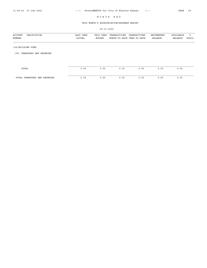# THIS MONTH'S APPROPRIATION/EXPENSE REPORT

| DESCRIPTION<br><b>ACCOUNT</b><br>NUMBER | LAST YEAR<br>ACTUAL | THIS YEAR<br><b>BUDGET</b> | TRANSACTIONS<br>MONTH-TO-DATE YEAR-TO-DATE | TRANSACTIONS | ENCUMBERED<br><b>BALANCE</b> | AVAILABLE<br>BALANCE | ిక<br>AVAIL |
|-----------------------------------------|---------------------|----------------------------|--------------------------------------------|--------------|------------------------------|----------------------|-------------|
| (04) BUILDING FUND                      |                     |                            |                                            |              |                              |                      |             |
| TRANSFERS AND RESERVES<br>(00)          |                     |                            |                                            |              |                              |                      |             |
|                                         |                     |                            |                                            |              |                              |                      |             |
| TOTAL                                   | 0.00                | 0.00                       | 0.00                                       | 0.00         | 0.00                         | 0.00                 |             |
| TOTAL TRANSFERS AND RESERVES            | 0.00                | 0.00                       | 0.00                                       | 0.00         | 0.00                         | 0.00                 |             |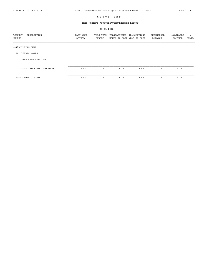# THIS MONTH'S APPROPRIATION/EXPENSE REPORT

| DESCRIPTION<br>ACCOUNT<br>NUMBER | LAST YEAR<br>ACTUAL | THIS YEAR<br><b>BUDGET</b> | TRANSACTIONS<br>MONTH-TO-DATE YEAR-TO-DATE | TRANSACTIONS | ENCUMBERED<br>BALANCE | AVAILABLE<br>BALANCE | ಿ<br>AVAIL |
|----------------------------------|---------------------|----------------------------|--------------------------------------------|--------------|-----------------------|----------------------|------------|
| (04) BUILDING FUND               |                     |                            |                                            |              |                       |                      |            |
| PUBLIC WORKS<br>(20)             |                     |                            |                                            |              |                       |                      |            |
| PERSONNEL SERVICES               |                     |                            |                                            |              |                       |                      |            |
| TOTAL PERSONNEL SERVICES         | 0.00                | 0.00                       | 0.00                                       | 0.00         | 0.00                  | 0.00                 |            |
| TOTAL PUBLIC WORKS               | 0.00                | 0.00                       | 0.00                                       | 0.00         | 0.00                  | 0.00                 |            |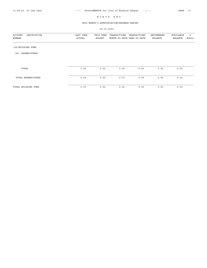# THIS MONTH'S APPROPRIATION/EXPENSE REPORT

| <b>ACCOUNT</b><br>DESCRIPTION<br>NUMBER | LAST YEAR<br>ACTUAL | THIS YEAR<br><b>BUDGET</b> | TRANSACTIONS<br>MONTH-TO-DATE YEAR-TO-DATE | TRANSACTIONS | ENCUMBERED<br><b>BALANCE</b> | AVAILABLE<br><b>BALANCE</b> | ႜ<br>AVAIL |
|-----------------------------------------|---------------------|----------------------------|--------------------------------------------|--------------|------------------------------|-----------------------------|------------|
| (04) BUILDING FUND                      |                     |                            |                                            |              |                              |                             |            |
| EXPENDITURES<br>(90)                    |                     |                            |                                            |              |                              |                             |            |
|                                         |                     |                            |                                            |              |                              |                             |            |
| TOTAL                                   | 0.00                | 0.00                       | 0.00                                       | 0.00         | 0.00                         | 0.00                        |            |
| TOTAL EXPENDITURES                      | 0.00                | 0.00                       | 0.00                                       | 0.00         | 0.00                         | 0.00                        |            |
| TOTAL BUILDING FUND                     | 0.00                | 0.00                       | 0.00                                       | 0.00         | 0.00                         | 0.00                        |            |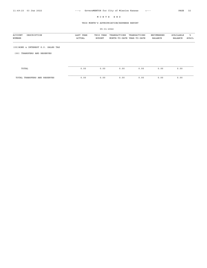# THIS MONTH'S APPROPRIATION/EXPENSE REPORT

| <b>ACCOUNT</b><br>DESCRIPTION<br>NUMBER | LAST YEAR<br>ACTUAL | THIS YEAR<br><b>BUDGET</b> | TRANSACTIONS<br>MONTH-TO-DATE YEAR-TO-DATE | TRANSACTIONS | ENCUMBERED<br>BALANCE | AVAILABLE<br>BALANCE | ఄ<br>AVAIL |
|-----------------------------------------|---------------------|----------------------------|--------------------------------------------|--------------|-----------------------|----------------------|------------|
| (05) BOND & INTEREST G.O. SALES TAX     |                     |                            |                                            |              |                       |                      |            |
| TRANSFERS AND RESERVES<br>(00)          |                     |                            |                                            |              |                       |                      |            |
|                                         |                     |                            |                                            |              |                       |                      |            |
| TOTAL                                   | 0.00                | 0.00                       | 0.00                                       | 0.00         | 0.00                  | 0.00                 |            |
| TOTAL TRANSFERS AND RESERVES            | 0.00                | 0.00                       | 0.00                                       | 0.00         | 0.00                  | 0.00                 |            |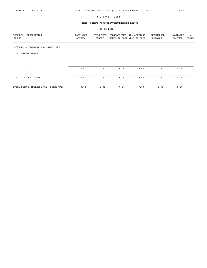# THIS MONTH'S APPROPRIATION/EXPENSE REPORT

| DESCRIPTION<br>ACCOUNT<br>NUMBER     | LAST YEAR<br>ACTUAL | THIS YEAR<br><b>BUDGET</b> | TRANSACTIONS<br>MONTH-TO-DATE YEAR-TO-DATE | TRANSACTIONS | ENCUMBERED<br><b>BALANCE</b> | AVAILABLE<br><b>BALANCE</b> | ៖<br>AVAIL |
|--------------------------------------|---------------------|----------------------------|--------------------------------------------|--------------|------------------------------|-----------------------------|------------|
| (05) BOND & INTEREST G.O. SALES TAX  |                     |                            |                                            |              |                              |                             |            |
| EXPENDITURES<br>(90)                 |                     |                            |                                            |              |                              |                             |            |
|                                      |                     |                            |                                            |              |                              |                             |            |
| TOTAL                                | 0.00                | 0.00                       | 0.00                                       | 0.00         | 0.00                         | 0.00                        |            |
| TOTAL EXPENDITURES                   | 0.00                | 0.00                       | 0.00                                       | 0.00         | 0.00                         | 0.00                        |            |
| TOTAL BOND & INTEREST G.O. SALES TAX | 0.00                | 0.00                       | 0.00                                       | 0.00         | 0.00                         | 0.00                        |            |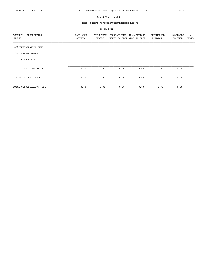# THIS MONTH'S APPROPRIATION/EXPENSE REPORT

| DESCRIPTION<br><b>ACCOUNT</b><br>NUMBER | LAST YEAR<br>ACTUAL | THIS YEAR<br><b>BUDGET</b> | TRANSACTIONS<br>MONTH-TO-DATE YEAR-TO-DATE | TRANSACTIONS | ENCUMBERED<br><b>BALANCE</b> | AVAILABLE<br><b>BALANCE</b> | ႜ<br>AVAIL |
|-----------------------------------------|---------------------|----------------------------|--------------------------------------------|--------------|------------------------------|-----------------------------|------------|
|                                         |                     |                            |                                            |              |                              |                             |            |
| (06) CONSOLIDATION FUND                 |                     |                            |                                            |              |                              |                             |            |
| <b>EXPENDITURES</b><br>(90)             |                     |                            |                                            |              |                              |                             |            |
| COMMODITIES                             |                     |                            |                                            |              |                              |                             |            |
|                                         |                     |                            |                                            |              |                              |                             |            |
| TOTAL COMMODITIES                       | 0.00                | 0.00                       | 0.00                                       | 0.00         | 0.00                         | 0.00                        |            |
| TOTAL EXPENDITURES                      | 0.00                | 0.00                       | 0.00                                       | 0.00         | 0.00                         | 0.00                        |            |
| TOTAL CONSOLIDATION FUND                | 0.00                | 0.00                       | 0.00                                       | 0.00         | 0.00                         | 0.00                        |            |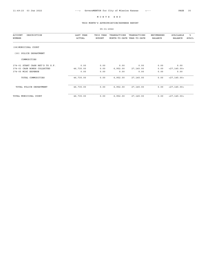# THIS MONTH'S APPROPRIATION/EXPENSE REPORT

| DESCRIPTION<br><b>ACCOUNT</b><br>NUMBER | LAST YEAR<br>ACTUAL | THIS YEAR<br><b>BUDGET</b> | TRANSACTIONS<br>MONTH-TO-DATE YEAR-TO-DATE | TRANSACTIONS | ENCUMBERED<br><b>BALANCE</b> | AVAILABLE<br><b>BALANCE</b> | ៖<br>AVAIL |
|-----------------------------------------|---------------------|----------------------------|--------------------------------------------|--------------|------------------------------|-----------------------------|------------|
| (08) MUNICIPAL COURT                    |                     |                            |                                            |              |                              |                             |            |
| POLICE DEPARTMENT<br>(30)               |                     |                            |                                            |              |                              |                             |            |
| COMMODITIES                             |                     |                            |                                            |              |                              |                             |            |
| 374-01 START CASH RET'D TO G.F.         | 0.00                | 0.00                       | 0.00                                       | 0.00         | 0.00                         | 0.00                        |            |
| 374-03 CASH BONDS COLLECTED             | 46,735.00           | 0.00                       | 6,952.00                                   | 27, 145.00   | 0.00                         | $<$ 27, 145.00 >            |            |
| 374-05 MISC EXPENSE                     | 0.00                | 0.00                       | 0.00                                       | 0.00         | 0.00                         | 0.00                        |            |
| TOTAL COMMODITIES                       | 46,735.00           | 0.00                       | 6,952.00                                   | 27, 145.00   | 0.00                         | < 27, 145.00 >              |            |
| TOTAL POLICE DEPARTMENT                 | 46,735.00           | 0.00                       | 6,952.00                                   | 27, 145.00   | 0.00                         | < 27, 145.00 >              |            |
| TOTAL MUNICIPAL COURT                   | 46,735.00           | 0.00                       | 6,952.00                                   | 27,145.00    | 0.00                         | $<$ 27, 145.00 >            |            |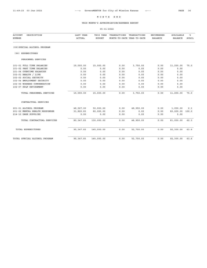## THIS MONTH'S APPROPRIATION/EXPENSE REPORT

| <b>ACCOUNT</b><br>DESCRIPTION  | LAST YEAR     | THIS YEAR     | TRANSACTIONS               | TRANSACTIONS | <b>ENCUMBERED</b> | AVAILABLE      | ిక           |
|--------------------------------|---------------|---------------|----------------------------|--------------|-------------------|----------------|--------------|
| <b>NUMBER</b>                  | <b>ACTUAL</b> | <b>BUDGET</b> | MONTH-TO-DATE YEAR-TO-DATE |              | <b>BALANCE</b>    | <b>BALANCE</b> | <b>AVAIL</b> |
| (09) SPECIAL ALCOHOL PROGRAM   |               |               |                            |              |                   |                |              |
| (90) EXPENDITURES              |               |               |                            |              |                   |                |              |
| PERSONNEL SERVICES             |               |               |                            |              |                   |                |              |
| 101-01 FULL TIME SALARIES      | 15,000.00     | 15,000.00     | 0.00                       | 3,750.00     | 0.00              | 11,250.00      | 75.0         |
| 101-02 PART TIME SALARIES      | 0.00          | 0.00          | 0.00                       | 0.00         | 0.00              | 0.00           |              |
| 101-04 OVERTIME SALARIES       | 0.00          | 0.00          | 0.00                       | 0.00         | 0.00              | 0.00           |              |
| 102-01 HEALTH / LIFE           | 0.00          | 0.00          | 0.00                       | 0.00         | 0.00              | 0.00           |              |
| 102-02 SOCIAL SECURITY         | 0.00          | 0.00          | 0.00                       | 0.00         | 0.00              | 0.00           |              |
| 102-04 EMPLOYMENT SECURITY     | 0.00          | 0.00          | 0.00                       | 0.00         | 0.00              | 0.00           |              |
| 102-05 WORKERS COMPENSATION    | 0.00          | 0.00          | 0.00                       | 0.00         | 0.00              | 0.00           |              |
| 102-07 KP&F RETIREMENT         | 0.00          | 0.00          | 0.00                       | 0.00         | 0.00              | 0.00           |              |
| TOTAL PERSONNEL SERVICES       | 15,000.00     | 15,000.00     | 0.00                       | 3,750.00     | 0.00              | 11,250.00      | 75.0         |
| CONTRACTUAL SERVICES           |               |               |                            |              |                   |                |              |
| 201-01 ALCOHOL PROGRAM         | 48,527.00     | 50,000.00     | 0.00                       | 48,950.00    | 0.00              | 1,050.00       | 2.1          |
| 201-02 MENTAL HEALTH RESPONDER | 31,820.83     | 80,000.00     | 0.00                       | 0.00         | 0.00              | 80,000.00      | 100.0        |
| 214-10 DARE SUPPLIES           | 0.00          | 0.00          | 0.00                       | 0.00         | 0.00              | 0.00           |              |
| TOTAL CONTRACTUAL SERVICES     | 80, 347.83    | 130,000.00    | 0.00                       | 48,950.00    | 0.00              | 81,050.00      | 62.3         |
| TOTAL EXPENDITURES             | 95, 347.83    | 145,000.00    | 0.00                       | 52,700.00    | 0.00              | 92,300.00      | 63.6         |
| TOTAL SPECIAL ALCOHOL PROGRAM  | 95, 347.83    | 145,000.00    | 0.00                       | 52,700.00    | 0.00              | 92,300.00      | 63.6         |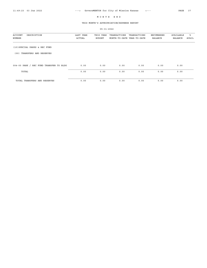# THIS MONTH'S APPROPRIATION/EXPENSE REPORT

| <b>ACCOUNT</b><br>DESCRIPTION<br>NUMBER | LAST YEAR<br>ACTUAL | THIS YEAR<br>BUDGET | TRANSACTIONS<br>MONTH-TO-DATE YEAR-TO-DATE | TRANSACTIONS | ENCUMBERED<br>BALANCE | AVAILABLE<br>BALANCE | ႜႜ<br>AVAIL |
|-----------------------------------------|---------------------|---------------------|--------------------------------------------|--------------|-----------------------|----------------------|-------------|
| (10) SPECIAL PARKS & REC FUND           |                     |                     |                                            |              |                       |                      |             |
| TRANSFERS AND RESERVES<br>(00)          |                     |                     |                                            |              |                       |                      |             |
| 004-00 PARK / REC FUND TRANSFER TO BLDG | 0.00                | 0.00                | 0.00                                       | 0.00         | 0.00                  | 0.00                 |             |
| TOTAL                                   | 0.00                | 0.00                | 0.00                                       | 0.00         | 0.00                  | 0.00                 |             |
| TOTAL TRANSFERS AND RESERVES            | 0.00                | 0.00                | 0.00                                       | 0.00         | 0.00                  | 0.00                 |             |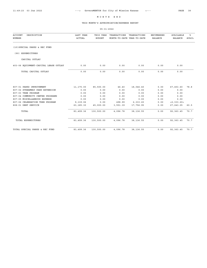## THIS MONTH'S APPROPRIATION/EXPENSE REPORT

|                                         |                            | $05 - 31 - 2022$           |                                            |              |                                     |                             |            |
|-----------------------------------------|----------------------------|----------------------------|--------------------------------------------|--------------|-------------------------------------|-----------------------------|------------|
| <b>ACCOUNT</b><br>DESCRIPTION<br>NUMBER | LAST YEAR<br><b>ACTUAL</b> | THIS YEAR<br><b>BUDGET</b> | TRANSACTIONS<br>MONTH-TO-DATE YEAR-TO-DATE | TRANSACTIONS | <b>ENCUMBERED</b><br><b>BALANCE</b> | AVAILABLE<br><b>BALANCE</b> | ៖<br>AVAIL |
| (10) SPECIAL PARKS & REC FUND           |                            |                            |                                            |              |                                     |                             |            |
| (90) EXPENDITURES                       |                            |                            |                                            |              |                                     |                             |            |
| CAPITAL OUTLAY                          |                            |                            |                                            |              |                                     |                             |            |
| 403-06 EQUIPMENT-CAPITAL LEASE OUTLAY   | 0.00                       | 0.00                       | 0.00                                       | 0.00         | 0.00                                | 0.00                        |            |
| TOTAL CAPITAL OUTLAY                    | 0.00                       | 0.00                       | 0.00                                       | 0.00         | 0.00                                | 0.00                        |            |
|                                         |                            |                            |                                            |              |                                     |                             |            |
| 807-01 PARKS IMPROVEMENT                | 11, 175.00                 | 85,500.00                  | 46.40                                      | 18,046.40    | 0.00                                | 67,453.60                   | 78.8       |
| 807-02 STREAMWAY PARK EXTENSION         | 0.00                       | 0.00                       | 0.00                                       | 0.00         | 0.00                                | 0.00                        |            |
| 807-03 TREE PROGRAM                     | 0.00                       | 0.00                       | 0.00                                       | 0.00         | 0.00                                | 0.00                        |            |
| 807-04 COMMUNITY CENTER PROGRAMS        | 0.00                       | 0.00                       | 0.00                                       | 0.00         | 0.00                                | 0.00                        |            |
| 807-05 MISCELLANEOUS EXPENSE            | 0.00                       | 0.00                       | 0.00                                       | 0.00         | 0.00                                | 0.00                        |            |
| 807-06 CELEBRATION TREE PROGRAM         | 9,139.06                   | 0.00                       | 498.99                                     | 2,333.20     | 0.00                                | <2,333.20>                  |            |
| 808-01 DEBT SERVICE                     | 63, 185.30                 | 45,000.00                  | 3,551.39                                   | 17,756.95    | 0.00                                | 27, 243.05                  | 60.5       |
| TOTAL                                   | 83,499.36                  | 130,500.00                 | 4,096.78                                   | 38, 136.55   | 0.00                                | 92, 363.45                  | 70.7       |
| TOTAL EXPENDITURES                      | 83, 499.36                 | 130,500.00                 | 4,096.78                                   | 38, 136.55   | 0.00                                | 92, 363.45                  | 70.7       |
| TOTAL SPECIAL PARKS & REC FUND          | 83,499.36                  | 130,500.00                 | 4,096.78                                   | 38, 136.55   | 0.00                                | 92, 363.45                  | 70.7       |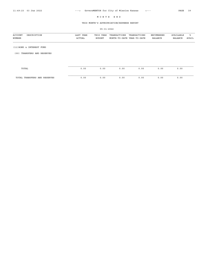# THIS MONTH'S APPROPRIATION/EXPENSE REPORT

| <b>ACCOUNT</b><br>DESCRIPTION<br>NUMBER | LAST YEAR<br>ACTUAL | THIS YEAR<br><b>BUDGET</b> | TRANSACTIONS<br>MONTH-TO-DATE YEAR-TO-DATE | TRANSACTIONS | ENCUMBERED<br>BALANCE | AVAILABLE<br>BALANCE | ៖<br>AVAIL |
|-----------------------------------------|---------------------|----------------------------|--------------------------------------------|--------------|-----------------------|----------------------|------------|
| (11) BOND & INTEREST FUND               |                     |                            |                                            |              |                       |                      |            |
| TRANSFERS AND RESERVES<br>(00)          |                     |                            |                                            |              |                       |                      |            |
| TOTAL                                   | 0.00                | 0.00                       | 0.00                                       | 0.00         | 0.00                  | 0.00                 |            |
| TOTAL TRANSFERS AND RESERVES            | 0.00                | 0.00                       | 0.00                                       | 0.00         | 0.00                  | 0.00                 |            |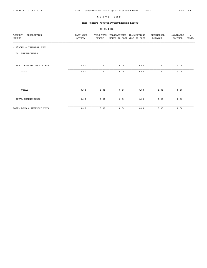# THIS MONTH'S APPROPRIATION/EXPENSE REPORT

| $05 - 31 - 2022$                        |                     |                            |                                            |              |                                     |                             |             |  |
|-----------------------------------------|---------------------|----------------------------|--------------------------------------------|--------------|-------------------------------------|-----------------------------|-------------|--|
| DESCRIPTION<br><b>ACCOUNT</b><br>NUMBER | LAST YEAR<br>ACTUAL | THIS YEAR<br><b>BUDGET</b> | TRANSACTIONS<br>MONTH-TO-DATE YEAR-TO-DATE | TRANSACTIONS | <b>ENCUMBERED</b><br><b>BALANCE</b> | AVAILABLE<br><b>BALANCE</b> | %ิ<br>AVAIL |  |
| (11) BOND & INTEREST FUND               |                     |                            |                                            |              |                                     |                             |             |  |
| (90) EXPENDITURES                       |                     |                            |                                            |              |                                     |                             |             |  |
| 025-00 TRANSFER TO CIP FUND             | 0.00                | 0.00                       | 0.00                                       | 0.00         | 0.00                                | 0.00                        |             |  |
| TOTAL                                   | 0.00                | 0.00                       | 0.00                                       | 0.00         | 0.00                                | 0.00                        |             |  |
|                                         |                     |                            |                                            |              |                                     |                             |             |  |
| TOTAL                                   | 0.00                | 0.00                       | 0.00                                       | 0.00         | 0.00                                | 0.00                        |             |  |
| TOTAL EXPENDITURES                      | 0.00                | 0.00                       | 0.00                                       | 0.00         | 0.00                                | 0.00                        |             |  |
|                                         |                     |                            |                                            |              |                                     |                             |             |  |

TOTAL BOND & INTEREST FUND 0.00 0.00 0.00 0.00 0.00 0.00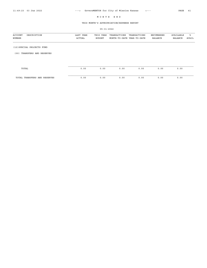# THIS MONTH'S APPROPRIATION/EXPENSE REPORT

| DESCRIPTION<br><b>ACCOUNT</b><br>NUMBER | LAST YEAR<br>ACTUAL | THIS YEAR<br><b>BUDGET</b> | TRANSACTIONS<br>MONTH-TO-DATE YEAR-TO-DATE | TRANSACTIONS | ENCUMBERED<br>BALANCE | AVAILABLE<br><b>BALANCE</b> | ៖<br>AVAIL |
|-----------------------------------------|---------------------|----------------------------|--------------------------------------------|--------------|-----------------------|-----------------------------|------------|
| (12) SPECIAL PROJECTS FUND              |                     |                            |                                            |              |                       |                             |            |
| TRANSFERS AND RESERVES<br>(00)          |                     |                            |                                            |              |                       |                             |            |
|                                         |                     |                            |                                            |              |                       |                             |            |
| TOTAL                                   | 0.00                | 0.00                       | 0.00                                       | 0.00         | 0.00                  | 0.00                        |            |
| TOTAL TRANSFERS AND RESERVES            | 0.00                | 0.00                       | 0.00                                       | 0.00         | 0.00                  | 0.00                        |            |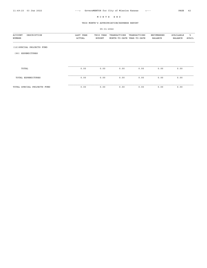# THIS MONTH'S APPROPRIATION/EXPENSE REPORT

| DESCRIPTION<br>ACCOUNT<br>NUMBER | LAST YEAR<br>ACTUAL | THIS YEAR<br><b>BUDGET</b> | TRANSACTIONS<br>MONTH-TO-DATE YEAR-TO-DATE | TRANSACTIONS | ENCUMBERED<br><b>BALANCE</b> | AVAILABLE<br><b>BALANCE</b> | ႜ<br>AVAIL |
|----------------------------------|---------------------|----------------------------|--------------------------------------------|--------------|------------------------------|-----------------------------|------------|
| (12) SPECIAL PROJECTS FUND       |                     |                            |                                            |              |                              |                             |            |
| EXPENDITURES<br>(90)             |                     |                            |                                            |              |                              |                             |            |
|                                  |                     |                            |                                            |              |                              |                             |            |
| TOTAL                            | 0.00                | 0.00                       | 0.00                                       | 0.00         | 0.00                         | 0.00                        |            |
| TOTAL EXPENDITURES               | 0.00                | 0.00                       | 0.00                                       | 0.00         | 0.00                         | 0.00                        |            |
| TOTAL SPECIAL PROJECTS FUND      | 0.00                | 0.00                       | 0.00                                       | 0.00         | 0.00                         | 0.00                        |            |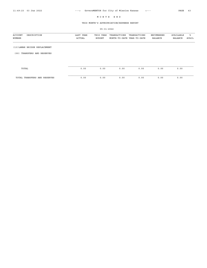# THIS MONTH'S APPROPRIATION/EXPENSE REPORT

| DESCRIPTION<br><b>ACCOUNT</b><br>NUMBER | LAST YEAR<br>ACTUAL | THIS YEAR<br><b>BUDGET</b> | TRANSACTIONS<br>MONTH-TO-DATE YEAR-TO-DATE | TRANSACTIONS | ENCUMBERED<br>BALANCE | AVAILABLE<br><b>BALANCE</b> | ៖<br>AVAIL |
|-----------------------------------------|---------------------|----------------------------|--------------------------------------------|--------------|-----------------------|-----------------------------|------------|
| (13) LAMAR BRIDGE REPLACEMENT           |                     |                            |                                            |              |                       |                             |            |
| TRANSFERS AND RESERVES<br>(00)          |                     |                            |                                            |              |                       |                             |            |
|                                         |                     |                            |                                            |              |                       |                             |            |
| TOTAL                                   | 0.00                | 0.00                       | 0.00                                       | 0.00         | 0.00                  | 0.00                        |            |
| TOTAL TRANSFERS AND RESERVES            | 0.00                | 0.00                       | 0.00                                       | 0.00         | 0.00                  | 0.00                        |            |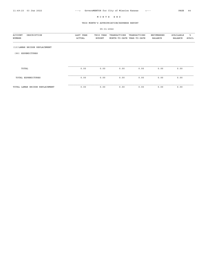# THIS MONTH'S APPROPRIATION/EXPENSE REPORT

| DESCRIPTION<br>ACCOUNT<br>NUMBER | LAST YEAR<br>ACTUAL | THIS YEAR<br><b>BUDGET</b> | TRANSACTIONS<br>MONTH-TO-DATE YEAR-TO-DATE | TRANSACTIONS | ENCUMBERED<br>BALANCE | AVAILABLE<br><b>BALANCE</b> | ៖<br>AVAIL |
|----------------------------------|---------------------|----------------------------|--------------------------------------------|--------------|-----------------------|-----------------------------|------------|
| (13) LAMAR BRIDGE REPLACEMENT    |                     |                            |                                            |              |                       |                             |            |
| EXPENDITURES<br>(90)             |                     |                            |                                            |              |                       |                             |            |
|                                  |                     |                            |                                            |              |                       |                             |            |
| TOTAL                            | 0.00                | 0.00                       | 0.00                                       | 0.00         | 0.00                  | 0.00                        |            |
| TOTAL EXPENDITURES               | 0.00                | 0.00                       | 0.00                                       | 0.00         | 0.00                  | 0.00                        |            |
| TOTAL LAMAR BRIDGE REPLACEMENT   | 0.00                | 0.00                       | 0.00                                       | 0.00         | 0.00                  | 0.00                        |            |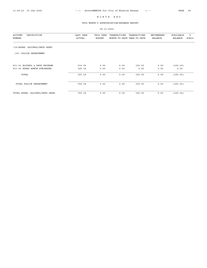# THIS MONTH'S APPROPRIATION/EXPENSE REPORT

| DESCRIPTION<br><b>ACCOUNT</b><br>NUMBER                       | LAST YEAR<br>ACTUAL | THIS YEAR<br><b>BUDGET</b> | TRANSACTIONS<br>MONTH-TO-DATE YEAR-TO-DATE | TRANSACTIONS   | ENCUMBERED<br><b>BALANCE</b> | AVAILABLE<br><b>BALANCE</b> | ႜ<br>AVAIL |
|---------------------------------------------------------------|---------------------|----------------------------|--------------------------------------------|----------------|------------------------------|-----------------------------|------------|
| (14) ADSAP (ALCOHOL/DRUG SAFE)                                |                     |                            |                                            |                |                              |                             |            |
| POLICE DEPARTMENT<br>(30)                                     |                     |                            |                                            |                |                              |                             |            |
| 811-01 ALCOHOL & DRUG PROGRAM<br>811-02 ADSAP ADMIN PURCHASES | 210.00<br>145.18    | 0.00<br>0.00               | 0.00<br>0.00                               | 150.00<br>0.00 | 0.00<br>0.00                 | <150.00><br>0.00            |            |
| TOTAL                                                         | 355.18              | 0.00                       | 0.00                                       | 150.00         | 0.00                         | <150.00>                    |            |
| TOTAL POLICE DEPARTMENT                                       | 355.18              | 0.00                       | 0.00                                       | 150.00         | 0.00                         | <150.00>                    |            |
| TOTAL ADSAP (ALCOHOL/DRUG SAFE)                               | 355.18              | 0.00                       | 0.00                                       | 150.00         | 0.00                         | <150.00>                    |            |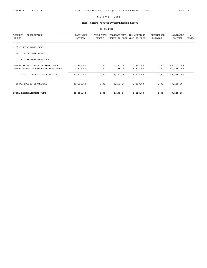05-31-2022

# THIS MONTH'S APPROPRIATION/EXPENSE REPORT

| <b>ACCOUNT</b><br>DESCRIPTION<br>NUMBER | LAST YEAR<br><b>ACTUAL</b> | THIS YEAR<br><b>BUDGET</b> | TRANSACTIONS<br>MONTH-TO-DATE YEAR-TO-DATE | TRANSACTIONS | ENCUMBERED<br><b>BALANCE</b> | AVAILABLE<br><b>BALANCE</b> | ి<br>AVAIL |
|-----------------------------------------|----------------------------|----------------------------|--------------------------------------------|--------------|------------------------------|-----------------------------|------------|
| (15) REINSTATEMENT FUND                 |                            |                            |                                            |              |                              |                             |            |
| POLICE DEPARTMENT<br>(30)               |                            |                            |                                            |              |                              |                             |            |
| CONTRACTUAL SERVICES                    |                            |                            |                                            |              |                              |                             |            |
| 201-01 REINSTATEMENT - REMITTANCE       | 17,894.00                  | 0.00                       | 1,777.00                                   | 7,302.00     | 0.00                         | < 7, 302.00 >               |            |
| 201-02 JUDICIAL SURCHARGE REMITTANCE    | 4,620.00                   | 0.00                       | 396.00                                     | 1,826.00     | 0.00                         | <1,826.00>                  |            |
| TOTAL CONTRACTUAL SERVICES              | 22,514.00                  | 0.00                       | 2,173.00                                   | 9,128.00     | 0.00                         | <9,128.00>                  |            |
| TOTAL POLICE DEPARTMENT                 | 22,514.00                  | 0.00                       | 2,173.00                                   | 9,128.00     | 0.00                         | <9,128.00>                  |            |
| TOTAL REINSTATEMENT FUND                | 22,514.00                  | 0.00                       | 2,173.00                                   | 9,128.00     | 0.00                         | <9,128.00>                  |            |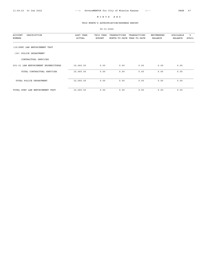## THIS MONTH'S APPROPRIATION/EXPENSE REPORT

05-31-2022 ACCOUNT DESCRIPTION LAST YEAR THIS YEAR TRANSACTIONS TRANSACTIONS ENCUMBERED AVAILABLE % NUMBER ACTUAL BUDGET MONTH-TO-DATE YEAR-TO-DATE BALANCE BALANCE AVAIL (16)SPEC LAW ENFORCEMENT TRST (30) POLICE DEPARTMENT CONTRACTUAL SERVICES 201-01 LAW ENFORCEMENT EXPENDITURES 10,060.00 0.00 0.00 0.00 0.00 0.00 TOTAL CONTRACTUAL SERVICES 10,060.00 0.00 0.00 0.00 0.00 0.00 TOTAL POLICE DEPARTMENT 10,060.00 0.00 0.00 0.00 0.00 0.00 TOTAL SPEC LAW ENFORCEMENT TRST 10,060.00 0.00 0.00 0.00 0.00 0.00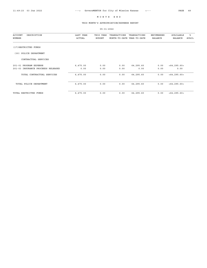#### THIS MONTH'S APPROPRIATION/EXPENSE REPORT

05-31-2022 ACCOUNT DESCRIPTION LAST YEAR THIS YEAR TRANSACTIONS TRANSACTIONS ENCUMBERED AVAILABLE %  ${\tt ACTUAL} \hspace{1.3cm} {\tt BUDGET} \hspace{1.3cm} {\tt MONTH-TO-DATE} \hspace{1.3cm} {\tt YEAR-TO-DATE}$ (17)RESTRICTED FUNDS (30) POLICE DEPARTMENT CONTRACTUAL SERVICES 201-01 PROGRAM EXPENSE 6,475.00 0.00 0.00 64,295.60 0.00 <64,295.60 0.00 <64,295.60 201-03 INSURANCE PROCEEDS RELEASED 0.00 0.00 0.00 0.00 0.00 0.00 TOTAL CONTRACTUAL SERVICES 6,475.00 0.00 0.00 64,295.60 0.00 <64,295.60> TOTAL POLICE DEPARTMENT 6,475.00 0.00 0.00 64,295.60 0.00 <64,295.60> TOTAL RESTRICTED FUNDS 6,475.00 0.00 0.00 64,295.60 0.00 <64,295.60>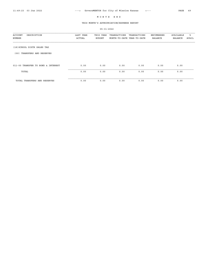# THIS MONTH'S APPROPRIATION/EXPENSE REPORT

| DESCRIPTION<br>ACCOUNT<br>NUMBER   | LAST YEAR<br>ACTUAL | THIS YEAR<br><b>BUDGET</b> | TRANSACTIONS<br>MONTH-TO-DATE YEAR-TO-DATE | TRANSACTIONS | ENCUMBERED<br><b>BALANCE</b> | AVAILABLE<br><b>BALANCE</b> | °<br>AVAIL |
|------------------------------------|---------------------|----------------------------|--------------------------------------------|--------------|------------------------------|-----------------------------|------------|
| (18) SCHOOL DISTR SALES TAX        |                     |                            |                                            |              |                              |                             |            |
| TRANSFERS AND RESERVES<br>(00)     |                     |                            |                                            |              |                              |                             |            |
| 011-00 TRANSFER TO BOND & INTEREST | 0.00                | 0.00                       | 0.00                                       | 0.00         | 0.00                         | 0.00                        |            |
| TOTAL                              | 0.00                | 0.00                       | 0.00                                       | 0.00         | 0.00                         | 0.00                        |            |
| TOTAL TRANSFERS AND RESERVES       | 0.00                | 0.00                       | 0.00                                       | 0.00         | 0.00                         | 0.00                        |            |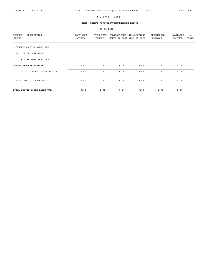## THIS MONTH'S APPROPRIATION/EXPENSE REPORT

05-31-2022 ACCOUNT DESCRIPTION LAST YEAR THIS YEAR TRANSACTIONS TRANSACTIONS ENCUMBERED AVAILABLE % NUMBER ACTUAL BUDGET MONTH-TO-DATE YEAR-TO-DATE BALANCE BALANCE AVAIL (18)SCHOOL DISTR SALES TAX (30) POLICE DEPARTMENT CONTRACTUAL SERVICES 201-01 PROGRAM EXPENSE 0.00 0.00 0.00 0.00 0.00 0.00 TOTAL CONTRACTUAL SERVICES 0.00 0.00 0.00 0.00 0.00 0.00 TOTAL POLICE DEPARTMENT 0.00 0.00 0.00 0.00 0.00 0.00 TOTAL SCHOOL DISTR SALES TAX 0.00 0.00 0.00 0.00 0.00 0.00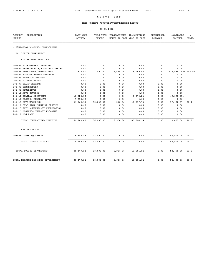# THIS MONTH'S APPROPRIATION/EXPENSE REPORT

| <b>ACCOUNT</b><br>DESCRIPTION<br>NUMBER | LAST YEAR<br><b>ACTUAL</b> | THIS YEAR<br><b>BUDGET</b> | TRANSACTIONS<br>MONTH-TO-DATE YEAR-TO-DATE | TRANSACTIONS | ENCUMBERED<br><b>BALANCE</b> | AVAILABLE<br><b>BALANCE</b> | ి<br><b>AVAIL</b> |
|-----------------------------------------|----------------------------|----------------------------|--------------------------------------------|--------------|------------------------------|-----------------------------|-------------------|
|                                         |                            |                            |                                            |              |                              |                             |                   |
| (19) MISSION BUSINESS DEVELOPMENT       |                            |                            |                                            |              |                              |                             |                   |
| (30) POLICE DEPARTMENT                  |                            |                            |                                            |              |                              |                             |                   |
| CONTRACTUAL SERVICES                    |                            |                            |                                            |              |                              |                             |                   |
| 201-01 MCVB GENERAL EXPENSES            | 0.00                       | 0.00                       | 0.00                                       | 0.00         | 0.00                         | 0.00                        |                   |
| 201-02 "BREAKFAST F/BUSINESS" SERIES    | 0.00                       | 0.00                       | 0.00                                       | 0.00         | 0.00                         | 0.00                        |                   |
| 201-03 PROMOTIONS/ADVERTISING           | 7,375.00                   | 1,000.00                   | 6,694.00                                   | 18,089.00    | 0.00                         | $<$ 17,089.00><1708.9>      |                   |
| 201-04 MISSION FAMILY FESTIVAL          | 0.00                       | 0.00                       | 0.00                                       | 0.00         | 0.00                         | 0.00                        |                   |
| 201-05 BARBECUE CONTEST                 | 0.00                       | 0.00                       | 0.00                                       | 0.00         | 0.00                         | 0.00                        |                   |
| 201-06 HOLIDAY EVENT                    | 0.00                       | 0.00                       | 0.00                                       | 0.00         | 0.00                         | 0.00                        |                   |
| 201-07 GRANT PROGRAM                    | 0.00                       | 0.00                       | 0.00                                       | 0.00         | 0.00                         | 0.00                        |                   |
| 201-08 CONFERENCES                      | 0.00                       | 0.00                       | 0.00                                       | 0.00         | 0.00                         | 0.00                        |                   |
| 201-09 NEWSLETTER                       | 0.00                       | 0.00                       | 0.00                                       | 0.00         | 0.00                         | 0.00                        |                   |
| 201-10 ARTS COUNCIL                     | 0.00                       | 0.00                       | 0.00                                       | 0.00         | 0.00                         | 0.00                        |                   |
| 201-11 HOLIDAY ADOPTIONS                | 16,826.32                  | 0.00                       | 0.00                                       | 9,878.21     | 0.00                         | < 9, 878.21                 |                   |
| 201-12 MISSION MERCHANTS                | 7,616.95                   | 0.00                       | 0.00                                       | 0.00         | 0.00                         | 0.00                        |                   |
| 201-13 MCVB MAGAZINE                    | 44,962.14                  | 55,000.00                  | 210.86                                     | 17,537.73    | 0.00                         | 37,462.27                   | 68.1              |
| 201-14 POLE SIGN INENTIVE PROGRAM       | 0.00                       | 0.00                       | 0.00                                       | 0.00         | 0.00                         | 0.00                        |                   |
| 201-15 60TH ANNIVERSARY CELEBRATION     | 0.00                       | 0.00                       | 0.00                                       | 0.00         | 0.00                         | 0.00                        |                   |
| 201-16 BUSINESS SUPPORT PROGRAMS        | 0.00                       | 0.00                       | 0.00                                       | 0.00         | 0.00                         | 0.00                        |                   |
| 201-17 DOG PARK                         | 0.00                       | 0.00                       | 0.00                                       | 0.00         | 0.00                         | 0.00                        |                   |
| TOTAL CONTRACTUAL SERVICES              | 76,780.41                  | 56,000.00                  | 6,904.86                                   | 45,504.94    | 0.00                         | 10,495.06                   | 18.7              |
| CAPITAL OUTLAY                          |                            |                            |                                            |              |                              |                             |                   |
| 403-06 OTHER EQUIPMENT                  | 9,698.83                   | 42,000.00                  | 0.00                                       | 0.00         | 0.00                         | 42,000.00 100.0             |                   |
| TOTAL CAPITAL OUTLAY                    | 9,698.83                   | 42,000.00                  | 0.00                                       | 0.00         | 0.00                         | 42,000.00 100.0             |                   |
| TOTAL POLICE DEPARTMENT                 | 86, 479.24                 | 98,000.00                  | 6,904.86                                   | 45,504.94    | 0.00                         | 52,495.06                   | 53.5              |
| TOTAL MISSION BUSINESS DEVELOPMENT      | 86, 479.24                 | 98,000.00                  | 6,904.86                                   | 45,504.94    | 0.00                         | 52,495.06                   | 53.5              |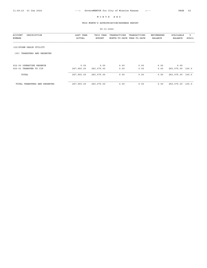# THIS MONTH'S APPROPRIATION/EXPENSE REPORT

| DESCRIPTION<br>ACCOUNT<br>NUMBER | LAST YEAR<br><b>ACTUAL</b> | THIS YEAR<br><b>BUDGET</b> | TRANSACTIONS<br>MONTH-TO-DATE YEAR-TO-DATE | TRANSACTIONS | ENCUMBERED<br><b>BALANCE</b> | AVAILABLE<br><b>BALANCE</b> | ಿ<br>AVAIL |
|----------------------------------|----------------------------|----------------------------|--------------------------------------------|--------------|------------------------------|-----------------------------|------------|
| (22) STORM DRAIN UTILITY         |                            |                            |                                            |              |                              |                             |            |
| TRANSFERS AND RESERVES<br>(00)   |                            |                            |                                            |              |                              |                             |            |
| 022-00 OPERATING RESERVE         | 0.00                       | 0.00                       | 0.00                                       | 0.00         | 0.00                         | 0.00                        |            |
| 025-01 TRANSFER TO CIP           | 267,993.00                 | 283,075.00                 | 0.00                                       | 0.00         | 0.00                         | 283,075.00                  | 100.0      |
| TOTAL                            | 267,993.00                 | 283,075.00                 | 0.00                                       | 0.00         | 0.00                         | 283,075.00 100.0            |            |
| TOTAL TRANSFERS AND RESERVES     | 267,993.00                 | 283,075.00                 | 0.00                                       | 0.00         | 0.00                         | 283,075.00                  | 100.0      |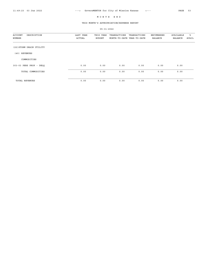# THIS MONTH'S APPROPRIATION/EXPENSE REPORT

| DESCRIPTION<br><b>ACCOUNT</b><br>NUMBER | LAST YEAR<br>ACTUAL | THIS YEAR<br><b>BUDGET</b> | TRANSACTIONS<br>MONTH-TO-DATE YEAR-TO-DATE | TRANSACTIONS | ENCUMBERED<br><b>BALANCE</b> | AVAILABLE<br><b>BALANCE</b> | ႜ<br>AVAIL |
|-----------------------------------------|---------------------|----------------------------|--------------------------------------------|--------------|------------------------------|-----------------------------|------------|
| (22) STORM DRAIN UTILITY                |                     |                            |                                            |              |                              |                             |            |
| REVENUES<br>(40)                        |                     |                            |                                            |              |                              |                             |            |
| COMMODITIES                             |                     |                            |                                            |              |                              |                             |            |
| 303-03 PERS PROP - DELO                 | 0.00                | 0.00                       | 0.00                                       | 0.00         | 0.00                         | 0.00                        |            |
| TOTAL COMMODITIES                       | 0.00                | 0.00                       | 0.00                                       | 0.00         | 0.00                         | 0.00                        |            |
| <b>TOTAL REVENUES</b>                   | 0.00                | 0.00                       | 0.00                                       | 0.00         | 0.00                         | 0.00                        |            |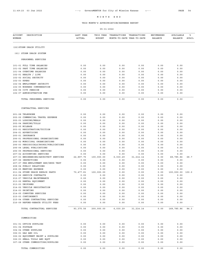# THIS MONTH'S APPROPRIATION/EXPENSE REPORT

| <b>ACCOUNT</b><br>DESCRIPTION<br>NUMBER                          | LAST YEAR<br><b>ACTUAL</b> | THIS YEAR<br><b>BUDGET</b> | TRANSACTIONS<br>MONTH-TO-DATE YEAR-TO-DATE | TRANSACTIONS       | ENCUMBERED<br>BALANCE | AVAILABLE<br>BALANCE | ి<br>AVAIL |
|------------------------------------------------------------------|----------------------------|----------------------------|--------------------------------------------|--------------------|-----------------------|----------------------|------------|
| (22) STORM DRAIN UTILITY                                         |                            |                            |                                            |                    |                       |                      |            |
| (61) STORM DRAIN SYSTEM                                          |                            |                            |                                            |                    |                       |                      |            |
| PERSONNEL SERVICES                                               |                            |                            |                                            |                    |                       |                      |            |
| 101-01 FULL TIME SALARIES                                        | 0.00                       | 0.00                       | 0.00                                       | 0.00               | 0.00                  | 0.00                 |            |
| 101-02 PART TIME SALARIES                                        | 0.00                       | 0.00                       | 0.00                                       | 0.00               | 0.00                  | 0.00                 |            |
| 101-04 OVERTIME SALARIES                                         | 0.00                       | 0.00                       | 0.00                                       | 0.00               | 0.00                  | 0.00                 |            |
| 102-01 HEALTH / LIFE                                             | 0.00                       | 0.00                       | 0.00                                       | 0.00               | 0.00                  | 0.00                 |            |
| 102-02 SOCIAL SECURITY<br>102-03 KPERS                           | 0.00<br>0.00               | 0.00<br>0.00               | 0.00<br>0.00                               | 0.00<br>0.00       | 0.00<br>0.00          | 0.00<br>0.00         |            |
| 102-04 EMPLOYMENT SECURITY                                       | 0.00                       | 0.00                       | 0.00                                       | 0.00               | 0.00                  | 0.00                 |            |
| 102-05 WORKERS COMPENSATION                                      | 0.00                       | 0.00                       | 0.00                                       | 0.00               | 0.00                  | 0.00                 |            |
| 102-06 CITY PENSION                                              | 0.00                       | 0.00                       | 0.00                                       | 0.00               | 0.00                  | 0.00                 |            |
| 102-07 ADMINISTRATION FEE                                        | 0.00                       | 0.00                       | 0.00                                       | 0.00               | 0.00                  | 0.00                 |            |
| TOTAL PERSONNEL SERVICES                                         | 0.00                       | 0.00                       | 0.00                                       | 0.00               | 0.00                  | 0.00                 |            |
| CONTRACTUAL SERVICES                                             |                            |                            |                                            |                    |                       |                      |            |
| 201-08 TELEPHONE                                                 | 0.00                       | 0.00                       | 0.00                                       | 0.00               | 0.00                  | 0.00                 |            |
| 202-02 COMMERCIAL TRAVEL EXPENSE                                 | 0.00                       | 0.00                       | 0.00                                       | 0.00               | 0.00                  | 0.00                 |            |
| 202-03 LODGING/MEALS                                             | 0.00                       | 0.00                       | 0.00                                       | 0.00               | 0.00                  | 0.00                 |            |
| 202-04 PARKING/TOLLS                                             | 0.00                       | 0.00                       | 0.00                                       | 0.00               | 0.00                  | 0.00                 |            |
| 202-05 MILEAGE<br>203-01 REGISTRATION/TUITION                    | 0.00<br>0.00               | 0.00<br>0.00               | 0.00<br>0.00                               | 0.00<br>0.00       | 0.00<br>0.00          | 0.00<br>0.00         |            |
| 204-01 ADVERTISING                                               | 0.00                       | 0.00                       | 0.00                                       | 0.00               | 0.00                  | 0.00                 |            |
| 205-01 INSURANCE                                                 | 0.00                       | 0.00                       | 0.00                                       | 0.00               | 0.00                  | 0.00                 |            |
| 206-01 PROFESSIONAL ORGANIZATIONS                                | 0.00                       | 0.00                       | 0.00                                       | 0.00               | 0.00                  | 0.00                 |            |
| 206-02 MUNICIPAL ORGANIZATIONS                                   | 0.00                       | 0.00                       | 0.00                                       | 0.00               | 0.00                  | 0.00                 |            |
| 206-03 PERIODICALS/BOOKS/PUBLICATIONS                            | 0.00                       | 0.00                       | 0.00                                       | 0.00               | 0.00                  | 0.00                 |            |
| 206-04 LEGAL PUBLICATIONS                                        | 0.00                       | 0.00                       | 0.00                                       | 0.00               | 0.00                  | 0.00                 |            |
| 206-05 PROFESSIONAL SERVICES                                     | 0.00                       | 0.00                       | 0.00                                       | 0.00               | 0.00                  | 0.00                 |            |
| 207-02 ACCOUNTING SERVICES                                       | 0.00<br>22,897.75          | 0.00<br>100,000.00         | 0.00<br>6,030.29                           | 0.00               | 0.00                  | 0.00                 | 68.7       |
| 207-03 ENGINEERING/ARCHITECT SERVICES<br>207-06 INSPECTIONS      | 0.00                       | 0.00                       | 0.00                                       | 31, 214.14<br>0.00 | 0.00<br>0.00          | 68,785.86<br>0.00    |            |
| 207-07 PRE-EMPLOYMENT EXP/DRUG TEST                              | 0.00                       | 0.00                       | 0.00                                       | 0.00               | 0.00                  | 0.00                 |            |
| 208-04 PUBLIC RELATIONS                                          | 0.00                       | 0.00                       | 0.00                                       | 0.00               | 0.00                  | 0.00                 |            |
| 208-05 MEETING EXPENSE                                           | 0.00                       | 0.00                       | 0.00                                       | 0.00               | 0.00                  | 0.00                 |            |
| 211-04 STORM DRAIN REPAIR PARTS                                  | 70,477.81                  | 100,000.00                 | 0.00                                       | 0.00               | 0.00                  | 100,000.00           | 100.0      |
| 212-06 SERVICE CONTRACTS                                         | 0.00                       | 0.00                       | 0.00                                       | 0.00               | 0.00                  | 0.00                 |            |
| 212-07 VEHICLE MAINTENANCE                                       | 0.00                       | 0.00                       | 0.00                                       | 0.00               | 0.00                  | 0.00                 |            |
| 213-02 RENTAL EQUIPMENT                                          | 0.00                       | 0.00                       | 0.00                                       | 0.00               | 0.00                  | 0.00                 |            |
| 213-03 UNIFORMS<br>214-02 VEHICLE REGISTRATION                   | 0.00<br>0.00               | 0.00<br>0.00               | 0.00<br>0.00                               | 0.00<br>0.00       | 0.00<br>0.00          | 0.00<br>0.00         |            |
| 214-03 PRINTING                                                  | 0.00                       | 0.00                       | 0.00                                       | 0.00               | 0.00                  | $0.00$               |            |
| 214-05 COMPUTER SERVICES                                         | 0.00                       | 0.00                       | 0.00                                       | 0.00               | 0.00                  | $0.00$               |            |
| 215-03 CONTINGENCY                                               | 0.00                       | 0.00                       | 0.00                                       | 0.00               | 0.00                  | 0.00                 |            |
| 215-04 OTHER CONTRACTUAL SERVICES                                | 0.00                       | 0.00                       | 0.00                                       | 0.00               | 0.00                  | 0.00                 |            |
| 216-09 REFUND-REBATE UTILITY FEES                                | 0.00                       | 0.00                       | 0.00                                       | 0.00               | 0.00                  | 0.00                 |            |
| TOTAL CONTRACTUAL SERVICES                                       | 93,375.56                  | 200,000.00                 | 6,030.29                                   | 31, 214.14         | 0.00                  | 168,785.86           | 84.3       |
| COMMODITIES                                                      |                            |                            |                                            |                    |                       |                      |            |
| 301-01 OFFICE SUPPLIES                                           | 0.00                       | 0.00                       | 0.00                                       | 0.00               | 0.00                  | 0.00                 |            |
| 301-04 POSTAGE                                                   | 0.00                       | 0.00                       | 0.00                                       | 0.00               | 0.00                  | 0.00                 |            |
| 304-04 OTHER SUPPLIES                                            | 0.00                       | 0.00                       | 0.00                                       | 0.00               | 0.00                  | 0.00                 |            |
| 306-01 GAS AND OIL                                               | 0.00                       | 0.00                       | 0.00                                       | 0.00               | 0.00                  | 0.00                 |            |
| 306-02 EQUIPMENT MAINT & SUPPLIES                                | 0.00                       | 0.00                       | 0.00                                       | 0.00               | 0.00                  | 0.00                 |            |
| 306-03 SMALL TOOLS AND EQPT<br>307-08 OTHER COMMODITIES/SUPPLIES | 0.00<br>0.00               | 0.00<br>0.00               | 0.00                                       | 0.00<br>0.00       | 0.00<br>0.00          | 0.00<br>0.00         |            |
|                                                                  |                            |                            | 0.00                                       |                    |                       |                      |            |
| TOTAL COMMODITIES                                                | 0.00                       | 0.00                       | 0.00                                       | 0.00               | 0.00                  | 0.00                 |            |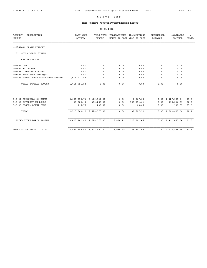# THIS MONTH'S APPROPRIATION/EXPENSE REPORT

| <b>ACCOUNT</b><br>DESCRIPTION<br><b>NUMBER</b> | LAST YEAR<br>ACTUAL | THIS YEAR<br><b>BUDGET</b> | TRANSACTIONS<br>MONTH-TO-DATE YEAR-TO-DATE | TRANSACTIONS | <b>ENCUMBERED</b><br><b>BALANCE</b> | AVAILABLE<br><b>BALANCE</b> | ៖<br><b>AVAIL</b> |
|------------------------------------------------|---------------------|----------------------------|--------------------------------------------|--------------|-------------------------------------|-----------------------------|-------------------|
| (22) STORM DRAIN UTILITY                       |                     |                            |                                            |              |                                     |                             |                   |
| (61) STORM DRAIN SYSTEM                        |                     |                            |                                            |              |                                     |                             |                   |
| CAPITAL OUTLAY                                 |                     |                            |                                            |              |                                     |                             |                   |
| 401-01 LAND                                    | 0.00                | 0.00                       | 0.00                                       | 0.00         | 0.00                                | 0.00                        |                   |
| 401-02 BUILDINGS                               | 0.00                | 0.00                       | 0.00                                       | 0.00         | 0.00                                | 0.00                        |                   |
| 402-03 COMPUTER SYSTEMS                        | 0.00                | 0.00                       | 0.00                                       | 0.00         | 0.00                                | 0.00                        |                   |
| 403-06 MACHINERY AND EQPT                      | 0.00                | 0.00                       | 0.00                                       | 0.00         | 0.00                                | 0.00                        |                   |
| 407-05 STORM DRAIN COLLECTION SYSTEM           | 1,016,721.53        | 0.00                       | 0.00                                       | 0.00         | 0.00                                | 0.00                        |                   |
| TOTAL CAPITAL OUTLAY                           | 1,016,721.53        | 0.00                       | 0.00                                       | 0.00         | 0.00                                | 0.00                        |                   |
| 808-01 PRINCIPAL ON BONDS                      |                     | 2,065,035.71 2,129,907.00  | 0.00                                       | 2,567.06     |                                     | $0.00 \quad 2,127,339.94$   | 99.8              |
| 808-02 INTEREST ON BONDS                       | 449,882.44          | 390,268.00                 | 0.00                                       | 195,051.61   | 0.00                                | 195,216.39                  | 50.0              |
| 808-03 FISCAL AGENT FEES                       | 146.77              | 200.00                     | 0.00                                       | 68.65        | 0.00                                | 131.35                      | 65.6              |
| TOTAL                                          |                     | 2,515,064.92 2,520,375.00  | 0.00                                       | 197,687.32   |                                     | $0.00 \quad 2,322,687.68$   | 92.1              |
| TOTAL STORM DRAIN SYSTEM                       |                     | 3,625,162.01 2,720,375.00  | 6,030.29                                   | 228,901.46   |                                     | $0.00 \quad 2,491,473.54$   | 91.5              |
| TOTAL STORM DRAIN UTILITY                      |                     | 3,893,155.01 3,003,450.00  | 6,030.29                                   | 228,901.46   |                                     | $0.00 \quad 2,774,548.54$   | 92.3              |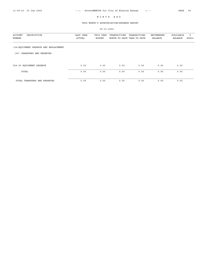# THIS MONTH'S APPROPRIATION/EXPENSE REPORT

| ACCOUNT<br>DESCRIPTION<br>NUMBER       | LAST YEAR<br>ACTUAL | THIS YEAR<br><b>BUDGET</b> | TRANSACTIONS<br>MONTH-TO-DATE YEAR-TO-DATE | TRANSACTIONS | ENCUMBERED<br><b>BALANCE</b> | AVAILABLE<br><b>BALANCE</b> | ៖<br>AVAIL |
|----------------------------------------|---------------------|----------------------------|--------------------------------------------|--------------|------------------------------|-----------------------------|------------|
| (24) EQUIPMENT RESERVE AND REPLACEMENT |                     |                            |                                            |              |                              |                             |            |
| TRANSFERS AND RESERVES<br>(00)         |                     |                            |                                            |              |                              |                             |            |
| 024-00 EQUIPMENT RESERVE               | 0.00                | 0.00                       | 0.00                                       | 0.00         | 0.00                         | 0.00                        |            |
| TOTAL                                  | 0.00                | 0.00                       | 0.00                                       | 0.00         | 0.00                         | 0.00                        |            |
| TOTAL TRANSFERS AND RESERVES           | 0.00                | 0.00                       | 0.00                                       | 0.00         | 0.00                         | 0.00                        |            |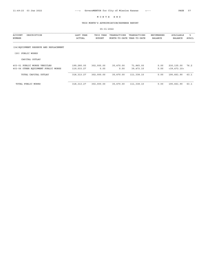# THIS MONTH'S APPROPRIATION/EXPENSE REPORT

| DESCRIPTION<br><b>ACCOUNT</b><br>NUMBER | LAST YEAR<br>ACTUAL | THIS YEAR<br><b>BUDGET</b> | TRANSACTIONS<br>MONTH-TO-DATE YEAR-TO-DATE | TRANSACTIONS | <b>ENCUMBERED</b><br><b>BALANCE</b> | AVAILABLE<br><b>BALANCE</b> | ៖<br>AVAIL |
|-----------------------------------------|---------------------|----------------------------|--------------------------------------------|--------------|-------------------------------------|-----------------------------|------------|
| (24) EQUIPMENT RESERVE AND REPLACEMENT  |                     |                            |                                            |              |                                     |                             |            |
| PUBLIC WORKS<br>(20)                    |                     |                            |                                            |              |                                     |                             |            |
| CAPITAL OUTLAY                          |                     |                            |                                            |              |                                     |                             |            |
| 403-01 PUBLIC WORKS VEHICLES            | 199,280.00          | 302,000.00                 | 35,470.00                                  | 71,865.00    | 0.00                                | 230,135.00                  | 76.2       |
| 403-06 OTHER EQUIPMENT PUBLIC WORKS     | 119,033.27          | 0.00                       | 0.00                                       | 39,473.10    | 0.00                                | $<$ 39, 473.10>             |            |
| TOTAL CAPITAL OUTLAY                    | 318, 313. 27        | 302,000.00                 | 35,470.00                                  | 111,338.10   | 0.00                                | 190,661.90                  | 63.1       |
| TOTAL PUBLIC WORKS                      | 318, 313. 27        | 302,000.00                 | 35,470.00                                  | 111,338.10   | 0.00                                | 190,661.90                  | 63.1       |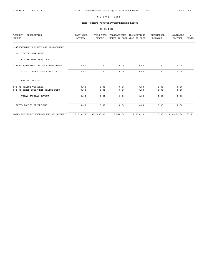# THIS MONTH'S APPROPRIATION/EXPENSE REPORT

|                                                |                            | $05 - 31 - 2022$           |                                            |              |                              |                             |            |
|------------------------------------------------|----------------------------|----------------------------|--------------------------------------------|--------------|------------------------------|-----------------------------|------------|
| <b>ACCOUNT</b><br>DESCRIPTION<br><b>NUMBER</b> | LAST YEAR<br><b>ACTUAL</b> | THIS YEAR<br><b>BUDGET</b> | TRANSACTIONS<br>MONTH-TO-DATE YEAR-TO-DATE | TRANSACTIONS | ENCUMBERED<br><b>BALANCE</b> | AVAILABLE<br><b>BALANCE</b> | ៖<br>AVAIL |
| (24) EQUIPMENT RESERVE AND REPLACEMENT         |                            |                            |                                            |              |                              |                             |            |
| (30) POLICE DEPARTMENT                         |                            |                            |                                            |              |                              |                             |            |
| CONTRACTUAL SERVICES                           |                            |                            |                                            |              |                              |                             |            |
| 212-02 EQUIPMENT INSTALLATION/REMOVAL          | 0.00                       | 0.00                       | 0.00                                       | 0.00         | 0.00                         | 0.00                        |            |
| TOTAL CONTRACTUAL SERVICES                     | 0.00                       | 0.00                       | 0.00                                       | 0.00         | 0.00                         | 0.00                        |            |
| CAPITAL OUTLAY                                 |                            |                            |                                            |              |                              |                             |            |
| 403-01 POLICE VEHICLES                         | 0.00                       | 0.00                       | 0.00                                       | 0.00         | 0.00                         | 0.00                        |            |
| 403-06 OTHER EQUIPMENT POLICE DEPT             | 0.00                       | 0.00                       | 0.00                                       | 0.00         | 0.00                         | 0.00                        |            |
| TOTAL CAPITAL OUTLAY                           | 0.00                       | 0.00                       | 0.00                                       | 0.00         | 0.00                         | 0.00                        |            |
| TOTAL POLICE DEPARTMENT                        | 0.00                       | 0.00                       | 0.00                                       | 0.00         | 0.00                         | 0.00                        |            |
| TOTAL EQUIPMENT RESERVE AND REPLACEMENT        | 318, 313. 27               | 302,000.00                 | 35,470.00                                  | 111,338.10   | 0.00                         | 190,661.90                  | 63.1       |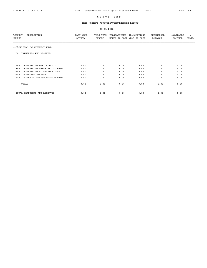# THIS MONTH'S APPROPRIATION/EXPENSE REPORT

| DESCRIPTION<br><b>ACCOUNT</b><br>NUMBER | LAST YEAR<br>ACTUAL | THIS YEAR<br><b>BUDGET</b> | TRANSACTIONS<br>MONTH-TO-DATE YEAR-TO-DATE | TRANSACTIONS | <b>ENCUMBERED</b><br>BALANCE | AVAILABLE<br><b>BALANCE</b> | ፟፟፟፟<br>AVAIL |
|-----------------------------------------|---------------------|----------------------------|--------------------------------------------|--------------|------------------------------|-----------------------------|---------------|
| (25) CAPITAL IMPROVEMENT FUND           |                     |                            |                                            |              |                              |                             |               |
| TRANSFERS AND RESERVES<br>(00)          |                     |                            |                                            |              |                              |                             |               |
| 011-00 TRANSFER TO DEBT SERVICE         | 0.00                | 0.00                       | 0.00                                       | 0.00         | 0.00                         | 0.00                        |               |
| 013-00 TRANSFER TO LAMAR BRIDGE FUND    | 0.00                | 0.00                       | 0.00                                       | 0.00         | 0.00                         | 0.00                        |               |
| 022-00 TRANSFER TO STORMWATER FUND      |                     |                            |                                            |              |                              |                             |               |
|                                         | 0.00                | 0.00                       | 0.00                                       | 0.00         | 0.00                         | 0.00                        |               |
| 025-00 OPERATING RESERVE                | 0.00                | 0.00                       | 0.00                                       | 0.00         | 0.00                         | 0.00                        |               |
| 035-00 TRANSF TO TRANSPORTATION FUND    | 0.00                | 0.00                       | 0.00                                       | 0.00         | 0.00                         | 0.00                        |               |
| TOTAL                                   | 0.00                | 0.00                       | 0.00                                       | 0.00         | 0.00                         | 0.00                        |               |
| TOTAL TRANSFERS AND RESERVES            | 0.00                | 0.00                       | 0.00                                       | 0.00         | 0.00                         | 0.00                        |               |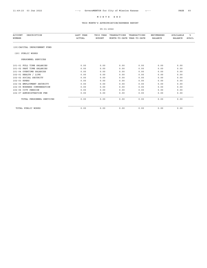# THIS MONTH'S APPROPRIATION/EXPENSE REPORT

| DESCRIPTION<br>ACCOUNT<br>NUMBER | LAST YEAR<br><b>ACTUAL</b> | THIS YEAR<br><b>BUDGET</b> | TRANSACTIONS<br>MONTH-TO-DATE YEAR-TO-DATE | TRANSACTIONS | <b>ENCUMBERED</b><br><b>BALANCE</b> | AVAILABLE<br><b>BALANCE</b> | ៖<br><b>AVAIL</b> |
|----------------------------------|----------------------------|----------------------------|--------------------------------------------|--------------|-------------------------------------|-----------------------------|-------------------|
| (25) CAPITAL IMPROVEMENT FUND    |                            |                            |                                            |              |                                     |                             |                   |
| (20) PUBLIC WORKS                |                            |                            |                                            |              |                                     |                             |                   |
| PERSONNEL SERVICES               |                            |                            |                                            |              |                                     |                             |                   |
| 101-01 FULL TIME SALARIES        | 0.00                       | 0.00                       | 0.00                                       | 0.00         | 0.00                                | 0.00                        |                   |
| 101-02 PART TIME SALARIES        | 0.00                       | 0.00                       | 0.00                                       | 0.00         | 0.00                                | 0.00                        |                   |
| 101-04 OVERTIME SALARIES         | 0.00                       | 0.00                       | 0.00                                       | 0.00         | 0.00                                | 0.00                        |                   |
| 102-01 HEALTH / LIFE             | 0.00                       | 0.00                       | 0.00                                       | 0.00         | 0.00                                | 0.00                        |                   |
| 102-02 SOCIAL SECURITY           | 0.00                       | 0.00                       | 0.00                                       | 0.00         | 0.00                                | 0.00                        |                   |
| 102-03 KPERS                     | 0.00                       | 0.00                       | 0.00                                       | 0.00         | 0.00                                | 0.00                        |                   |
| 102-04 EMPLOYMENT SECURITY       | 0.00                       | 0.00                       | 0.00                                       | 0.00         | 0.00                                | 0.00                        |                   |
| 102-05 WORKERS COMPENSATION      | 0.00                       | 0.00                       | 0.00                                       | 0.00         | 0.00                                | 0.00                        |                   |
| 102-06 CITY PENSION              | 0.00                       | 0.00                       | 0.00                                       | 0.00         | 0.00                                | 0.00                        |                   |
| 102-07 ADMINISTRATION FEE        | 0.00                       | 0.00                       | 0.00                                       | 0.00         | 0.00                                | 0.00                        |                   |
| TOTAL PERSONNEL SERVICES         | 0.00                       | 0.00                       | 0.00                                       | 0.00         | 0.00                                | 0.00                        |                   |
| TOTAL PUBLIC WORKS               | 0.00                       | 0.00                       | 0.00                                       | 0.00         | 0.00                                | 0.00                        |                   |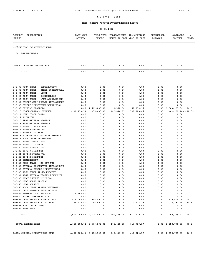# THIS MONTH'S APPROPRIATION/EXPENSE REPORT

| <b>ACCOUNT</b><br>DESCRIPTION<br>NUMBER                                 | LAST YEAR<br><b>ACTUAL</b> | THIS YEAR<br><b>BUDGET</b> | TRANSACTIONS<br>MONTH-TO-DATE YEAR-TO-DATE | TRANSACTIONS      | ENCUMBERED<br><b>BALANCE</b> | AVAILABLE<br><b>BALANCE</b> | ి<br>AVAIL    |
|-------------------------------------------------------------------------|----------------------------|----------------------------|--------------------------------------------|-------------------|------------------------------|-----------------------------|---------------|
| (25) CAPITAL IMPROVEMENT FUND                                           |                            |                            |                                            |                   |                              |                             |               |
| (90) EXPENDITURES                                                       |                            |                            |                                            |                   |                              |                             |               |
| 001-00 TRANSFER TO GEN FUND                                             | 0.00                       | 0.00                       | 0.00                                       | 0.00              | 0.00                         | 0.00                        |               |
| TOTAL                                                                   | 0.00                       | 0.00                       | 0.00                                       | 0.00              | 0.00                         | 0.00                        |               |
| 805-02 ROCK CREEK - CONSTRUCTION                                        | 0.00                       | 0.00                       | 0.00                                       | 0.00              | 0.00                         | 0.00                        |               |
| 805-03 ROCK CREEK - OTHER CONTRACTUAL                                   | 0.00                       | 0.00                       | 0.00                                       | 0.00              | 0.00                         | 0.00                        |               |
| 805-04 ROCK CREEK - LEGAL                                               | 0.00                       | 0.00                       | 0.00                                       | 0.00              | 0.00                         | 0.00                        |               |
| 805-05 ROCK CREEK - ENGINEERING<br>805-06 ROCK CREEK - LAND ACQUISITION | 0.00<br>0.00               | 0.00<br>0.00               | 0.00<br>0.00                               | 0.00<br>0.00      | 0.00<br>0.00                 | 0.00<br>0.00                |               |
| 805-07 TARGET CORP PUBLIC IMPROVEMENT                                   | 0.00                       | 0.00                       | 0.00                                       | 0.00              | 0.00                         | 0.00                        |               |
| 805-08 TARGET IMPROVMENT DEMOLITION                                     | 0.00                       | 0.00                       | 0.00                                       | 0.00              | 0.00                         | 0.00                        |               |
| 805-09 CAPITAL PROJECTS                                                 | 0.00                       | 1,641,000.00               | 3,572.50                                   | 57,072.96         | 0.00                         | 1,583,927.04                | 96.5          |
| 805-10 MISCELLANEOUS EXPENSE                                            | 1,100,450.54               | 485,000.00                 | 402,846.75                                 | 547, 928.46       | 0.00                         | < 62, 928.46 > < 12.9 >     |               |
| 805-11 BOND ISSUE COSTS                                                 | 0.00                       | 0.00                       | 0.00                                       | 0.00              | 0.00                         | 0.00                        |               |
| 805-12 ENTERCOM                                                         | 0.00                       | 0.00                       | 0.00                                       | 0.00              | 0.00                         | 0.00                        |               |
| 805-13 EAST GATEWAY PROJECT<br>805-14 WEST GATEWAY PROJECT              | 0.00<br>0.00               | 0.00<br>0.00               | 0.00<br>0.00                               | 0.00<br>0.00      | 0.00<br>0.00                 | 0.00<br>0.00                |               |
| 805-15 2005-1 TEMP NOTES                                                | 0.00                       | 0.00                       | 0.00                                       | 0.00              | 0.00                         | 0.00                        |               |
| 805-16 2005-A PRINICIPAL                                                | 0.00                       | 0.00                       | 0.00                                       | 0.00              | 0.00                         | 0.00                        |               |
| 805-17 2005-A INTEREST                                                  | 0.00                       | 0.00                       | 0.00                                       | 0.00              | 0.00                         | 0.00                        |               |
| 805-18 MISSION MALL GATEWAY PROJECT                                     | 0.00                       | 0.00                       | 0.00                                       | 0.00              | 0.00                         | 0.00                        |               |
| 805-19 ROCK CREEK PROMOTIONAL                                           | 0.00                       | 0.00                       | 0.00                                       | 0.00              | 0.00                         | 0.00                        |               |
| 805-20 2006-1 PRINCIPAL                                                 | 0.00                       | 0.00                       | 0.00                                       | 0.00              | 0.00                         | 0.00                        |               |
| 805-21 2006-1 INTEREST                                                  | 0.00                       | 0.00                       | 0.00                                       | 0.00              | 0.00                         | 0.00                        |               |
| 805-22 2006-3 PRINCIPAL<br>805-23 2006-3 INTEREST                       | 0.00<br>0.00               | 0.00<br>0.00               | 0.00<br>0.00                               | 0.00<br>0.00      | 0.00<br>0.00                 | 0.00<br>0.00                |               |
| 805-24 2004-B PRINCIPAL                                                 | 0.00                       | 0.00                       | 0.00                                       | 0.00              | 0.00                         | 0.00                        |               |
| 805-25 2004-B INTEREST                                                  | 0.00                       | 0.00                       | 0.00                                       | 0.00              | 0.00                         | 0.00                        |               |
| 805-26 CONTINGENCY                                                      | 0.00                       | 0.00                       | 0.00                                       | 0.00              | 0.00                         | 0.00                        |               |
| 805-27 MBDC GRANT - DO NOT USE                                          | 0.00                       | 0.00                       | 0.00                                       | 0.00              | 0.00                         | 0.00                        |               |
| 805-28 GATEWAY STORMWATER IMPROVMENTS                                   | 0.00                       | 0.00                       | 0.00                                       | 0.00              | 0.00                         | 0.00                        |               |
| 805-29 GATEWAY STREET IMPROVEMENTS                                      | 0.00                       | 0.00                       | 0.00                                       | 0.00              | 0.00                         | 0.00                        |               |
| 805-30 ROCK CREEK TRAIL PROJECT<br>805-34 WEST GATEWAY MASTER DEVELOPER | 0.00<br>0.00               | 0.00<br>0.00               | 0.00                                       | 0.00              | 0.00                         | 0.00                        |               |
| 805-35 PUBLIC WORKS BUILDING                                            | 0.00                       | 0.00                       | 0.00<br>0.00                               | 0.00<br>0.00      | 0.00<br>0.00                 | 0.00<br>0.00                |               |
| 805-40 MBDC GRANT PROGRAM                                               | 0.00                       | 0.00                       | 0.00                                       | 0.00              | 0.00                         | 0.00                        |               |
| 805-50 DEBT SERVICE                                                     | 0.00                       | 0.00                       | 0.00                                       | 0.00              | 0.00                         | 0.00                        |               |
| 805-55 ROCK CREEK MASTER DEVELOPER                                      | 0.00                       | 0.00                       | 0.00                                       | 0.00              | 0.00                         | 0.00                        |               |
| 805-60 CARS PROJECT EXPENDITURES                                        | 0.00                       | 0.00                       | 0.00                                       | 0.00              | 0.00                         | 0.00                        |               |
| 805-65 PROFESSIONAL SERVICES                                            | 8,900.00                   | 0.00                       | 0.00                                       | 0.00              | 0.00                         | 0.00                        |               |
| 805-70 STREET PRESERVATION                                              | 0.00                       | 0.00                       | 0.00                                       | 0.00              | 0.00                         | 0.00                        |               |
| 808-01 DEBT SERVICE - PRINCIPAL<br>808-02 DEBT SERVICE - INTEREST       | 515,000.00<br>35,737.50    | 515,000.00<br>35,500.00    | 0.00<br>0.00                               | 0.00<br>12,718.75 | 0.00<br>0.00                 | 515,000.00<br>22,781.25     | 100.0<br>64.1 |
| 808-03 BOND ISSUE COSTS                                                 | 0.00                       | 0.00                       | 0.00                                       | 0.00              | 0.00                         | 0.00                        |               |
| 808-04 BANK FEES                                                        | 0.00                       | 0.00                       | 0.00                                       | 0.00              | 0.00                         | 0.00                        |               |
| TOTAL                                                                   |                            | 1,660,088.04 2,676,500.00  | 406, 419.25                                | 617,720.17        |                              | 0.00 2,058,779.83           | 76.9          |
| TOTAL EXPENDITURES                                                      |                            | 1,660,088.04 2,676,500.00  | 406, 419.25                                | 617,720.17        |                              | $0.00 \quad 2,058,779.83$   | 76.9          |
| TOTAL CAPITAL IMPROVEMENT FUND                                          |                            | 1,660,088.04 2,676,500.00  | 406, 419.25                                | 617,720.17        |                              | 0.00 2,058,779.83           | 76.9          |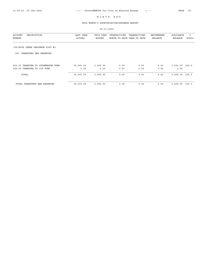## THIS MONTH'S APPROPRIATION/EXPENSE REPORT

| DESCRIPTION<br><b>ACCOUNT</b><br>NUMBER | LAST YEAR<br>ACTUAL | THIS YEAR<br><b>BUDGET</b> | TRANSACTIONS<br>MONTH-TO-DATE YEAR-TO-DATE | TRANSACTIONS | ENCUMBERED<br><b>BALANCE</b> | AVAILABLE<br><b>BALANCE</b> | ႜ<br>AVAIL |
|-----------------------------------------|---------------------|----------------------------|--------------------------------------------|--------------|------------------------------|-----------------------------|------------|
| (26) ROCK CREEK DRAINAGE DIST #1        |                     |                            |                                            |              |                              |                             |            |
| TRANSFERS AND RESERVES<br>(00)          |                     |                            |                                            |              |                              |                             |            |
| 022-00 TRANSFER TO STORMWATER FUND      | 15,000.00           | 3,000.00                   | 0.00                                       | 0.00         | 0.00                         | 3,000.00 100.0              |            |
| 025-00 TRANSFER TO CIP FUND             | 0.00                | 0.00                       | 0.00                                       | 0.00         | 0.00                         | 0.00                        |            |
| TOTAL                                   | 15,000.00           | 3,000.00                   | 0.00                                       | 0.00         | 0.00                         | 3,000.00 100.0              |            |
| TOTAL TRANSFERS AND RESERVES            | 15,000.00           | 3,000.00                   | 0.00                                       | 0.00         | 0.00                         | 3,000.00                    | 100.0      |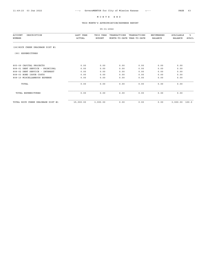## THIS MONTH'S APPROPRIATION/EXPENSE REPORT

| <b>ACCOUNT</b><br>DESCRIPTION<br>NUMBER | LAST YEAR<br>ACTUAL | THIS YEAR<br><b>BUDGET</b> | TRANSACTIONS<br>MONTH-TO-DATE YEAR-TO-DATE | TRANSACTIONS | <b>ENCUMBERED</b><br><b>BALANCE</b> | <b>AVAILABLE</b><br><b>BALANCE</b> | ៖<br><b>AVAIL</b> |
|-----------------------------------------|---------------------|----------------------------|--------------------------------------------|--------------|-------------------------------------|------------------------------------|-------------------|
| (26) ROCK CREEK DRAINAGE DIST #1        |                     |                            |                                            |              |                                     |                                    |                   |
| EXPENDITURES<br>(90)                    |                     |                            |                                            |              |                                     |                                    |                   |
| 805-09 CAPITAL PROJECTS                 | 0.00                | 0.00                       | 0.00                                       | 0.00         | 0.00                                | 0.00                               |                   |
| 808-01 DEBT SERVICE - PRINCIPAL         | 0.00                | 0.00                       | 0.00                                       | 0.00         | 0.00                                | 0.00                               |                   |
| 808-02 DEBT SERVICE - INTEREST          | 0.00                | 0.00                       | 0.00                                       | 0.00         | 0.00                                | 0.00                               |                   |
| 808-03 BOND ISSUE COSTS                 | 0.00                | 0.00                       | 0.00                                       | 0.00         | 0.00                                | 0.00                               |                   |
| 808-10 MISCELLANEOUS EXPENSE            | 0.00                | 0.00                       | 0.00                                       | 0.00         | 0.00                                | 0.00                               |                   |
| TOTAL                                   | 0.00                | 0.00                       | 0.00                                       | 0.00         | 0.00                                | 0.00                               |                   |
| TOTAL EXPENDITURES                      | 0.00                | 0.00                       | 0.00                                       | 0.00         | 0.00                                | 0.00                               |                   |
| TOTAL ROCK CREEK DRAINAGE DIST #1       | 15,000.00           | 3,000.00                   | 0.00                                       | 0.00         | 0.00                                | 3,000.00                           | 100.0             |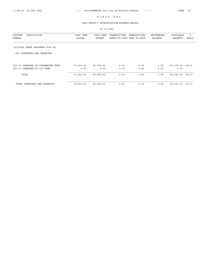## THIS MONTH'S APPROPRIATION/EXPENSE REPORT

| DESCRIPTION<br><b>ACCOUNT</b><br>NUMBER | LAST YEAR<br>ACTUAL | THIS YEAR<br><b>BUDGET</b> | TRANSACTIONS<br>MONTH-TO-DATE YEAR-TO-DATE | TRANSACTIONS | <b>ENCUMBERED</b><br><b>BALANCE</b> | AVAILABLE<br><b>BALANCE</b> | ፝፝፝<br>AVAIL |
|-----------------------------------------|---------------------|----------------------------|--------------------------------------------|--------------|-------------------------------------|-----------------------------|--------------|
| (27) ROCK CREEK DRAINAGE DIST #2        |                     |                            |                                            |              |                                     |                             |              |
| TRANSFERS AND RESERVES<br>(00)          |                     |                            |                                            |              |                                     |                             |              |
| 022-00 TRANSFER TO STORMWATER FUND      | 70,000.00           | 85,000.00                  | 0.00                                       | 0.00         | 0.00                                | 85,000.00                   | 100.0        |
| 025-00 TRANSFER TO CIP FUND             | 0.00                | 0.00                       | 0.00                                       | 0.00         | 0.00                                | 0.00                        |              |
| TOTAL                                   | 70,000.00           | 85,000.00                  | 0.00                                       | 0.00         | 0.00                                | 85,000.00                   | 100.0        |
| TOTAL TRANSFERS AND RESERVES            | 70,000.00           | 85,000.00                  | 0.00                                       | 0.00         | 0.00                                | 85,000.00                   | 100.0        |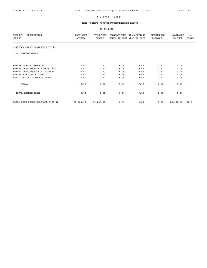## THIS MONTH'S APPROPRIATION/EXPENSE REPORT

| <b>ACCOUNT</b><br>DESCRIPTION<br>NUMBER | LAST YEAR<br>ACTUAL | THIS YEAR<br><b>BUDGET</b> | TRANSACTIONS<br>MONTH-TO-DATE YEAR-TO-DATE | TRANSACTIONS | <b>ENCUMBERED</b><br><b>BALANCE</b> | <b>AVAILABLE</b><br><b>BALANCE</b> | ៖<br><b>AVAIL</b> |
|-----------------------------------------|---------------------|----------------------------|--------------------------------------------|--------------|-------------------------------------|------------------------------------|-------------------|
| (27) ROCK CREEK DRAINAGE DIST #2        |                     |                            |                                            |              |                                     |                                    |                   |
| (90) EXPENDITURES                       |                     |                            |                                            |              |                                     |                                    |                   |
| 805-09 CAPITAL PROJECTS                 | 0.00                | 0.00                       | 0.00                                       | 0.00         | 0.00                                | 0.00                               |                   |
| 808-01 DEBT SERVICE - PRINCIPAL         | 0.00                | 0.00                       | 0.00                                       | 0.00         | 0.00                                | 0.00                               |                   |
| 808-02 DEBT SERVICE - INTEREST          | 0.00                | 0.00                       | 0.00                                       | 0.00         | 0.00                                | 0.00                               |                   |
| 808-03 BOND ISSUE COSTS                 | 0.00                | 0.00                       | 0.00                                       | 0.00         | 0.00                                | 0.00                               |                   |
| 808-10 MISCELLANEOUS EXPENSE            | 0.00                | 0.00                       | 0.00                                       | 0.00         | 0.00                                | 0.00                               |                   |
| TOTAL                                   | 0.00                | 0.00                       | 0.00                                       | 0.00         | 0.00                                | 0.00                               |                   |
| TOTAL EXPENDITURES                      | 0.00                | 0.00                       | 0.00                                       | 0.00         | 0.00                                | 0.00                               |                   |
| TOTAL ROCK CREEK DRAINAGE DIST #2       | 70,000.00           | 85,000.00                  | 0.00                                       | 0.00         | 0.00                                | 85,000.00                          | 100.0             |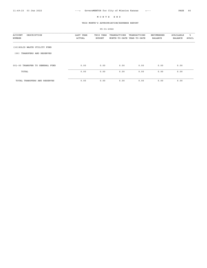05-31-2022

#### THIS MONTH'S APPROPRIATION/EXPENSE REPORT

ACCOUNT DESCRIPTION LAST YEAR THIS YEAR TRANSACTIONS TRANSACTIONS ENCUMBERED AVAILABLE % NUMBER ACTUAL BUDGET MONTH-TO-DATE YEAR-TO-DATE BALANCE BALANCE AVAIL (30)SOLID WASTE UTILITY FUND (00) TRANSFERS AND RESERVES 001-00 TRANSFER TO GENERAL FUND 0.00 0.00 0.00 0.00 0.00 0.00 TOTAL 0.00 0.00 0.00 0.00 0.00 0.00

| JI-00 IRANSFER TO GENERAL FUND | v.vv | v.vv | v.vv | v.vv | v.vv | v.vv |
|--------------------------------|------|------|------|------|------|------|
| TOTAL                          | 0.00 | 0.00 | 0.00 | 0.00 | 0.00 | 0.00 |
| TOTAL TRANSFERS AND RESERVES   | 0.00 | 0.00 | 0.00 | 0.00 | 0.00 | 0.00 |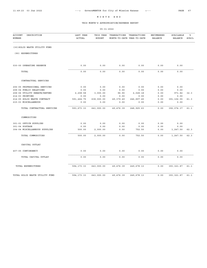## THIS MONTH'S APPROPRIATION/EXPENSE REPORT

| <b>ACCOUNT</b><br>DESCRIPTION<br>NUMBER | LAST YEAR<br><b>ACTUAL</b> | THIS YEAR<br><b>BUDGET</b> | TRANSACTIONS<br>MONTH-TO-DATE YEAR-TO-DATE | TRANSACTIONS | ENCUMBERED<br><b>BALANCE</b> | AVAILABLE<br><b>BALANCE</b> | ٩,<br><b>AVAIL</b> |
|-----------------------------------------|----------------------------|----------------------------|--------------------------------------------|--------------|------------------------------|-----------------------------|--------------------|
| (30) SOLID WASTE UTILITY FUND           |                            |                            |                                            |              |                              |                             |                    |
| (90) EXPENDITURES                       |                            |                            |                                            |              |                              |                             |                    |
| 030-00 OPERATING RESERVE                | 0.00                       | 0.00                       | 0.00                                       | 0.00         | 0.00                         | 0.00                        |                    |
| TOTAL                                   | 0.00                       | 0.00                       | 0.00                                       | 0.00         | 0.00                         | 0.00                        |                    |
| CONTRACTUAL SERVICES                    |                            |                            |                                            |              |                              |                             |                    |
| 206-05 PROFESSIONAL SERVICES            | 0.00                       | 0.00                       | 0.00                                       | 0.00         | 0.00                         | 0.00                        |                    |
| 208-04 PUBLIC RELATIONS                 | 0.00                       | 0.00                       | 0.00                                       | 0.00         | 0.00                         | 0.00                        |                    |
| 208-06 UTILITY REBATE/REFUND            | 2,208.58                   | 3,000.00                   | 96.90                                      | 2,028.18     | 0.00                         | 971.82                      | 32.3               |
| 214-03 PRINTING                         | 0.00                       | 0.00                       | 0.00                                       | 0.00         | 0.00                         | 0.00                        |                    |
| 214-05 SOLID WASTE CONTRACT             | 591,464.75                 | 638,000.00                 | 49, 379.49                                 | 246,897.45   | 0.00                         | 391,102.55                  | 61.3               |
| 215-03 MISCELLANEOUS                    | 0.00                       | 0.00                       | 0.00                                       | 0.00         | 0.00                         | 0.00                        |                    |
| TOTAL CONTRACTUAL SERVICES              | 593,673.33                 | 641,000.00                 | 49,476.39                                  | 248, 925.63  | 0.00                         | 392,074.37                  | 61.1               |
| COMMODITIES                             |                            |                            |                                            |              |                              |                             |                    |
| 301-01 OFFICE SUPPLIES                  | 0.00                       | 0.00                       | 0.00                                       | 0.00         | 0.00                         | 0.00                        |                    |
| 301-04 POSTAGE                          | 0.00                       | 0.00                       | 0.00                                       | 0.00         | 0.00                         | 0.00                        |                    |
| 304-04 MISCELLANEOUS SUPPLIES           | 500.00                     | 2,000.00                   | 0.00                                       | 752.50       | 0.00                         | 1,247.50                    | 62.3               |
| TOTAL COMMODITIES                       | 500.00                     | 2,000.00                   | 0.00                                       | 752.50       | 0.00                         | 1,247.50                    | 62.3               |
| CAPITAL OUTLAY                          |                            |                            |                                            |              |                              |                             |                    |
| 407-05 CONTINGENCY                      | 0.00                       | 0.00                       | 0.00                                       | 0.00         | 0.00                         | 0.00                        |                    |
| TOTAL CAPITAL OUTLAY                    | 0.00                       | 0.00                       | 0.00                                       | 0.00         | 0.00                         | 0.00                        |                    |
| TOTAL EXPENDITURES                      | 594, 173.33                | 643,000.00                 | 49,476.39                                  | 249,678.13   | 0.00                         | 393, 321.87                 | 61.1               |
| TOTAL SOLID WASTE UTILITY FUND          | 594, 173.33                | 643,000.00                 | 49, 476.39                                 | 249,678.13   | 0.00                         | 393, 321.87                 | 61.1               |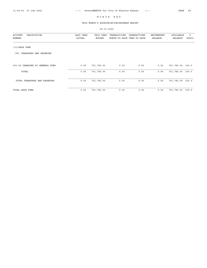## THIS MONTH'S APPROPRIATION/EXPENSE REPORT

| DESCRIPTION<br><b>ACCOUNT</b>   | LAST YEAR | THIS YEAR     | TRANSACTIONS               | TRANSACTIONS | ENCUMBERED     | AVAILABLE      | ៖     |
|---------------------------------|-----------|---------------|----------------------------|--------------|----------------|----------------|-------|
| NUMBER                          | ACTUAL    | <b>BUDGET</b> | MONTH-TO-DATE YEAR-TO-DATE |              | <b>BALANCE</b> | <b>BALANCE</b> | AVAIL |
| (31) ARPA FUND                  |           |               |                            |              |                |                |       |
| TRANSFERS AND RESERVES<br>(00)  |           |               |                            |              |                |                |       |
| 001-00 TRANSFER TO GENERAL FUND | 0.00      | 751,782.00    | 0.00                       | 0.00         | 0.00           | 751,782.00     | 100.0 |
| TOTAL                           | 0.00      | 751,782.00    | 0.00                       | 0.00         | 0.00           | 751,782.00     | 100.0 |
| TOTAL TRANSFERS AND RESERVES    | 0.00      | 751,782.00    | 0.00                       | 0.00         | 0.00           | 751,782.00     | 100.0 |
| TOTAL ARPA FUND                 | 0.00      | 751,782.00    | 0.00                       | 0.00         | 0.00           | 751,782.00     | 100.0 |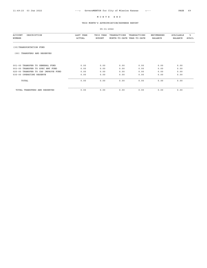## THIS MONTH'S APPROPRIATION/EXPENSE REPORT

| DESCRIPTION<br><b>ACCOUNT</b><br>NUMBER | LAST YEAR<br>ACTUAL | THIS YEAR<br><b>BUDGET</b> | TRANSACTIONS<br>MONTH-TO-DATE YEAR-TO-DATE | TRANSACTIONS | ENCUMBERED<br><b>BALANCE</b> | AVAILABLE<br><b>BALANCE</b> | ి<br>AVAIL |
|-----------------------------------------|---------------------|----------------------------|--------------------------------------------|--------------|------------------------------|-----------------------------|------------|
| (35) TRANSPORTATION FUND                |                     |                            |                                            |              |                              |                             |            |
| TRANSFERS AND RESERVES<br>(00)          |                     |                            |                                            |              |                              |                             |            |
| 001-00 TRANSFER TO GENERAL FUND         | 0.00                | 0.00                       | 0.00                                       | 0.00         | 0.00                         | 0.00                        |            |
| 003-00 TRANSFER TO SPEC HWY FUND        | 0.00                | 0.00                       | 0.00                                       | 0.00         | 0.00                         | 0.00                        |            |
| 025-00 TRANSFER TO CAP IMPROVE FUND     | 0.00                | 0.00                       | 0.00                                       | 0.00         | 0.00                         | 0.00                        |            |
| 035-00 OPERATING RESERVE                | 0.00                | 0.00                       | 0.00                                       | 0.00         | 0.00                         | 0.00                        |            |
| TOTAL                                   | 0.00                | 0.00                       | 0.00                                       | 0.00         | 0.00                         | 0.00                        |            |
| TOTAL TRANSFERS AND RESERVES            | 0.00                | 0.00                       | 0.00                                       | 0.00         | 0.00                         | 0.00                        |            |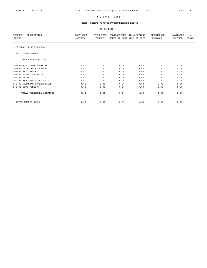## THIS MONTH'S APPROPRIATION/EXPENSE REPORT

| DESCRIPTION<br>ACCOUNT<br>NUMBER | LAST YEAR<br>ACTUAL | THIS YEAR<br><b>BUDGET</b> | TRANSACTIONS<br>MONTH-TO-DATE YEAR-TO-DATE | TRANSACTIONS | <b>ENCUMBERED</b><br><b>BALANCE</b> | <b>AVAILABLE</b><br><b>BALANCE</b> | ిక<br><b>AVAIL</b> |
|----------------------------------|---------------------|----------------------------|--------------------------------------------|--------------|-------------------------------------|------------------------------------|--------------------|
| (35) TRANSPORTATION FUND         |                     |                            |                                            |              |                                     |                                    |                    |
| PUBLIC WORKS<br>(20)             |                     |                            |                                            |              |                                     |                                    |                    |
| PERSONNEL SERVICES               |                     |                            |                                            |              |                                     |                                    |                    |
| 101-01 FULL TIME SALARIES        | 0.00                | 0.00                       | 0.00                                       | 0.00         | 0.00                                | 0.00                               |                    |
| 101-04 OVERTIME SALARIES         | 0.00                | 0.00                       | 0.00                                       | 0.00         | 0.00                                | 0.00                               |                    |
| 102-01 HEALTH/LIFE               | 0.00                | 0.00                       | 0.00                                       | 0.00         | 0.00                                | 0.00                               |                    |
| 102-02 SOCIAL SECURITY           | 0.00                | 0.00                       | 0.00                                       | 0.00         | 0.00                                | 0.00                               |                    |
| 102-03 KPERS                     | 0.00                | 0.00                       | 0.00                                       | 0.00         | 0.00                                | 0.00                               |                    |
| 102-04 EMPLOYMENT SECURITY       | 0.00                | 0.00                       | 0.00                                       | 0.00         | 0.00                                | 0.00                               |                    |
| 102-05 WORKER'S COMPENSATION     | 0.00                | 0.00                       | 0.00                                       | 0.00         | 0.00                                | 0.00                               |                    |
| 102-06 CITY PENSION              | 0.00                | 0.00                       | 0.00                                       | 0.00         | 0.00                                | 0.00                               |                    |
| TOTAL PERSONNEL SERVICES         | 0.00                | 0.00                       | 0.00                                       | 0.00         | 0.00                                | 0.00                               |                    |
| TOTAL PUBLIC WORKS               | 0.00                | 0.00                       | 0.00                                       | 0.00         | 0.00                                | 0.00                               |                    |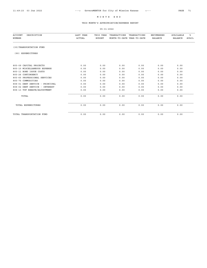## THIS MONTH'S APPROPRIATION/EXPENSE REPORT

| DESCRIPTION<br><b>ACCOUNT</b><br><b>NUMBER</b> | LAST YEAR<br><b>ACTUAL</b> | THIS YEAR<br><b>BUDGET</b> | TRANSACTIONS<br>MONTH-TO-DATE YEAR-TO-DATE | TRANSACTIONS | ENCUMBERED<br><b>BALANCE</b> | AVAILABLE<br><b>BALANCE</b> | ఄ<br>AVAIL |
|------------------------------------------------|----------------------------|----------------------------|--------------------------------------------|--------------|------------------------------|-----------------------------|------------|
| (35) TRANSPORTATION FUND                       |                            |                            |                                            |              |                              |                             |            |
| (90) EXPENDITURES                              |                            |                            |                                            |              |                              |                             |            |
| 805-09 CAPITAL PROJECTS                        | 0.00                       | 0.00                       | 0.00                                       | 0.00         | 0.00                         | 0.00                        |            |
| 805-10 MISCELLANEOUS EXPENSE                   |                            |                            |                                            |              |                              |                             |            |
| 805-11 BOND ISSUE COSTS                        | 0.00                       | 0.00                       | 0.00                                       | 0.00         | 0.00                         | 0.00                        |            |
|                                                | 0.00                       | 0.00                       | 0.00                                       | 0.00         | 0.00                         | 0.00                        |            |
| 805-26 CONTINGENCY                             | 0.00                       | 0.00                       | 0.00                                       | 0.00         | 0.00                         | 0.00                        |            |
| 805-65 PROFESSIONAL SERVICES                   | 0.00                       | 0.00                       | 0.00                                       | 0.00         | 0.00                         | 0.00                        |            |
| 805-75 COMMODITIES                             | 0.00                       | 0.00                       | 0.00                                       | 0.00         | 0.00                         | 0.00                        |            |
| 808-01 DEBT SERVICE - PRINCIPAL                | 0.00                       | 0.00                       | 0.00                                       | 0.00         | 0.00                         | 0.00                        |            |
| 808-02 DEBT SERVICE - INTEREST                 | 0.00                       | 0.00                       | 0.00                                       | 0.00         | 0.00                         | 0.00                        |            |
| 808-13 TUF REBATE/ADJUSTMENT                   | 0.00                       | 0.00                       | 0.00                                       | 0.00         | 0.00                         | 0.00                        |            |
| TOTAL                                          | 0.00                       | 0.00                       | 0.00                                       | 0.00         | 0.00                         | 0.00                        |            |
| TOTAL EXPENDITURES                             | 0.00                       | 0.00                       | 0.00                                       | 0.00         | 0.00                         | 0.00                        |            |
| TOTAL TRANSPORTATION FUND                      | 0.00                       | 0.00                       | 0.00                                       | 0.00         | 0.00                         | 0.00                        |            |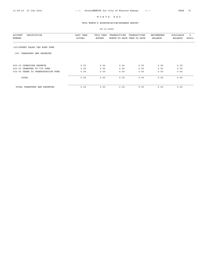## THIS MONTH'S APPROPRIATION/EXPENSE REPORT

| DESCRIPTION<br>ACCOUNT<br>NUMBER      | LAST YEAR<br>ACTUAL | THIS YEAR<br><b>BUDGET</b> | TRANSACTIONS<br>MONTH-TO-DATE YEAR-TO-DATE | TRANSACTIONS | <b>ENCUMBERED</b><br><b>BALANCE</b> | AVAILABLE<br><b>BALANCE</b> | ፝፝፝<br>AVAIL |
|---------------------------------------|---------------------|----------------------------|--------------------------------------------|--------------|-------------------------------------|-----------------------------|--------------|
|                                       |                     |                            |                                            |              |                                     |                             |              |
| (40) STREET SALES TAX BOND FUND       |                     |                            |                                            |              |                                     |                             |              |
| TRANSFERS AND RESERVES<br>(00)        |                     |                            |                                            |              |                                     |                             |              |
|                                       |                     |                            |                                            |              |                                     |                             |              |
| 005-00 OPERATING RESERVE              | 0.00                | 0.00                       | 0.00                                       | 0.00         | 0.00                                | 0.00                        |              |
| 025-00 TRANSFER TO CIP FUND           | 0.00                | 0.00                       | 0.00                                       | 0.00         | 0.00                                | 0.00                        |              |
| TRANPORTATION FUND<br>035-00 TRANS TO | 0.00                | 0.00                       | 0.00                                       | 0.00         | 0.00                                | 0.00                        |              |
| TOTAL                                 | 0.00                | 0.00                       | 0.00                                       | 0.00         | 0.00                                | 0.00                        |              |
| TOTAL TRANSFERS AND RESERVES          | 0.00                | 0.00                       | 0.00                                       | 0.00         | 0.00                                | 0.00                        |              |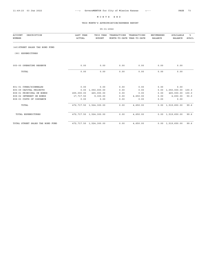#### THIS MONTH'S APPROPRIATION/EXPENSE REPORT

05-31-2022 ACCOUNT DESCRIPTION LAST YEAR THIS YEAR TRANSACTIONS TRANSACTIONS ENCUMBERED AVAILABLE % NUMBER ACTUAL BUDGET MONTH-TO-DATE YEAR-TO-DATE (40)STREET SALES TAX BOND FUND (90) EXPENDITURES 005-00 OPERATING RESERVE 0.00 0.00 0.00 0.00 0.00 0.00 TOTAL 0.00 0.00 0.00 0.00 0.00 0.00 801-01 CURBS/SIDEWALKS 0.00 0.00 0.00 0.00 0.00 0.00 0.00 0.0<br>805-09 CAPITAL PROJECTS 0.00 1,050,000.00 0.00 0.00 0.00 1,050,000.00 805-09 CAPITAL PROJECTS 0.00 1,050,000.00 0.00 0.00 0.00 1,050,000.00 100.0  $0.00$   $465,000.00$   $100.0$ 808-02 INTEREST ON BONDS 17,717.50 9,300.00 0.00 4,650.00 0.00 4,650.00 50.0 808-03 COSTS OF ISSUANCE 0.00 0.00 0.00 0.00 0.00 0.00 TOTAL 472,717.50 1,524,300.00 0.00 4,650.00 0.00 1,519,650.00 99.6 TOTAL EXPENDITURES 472,717.50 1,524,300.00 0.00 4,650.00 0.00 1,519,650.00 99.6 TOTAL STREET SALES TAX BOND FUND 472,717.50 1,524,300.00 0.00 4,650.00 0.00 1,519,650.00 99.6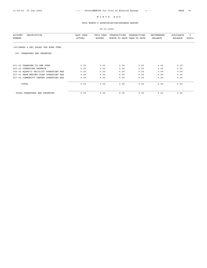## THIS MONTH'S APPROPRIATION/EXPENSE REPORT

| <b>ACCOUNT</b><br>DESCRIPTION<br>NUMBER | LAST YEAR<br><b>ACTUAL</b> | THIS YEAR<br><b>BUDGET</b> | TRANSACTIONS<br>MONTH-TO-DATE YEAR-TO-DATE | TRANSACTIONS | ENCUMBERED<br><b>BALANCE</b> | AVAILABLE<br>BALANCE | ፟፠<br><b>AVAIL</b> |
|-----------------------------------------|----------------------------|----------------------------|--------------------------------------------|--------------|------------------------------|----------------------|--------------------|
| (45) PARKS & REC SALES TAX BOND FUND    |                            |                            |                                            |              |                              |                      |                    |
| TRANSFERS AND RESERVES<br>(00)          |                            |                            |                                            |              |                              |                      |                    |
| 001-00 TRANSFER TO GEN FUND             | 0.00                       | 0.00                       | 0.00                                       | 0.00         | 0.00                         | 0.00                 |                    |
| 005-00 OPERATING RESERVE                | 0.00                       | 0.00                       | 0.00                                       | 0.00         | 0.00                         | 0.00                 |                    |
| 025-00 AQUATIC FACILITY OPERATING RES   | 0.00                       | 0.00                       | 0.00                                       | 0.00         | 0.00                         | 0.00                 |                    |
| 027-01 PARK MASTER PLAN OPERATING RES   | 0.00                       | 0.00                       | 0.00                                       | 0.00         | 0.00                         | 0.00                 |                    |
| 027-02 COMMUNITY CENTER OPERATING RES   | 0.00                       | 0.00                       | 0.00                                       | 0.00         | 0.00                         | 0.00                 |                    |
| TOTAL                                   | 0.00                       | 0.00                       | 0.00                                       | 0.00         | 0.00                         | 0.00                 |                    |
| TOTAL TRANSFERS AND RESERVES            | 0.00                       | 0.00                       | 0.00                                       | 0.00         | 0.00                         | 0.00                 |                    |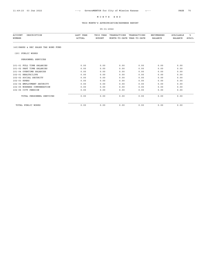## THIS MONTH'S APPROPRIATION/EXPENSE REPORT

| <b>ACCOUNT</b><br>DESCRIPTION<br><b>NUMBER</b> | LAST YEAR<br><b>ACTUAL</b> | THIS YEAR<br><b>BUDGET</b> | TRANSACTIONS<br>MONTH-TO-DATE YEAR-TO-DATE | TRANSACTIONS | <b>ENCUMBERED</b><br><b>BALANCE</b> | <b>AVAILABLE</b><br><b>BALANCE</b> | ి<br><b>AVAIL</b> |
|------------------------------------------------|----------------------------|----------------------------|--------------------------------------------|--------------|-------------------------------------|------------------------------------|-------------------|
| (45) PARKS & REC SALES TAX BOND FUND           |                            |                            |                                            |              |                                     |                                    |                   |
| (20) PUBLIC WORKS                              |                            |                            |                                            |              |                                     |                                    |                   |
| PERSONNEL SERVICES                             |                            |                            |                                            |              |                                     |                                    |                   |
| 101-01 FULL TIME SALARIES                      | 0.00                       | 0.00                       | 0.00                                       | 0.00         | 0.00                                | 0.00                               |                   |
| 101-02 PART TIME SALARIES                      | 0.00                       | 0.00                       | 0.00                                       | 0.00         | 0.00                                | 0.00                               |                   |
| 101-04 OVERTIME SALARIES                       | 0.00                       | 0.00                       | 0.00                                       | 0.00         | 0.00                                | 0.00                               |                   |
| 102-01 HEALTH/LIFE                             | 0.00                       | 0.00                       | 0.00                                       | 0.00         | 0.00                                | 0.00                               |                   |
| 102-02 SOCIAL SECURITY                         | 0.00                       | 0.00                       | 0.00                                       | 0.00         | 0.00                                | 0.00                               |                   |
| 102-03 KPERS                                   | 0.00                       | 0.00                       | 0.00                                       | 0.00         | 0.00                                | 0.00                               |                   |
| 102-04 EMPLOYMENT SECURITY                     | 0.00                       | 0.00                       | 0.00                                       | 0.00         | 0.00                                | 0.00                               |                   |
| 102-05 WORKERS COMPENSATION                    | 0.00                       | 0.00                       | 0.00                                       | 0.00         | 0.00                                | 0.00                               |                   |
| 102-06 CITY PENSION                            | 0.00                       | 0.00                       | 0.00                                       | 0.00         | 0.00                                | 0.00                               |                   |
| TOTAL PERSONNEL SERVICES                       | 0.00                       | 0.00                       | 0.00                                       | 0.00         | 0.00                                | 0.00                               |                   |
| TOTAL PUBLIC WORKS                             | 0.00                       | 0.00                       | 0.00                                       | 0.00         | 0.00                                | 0.00                               |                   |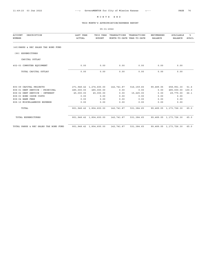#### THIS MONTH'S APPROPRIATION/EXPENSE REPORT

05-31-2022 ACCOUNT DESCRIPTION LAST YEAR THIS YEAR TRANSACTIONS TRANSACTIONS ENCUMBERED AVAILABLE % NUMBER ACTUAL BUDGET MONTH-TO-DATE YEAR-TO-DATE BALANCE BALANCE AVAIL (45)PARKS & REC SALES TAX BOND FUND (90) EXPENDITURES CAPITAL OUTLAY 402-03 COMPUTER EQUIPMENT 0.00 0.00 0.00 0.00 0.00 0.00 TOTAL CAPITAL OUTLAY 0.00 0.00 0.00 0.00 0.00 0.00 805-09 CAPITAL PROJECTS 271,948.42 1,274,600.00 142,741.87 516,159.65 99,489.05 658,951.30 51.6<br>808-01 DEBT SERVICE - PRINCIPAL 485,000.00 485,000.00 105,000 0.00 0.00 0.00 485,000.00 100.0<br>15,225.00 0.00 29,775.00 66.1 16 808-01 DEBT SERVICE - PRINCIPAL 485,000.00 485,000.00 0.00 0.00 0.00 0.00 485,000.00<br>808-02 DEBT SERVICE - INTEREST 45,000.00 45,000.00 0.00 15,225.00 0.00 29,775.00<br>808-03 BOND ISSUE COFFIC 808-02 DEBT SERVICE - INTEREST 45,000.00 45,000.00 0.00 15,225.00 0.00 29,775.00 66.1 808-03 BOND ISSUE COSTS 0.00 0.00 0.00 0.00 0.00 0.00 808-04 BANK FEES 0.00 0.00 0.00 0.00 0.00 0.00 808-10 MISCELLANEOUS EXPENSE 0.00 0.00 0.00 0.00 0.00 0.00 TOTAL 801,948.42 1,804,600.00 142,741.87 531,384.65 99,489.05 1,173,726.30 65.0 TOTAL EXPENDITURES 801,948.42 1,804,600.00 142,741.87 531,384.65 99,489.05 1,173,726.30 65.0 TOTAL PARKS & REC SALES TAX BOND FUND 801,948.42 1,804,600.00 142,741.87 531,384.65 99,489.05 1,173,726.30 65.0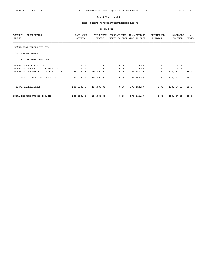## THIS MONTH'S APPROPRIATION/EXPENSE REPORT

| <b>ACCOUNT</b><br>DESCRIPTION<br>NUMBER | LAST YEAR<br>ACTUAL | THIS YEAR<br><b>BUDGET</b> | TRANSACTIONS<br>MONTH-TO-DATE YEAR-TO-DATE | TRANSACTIONS | ENCUMBERED<br><b>BALANCE</b> | AVAILABLE<br><b>BALANCE</b> | ిక<br>AVAIL |
|-----------------------------------------|---------------------|----------------------------|--------------------------------------------|--------------|------------------------------|-----------------------------|-------------|
| (50) MISSION TRAILS TIF/CID             |                     |                            |                                            |              |                              |                             |             |
| <b>EXPENDITURES</b><br>(90)             |                     |                            |                                            |              |                              |                             |             |
| CONTRACTUAL SERVICES                    |                     |                            |                                            |              |                              |                             |             |
| 200-01 CID DISTRIBUTION                 | 0.00                | 0.00                       | 0.00                                       | 0.00         | 0.00                         | 0.00                        |             |
| 200-02 TIF SALES TAX DISTRIBUTION       | 0.00                | 0.00                       | 0.00                                       | 0.00         | 0.00                         | 0.00                        |             |
| 200-03 TIF PROPERTY TAX DISTRIBUTION    | 286,038.85          | 286,000.00                 | 0.00                                       | 175, 142.99  | 0.00                         | 110,857.01                  | 38.7        |
| TOTAL CONTRACTUAL SERVICES              | 286,038.85          | 286,000.00                 | 0.00                                       | 175, 142.99  | 0.00                         | 110,857.01                  | 38.7        |
| TOTAL EXPENDITURES                      | 286,038.85          | 286,000.00                 | 0.00                                       | 175, 142.99  | 0.00                         | 110,857.01                  | 38.7        |
| TOTAL MISSION TRAILS TIF/CID            | 286,038.85          | 286,000.00                 | 0.00                                       | 175, 142.99  | 0.00                         | 110,857.01                  | 38.7        |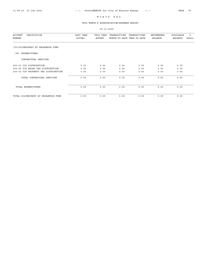## THIS MONTH'S APPROPRIATION/EXPENSE REPORT

| <b>ACCOUNT</b><br>DESCRIPTION<br>NUMBER  | LAST YEAR<br>ACTUAL | THIS YEAR<br><b>BUDGET</b> | TRANSACTIONS<br>MONTH-TO-DATE YEAR-TO-DATE | TRANSACTIONS | <b>ENCUMBERED</b><br><b>BALANCE</b> | AVAILABLE<br><b>BALANCE</b> | ఄ<br>AVAIL |
|------------------------------------------|---------------------|----------------------------|--------------------------------------------|--------------|-------------------------------------|-----------------------------|------------|
| (55) SILVERCREST AT BROADMOOR FUND       |                     |                            |                                            |              |                                     |                             |            |
| EXPENDITURES<br>(90)                     |                     |                            |                                            |              |                                     |                             |            |
| CONTRACTUAL SERVICES                     |                     |                            |                                            |              |                                     |                             |            |
| 200-01 CID DISTRIBUTION                  | 0.00                | 0.00                       | 0.00                                       | 0.00         | 0.00                                | 0.00                        |            |
| TIF SALES TAX DISTRIBUTION<br>$200 - 02$ | 0.00                | 0.00                       | 0.00                                       | 0.00         | 0.00                                | 0.00                        |            |
| 200-03 TIF PROPERTY TAX DISTRIBUTION     | 0.00                | 0.00                       | 0.00                                       | 0.00         | 0.00                                | 0.00                        |            |
| TOTAL CONTRACTUAL SERVICES               | 0.00                | 0.00                       | 0.00                                       | 0.00         | 0.00                                | 0.00                        |            |
| TOTAL EXPENDITURES                       | 0.00                | 0.00                       | 0.00                                       | 0.00         | 0.00                                | 0.00                        |            |
| TOTAL SILVERCREST AT BROADMOOR FUND      | 0.00                | 0.00                       | 0.00                                       | 0.00         | 0.00                                | 0.00                        |            |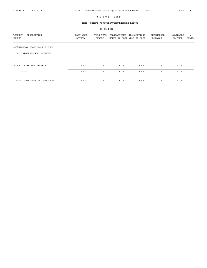## THIS MONTH'S APPROPRIATION/EXPENSE REPORT

| DESCRIPTION<br>ACCOUNT<br>NUMBER | LAST YEAR<br>ACTUAL | THIS YEAR<br><b>BUDGET</b> | TRANSACTIONS<br>MONTH-TO-DATE YEAR-TO-DATE | TRANSACTIONS | ENCUMBERED<br><b>BALANCE</b> | AVAILABLE<br><b>BALANCE</b> | °<br>AVAIL |
|----------------------------------|---------------------|----------------------------|--------------------------------------------|--------------|------------------------------|-----------------------------|------------|
| (60) MISSION CROSSING TIF FUND   |                     |                            |                                            |              |                              |                             |            |
| TRANSFERS AND RESERVES<br>(00)   |                     |                            |                                            |              |                              |                             |            |
| 060-00 OPERATING RESERVE         | 0.00                | 0.00                       | 0.00                                       | 0.00         | 0.00                         | 0.00                        |            |
| TOTAL                            | 0.00                | 0.00                       | 0.00                                       | 0.00         | 0.00                         | 0.00                        |            |
| TOTAL TRANSFERS AND RESERVES     | 0.00                | 0.00                       | 0.00                                       | 0.00         | 0.00                         | 0.00                        |            |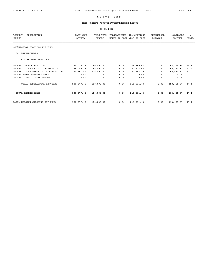## THIS MONTH'S APPROPRIATION/EXPENSE REPORT

| DESCRIPTION<br><b>ACCOUNT</b><br><b>NUMBER</b> | <b>LAST YEAR</b><br>ACTUAL | THIS YEAR<br><b>BUDGET</b> | TRANSACTIONS<br>MONTH-TO-DATE YEAR-TO-DATE | TRANSACTIONS | <b>ENCUMBERED</b><br><b>BALANCE</b> | <b>AVAILABLE</b><br><b>BALANCE</b> | ៖<br><b>AVAIL</b> |
|------------------------------------------------|----------------------------|----------------------------|--------------------------------------------|--------------|-------------------------------------|------------------------------------|-------------------|
| (60) MISSION CROSSING TIF FUND                 |                            |                            |                                            |              |                                     |                                    |                   |
| EXPENDITURES<br>(90)                           |                            |                            |                                            |              |                                     |                                    |                   |
| CONTRACTUAL SERVICES                           |                            |                            |                                            |              |                                     |                                    |                   |
| 200-01 CID DISTRIBUTION                        | 123,016.79                 | 90,000.00                  | 0.00                                       | 26,689.61    | 0.00                                | 63, 310.39                         | 70.3              |
| 200-02 TIF SALES TAX DISTRIBUTION              | 126,099.15                 | 95,000.00                  | 0.00                                       | 27, 278.63   | 0.00                                | 67,721.37                          | 71.2              |
| 200-03 TIF PROPERTY TAX DISTRIBUTION           | 330, 961.51                | 225,000.00                 | 0.00                                       | 162,566.19   | 0.00                                | 62, 433.81                         | 27.7              |
| 200-04 ADMINISTRATIVE FEES                     | 0.00                       | 0.00                       | 0.00                                       | 0.00         | 0.00                                | 0.00                               |                   |
| 200-05 TIF/CID DISTRIBUTION                    | 0.00                       | 0.00                       | 0.00                                       | 0.00         | 0.00                                | 0.00                               |                   |
| TOTAL CONTRACTUAL SERVICES                     | 580,077.45                 | 410,000.00                 | 0.00                                       | 216,534.43   | 0.00                                | 193, 465.57                        | 47.1              |
| TOTAL EXPENDITURES                             | 580,077.45                 | 410,000.00                 | 0.00                                       | 216,534.43   | 0.00                                | 193,465.57                         | 47.1              |
| TOTAL MISSION CROSSING TIF FUND                | 580,077.45                 | 410,000.00                 | 0.00                                       | 216,534.43   | 0.00                                | 193, 465.57                        | 47.1              |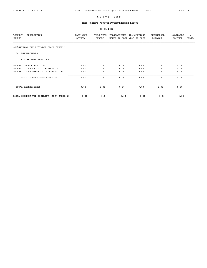## THIS MONTH'S APPROPRIATION/EXPENSE REPORT

| DESCRIPTION<br><b>ACCOUNT</b><br><b>NUMBER</b> | LAST YEAR<br>ACTUAL | THIS YEAR<br><b>BUDGET</b> | TRANSACTIONS<br>MONTH-TO-DATE YEAR-TO-DATE | TRANSACTIONS | <b>ENCUMBERED</b><br><b>BALANCE</b> | AVAILABLE<br><b>BALANCE</b> | ి<br>AVAIL |
|------------------------------------------------|---------------------|----------------------------|--------------------------------------------|--------------|-------------------------------------|-----------------------------|------------|
|                                                |                     |                            |                                            |              |                                     |                             |            |
| (63) GATEWAY TIF DISTRICT (ROCK CREEK 1)       |                     |                            |                                            |              |                                     |                             |            |
| EXPENDITURES<br>(90)                           |                     |                            |                                            |              |                                     |                             |            |
| CONTRACTUAL SERVICES                           |                     |                            |                                            |              |                                     |                             |            |
| 200-01 CID DISTRIBUTION                        | 0.00                | 0.00                       | 0.00                                       | 0.00         | 0.00                                | 0.00                        |            |
| SALES TAX DISTRIBUTION<br>$200 - 02$<br>TIF    | 0.00                | 0.00                       | 0.00                                       | 0.00         | 0.00                                | 0.00                        |            |
| 200-03 TIF PROPERTY TAX DISTRIBUTION           | 0.00                | 0.00                       | 0.00                                       | 0.00         | 0.00                                | 0.00                        |            |
| TOTAL CONTRACTUAL SERVICES                     | 0.00                | 0.00                       | 0.00                                       | 0.00         | 0.00                                | 0.00                        |            |
| TOTAL EXPENDITURES                             | 0.00                | 0.00                       | 0.00                                       | 0.00         | 0.00                                | 0.00                        |            |
| (ROCK CREEK 1)<br>TOTAL GATEWAY TIF DISTRICT   | 0.00                | 0.00                       | 0.00                                       | 0.00         | 0.00                                | 0.00                        |            |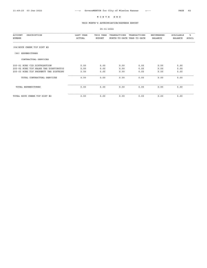## THIS MONTH'S APPROPRIATION/EXPENSE REPORT

| <b>ACCOUNT</b><br>DESCRIPTION<br>NUMBER | LAST YEAR<br>ACTUAL | THIS YEAR<br><b>BUDGET</b> | TRANSACTIONS<br>MONTH-TO-DATE YEAR-TO-DATE | TRANSACTIONS | ENCUMBERED<br><b>BALANCE</b> | AVAILABLE<br><b>BALANCE</b> | ఄ<br><b>AVAIL</b> |
|-----------------------------------------|---------------------|----------------------------|--------------------------------------------|--------------|------------------------------|-----------------------------|-------------------|
| (64) ROCK CREEK TIF DIST #2             |                     |                            |                                            |              |                              |                             |                   |
| EXPENDITURES<br>(90)                    |                     |                            |                                            |              |                              |                             |                   |
| CONTRACTUAL SERVICES                    |                     |                            |                                            |              |                              |                             |                   |
| 200-01 RC#2 CID DISTRIBUTION            | 0.00                | 0.00                       | 0.00                                       | 0.00         | 0.00                         | 0.00                        |                   |
| 200-02 RC#2 TIF SALES TAX DIRSTIBUTIO   | 0.00                | 0.00                       | 0.00                                       | 0.00         | 0.00                         | 0.00                        |                   |
| 200-03 RC#2 TIF PROPERTT TAX DISTRIBU   | 0.00                | 0.00                       | 0.00                                       | 0.00         | 0.00                         | 0.00                        |                   |
| TOTAL CONTRACTUAL SERVICES              | 0.00                | 0.00                       | 0.00                                       | 0.00         | 0.00                         | 0.00                        |                   |
| TOTAL EXPENDITURES                      | 0.00                | 0.00                       | 0.00                                       | 0.00         | 0.00                         | 0.00                        |                   |
| TOTAL ROCK CREEK TIF DIST #2            | 0.00                | 0.00                       | 0.00                                       | 0.00         | 0.00                         | 0.00                        |                   |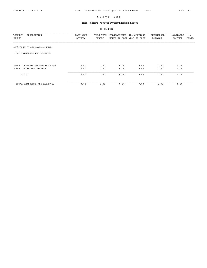## THIS MONTH'S APPROPRIATION/EXPENSE REPORT

| DESCRIPTION<br><b>ACCOUNT</b><br>NUMBER | LAST YEAR<br>ACTUAL | THIS YEAR<br><b>BUDGET</b> | TRANSACTIONS<br>MONTH-TO-DATE YEAR-TO-DATE | TRANSACTIONS | ENCUMBERED<br><b>BALANCE</b> | AVAILABLE<br><b>BALANCE</b> | ి<br>AVAIL |
|-----------------------------------------|---------------------|----------------------------|--------------------------------------------|--------------|------------------------------|-----------------------------|------------|
| (65) CORNERSTONE COMMONS FUND           |                     |                            |                                            |              |                              |                             |            |
| TRANSFERS AND RESERVES<br>(00)          |                     |                            |                                            |              |                              |                             |            |
| 001-00 TRANSFER TO GENERAL FUND         | 0.00                | 0.00                       | 0.00                                       | 0.00         | 0.00                         | 0.00                        |            |
| 065-00 OPERATING RESERVE                | 0.00                | 0.00                       | 0.00                                       | 0.00         | 0.00                         | 0.00                        |            |
| TOTAL                                   | 0.00                | 0.00                       | 0.00                                       | 0.00         | 0.00                         | 0.00                        |            |
| TOTAL TRANSFERS AND RESERVES            | 0.00                | 0.00                       | 0.00                                       | 0.00         | 0.00                         | 0.00                        |            |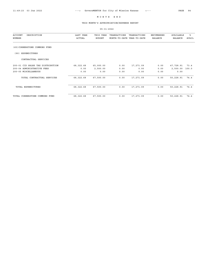## THIS MONTH'S APPROPRIATION/EXPENSE REPORT

| <b>ACCOUNT</b><br>DESCRIPTION<br>NUMBER | LAST YEAR<br>ACTUAL | THIS YEAR<br><b>BUDGET</b> | TRANSACTIONS<br>MONTH-TO-DATE YEAR-TO-DATE | TRANSACTIONS | ENCUMBERED<br><b>BALANCE</b> | AVAILABLE<br>BALANCE | ႜႜ<br>AVAIL |
|-----------------------------------------|---------------------|----------------------------|--------------------------------------------|--------------|------------------------------|----------------------|-------------|
| (65) CORNERSTONE COMMONS FUND           |                     |                            |                                            |              |                              |                      |             |
| <b>EXPENDITURES</b><br>(90)             |                     |                            |                                            |              |                              |                      |             |
| CONTRACTUAL SERVICES                    |                     |                            |                                            |              |                              |                      |             |
| 200-01 CID SALES TAX DISTRIBUTION       | 68, 322.68          | 65,000.00                  | 0.00                                       | 17,271.09    | 0.00                         | 47,728.91            | 73.4        |
| 200-04 ADMINISTRATIVE FEES              | 0.00                | 2,500.00                   | 0.00                                       | 0.00         | 0.00                         | 2,500.00             | 100.0       |
| 200-05 MISCELLANEOUS                    | 0.00                | 0.00                       | 0.00                                       | 0.00         | 0.00                         | 0.00                 |             |
| TOTAL CONTRACTUAL SERVICES              | 68, 322.68          | 67,500.00                  | 0.00                                       | 17,271.09    | 0.00                         | 50,228.91            | 74.4        |
| TOTAL EXPENDITURES                      | 68, 322.68          | 67,500.00                  | 0.00                                       | 17,271.09    | 0.00                         | 50,228.91            | 74.4        |
| TOTAL CORNERSTONE COMMONS FUND          | 68, 322.68          | 67,500.00                  | 0.00                                       | 17,271.09    | 0.00                         | 50,228.91            | 74.4        |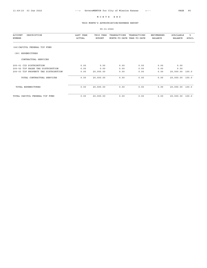## THIS MONTH'S APPROPRIATION/EXPENSE REPORT

| <b>ACCOUNT</b><br>DESCRIPTION<br>NUMBER | LAST YEAR<br>ACTUAL | THIS YEAR<br><b>BUDGET</b> | TRANSACTIONS<br>MONTH-TO-DATE YEAR-TO-DATE | TRANSACTIONS | ENCUMBERED<br><b>BALANCE</b> | AVAILABLE<br><b>BALANCE</b> | ఄ<br>AVAIL |
|-----------------------------------------|---------------------|----------------------------|--------------------------------------------|--------------|------------------------------|-----------------------------|------------|
|                                         |                     |                            |                                            |              |                              |                             |            |
| (66) CAPITOL FEDERAL TIF FUND           |                     |                            |                                            |              |                              |                             |            |
| EXPENDITURES<br>(90)                    |                     |                            |                                            |              |                              |                             |            |
| CONTRACTUAL SERVICES                    |                     |                            |                                            |              |                              |                             |            |
| 200-01 CID DISTRIBUTION                 | 0.00                | 0.00                       | 0.00                                       | 0.00         | 0.00                         | 0.00                        |            |
| 200-02 TIF SALES TAX DISTRIBUTION       | 0.00                | 0.00                       | 0.00                                       | 0.00         | 0.00                         | 0.00                        |            |
| 200-03 TIF PROPERTY TAX DISTRIBUTION    | 0.00                | 20,000.00                  | 0.00                                       | 0.00         | 0.00                         | 20,000.00                   | 100.0      |
| TOTAL CONTRACTUAL SERVICES              | 0.00                | 20,000.00                  | 0.00                                       | 0.00         | 0.00                         | 20,000.00                   | 100.0      |
| TOTAL EXPENDITURES                      | 0.00                | 20,000.00                  | 0.00                                       | 0.00         | 0.00                         | 20,000.00                   | 100.0      |
| TOTAL CAPITOL FEDERAL TIF FUND          | 0.00                | 20,000.00                  | 0.00                                       | 0.00         | 0.00                         | 20,000.00                   | 100.0      |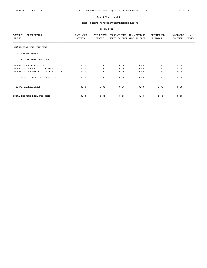## THIS MONTH'S APPROPRIATION/EXPENSE REPORT

| <b>ACCOUNT</b><br>DESCRIPTION<br>NUMBER | LAST YEAR<br>ACTUAL | THIS YEAR<br><b>BUDGET</b> | TRANSACTIONS<br>MONTH-TO-DATE YEAR-TO-DATE | TRANSACTIONS | <b>ENCUMBERED</b><br><b>BALANCE</b> | AVAILABLE<br><b>BALANCE</b> | ៖<br>AVAIL |
|-----------------------------------------|---------------------|----------------------------|--------------------------------------------|--------------|-------------------------------------|-----------------------------|------------|
| (67) MISSION BOWL TIF FUND              |                     |                            |                                            |              |                                     |                             |            |
| EXPENDITURES<br>(90)                    |                     |                            |                                            |              |                                     |                             |            |
| CONTRACTUAL SERVICES                    |                     |                            |                                            |              |                                     |                             |            |
| 200-01 CID DISTRIBUTION                 | 0.00                | 0.00                       | 0.00                                       | 0.00         | 0.00                                | 0.00                        |            |
| 200-02 TIF SALES TAX DISTRIBUTION       | 0.00                | 0.00                       | 0.00                                       | 0.00         | 0.00                                | 0.00                        |            |
| 200-03 TIF PROPERTY TAX DISTRIBUTION    | 0.00                | 0.00                       | 0.00                                       | 0.00         | 0.00                                | 0.00                        |            |
| TOTAL CONTRACTUAL SERVICES              | 0.00                | 0.00                       | 0.00                                       | 0.00         | 0.00                                | 0.00                        |            |
| TOTAL EXPENDITURES                      | 0.00                | 0.00                       | 0.00                                       | 0.00         | 0.00                                | 0.00                        |            |
| TOTAL MISSION BOWL TIF FUND             | 0.00                | 0.00                       | 0.00                                       | 0.00         | 0.00                                | 0.00                        |            |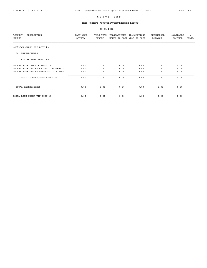## THIS MONTH'S APPROPRIATION/EXPENSE REPORT

| DESCRIPTION<br>ACCOUNT<br>NUMBER      | LAST YEAR<br>ACTUAL | THIS YEAR<br><b>BUDGET</b> | TRANSACTIONS<br>MONTH-TO-DATE YEAR-TO-DATE | TRANSACTIONS | <b>ENCUMBERED</b><br><b>BALANCE</b> | AVAILABLE<br><b>BALANCE</b> | ఄ<br><b>AVAIL</b> |
|---------------------------------------|---------------------|----------------------------|--------------------------------------------|--------------|-------------------------------------|-----------------------------|-------------------|
| (68) ROCK CREEK TIF DIST #3           |                     |                            |                                            |              |                                     |                             |                   |
| EXPENDITURES<br>(90)                  |                     |                            |                                            |              |                                     |                             |                   |
| CONTRACTUAL SERVICES                  |                     |                            |                                            |              |                                     |                             |                   |
| 200-01 RC#3 CID DISTRIBUTION          | 0.00                | 0.00                       | 0.00                                       | 0.00         | 0.00                                | 0.00                        |                   |
| 200-02 RC#3 TIF SALES TAX DISTRIBUTIO | 0.00                | 0.00                       | 0.00                                       | 0.00         | 0.00                                | 0.00                        |                   |
| 200-03 RC#3 TIF PROPERTY TAX DISTRIBU | 0.00                | 0.00                       | 0.00                                       | 0.00         | 0.00                                | 0.00                        |                   |
| TOTAL CONTRACTUAL SERVICES            | 0.00                | 0.00                       | 0.00                                       | 0.00         | 0.00                                | 0.00                        |                   |
| TOTAL EXPENDITURES                    | 0.00                | 0.00                       | 0.00                                       | 0.00         | 0.00                                | 0.00                        |                   |
| TOTAL ROCK CREEK TIF DIST #3          | 0.00                | 0.00                       | 0.00                                       | 0.00         | 0.00                                | 0.00                        |                   |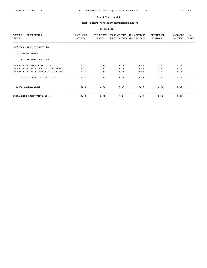## THIS MONTH'S APPROPRIATION/EXPENSE REPORT

| <b>ACCOUNT</b><br>DESCRIPTION<br>NUMBER | LAST YEAR<br>ACTUAL | THIS YEAR<br><b>BUDGET</b> | TRANSACTIONS<br>MONTH-TO-DATE YEAR-TO-DATE | TRANSACTIONS | ENCUMBERED<br><b>BALANCE</b> | AVAILABLE<br><b>BALANCE</b> | ఄ<br>AVAIL |
|-----------------------------------------|---------------------|----------------------------|--------------------------------------------|--------------|------------------------------|-----------------------------|------------|
| (69) ROCK CREEK TIF DIST #4             |                     |                            |                                            |              |                              |                             |            |
| EXPENDITURES<br>(90)                    |                     |                            |                                            |              |                              |                             |            |
| CONTRACTUAL SERVICES                    |                     |                            |                                            |              |                              |                             |            |
| 200-01 RC#4 CID DISTRIBUTION            | 0.00                | 0.00                       | 0.00                                       | 0.00         | 0.00                         | 0.00                        |            |
| 200-02 RC#4 TIF SALES TAX DISTRIBUTIO   | 0.00                | 0.00                       | 0.00                                       | 0.00         | 0.00                         | 0.00                        |            |
| 200-03 RC#4 TIF PROPERTY TAX DISTRIBU   | 0.00                | 0.00                       | 0.00                                       | 0.00         | 0.00                         | 0.00                        |            |
| TOTAL CONTRACTUAL SERVICES              | 0.00                | 0.00                       | 0.00                                       | 0.00         | 0.00                         | 0.00                        |            |
| TOTAL EXPENDITURES                      | 0.00                | 0.00                       | 0.00                                       | 0.00         | 0.00                         | 0.00                        |            |
| TOTAL ROCK CREEK TIF DIST #4            | 0.00                | 0.00                       | 0.00                                       | 0.00         | 0.00                         | 0.00                        |            |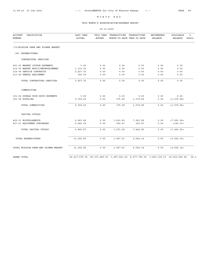## THIS MONTH'S APPROPRIATION/EXPENSE REPORT

| <b>ACCOUNT</b><br>DESCRIPTION        | LAST YEAR     |               | THIS YEAR TRANSACTIONS                                                                            | TRANSACTIONS | ENCUMBERED     | AVAILABLE      | %ิ           |
|--------------------------------------|---------------|---------------|---------------------------------------------------------------------------------------------------|--------------|----------------|----------------|--------------|
| NUMBER                               | <b>ACTUAL</b> | <b>BUDGET</b> | MONTH-TO-DATE YEAR-TO-DATE                                                                        |              | <b>BALANCE</b> | <b>BALANCE</b> | <b>AVAIL</b> |
| (70) MISSION FARM AND FLOWER MARKET  |               |               |                                                                                                   |              |                |                |              |
| (90) EXPENDITURES                    |               |               |                                                                                                   |              |                |                |              |
| CONTRACTUAL SERVICES                 |               |               |                                                                                                   |              |                |                |              |
| 201-02 MARKET COUPON PAYMENTS        | 0.00          | 0.00          | 0.00                                                                                              | 0.00         | 0.00           | 0.00           |              |
| 212-05 MARKET MUSIC/ENTERTAINMENT    | 1,110.00      | 0.00          | 0.00                                                                                              | 0.00         | 0.00           | 0.00           |              |
| 212-06 SERVICE CONTRACTS             | 2,227.35      | 0.00          | 0.00                                                                                              | 0.00         | 0.00           | 0.00           |              |
| 213-02 RENTAL EQUIPMENT              | 320.00        | 0.00          | 0.00                                                                                              | 0.00         | 0.00           | 0.00           |              |
| TOTAL CONTRACTUAL SERVICES           | 3,657.35      | 0.00          | 0.00                                                                                              | 0.00         | 0.00           | 0.00           |              |
| COMMODITIES                          |               |               |                                                                                                   |              |                |                |              |
| 301-02 DOUBLE FOOD BUCK PAYMENTS     | 0.00          | 0.00          | 0.00                                                                                              | 0.00         | 0.00           | 0.00           |              |
| 301-08 SUPPLIES                      | 2,749.63      | 0.00          | 375.99                                                                                            | 1,579.89     | 0.00           | <1,579.89>     |              |
| TOTAL COMMODITIES                    | 2,749.63      | 0.00          | 375.99                                                                                            | 1,579.89     | 0.00           | <1,579.89>     |              |
| CAPITAL OUTLAY                       |               |               |                                                                                                   |              |                |                |              |
| 400-01 MISCELLANEOUS                 | 2,663.49      | 0.00          | 1,410.65                                                                                          | 7,283.28     | 0.00           | < 7, 283.28 >  |              |
| 407-01 EQUIPMENT PURCHASES           | 2,282.38      | 0.00          | 160.97                                                                                            | 160.97       | 0.00           | <160.97>       |              |
| TOTAL CAPITAL OUTLAY                 | 4,945.87      | 0.00          | 1,571.62                                                                                          | 7,444.25     | 0.00           | < 7,444.25     |              |
| TOTAL EXPENDITURES                   | 11,352.85     | 0.00          | 1,947.61                                                                                          | 9,024.14     | 0.00           | < 9,024.14     |              |
| TOTAL MISSION FARM AND FLOWER MARKET | 11,352.85     | 0.00          | 1,947.61                                                                                          | 9,024.14     | 0.00           | < 9,024.14 >   |              |
| GRAND TOTAL                          |               |               | 22, 217, 578.18 26, 373, 455.00 1, 697, 661.62 8, 477, 795.23 1, 463, 139.33 16, 432, 520.44 62.3 |              |                |                |              |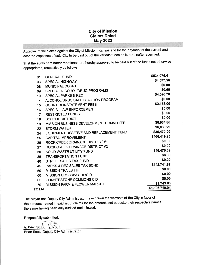# **City of Mission Claims Dated May-2022**

Approval of the claims against the City of Mission, Kansas and for the payment of the current and accrued expenses of said City to be paid out of the various funds as is hereinafter specified.

That the sums hereinafter mentioned are hereby approved to be paid out of the funds not otherwise appropriated, respectively as follows:

| <b>GENERAL FUND</b><br>01<br><b>SPECIAL HIGHWAY</b><br>03<br><b>MUNICIPAL COURT</b><br>08<br>SPECIAL ALCOHOL/DRUG PROGRAMS<br>09<br><b>SPECIAL PARKS &amp; REC</b><br>10<br>ALCOHOL/DRUG SAFETY ACTION PROGRAM<br>14<br><b>COURT REINSTATEMENT FEES</b><br>15<br>SPECIAL LAW ENFORCEMENT<br>16<br><b>RESTRICTED FUNDS</b><br>17<br><b>SCHOOL DISTRICT</b><br>18<br>MISSION BUSINESS DEVELOPMENT COMMITTEE<br>19<br><b>STORM WATER</b><br>22<br>EQUIPMENT RESERVE AND REPLACEMENT FUND<br>24<br><b>CAPITAL IMPROVEMENT</b><br>25<br>ROCK CREEK DRAINAGE DISTRICT #1<br>26<br>ROCK CREEK DRAINAGE DISTRICT #2<br>27<br>SOLID WASTE UTILITY FUND<br>30<br><b>TRANSPORTATION FUND</b><br>35<br>STREET SALES TAX FUND<br>40<br>PARKS & REC SALES TAX BOND<br>45<br><b>MISSION TRAILS TIF</b><br>50<br><b>MISSION CROSSING TIF/CID</b><br>60 |              |
|----------------------------------------------------------------------------------------------------------------------------------------------------------------------------------------------------------------------------------------------------------------------------------------------------------------------------------------------------------------------------------------------------------------------------------------------------------------------------------------------------------------------------------------------------------------------------------------------------------------------------------------------------------------------------------------------------------------------------------------------------------------------------------------------------------------------------------------|--------------|
|                                                                                                                                                                                                                                                                                                                                                                                                                                                                                                                                                                                                                                                                                                                                                                                                                                        | \$534,076.41 |
|                                                                                                                                                                                                                                                                                                                                                                                                                                                                                                                                                                                                                                                                                                                                                                                                                                        | \$4,577.56   |
|                                                                                                                                                                                                                                                                                                                                                                                                                                                                                                                                                                                                                                                                                                                                                                                                                                        | \$0.00       |
|                                                                                                                                                                                                                                                                                                                                                                                                                                                                                                                                                                                                                                                                                                                                                                                                                                        | \$0.00       |
|                                                                                                                                                                                                                                                                                                                                                                                                                                                                                                                                                                                                                                                                                                                                                                                                                                        | \$4,096.78   |
|                                                                                                                                                                                                                                                                                                                                                                                                                                                                                                                                                                                                                                                                                                                                                                                                                                        | \$0.00       |
|                                                                                                                                                                                                                                                                                                                                                                                                                                                                                                                                                                                                                                                                                                                                                                                                                                        | \$2,173.00   |
|                                                                                                                                                                                                                                                                                                                                                                                                                                                                                                                                                                                                                                                                                                                                                                                                                                        | \$0.00       |
|                                                                                                                                                                                                                                                                                                                                                                                                                                                                                                                                                                                                                                                                                                                                                                                                                                        | \$0.00       |
|                                                                                                                                                                                                                                                                                                                                                                                                                                                                                                                                                                                                                                                                                                                                                                                                                                        | \$0.00       |
|                                                                                                                                                                                                                                                                                                                                                                                                                                                                                                                                                                                                                                                                                                                                                                                                                                        | \$6,904.86   |
|                                                                                                                                                                                                                                                                                                                                                                                                                                                                                                                                                                                                                                                                                                                                                                                                                                        | \$6,030.29   |
|                                                                                                                                                                                                                                                                                                                                                                                                                                                                                                                                                                                                                                                                                                                                                                                                                                        | \$35,470.00  |
|                                                                                                                                                                                                                                                                                                                                                                                                                                                                                                                                                                                                                                                                                                                                                                                                                                        | \$406,419.25 |
|                                                                                                                                                                                                                                                                                                                                                                                                                                                                                                                                                                                                                                                                                                                                                                                                                                        | \$0.00       |
|                                                                                                                                                                                                                                                                                                                                                                                                                                                                                                                                                                                                                                                                                                                                                                                                                                        | \$0.00       |
|                                                                                                                                                                                                                                                                                                                                                                                                                                                                                                                                                                                                                                                                                                                                                                                                                                        | \$49,476.39  |
|                                                                                                                                                                                                                                                                                                                                                                                                                                                                                                                                                                                                                                                                                                                                                                                                                                        | \$0.00       |
|                                                                                                                                                                                                                                                                                                                                                                                                                                                                                                                                                                                                                                                                                                                                                                                                                                        | \$0.00       |
|                                                                                                                                                                                                                                                                                                                                                                                                                                                                                                                                                                                                                                                                                                                                                                                                                                        | \$142,741.87 |
|                                                                                                                                                                                                                                                                                                                                                                                                                                                                                                                                                                                                                                                                                                                                                                                                                                        | \$0.00       |
|                                                                                                                                                                                                                                                                                                                                                                                                                                                                                                                                                                                                                                                                                                                                                                                                                                        | \$0.00       |
| <b>CORNERSTONE COMMONS CID</b><br>65                                                                                                                                                                                                                                                                                                                                                                                                                                                                                                                                                                                                                                                                                                                                                                                                   | \$0.00       |
| MISSION FARM & FLOWER MARKET<br>70                                                                                                                                                                                                                                                                                                                                                                                                                                                                                                                                                                                                                                                                                                                                                                                                     | \$1,743.63   |
| \$1,193,710.04<br><b>TOTAL</b>                                                                                                                                                                                                                                                                                                                                                                                                                                                                                                                                                                                                                                                                                                                                                                                                         |              |

The Mayor and Deputy City Administrator have drawn the warrants of the City in favor of the persons named in said list of claims for the amounts set opposite their respective names, the same having been duly audited and allowed.

Respectfully submitted,

/s/ Brian Scott

Brian Scott, Deputy City Administrator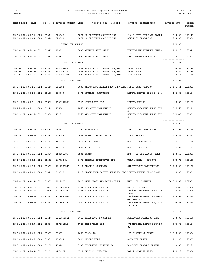| 118<br><b>JOANNA</b>                                         |  |                                                                                    | ---> GovernMENTOR for City of Mission Kansas <---<br>PAID PAYMENT SCHEDULE BY VENDOR |                                                |                                  | $06 - 03 - 2022$<br>12:32:29PM |
|--------------------------------------------------------------|--|------------------------------------------------------------------------------------|--------------------------------------------------------------------------------------|------------------------------------------------|----------------------------------|--------------------------------|
|                                                              |  |                                                                                    | CHECK DATE DATE PO # T INVOICE NUMBER VEND VENDOR NAME INVOICE DESCRIPTION           |                                                | INVOICE AMT                      | CHECK                          |
|                                                              |  |                                                                                    |                                                                                      |                                                |                                  | $- - - - - - -$                |
|                                                              |  |                                                                                    | 05-18-2022 05-14-2022 081349 220566 6871 AC PRINTING COMPANY INC                     | P & R SAVE THE DATE CARDS 519.00 193411        |                                  |                                |
|                                                              |  | 05-12-2022 04-29-2022 081272 220533                                                | 6871 AC PRINTING COMPANY INC                                                         | AQUATICS CARDS-500                             | 259.00 193350<br>--------------- |                                |
|                                                              |  | TOTAL FOR VENDOR                                                                   |                                                                                      |                                                | 778.00                           |                                |
| 05-18-2022 05-13-2022 081345 1843                            |  |                                                                                    | 0830 ADVANCE AUTO PARTS                                                              | VEHICLE MAINTENANCE SUPPL 138.18 193412<br>IES |                                  |                                |
| 05-12-2022 05-10-2022 081312                                 |  | 1644                                                                               | 0830 ADVANCE AUTO PARTS                                                              | CAR CLEANING SUPPLIES                          | 33.10 193351<br>---------------  |                                |
|                                                              |  | TOTAL FOR VENDOR                                                                   |                                                                                      |                                                | 171.28                           |                                |
|                                                              |  | 05-19-2022 05-12-2022 081361 2380859653                                            | 0429 ADVANCE AUTO PARTS/CARQUEST                                                     | SHOP STOCK                                     | 96.54 193430                     |                                |
|                                                              |  | 05-19-2022 05-16-2022 081361 2380860213<br>05-19-2022 05-16-2022 081361 2380860216 | 0429 ADVANCE AUTO PARTS/CARQUEST<br>0429 ADVANCE AUTO PARTS/CARQUEST                 | SHOP STOCK<br>SHOP STOCK                       | 12.87<br>27.54 193430            | 193430                         |
|                                                              |  | TOTAL FOR VENDOR                                                                   |                                                                                      |                                                | ---------------<br>136.95        |                                |
| 05-23-2022 05-26-2022 081448                                 |  | 591383                                                                             | 0003 AFLAC REMITTANCE PROC SERVICES JUNE, 2022 PREMIUM                               |                                                | 1,445.61 ACH823                  |                                |
|                                                              |  |                                                                                    |                                                                                      |                                                |                                  |                                |
| 05-31-2022 05-23-2022 081451 838709                          |  |                                                                                    | 5471 AGUIRRE, AUGUSTINE                                                              | RENTAL REFUND-PERMIT #144<br>-5                | 166.00 193484                    |                                |
| 05-31-2022 05-31-2022 081525                                 |  | 9988942299                                                                         | 3746 AIRGAS USA LLC                                                                  | RENTAL HELIUM                                  | 20.85                            | 193485                         |
| 05-26-2022 05-11-2022 081410                                 |  | 77556                                                                              | 7260 ALL CITY MANAGEMENT                                                             | SCHOOL CROSSING GUARD SVC 545.60<br>S          |                                  | 193449                         |
| 05-12-2022 04-27-2022 081300                                 |  | 77199                                                                              | 7260 ALL CITY MANAGEMENT                                                             | SCHOOL CROSSING GUARD SVC 570.40<br>S          |                                  | 193352                         |
|                                                              |  | TOTAL FOR VENDOR                                                                   |                                                                                      |                                                | ---------------<br>1,116.00      |                                |
| 05-26-2022 05-10-2022 081417 APR-2022                        |  |                                                                                    | 7154 AMAZON.COM                                                                      | APRIL, 2022 PURCHASES                          | 3,311.95 193450                  |                                |
| 05-12-2022 05-03-2022 081313                                 |  | 149089                                                                             | 0028 ASPHALT SALES CO INC                                                            | 60th TERRACE                                   | 265.85                           | 193353                         |
| 05-31-2022 05-19-2022 081452                                 |  | MAY-22                                                                             | 7413 AT&T - CIRCUIT                                                                  | MAY, 2022 CIRCUIT                              | 470.12 193486                    |                                |
| 05-31-2022 05-19-2022 081453                                 |  | MAY-22                                                                             | 7506 AT&T - VOIP                                                                     | MAY, 2022 VOIP                                 | 489.98                           | 193487                         |
| 05-23-2022 05-11-2022 081397                                 |  | IN2385189                                                                          | 6931 BASIC                                                                           | MAY, '22 FSA ADMIN. FEES                       | 173.50                           | ACH821                         |
| 05-19-2022 05-12-2022 081362                                 |  | 147792-1                                                                           | 8479 BERGMAN INCENTIVES INC                                                          | WORK SHIRTS - PUB WKS                          | 770.72                           | 193431                         |
|                                                              |  | 05-19-2022 04-30-2022 081363 76-1301241                                            | 6411 BLACK & MCDONALD                                                                | STREETLIGHT MAINTENANCE                        | 3,720.00                         | 193432                         |
| 05-12-2022 05-02-2022 081279                                 |  | 840548                                                                             | 7919 BLOCK REAL ESTATE SERVICES LLC RENTAL REFUND-PERMIT #151                        |                                                | 50.00                            | 193354                         |
|                                                              |  |                                                                                    |                                                                                      | 3                                              |                                  |                                |
| 05-23-2022 04-14-2022 081385                                 |  | $2022 - 05$                                                                        | 7627 BLUE CROSS AND BLUE SHIELD                                                      | MAY, 2022 PREMIUM                              | 84,399.99                        | <b>ACH809</b>                  |
| 05-31-2022 05-31-2022 081493<br>05-31-2022 05-25-2022 081454 |  | FOCS428660<br>FOCS429372                                                           | 7904 BOB ALLEN FORD INC<br>7904 BOB ALLEN FORD INC                                   | #17 - OIL LEAK<br>VIN#LGC93109-OIL CHG, ROTA   | 398.43<br>577.39                 | 193488<br>193488               |
|                                                              |  | 05-12-2022 05-03-2022 081262 FOCS427098                                            | 7904 BOB ALLEN FORD INC                                                              | TION<br>VIN#GGB54142-OIL CHG, DEFR             | 589.94                           | 193355                         |
|                                                              |  |                                                                                    |                                                                                      | OST MOTOR, ETC                                 |                                  |                                |
|                                                              |  | 05-12-2022 05-03-2022 081262 FOCS427241                                            | 7904 BOB ALLEN FORD INC                                                              | VIN#JGB67913-OIL CHG, AIR<br>FILTER            | 95.68                            | 193355                         |
|                                                              |  | TOTAL FOR VENDOR                                                                   |                                                                                      |                                                | ---------------<br>1,661.44      |                                |
| 05-31-2022 05-31-2022 081510                                 |  | BOLLY.0522                                                                         | 6712 BOLLYWOOD GROOVE KC                                                             | BOLLYWOOD FITNESS: 5/22                        | 243.00                           | 193489                         |
|                                                              |  | 05-31-2022 05-19-2022 081526 917181015                                             | 6725 BSN SPORTS LLC                                                                  | PADDING, MESH, HAND PUMP, ET                   | 773.92                           | 193490                         |
|                                                              |  |                                                                                    |                                                                                      | $\mathbf{C}$ .                                 |                                  |                                |
| 05-12-2022 05-06-2022 081337                                 |  | 27801                                                                              | 7650 BT&Co PA                                                                        | '21 FINANCIAL AUDIT                            | 9,000.00                         | 193356                         |
| 05-12-2022 05-05-2022 081301                                 |  | 158039                                                                             | 0046 BULLET HOLE                                                                     | AMMO FOR RANGE                                 | 141.95                           | 193357                         |
| 05-31-2022 05-23-2022 081455                                 |  | 47810                                                                              | 8439 CALLENDER PRINTING CO                                                           | BUSINESS CARDS-D.CARTER                        | 93.80                            | 193491                         |
| 05-12-2022 05-04-2022 081263 MAY-2022                        |  |                                                                                    | 6711 CARLSON, JESSICA                                                                | BMP'22-NATIVE TREES                            | 218.19                           | 193358                         |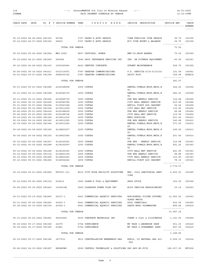#### 118 ---> GovernMENTOR for City of Mission Kansas <--- 06-03-2022 PAID PAYMENT SCHEDULE BY VENDOR

| CHECK DATE | DATE |  | PO # T INVOICE NUMBER VEND |  |  | VENDOR NAME | INVOICE | DESCRIPTION | INVOICE AMT | CHECK  |
|------------|------|--|----------------------------|--|--|-------------|---------|-------------|-------------|--------|
|            |      |  |                            |  |  |             |         |             |             | NUMBER |
|            |      |  |                            |  |  |             |         |             |             | ------ |
|            |      |  |                            |  |  |             |         |             |             |        |
|            |      |  |                            |  |  |             |         |             |             |        |

| 05-12-2022 04-04-2022 081302 56796<br>05-12-2022 04-07-2022 081302           |  | 56830                                | 3707 CASEY'S AUTO REPAIR<br>3707 CASEY'S AUTO REPAIR                                                                | VIN# FGB51588 TIRE REPAIR<br>#70 TIRE MOUNT & BALANCE     | 36.75 193359<br>36.75 193359<br>--------------- |                  |
|------------------------------------------------------------------------------|--|--------------------------------------|---------------------------------------------------------------------------------------------------------------------|-----------------------------------------------------------|-------------------------------------------------|------------------|
|                                                                              |  | TOTAL FOR VENDOR                     |                                                                                                                     |                                                           | 73.50                                           |                  |
| 05-12-2022 05-04-2022 081264                                                 |  |                                      | MAY-2022 8657 CAUFIELD, RONDA                                                                                       | BMP'22-RAIN BARREL                                        | 75.00                                           | 193360           |
| 05-12-2022 04-21-2022 081265                                                 |  | 540566                               | 3542 CBIZ INSURANCE SERVICES INC                                                                                    | INS. ON FITNESS EQUIPMENT 45.00                           |                                                 | 193361           |
| 05-12-2022 04-28-2022 081315                                                 |  | 1500360940                           | 6622 CENTURY CONCRETE                                                                                               | STREET MAINTENANCE                                        | 529.75                                          | 193362           |
| 05-26-2022 05-16-2022 081411                                                 |  | 0151310051                           | 0787 CHARTER COMMUNICATIONS                                                                                         | P.D. SERVICE: 5/16-6/15/22                                | 121.58                                          | 193451           |
| 05-23-2022 05-07-2022 081394                                                 |  | 9086050722                           | 0787 CHARTER COMMUNICATIONS                                                                                         | SPJCC WIFI                                                | 169.99 ACH818<br>---------------                |                  |
|                                                                              |  | TOTAL FOR VENDOR                     |                                                                                                                     |                                                           | 291.57                                          |                  |
| 05-31-2022 05-23-2022 081498                                                 |  | 4120188658                           | 3255 CINTAS                                                                                                         | RENTAL: TOWELS, MOPS, MATS, E<br>TC.                      | 364.25 193492                                   |                  |
| 05-31-2022 05-31-2022 081498                                                 |  | 4120942730                           | 3255 CINTAS                                                                                                         | RENTAL: TOWELS, MOPS, MATS, E<br>TC.                      | 282.43                                          | 193492           |
| 05-31-2022 05-31-2022 081456                                                 |  | 4120942735                           | 3255 CINTAS                                                                                                         | PUB WKS WEEKLY SERVICE                                    | 116.88                                          | 193492           |
| 05-31-2022 05-31-2022 081459                                                 |  | 4120942784                           | 3255 CINTAS                                                                                                         | CITY HALL WEEKLY SERVICE                                  | 215.95                                          | 193492           |
| 05-31-2022 05-27-2022 081494                                                 |  | 5110063348                           | 3255 CINTAS                                                                                                         | REFILL FIRST AID CABINET                                  | 54.64                                           | 193492           |
| 05-26-2022 05-16-2022 081399<br>05-26-2022 05-23-2022 081418                 |  | 4119511229<br>4120188636             | 3255 CINTAS<br>3255 CINTAS                                                                                          | CITY HALL MAT SERVICE<br>PUB WKS WEEKLY SERVICE           | 115.95<br>98.88                                 | 193452<br>193452 |
| 05-26-2022 05-23-2022 081399                                                 |  | 4120188704                           | 3255 CINTAS                                                                                                         | CITY HALL MAT SERVICE                                     | 115.95                                          | 193452           |
| 05-19-2022 05-16-2022 081364                                                 |  | 4119511215                           | 3255 CINTAS                                                                                                         | MFAC-SUPPLIES                                             | 201.60                                          | 193433           |
| 05-19-2022 05-16-2022 081365                                                 |  | 4119511225                           | 3255 CINTAS                                                                                                         | PUB WKS WEEKLY SERVICE                                    | 142.88                                          | 193433           |
| 05-19-2022 05-16-2022 081364                                                 |  | 4119511292                           | 3255 CINTAS                                                                                                         | RENTAL: TOWELS, MOPS, MATS, E<br>TC.                      | 271.25                                          | 193433           |
| 05-18-2022 05-09-2022 081320                                                 |  | 4118823237                           | 3255 CINTAS                                                                                                         | RENTAL: TOWELS, MOPS, MATS, E<br>TC.                      | 349.25                                          | 193413           |
| 05-18-2022 05-09-2022 081320                                                 |  | 4118823245                           | 3255 CINTAS                                                                                                         | RENTAL: TOWELS, MOPS, MATS, E<br>ТC                       | 201.60                                          | 193413           |
| 05-12-2022 05-02-2022 081267                                                 |  | 4118160291                           | 3255 CINTAS                                                                                                         | PUB WKS - WEEKLY SERVICE                                  | 116.88                                          | 193363           |
| 05-12-2022 05-02-2022 081288                                                 |  | 4118160297                           | 3255 CINTAS                                                                                                         | RENTAL: TOWELS, MOPS, MATS, E<br>TC.                      | 591.25                                          | 193363           |
| 05-12-2022 05-02-2022 081268                                                 |  | 4118160383                           | 3255 CINTAS                                                                                                         | CITY HALL MAT SERVICE                                     | 241.95                                          | 193363           |
| 05-12-2022 05-09-2022 081314                                                 |  | 4118823159                           | 3255 CINTAS                                                                                                         | PUB WKS WEEKLY SERVICE                                    | 98.88                                           | 193363           |
| 05-12-2022 05-09-2022 081289                                                 |  | 4118823263                           | 3255 CINTAS                                                                                                         | CITY HALL WEEKLY SERVICE                                  | 115.95                                          | 193363           |
| 05-12-2022 05-03-2022 081266                                                 |  | 5106552262                           | 3255 CINTAS                                                                                                         | REFILL-FIRST AID CABINET                                  | 78.15 193363<br>---------------                 |                  |
|                                                                              |  | TOTAL FOR VENDOR                     |                                                                                                                     |                                                           | 3,774.57                                        |                  |
|                                                                              |  |                                      | 05-12-2022 05-01-2022 081269 STI001-111 8612 CITY WIDE FACILITY SOLUTIONS MAY, 2022 JANITORIAL SERV 2,835.00 193365 | ICES                                                      |                                                 |                  |
|                                                                              |  |                                      | 05-12-2022 05-05-2022 081316 232410 1545 CLARK'S TOOL & EQUIPMENT                                                   | SHOP STOCK                                                | 150.00 193366                                   |                  |
| 05-26-2022 05-18-2022 081420 1016012A                                        |  |                                      | 0062 CLARKSON POWER FLOW INC                                                                                        | #189 VEHICLE REPAIR/MAINT 39.15 193453                    |                                                 |                  |
|                                                                              |  | 05-31-2022 05-19-2022 081460 41517-1 | 4561 COMMERCIAL AQUATIC SERVICES                                                                                    | HORIZONTAL FILTER SYSTEM/ 31,552.00 193493<br>GLASS MEDIA |                                                 |                  |
| 05-31-2022 05-25-2022 081460 43023-1<br>05-18-2022 05-10-2022 081339 43002-1 |  |                                      | 4561 COMMERCIAL AQUATIC SERVICES<br>4561 COMMERCIAL AQUATIC SERVICES                                                | POOL CHEMICALS<br>PARTS-MFAC FLOWMASTER                   | 635.50 193493<br>899.64 193414                  |                  |
|                                                                              |  | TOTAL FOR VENDOR                     |                                                                                                                     |                                                           | <u>---------------</u><br>33,087.14             |                  |
| 05-31-2022 05-20-2022 081461                                                 |  | 90435656                             | 0035 CONCRETE MATERIALS INC                                                                                         | CURBS @ 51st & 53rd/MAPLE 1,141.00                        |                                                 | 193494           |
| 05-18-2022 05-17-2022 081360                                                 |  | 23479                                | 6754 CONFLUENCE                                                                                                     | MP TASK 1-ANDERSON PARK                                   | 501.30                                          | 193415           |
| 05-18-2022 05-17-2022 081360                                                 |  | 23481                                | 6754 CONFLUENCE                                                                                                     | MP TASK 4-STREAMWAY PARK                                  | 687.50 193415<br>---------------                |                  |
|                                                                              |  | TOTAL FOR VENDOR                     |                                                                                                                     |                                                           | 1,188.80                                        |                  |
|                                                                              |  | 05-19-2022 05-17-2022 081366 3477011 | 5811 CONSTELLATION NEWENERGY-GAS                                                                                    | APRIL, '22 NATURAL GAS 421<br>Dth                         | 2,934.33 193434                                 |                  |
| 05-06-2022 04-30-2022 081287 PAYAPP#9                                        |  |                                      | 8590 CONTROL TECHNOLOGY & SOLUTIONS PAY APP #9-FCIP                                                                 |                                                           | 168,037.25 WT0506                               |                  |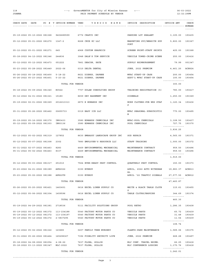#### 118 ---> GovernMENTOR for City of Mission Kansas <--- 06-03-2022 PAID PAYMENT SCHEDULE BY VENDOR

| CHECK DATE DATE                                                      |                              | PO # T INVOICE NUMBER VEND                                                        | VENDOR NAME                                                    | INVOICE DESCRIPTION                               | INVOICE AMT                      | CHECK            |
|----------------------------------------------------------------------|------------------------------|-----------------------------------------------------------------------------------|----------------------------------------------------------------|---------------------------------------------------|----------------------------------|------------------|
|                                                                      |                              |                                                                                   |                                                                |                                                   |                                  | $- - - - - -$    |
| 05-19-2022 05-10-2022 081368                                         |                              | 9402689599                                                                        | 6772 CRAFCO INC                                                | PARKING LOT SEALANT                               | 3,105.00                         | 193435           |
|                                                                      | 05-12-2022 05-01-2022 081270 | $1347 - 2$                                                                        | 8268 CRUX KC LLC                                               | MARKETING SVC/WEBSITE SUP<br>PORT                 | 5,800.00                         | 193367           |
| 05-12-2022 05-01-2022 081271                                         |                              | 645                                                                               | 4968 CUSTOM GRAPHICS                                           | SCREEN PRINT-STAFF SHIRTS                         | 425.00                           | 193368           |
| 05-18-2022 04-12-2022 081346                                         |                              | 244836                                                                            | 3948 DALE'S TOW SERVICE                                        | VEHICLE TOWED-CRIME SCENE                         | 255.00                           | 193416           |
| 05-12-2022 05-12-2022 081473                                         |                              | 051222                                                                            | 7861 DEACON, KATE                                              | SUPPLY REIMBURSEMENT                              | 79.99                            | 001347           |
| 05-23-2022 05-28-2022 081449                                         |                              | $2022 - 06$                                                                       | 0310 DELTA DENTAL                                              | JUNE, 2022 PREMIUM                                | 4,461.20                         | <b>ACH824</b>    |
| 05-26-2022 05-18-2022 081400 5-18-22<br>05-26-2022 05-23-2022 081401 |                              | $5 - 23 - 22$                                                                     | 8621 DIERKS, DAPHNE<br>8621 DIERKS, DAPHNE                     | MFAC START-UP CASH<br>ADDT'L MFAC START-UP CASH   | 200.00<br>100.00                 | 193454<br>193454 |
|                                                                      |                              | TOTAL FOR VENDOR                                                                  |                                                                |                                                   | 300.00                           |                  |
| 05-18-2022 05-09-2022 081340                                         |                              | R0522                                                                             | 7707 DOLAN CONSULTING GROUP                                    | TRAINING REGISTRATION (5)                         | 780.00                           | 193417           |
|                                                                      | 05-12-2022 04-01-2022 081321 | 15180                                                                             | 8659 DRY BASEMENT INC                                          | SIDEWALK                                          | 1,250.00                         | 193369           |
|                                                                      | 05-19-2022 02-01-2022 081369 | 2012213313                                                                        | 2870 E EDWARDS INC                                             | WORK CLOTHES-PUB WKS STAF<br>F                    | 1,120.34                         | 193436           |
| 05-31-2022 05-26-2022 081462                                         |                              | 00655733                                                                          | 0319 EASY ICE LLC                                              | MFAC SEASONAL SUBSCRIPTIO<br>N                    | 775.00                           | 193495           |
| 05-19-2022 05-16-2022 081370<br>05-12-2022 05-09-2022 081303         |                              | IN83433<br>IN83136                                                                | 3580 EDWARDS CHEMICALS INC<br>3580 EDWARDS CHEMICALS INC       | MFAC-POOL CHEMICALS<br>POOL CHEMICALS             | 3,108.50 193437<br>727.75 193370 |                  |
|                                                                      |                              | TOTAL FOR VENDOR                                                                  |                                                                |                                                   | ---------------<br>3,836.25      |                  |
| 05-12-2022 05-02-2022 081319                                         |                              | 127852                                                                            | 8630 EMBASSY LANDSCAPE GROUP INC                               | SOD REPAIR                                        | 4,565.00                         | 193371           |
| 05-12-2022 05-07-2022 081308                                         |                              | 2302                                                                              | 7880 EMPLOYER'S RESOURCE LLC                                   | STAFF TRAINING                                    | 1,000.00                         | 193372           |
| 05-31-2022 02-07-2022 081463<br>05-31-2022 05-02-2022 081463         |                              | 8283<br>8337                                                                      | 4469 ENVIRONMENTAL MECHANICAL<br>4469 ENVIRONMENTAL MECHANICAL | MAINTENANCE CONTRACT<br>MAINTENANCE CONTRACT      | 959.50<br>959.50                 | 193496<br>193496 |
|                                                                      |                              | TOTAL FOR VENDOR                                                                  |                                                                |                                                   | ---------------<br>1,919.00      |                  |
| 05-12-2022 05-03-2022 081317 251010                                  |                              |                                                                                   | 7564 EVER-READY PEST CONTROL                                   | QUARTERLY PEST CONTROL                            | 150.00 193373                    |                  |
|                                                                      |                              | 05-23-2022 04-21-2022 081389 APR2022                                              | 0150 EVERGY                                                    | APRIL, 2022 AUTO WITHDRAW 19,883.37 ACH813        |                                  |                  |
|                                                                      |                              | 05-23-2022 05-02-2022 081388 APR22TS                                              | 0150 EVERGY                                                    | AL<br>APRIL '22 TRAFFIC SIGNALS                   | 27,577.50 ACH812                 |                  |
|                                                                      |                              | TOTAL FOR VENDOR                                                                  |                                                                |                                                   | ---------------<br>47,460.87     |                  |
|                                                                      |                              | 05-26-2022 05-20-2022 081421 1463601                                              | 0616 EXCEL LINEN SUPPLY CO                                     | WHITE & BLACK TABLE CLOTH                         | 115.61 193455                    |                  |
|                                                                      |                              | 05-12-2022 05-06-2022 081304 1459596                                              | 0616 EXCEL LINEN SUPPLY CO                                     | S<br>TABLE CLOTHS/NAPKINS                         | 344.69 193374                    |                  |
|                                                                      |                              | TOTAL FOR VENDOR                                                                  |                                                                |                                                   | ---------------<br>460.30        |                  |
|                                                                      |                              | 05-19-2022 04-29-2022 081381 2718536                                              | 5111 FACILITY SOLUTIONS GROUP                                  | POOL RETRO                                        | 1,286.35 193438                  |                  |
|                                                                      |                              | 05-19-2022 05-12-2022 081372 113-234188                                           | 5540 FACTORY MOTOR PARTS CO                                    | VEHICLE PARTS                                     | 65.72 193439                     |                  |
|                                                                      |                              | 05-19-2022 05-12-2022 081372 113-234197<br>05-19-2022 05-12-2022 081372 2-5837295 | 5540 FACTORY MOTOR PARTS CO<br>5540 FACTORY MOTOR PARTS CO     | VEHICLE PARTS<br>VEHICLE PARTS                    | 31.48 193439<br>11.54 193439     |                  |
|                                                                      |                              | TOTAL FOR VENDOR                                                                  |                                                                |                                                   | ---------------<br>108.74        |                  |
|                                                                      |                              | 05-12-2022 05-02-2022 081322 123680                                               | 0207 FAMILY TREE NURSERY                                       | PLANTS-PARK MAINTENANCE                           | 1,589.06 193375                  |                  |
|                                                                      |                              | 05-31-2022 05-26-2022 081464 165298367                                            | 7392 FIDELITY SECURITY LIFE                                    | JUNE, 2022 PREMIUM                                | 668.28 193497                    |                  |
|                                                                      |                              | 05-18-2022 04-08-2022 081054 4-08-22<br>05-18-2022 03-13-2022 081347 NLC-2022     | 7637 FLORA, SOLLIE<br>7637 FLORA, SOLLIE                       | NLC CONF. TRAVEL REIMB.<br>NLC CONFERENCE LODGING | 66.25 193418<br>1,175.76 193418  |                  |
|                                                                      |                              | TOTAL FOR VENDOR                                                                  |                                                                |                                                   | ---------------<br>1,242.01      |                  |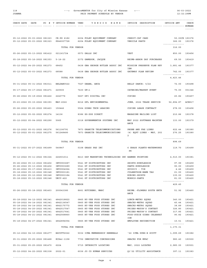#### 118 ---> GovernMENTOR for City of Mission Kansas <--- 06-03-2022 PAID PAYMENT SCHEDULE BY VENDOR 12:32:29PM

| CHECK DATE DATE                                              |                              | PO # T INVOICE NUMBER VEND              |           | VENDOR NAME                                                        | INVOICE DESCRIPTION                                   | INVOICE AMT                     | CHECK            |
|--------------------------------------------------------------|------------------------------|-----------------------------------------|-----------|--------------------------------------------------------------------|-------------------------------------------------------|---------------------------------|------------------|
|                                                              |                              |                                         |           |                                                                    |                                                       |                                 | ------           |
| 05-12-2022 05-03-2022 081323<br>05-12-2022 05-03-2022 081323 |                              | CR-PS 6182<br>PS46007728                |           | 6204 FOLEY EQUIPMENT COMPANY<br>6204 FOLEY EQUIPMENT COMPANY       | CREDIT-CAT CARD<br>VEHICLE PARTS                      | 50.00CR 193376<br>366.00 193376 |                  |
|                                                              |                              | TOTAL FOR VENDOR                        |           |                                                                    |                                                       | ---------------<br>316.00       |                  |
| 05-26-2022 05-13-2022 081412                                 |                              | 021161724                               |           | 0573 GALLS INC                                                     | <b>VEST</b>                                           | 850.00                          | 193456           |
| 05-18-2022 05-16-2022 081353                                 |                              | $5 - 16 - 22$                           |           | 2372 GAMESON, JACOUE                                               | REIMB-ARBOR DAY PURCHASES                             | 69.50                           | 193419           |
| 05-12-2022 04-25-2022 081273                                 |                              | 68452                                   |           | 0438 GBA GEORGE BUTLER ASSOC INC                                   | MISSION PRESERVE PLAN REV                             | 3,681.46                        | 193377           |
| 05-12-2022 05-03-2022 081273                                 |                              | 68588                                   |           | 0438 GBA GEORGE BUTLER ASSOC INC                                   | IEW<br>GATEWAY PLAN REVIEW                            | 742.00                          | 193377           |
|                                                              |                              | TOTAL FOR VENDOR                        |           |                                                                    |                                                       | ---------------<br>4,423.46     |                  |
| 05-31-2022 05-31-2022 081511                                 |                              | BELDAN0522                              |           | 7027 GEANA, ANCA                                                   | BELLY DANCE: 5/22                                     | 72.00                           | 193498           |
| 05-17-2022 05-17-2022 081471                                 |                              | 220500                                  | 7430 GF+1 |                                                                    | CATERING/MARKET EVENT                                 | 75.00                           | 001346           |
| 05-26-2022 05-19-2022 081422                                 |                              | 2240776                                 |           | 5667 GFI DIGITAL INC                                               | COPIES                                                | 20.82                           | 193457           |
| 05-23-2022 05-15-2022 081393                                 |                              | MAY-2022                                |           | 8216 GFL ENVIRONMENTAL                                             | JUNE, 2022 TRASH SERVICE                              | 52,894.87                       | <b>ACH817</b>    |
| 05-26-2022 05-20-2022 081423                                 |                              | 150446                                  |           | 5564 GIBBS TECH LEASING                                            | COPIER LEASE CONTRACT                                 | 278.00                          | 193458           |
| 05-12-2022 05-02-2022 081274                                 |                              | 14136                                   |           | 8386 GO-DOG DIRECT                                                 | MAGAZINE MAILING LIST                                 | 210.86                          | 193378           |
| 05-12-2022 05-04-2022 081290                                 |                              | 5065                                    |           | 0318 GOVERNMENTOR SYSTEMS INC                                      | MAY 2022 SOFTWARE MAINTEN<br>ANCE                     | 133.00                          | 193379           |
| 05-12-2022 05-01-2022 081276<br>05-12-2022 05-01-2022 081275 |                              | 561106791<br>561248480                  |           | 7873 GRANITE TELECOMMUNICATIONS<br>7873 GRANITE TELECOMMUNICATIONS | PHONE AND FAX LINES<br>(4) EQPT LINES - MAY, 202<br>2 | 622.44<br>276.25                | 193380<br>193380 |
|                                                              |                              | TOTAL FOR VENDOR                        |           |                                                                    |                                                       | ---------------<br>898.69       |                  |
| 05-31-2022 05-27-2022 081499                                 |                              | 540847                                  |           | 0108 GRASS PAD INC                                                 | 6 GRASS PLANTS-WATERWORKS<br>PК                       | 119.70                          | 193499           |
| 05-12-2022 05-11-2022 081324                                 |                              | 224501011                               |           | 8413 GSP MARKETING TECHNOLOGIES INC BANNER PRINTING                |                                                       | 4,510.00                        | 193381           |
| 05-26-2022 05-13-2022 081402                                 |                              | INV0903687                              |           | 5541 GT DISTRIBUTORS INC                                           | SHIRTS-RUHULESSIN                                     | 97.99                           | 193459           |
| 05-26-2022 05-13-2022 081402                                 |                              | INV0903689                              |           |                                                                    |                                                       |                                 | 193459           |
|                                                              |                              |                                         |           | 5541 GT DISTRIBUTORS INC                                           | PANTS-RUHULESSIN                                      | 90.00                           |                  |
|                                                              |                              | 05-26-2022 05-17-2022 081413 INV0904064 |           | 5541 GT DISTRIBUTORS INC                                           | GUIDICI - TIE                                         | 4.46                            | 193459           |
|                                                              | 05-18-2022 05-10-2022 081348 | INV0903181                              |           | 5541 GT DISTRIBUTORS INC                                           | CULBERTSON-NAME TAG                                   | 21.00                           | 193420           |
| 05-18-2022 05-10-2022 081348                                 | 05-18-2022 05-10-2022 081348 | INV0903184                              |           | 5541 GT DISTRIBUTORS INC                                           | RUBINO-SHIRTS                                         | 135.00<br>81.00 193420          | 193420           |
|                                                              |                              |                                         |           | UNIV-422 5541 GT DISTRIBUTORS INC                                  | MORRIS-PANTS                                          | ---------------                 |                  |
| 05-26-2022 05-18-2022 081403                                 |                              | TOTAL FOR VENDOR<br>200043380           |           |                                                                    |                                                       | 429.45                          |                  |
|                                                              |                              |                                         |           | 8661 HUTCHENS, MARC                                                | REIMB.-FLOWERS SOUTH ENTR<br>ANCE                     | 51.92 193460                    |                  |
|                                                              |                              | 4842018822                              |           |                                                                    |                                                       |                                 |                  |
| 05-18-2022 04-12-2022 081341                                 |                              | 05-18-2022 04-14-2022 081341 4842136547 |           | 0865 HY-VEE FOOD STORES INC<br>0865 HY-VEE FOOD STORES INC         | LUNCH-METRO SQUAD<br>SNACKS-METRO SQUAD               | 340.00<br>45.44                 | 193421<br>193421 |
| 05-18-2022 04-14-2022 081341                                 |                              | 4842175772                              |           | 0865 HY-VEE FOOD STORES INC                                        |                                                       | 38.89                           | 193421           |
| 05-18-2022 04-20-2022 081341                                 |                              | 4842517547                              |           | 0865 HY-VEE FOOD STORES INC                                        | SNACKS-METRO SQUAD<br>PRIZES-MAYOR'S CONTEST          | 326.80                          | 193421           |
| 05-18-2022 04-20-2022 081341                                 |                              | 4842517641                              |           | 0865 HY-VEE FOOD STORES INC                                        | PRIZES-MAYOR'S CONTEST                                | 317.85                          | 193421           |
| 05-18-2022 04-21-2022 081341                                 |                              | 4842568860                              |           | 0865 HY-VEE FOOD STORES INC                                        | FOOD-SUZIE GIBBS CELEBRAT<br>ION                      | 90.82                           | 193421           |
|                                                              |                              | 05-18-2022 04-27-2022 081341 4842894054 |           | 0865 HY-VEE FOOD STORES INC                                        | EMPLOYEE RECOGNITION                                  | 10.51 193421<br>--------------- |                  |
|                                                              |                              | TOTAL FOR VENDOR                        |           |                                                                    |                                                       | 1,170.31                        |                  |
| 05-12-2022 04-10-2022 081277                                 |                              | BSCOTT2022                              |           | 5032 ICMA MEMBERSHIP RENEWALS                                      | '22 ICMA DUES-B SCOTT                                 | 1,099.69                        | 193382           |
| 05-31-2022 05-25-2022 081468                                 |                              |                                         |           | KCSer-1158 7702 INNOVATIVE CONCESSIONS                             | SNACKS FOR MFAC                                       | 980.40                          | 193500           |
| 05-31-2022 05-25-2022 081470                                 |                              | 6224                                    |           | 5715 INTEGRITY LOCATING                                            | MAY, 2022 LOCATES                                     | 2,985.00                        | 193501           |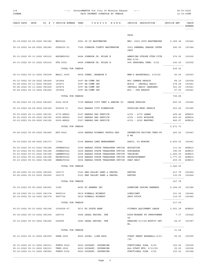#### 118 ---> GovernMENTOR for City of Mission Kansas <--- 06-03-2022 PAID PAYMENT SCHEDULE BY VENDOR

| CHECK DATE DATE                         |  | PO # T INVOICE NUMBER VEND              | VENDOR NAME                                                            | INVOICE DESCRIPTION<br>----------------- --------------- NUMBER | INVOICE AMT                      | CHECK<br>$- - - - - -$ |
|-----------------------------------------|--|-----------------------------------------|------------------------------------------------------------------------|-----------------------------------------------------------------|----------------------------------|------------------------|
|                                         |  |                                         |                                                                        |                                                                 |                                  |                        |
|                                         |  |                                         |                                                                        | PROG                                                            |                                  |                        |
|                                         |  |                                         | 05-19-2022 05-05-2022 081382 MAY2022 0081 JO CO WASTEWATER             | MAY, 2022 JOCO WASTEWATER 2,366.38 193440                       |                                  |                        |
|                                         |  |                                         | 05-12-2022 04-26-2022 081280 GIR6200-21 7382 JOHNSON COUNTY WASTEWATER | 2021 RENEWAL GREASE INTER 290.00 193384<br>CEPT                 |                                  |                        |
| 05-31-2022 05-31-2022 081512 ASFLND0522 |  |                                         | 8484 JOHNSON JR, MILES E                                               | AMERICAN STROKE FTDN FITN<br>ESS:5/22                           | 276.00 193502                    |                        |
| 05-31-2022 05-31-2022 081512 PTA.0522   |  |                                         | 8484 JOHNSON JR, MILES E                                               | 80% PERSONAL TRNR: 5/22                                         | 160.00 193502                    |                        |
|                                         |  | TOTAL FOR VENDOR                        |                                                                        |                                                                 | 436.00                           |                        |
|                                         |  | 05-31-2022 05-31-2022 081508 BBall.0605 | 8654 JONES, BRANDON R                                                  | MEN'S BASKETBALL: 6/5/22                                        | 90.00                            | 193503                 |
| 05-31-2022 05-18-2022 081495            |  | 183964                                  | 3097 KA-COMM INC                                                       | #50 CAMERA REPAIR                                               | 84.10                            | 193504                 |
| 05-26-2022 05-11-2022 081404            |  | 183871                                  | 3097 KA-COMM INC                                                       | #CS19 - INSTALL RADIO                                           | 274.09                           | 193461                 |
| 05-26-2022 05-11-2022 081404            |  | 183874                                  | 3097 KA-COMM INC                                                       | INSTALL RADIO CHARGERS                                          | 321.20                           | 193461                 |
| 05-26-2022 05-13-2022 081404            |  | 183904                                  | 3097 KA-COMM INC                                                       | #30 - DVR REPAIR                                                |                                  | 27.50 193461           |
|                                         |  | TOTAL FOR VENDOR                        |                                                                        |                                                                 | ---------------<br>706.89        |                        |
|                                         |  | 05-26-2022 05-19-2022 081405 2022-2218  | 7339 KANSAS CITY TENT & AWNING CO                                      | SHADE REPAIRS                                                   | 625.00                           | 193462                 |
| 05-12-2022 04-29-2022 081325            |  | 699009 01                               | 0543 KANSAS CITY WINNELSON                                             | SUPPLIES-MFAC REPAIR                                            | 223.26                           | 193385                 |
| 05-23-2022 05-11-2022 081391            |  | 4775-APR22                              | 0167 KANSAS GAS SERVICE                                                | 4/22 - 4775 LAMAR                                               | 499.46                           | <b>ACH815</b>          |
| 05-23-2022 05-05-2022 081390            |  | 6090-APR22                              | 0167 KANSAS GAS SERVICE                                                | 4/22 - 6090 WOODSON                                             | 929.60                           | <b>ACH814</b>          |
| 05-23-2022 05-09-2022 081392            |  | 6200-APR22                              | 0167 KANSAS GAS SERVICE                                                | $4/22 - 6200$ MARTWAY                                           | 842.67 ACH816                    |                        |
|                                         |  | TOTAL FOR VENDOR                        |                                                                        |                                                                 | ---------------<br>2,271.73      |                        |
|                                         |  |                                         |                                                                        |                                                                 |                                  |                        |
|                                         |  | 05-26-2022 05-25-2022 081445 DDT-0622   | 0508 KANSAS HIGHWAY PATROL-KHP                                         | DEFENSIVE DRIVING TRNG-PU 260.00<br>B WK                        |                                  | 193463                 |
| 05-19-2022 05-08-2022 081373            |  | 17460                                   | 5144 KANSAS LAND MANAGEMENT                                            | APRIL, '22 MOWING                                               | 6,405.00                         | 193441                 |
| 05-23-2022 05-01-2022 081386            |  | JUDBRA0522                              | 0254 KANSAS STATE TREASURER OFFICE EDUCATION                           |                                                                 | 111.00                           | <b>ACH810</b>          |
| 05-23-2022 05-01-2022 081386            |  | JUDBRS0522                              | 0254 KANSAS STATE TREASURER OFFICE SURCHARGE                           |                                                                 | 396.00                           | <b>ACH810</b>          |
| 05-23-2022 05-01-2022 081386            |  | LAWENF0522                              | 0254 KANSAS STATE TREASURER OFFICE TRAINING                            |                                                                 | 1,462.50                         | <b>ACH810</b>          |
| 05-23-2022 05-01-2022 081386            |  | REINST0522                              | 0254 KANSAS STATE TREASURER OFFICE REINSTATEMENT                       |                                                                 | 1,777.00                         | <b>ACH810</b>          |
| 05-23-2022 05-01-2022 081386            |  | SEBELT0522                              | 0254 KANSAS STATE TREASURER OFFICE SEAT BELT                           |                                                                 | 200.00 ACH810<br>--------------- |                        |
|                                         |  | TOTAL FOR VENDOR                        |                                                                        |                                                                 | 3,946.50                         |                        |
| 05-26-2022 05-23-2022 081425 145171     |  |                                         | 0163 KAW VALLEY SAND & GRAVEL                                          | REFUSE                                                          | 217.78 193464                    |                        |
| 05-26-2022 05-23-2022 081425 145172     |  |                                         | 0163 KAW VALLEY SAND & GRAVEL                                          | REFUSE                                                          | 130.00 193464                    |                        |
|                                         |  | TOTAL FOR VENDOR                        |                                                                        |                                                                 | ---------------<br>347.78        |                        |
|                                         |  |                                         |                                                                        |                                                                 |                                  |                        |
| 05-12-2022 05-05-2022 081291            |  | 3189                                    | 8490 KC BANNER INC                                                     | DOWNTOWN SPRING BANNERS                                         | 2,184.00 193386                  |                        |
| 05-19-2022 05-11-2022 081374 9889310    |  |                                         | 5819 KIMBALL MIDWEST                                                   | LUBRICANT                                                       | 101.52                           | 193442                 |
| 05-19-2022 05-16-2022 081374 9897754    |  |                                         | 5819 KIMBALL MIDWEST                                                   | SHOP STOCK                                                      | 116.00 193442<br>--------------- |                        |
|                                         |  | TOTAL FOR VENDOR                        |                                                                        |                                                                 | 217.52                           |                        |
|                                         |  | 05-23-2022 05-01-2022 081396 3359026-07 | 5571 KS STATE BANK                                                     | FITNESS EQUIPMENT LEASE                                         | 3,551.39 ACH820                  |                        |
| 05-18-2022 05-10-2022 081354 L96730     |  |                                         | 0482 LEGAL RECORD, THE                                                 | BIDS-MOHAWK PK IMPROVEMEN<br>TS                                 |                                  | 7.37 193422            |
| 05-12-2022 05-03-2022 081292 L96589     |  |                                         | 0482 LEGAL RECORD, THE                                                 | HEARING-5/3/22-MOFFIT DEV<br>EL.                                |                                  | 24.27 193387           |
|                                         |  | TOTAL FOR VENDOR                        |                                                                        |                                                                 | ---------------<br>31.64         |                        |
|                                         |  |                                         |                                                                        |                                                                 |                                  |                        |
| 05-31-2022 05-31-2022 081509 SSBB.0522  |  |                                         | 8665 LUCAS, LIAM PAUL                                                  | START SMART BASEBALL:5/21<br>/22                                |                                  | 25.00 193505           |
| 05-31-2022 05-31-2022 081513 FUNYG.0522 |  |                                         | 6620 LUCASEY, CATHERINE                                                | FUNCTIONAL YOGA: 5/22                                           | 100.00 193506                    |                        |
| 05-31-2022 05-31-2022 081513 TRNG.0522  |  |                                         | 6620 LUCASEY, CATHERINE                                                | ALL STAFF MTG: 5/11/22                                          | 25.00                            | 193506                 |
| 05-12-2022 03-31-2022 080922            |  | FUNYG.0322                              | 6620 LUCASEY, CATHERINE                                                | FUNCTIONAL YOGA: 3/22                                           | 100.00                           | 193388                 |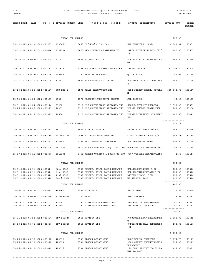#### 118 ---> GovernMENTOR for City of Mission Kansas <--- 06-03-2022 JOANNA PAID PAYMENT SCHEDULE BY VENDOR 12:32:29PM

---------------

|  |  |  |  |  |  |  |  | CHECK DATE DATE PO # T INVOICE NUMBER VEND VENDOR NAME INVOICE DESCRIPTION | INVOICE AMT | CHECK  |
|--|--|--|--|--|--|--|--|----------------------------------------------------------------------------|-------------|--------|
|  |  |  |  |  |  |  |  |                                                                            |             |        |
|  |  |  |  |  |  |  |  |                                                                            |             | ------ |
|  |  |  |  |  |  |  |  |                                                                            |             |        |

|                                                                          | TOTAL FOR VENDOR |                                                                        |                                                                      | 225.00                             |                  |
|--------------------------------------------------------------------------|------------------|------------------------------------------------------------------------|----------------------------------------------------------------------|------------------------------------|------------------|
| 05-12-2022 04-30-2022 081293                                             | 1708671          | 8658 LifeWorks (US) Ltd                                                | EAP SERVICES - 2022                                                  | 2,003.04                           | 193389           |
| 05-31-2022 05-27-2022 081474                                             | 1532284          | 3070 MAD SCIENCE OF GREATER KC                                         | PARTY ENTERTAINMENT-6/25/<br>22                                      | 100.00                             | 193507           |
| 05-12-2022 05-04-2022 081305                                             | 11137            | 8449 MC ELECTRIC INC                                                   | ELECTRICAL WORK-SERVER RO<br>OM                                      | 1,842.50                           | 193390           |
| 05-31-2022 05-25-2022 0021-1                                             | 121917           | 7759 MCCONNELL & ASSOCIATES CORP                                       | TENNIS COURTS                                                        | 57,495.60                          | 193508           |
| 05-26-2022 05-18-2022 081426                                             | 100843           | 0182 MERRIAM HARDWARE                                                  | QUICKIE SAW                                                          | 49.99                              | 193465           |
| 05-26-2022 05-20-2022 081406                                             | 33742            | 3896 MID-AMERICA LOCKSMITH                                             | PCC LOCK REPAIR & NEW KEY<br>S                                       | 164.50                             | 193466           |
| 05-26-2022 05-25-2022 081427                                             | PAY EST-2        | 5595 MILES EXCAVATING INC                                              | 2022 STREET RECON. PROGRA<br>М                                       | 388,468.00                         | 193467           |
| 05-18-2022 04-20-2022 081355                                             | 1159             | 4372 MISSOURI MUNICIPAL LEAGUE                                         | JOB POSTING                                                          | 90.00                              | 193423           |
| 05-31-2022 04-29-2022 081476<br>05-26-2022 05-25-2022 081443             | 69962<br>70951   | 2117 MMC CONTRACTORS NATIONAL INC<br>2117 MMC CONTRACTORS NATIONAL INC | GROUND HYDRANT REPAIRS<br>REPAIR-UNCLOG DRAIN MECH                   | 1,553.22<br>263.00                 | 193509<br>193468 |
| 05-19-2022 05-17-2022 081375                                             | 70598            | 2117 MMC CONTRACTORS NATIONAL INC                                      | RM<br>REPAIRS-TANKLESS WTR HEAT<br>ERS                               | 180.50                             | 193443           |
|                                                                          | TOTAL FOR VENDOR |                                                                        |                                                                      | ---------------<br>1,996.72        |                  |
| 05-18-2022 05-13-2022 081342                                             | 98               | 8404 MORRIS, JUDITH K                                                  | 4/28/22 PC MTG MINUTES                                               | 168.20                             | 193424           |
| 05-26-2022 05-20-2022 081415                                             | 1411000218       | 0998 MOTOROLA SOLUTIONS INC                                            | CLOUD VIDEO STORAGE 3/22                                             | 147.73                             | 193469           |
| 05-18-2022 05-05-2022 081343                                             | 31585013         | 7379 MSEC FINANCIAL SERVICES                                           | POSTAGE METER RENTAL                                                 | 397.00                             | 193425           |
| 05-19-2022 05-10-2022 081376                                             | 1817405          | 8469 MURPHY TRACTOR & EQUIP CO INC                                     | #907 VEHICLE REPAIR/MAINT                                            | 788.14                             | 193444           |
| 05-19-2022 05-11-2022 081376                                             | 1818396          | 8469 MURPHY TRACTOR & EQUIP CO INC #907 VEHICLE REAPIR/MAINT           |                                                                      | 44.38                              | 193444           |
|                                                                          | TOTAL FOR VENDOR |                                                                        |                                                                      | ---------------<br>832.52          |                  |
| 05-31-2022 05-31-2022 081514                                             | Kbeg. 0522       | 5397 MURPHY, TYLER LOUIS MULLANE                                       | KARATE: BEGINNERS 5/22                                               | 120.00                             | 193510           |
| 05-31-2022 05-31-2022 081514                                             | Kint.0522        | 5397 MURPHY, TYLER LOUIS MULLANE                                       | KARATE: INTERMEDIATE 5/22                                            | 120.00                             | 193510           |
| 05-31-2022 05-31-2022 081514                                             | Ninj.0522        | 5397 MURPHY, TYLER LOUIS MULLANE                                       | LITTLE NINJAS: 5/22                                                  | 120.00                             | 193510           |
| 05-31-2022 05-31-2022 081514                                             | Speck.0522       | 5397 MURPHY, TYLER LOUIS MULLANE                                       | MP KARATE: 5/22                                                      | 120.00<br>---------------          | 193510           |
|                                                                          | TOTAL FOR VENDOR |                                                                        |                                                                      | 480.00                             |                  |
| 05-26-2022 05-23-2022 081429 485542                                      |                  | 3591 MUTT MITT                                                         | WASTE BAGS                                                           | 1,739.83 193470                    |                  |
| 05-12-2022 05-09-2022 081326                                             | 2138094870       | 0200 NAPA                                                              | WEED SPRAYER                                                         | 26.99                              | 193391           |
| 05-31-2022 05-31-2022 081477 41604<br>05-12-2022 05-03-2022 081281 41559 |                  | 0190 NORTHEAST JOHNSON COUNTY<br>0190 NORTHEAST JOHNSON COUNTY         | LEGISLATIVE LUNCHEON-HPT<br>LEADERSHIP LUNCHEON                      | 40.00<br>250.00 193392             | 193511           |
|                                                                          | TOTAL FOR VENDOR |                                                                        |                                                                      | ---------------<br>290.00          |                  |
| 05-31-2022 05-24-2022 081527 INV-265546 2844 NUVIDIA LLC                 |                  |                                                                        | PROJECTOR LAMP REPLACEMEN 1,050.00 193512<br>T.                      |                                    |                  |
| 05-18-2022 05-06-2022 081356 INV-265508 2844 NUVIDIA LLC                 |                  |                                                                        | OMNIDIRECTIONAL CONDENSER 180.00 193426<br>(2)                       |                                    |                  |
|                                                                          | TOTAL FOR VENDOR |                                                                        |                                                                      | <u>---------------</u><br>1,230.00 |                  |
| 05-26-2022 05-18-2022 081442 420532                                      |                  | 2794 OLSSON ASSOCIATES                                                 | ENGINEERING SERVICES                                                 | 3,779.73 193471                    |                  |
| 05-26-2022 05-18-2022 081442                                             | 420534           | 2794 OLSSON ASSOCIATES                                                 | 2022 STREET RECONSTRUCTIO                                            | 749.00                             | 193471           |
| 05-26-2022 05-18-2022 081442 420536                                      |                  | 2794 OLSSON ASSOCIATES                                                 | N PROJECT<br>'22 CARS PROJECT (JO.DR LA 497.00 193471<br>MAR TO ROE) |                                    |                  |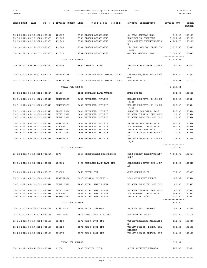#### 118 ---> GovernMENTOR for City of Mission Kansas <--- 06-03-2022 PAID PAYMENT SCHEDULE BY VENDOR

|                                     |                              |                                         | CHECK DATE DATE PO # T INVOICE NUMBER VEND    V E N D O R N A M E    INVOICE DESCRIPTION    INVOICE AMT |                                                            |                                    | CHECK  |
|-------------------------------------|------------------------------|-----------------------------------------|---------------------------------------------------------------------------------------------------------|------------------------------------------------------------|------------------------------------|--------|
|                                     |                              |                                         |                                                                                                         |                                                            |                                    |        |
|                                     |                              |                                         |                                                                                                         |                                                            |                                    |        |
|                                     |                              | 05-26-2022 05-18-2022 081442 420537     | 2794 OLSSON ASSOCIATES                                                                                  | ON-CALL GENERAL ENG.                                       | 798.00                             | 193471 |
| 05-19-2022 02-17-2022 081383 411908 |                              | 05-19-2022 02-17-2022 081383 411906     | 2794 OLSSON ASSOCIATES<br>2794 OLSSON ASSOCIATES                                                        | ENGINEERING SERVICES 5,627.04<br>2022 STREET RECONSTRUCTIO | 6,169.75 193445                    | 193445 |
| 05-19-2022 02-17-2022 081383 411909 |                              |                                         | 2794 OLSSON ASSOCIATES                                                                                  | N                                                          |                                    |        |
|                                     |                              |                                         |                                                                                                         | '22 CARS (JO DR. LAMAR TO 3,075.50 193445<br>ROE)          |                                    |        |
|                                     |                              |                                         | 05-19-2022 02-17-2022 081383 411910 2794 OLSSON ASSOCIATES                                              | ON-CALL GENERAL ENG.                                       | 2,581.00 193445<br>--------------- |        |
|                                     |                              | TOTAL FOR VENDOR                        |                                                                                                         |                                                            | 23,277.02                          |        |
|                                     |                              |                                         | 05-18-2022 05-16-2022 081357 838295 8660 OROPEZA, RENE                                                  | RENTAL REFUND-PERMIT #142 200.00 193427<br>9               |                                    |        |
|                                     | 05-31-2022 05-25-2022 081478 | SVC/892156                              | 0348 OVERHEAD DOOR COMPANY OF KC                                                                        | INSPECTION/REPAIR-FIRE DO 865.50 193513<br>ORS             |                                    |        |
| 05-26-2022 05-18-2022 081407        |                              |                                         | BAR/287436 0348 OVERHEAD DOOR COMPANY OF KC                                                             | NEW KEYS MADE                                              | 154.01 193472<br>---------------   |        |
|                                     |                              | TOTAL FOR VENDOR                        |                                                                                                         |                                                            | 1,019.51                           |        |
| 05-12-2022 05-10-2022 081327        |                              |                                         | 33459 1261 OVERLAND PARK AWARDS                                                                         | NAME BADGES                                                | 492.00                             | 193393 |
|                                     | 05-31-2022 05-31-2022 081515 | BENEF05221                              | 0686 PETERSON, PHYLLIS                                                                                  | HEALTH BENEFITS: 10:15 AM<br>5/22                          | 225.00                             | 193514 |
|                                     | 05-31-2022 05-31-2022 081515 | BENEF05223                              | 0686 PETERSON, PHYLLIS                                                                                  | HEALTH BENEFITS: 11:45 AM<br>5/22                          | 225.00                             | 193514 |
| 05-31-2022 05-31-2022 081515        |                              | EX4LF.0522                              | 0686 PETERSON, PHYLLIS                                                                                  | EXERCISE FOR LIFE: 5/22 225.00                             |                                    | 193514 |
| 05-31-2022 05-31-2022 081515        |                              | HBTPY.0522                              | 0686 PETERSON, PHYLLIS                                                                                  | HB AQUA THERAPY: SUB 5/22                                  | 20.00                              | 193514 |
| 05-31-2022 05-31-2022 081515        |                              | HPEXR.0522                              | 0686 PETERSON, PHYLLIS                                                                                  | HB AQUA EXERCISE: SUB 5/2<br>$\overline{a}$                | 20.00                              | 193514 |
| 05-31-2022 05-31-2022 081515        |                              | PMWA.0522                               | 0686 PETERSON, PHYLLIS                                                                                  | PM WATER AEROBICS: 5/22                                    | 100.00                             | 193514 |
| 05-31-2022 05-31-2022 081515        |                              | PTA.0522                                | 0686 PETERSON, PHYLLIS                                                                                  | 80% PERSONAL TRNR: 5/22                                    | 160.00                             | 193514 |
| 05-31-2022 05-31-2022 081515        |                              | REPRD.0522                              | 0686 PETERSON, PHYLLIS                                                                                  | REP & RIDE: SUB 5/22                                       | 20.00                              | 193514 |
|                                     | 05-31-2022 05-31-2022 081515 | STRNT.0522                              | 0686 PETERSON, PHYLLIS                                                                                  | ART OF RELAXATION: SUB 5/<br>22                            | 20.00                              | 193514 |
|                                     |                              | 05-31-2022 05-31-2022 081515 VENEF05222 | 0686 PETERSON, PHYLLIS                                                                                  | HEALTH BENEFITS: 11:00 AM 225.00 193514<br>5/22            |                                    |        |
|                                     |                              | TOTAL FOR VENDOR                        |                                                                                                         |                                                            | ---------------<br>1,240.00        |        |
|                                     |                              |                                         |                                                                                                         |                                                            |                                    |        |
|                                     |                              |                                         | 05-12-2022 05-10-2022 081328 3177 8367 PFEFFERKORN ENGINEERING                                          | 2022 STREET PRESERVATION/ 7,460.00 193394<br>INSP          |                                    |        |
|                                     |                              |                                         | 05-31-2022 05-13-2022 081502 109084 8493 PINNACLE LAWN CARE INC                                         | SPRINKLER SYSTEM-PCC & MF 290.00<br>AC                     |                                    | 193515 |
|                                     | 05-03-2022 05-03-2022 081467 | 050322                                  | 8663 PITCH, THE                                                                                         | JUNE CALENDAR AD                                           | 350.00                             | 001343 |
| 05-31-2022 05-31-2022 081479        |                              | REBATE2022                              | 8423 PORTER, DOLORES M                                                                                  | 2022 COMMUNITY REBATE                                      | 686.02                             | 193516 |
| 05-31-2022 05-31-2022 081516        |                              | HBEXR.0522                              | 7839 POTTS, MARY ELLEN THE AQUA EXERCISE: SUB 5/2 60.00                                                 | 2                                                          |                                    | 193517 |
|                                     |                              | 05-31-2022 05-31-2022 081516 HBTPY.0522 | 7839 POTTS, MARY ELLEN                                                                                  | HB AQUA THERAPY: SUB 5/22 40.00                            |                                    | 193517 |
|                                     |                              | 05-31-2022 05-31-2022 081516 PTA.0522   | 7839 POTTS, MARY ELLEN                                                                                  | 80% PERSONAL TRNR: 5/22                                    | 304.00                             | 193517 |
| 05-31-2022 05-31-2022 081516        |                              | REPRD.0522                              | 7839 POTTS, MARY ELLEN                                                                                  | REP & RIDE: 5/22                                           | 210.00 193517<br>---------------   |        |
|                                     |                              | TOTAL FOR VENDOR                        |                                                                                                         |                                                            | 614.00                             |        |
| 05-31-2022 04-30-2022 081480        |                              |                                         | 31081-0422 5033 PRIDE CLEANERS                                                                          | UNIFORM DRY CLEANING                                       | 55.11                              | 193518 |
|                                     | 05-18-2022 05-13-2022 081359 |                                         | PROS 5407 8656 PROS CONSULTING INC                                                                      | FEASIBILITY STUDY 3,340.00                                 |                                    | 193428 |
| 05-31-2022 05-19-2022 081481        |                              |                                         | 853423 2179 PUR-O-ZONE INC                                                                              | TESTED/REPAIRED STABILIZE 112.50<br>R                      |                                    | 193519 |
| 05-26-2022 05-17-2022 081409 853220 |                              |                                         | 2179 PUR-O-ZONE INC                                                                                     | TOILET TISSUE, LINER, STA 436.52<br>BILIZER                |                                    | 193473 |
|                                     |                              |                                         | 05-26-2022 05-18-2022 081409 853270 2179 PUR-O-ZONE INC                                                 | TOILET TISSUE, BLEACH, ETC 361.02 193473                   |                                    |        |
|                                     |                              |                                         |                                                                                                         |                                                            | ---------------                    |        |
|                                     |                              | TOTAL FOR VENDOR                        |                                                                                                         |                                                            | 910.04                             |        |
|                                     |                              | 05-18-2022 05-04-2022 081344 11750      | 0808 QUALITY LITHO                                                                                      | SHIFT ACTIVITY REPORTS                                     | 288.00 193429                      |        |
|                                     |                              |                                         |                                                                                                         |                                                            |                                    |        |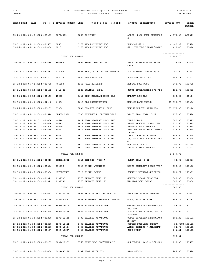| 118<br><b>JOANNA</b> |                                                              |  |                                         | $06 - 03 - 2022$<br>12:32:29PM                                                           |                                                 |                                 |                  |
|----------------------|--------------------------------------------------------------|--|-----------------------------------------|------------------------------------------------------------------------------------------|-------------------------------------------------|---------------------------------|------------------|
|                      |                                                              |  |                                         | CHECK DATE DATE PO # T INVOICE NUMBER VEND    V E N D O R N A M E    INVOICE DESCRIPTION |                                                 | ----------------<br>INVOICE AMT | CHECK            |
|                      |                                                              |  |                                         |                                                                                          |                                                 |                                 | $- - - - - -$    |
|                      |                                                              |  | 05-23-2022 05-06-2022 081395 80746903   | 3863 QUIKTRIP                                                                            | APRIL, 2022 FUEL PURCHASE<br>S                  | 6,074.80 ACH819                 |                  |
|                      | 05-31-2022 05-31-2022 081505<br>05-26-2022 05-13-2022 081430 |  | 2250<br>2219                            | 6977 RED EQUIPMENT LLC<br>6977 RED EQUIPMENT LLC                                         | EXHAUST #211<br>#211 VEHICLE REPAIR/MAINT       | 4,682.22<br>419.48              | 193520<br>193474 |
|                      |                                                              |  | TOTAL FOR VENDOR                        |                                                                                          |                                                 | ---------------<br>5,101.70     |                  |
|                      | 05-26-2022 05-20-2022 081416                                 |  | 484647                                  | 5654 REJIS COMMISSION                                                                    | LEWeb SUBSCRIPTION FEE/AC                       | 736.49                          | 193475           |
|                      |                                                              |  |                                         |                                                                                          | CESS                                            |                                 |                  |
|                      | 05-31-2022 05-31-2022 081517                                 |  | PTA.0522                                | 8486 RENO, WILLIAM CHRISTOPHER                                                           | 80% PERSONAL TRNR: 5/22                         | 400.00                          | 193521           |
|                      | 05-31-2022 05-20-2022 081503                                 |  | 6687381                                 | 4400 REW MATERIALS                                                                       | PCC-CEILING TILES                               | 867.41                          | 193522           |
|                      | 05-12-2022 05-02-2022 081329                                 |  | R44353                                  | 1360 ROAD BUILDERS                                                                       | RENTAL EQUIPMENT                                | 4,200.00                        | 193395           |
|                      | 05-31-2022 05-10-2022 081482                                 |  | $5 - 10 - 22$                           | 8123 SALINAS, IRMA                                                                       | COURT INTERPRETER 5/10/22                       | 125.00                          | 193523           |
|                      | 05-12-2022 05-12-2022 081469                                 |  | 41553                                   | 8649 SEEN MERCHANDISING LLC                                                              | MARKET TSHIRTS                                  | 898.50                          | 001344           |
|                      | 05-12-2022 05-04-2022 0021-2                                 |  | 14630                                   | 4019 SFS ARCHITECTURE                                                                    | MOHAWK PARK DESIGN                              | 45,953.78                       | 193396           |
|                      | 05-26-2022 05-25-2022 081431                                 |  | 29080                                   | 0236 SHAWNEE MISSION FORD                                                                | NEW TRUCK-VIN NEE42288                          | 35,470.00                       | 193476           |
|                      | 05-31-2022 05-31-2022 081518                                 |  | BASFL.0522                              | 6785 SHELLHORN, JACQUELINE R                                                             | BASIC FLOW YOGA: 5/22                           | 176.00                          | 193524           |
|                      | 05-31-2022 05-27-2022 081484                                 |  | 30648                                   | 1612 SIGN PROFESSIONALS INC                                                              | TREE PLAQUE                                     | 360.00                          | 193525           |
|                      | 05-31-2022 05-27-2022 081484                                 |  | 30649                                   | 1612 SIGN PROFESSIONALS INC                                                              | SIGNS, PLAQUES, MAPS, ETC                       | 870.00                          | 193525           |
|                      | 05-31-2022 05-27-2022 081504                                 |  | 30650                                   | 1612 SIGN PROFESSIONALS INC                                                              | SIGNS-YOU'VE BEEN EGG'D                         | 330.00                          | 193525           |
|                      | 05-31-2022 05-27-2022 081484                                 |  | 30651                                   | 1612 SIGN PROFESSIONALS INC                                                              | WELCOME BACK/TRACK CLOSED<br>SIGNS              | 224.00                          | 193525           |
|                      | 05-31-2022 05-27-2022 081484                                 |  | 30652                                   | 1612 SIGN PROFESSIONALS INC                                                              | TREE IDENTIFIER SIGNS                           | 352.00                          | 193525           |
|                      | 05-31-2022 05-27-2022 081483                                 |  | 30654                                   | 1612 SIGN PROFESSIONALS INC                                                              | (8) ALUMINUM POSTS-ST PRO<br>G.                 | 840.00                          | 193525           |
|                      | 05-27-2022 05-27-2022 081475<br>05-12-2022 02-28-2022 081331 |  | 30653<br>30465                          | 1612 SIGN PROFESSIONALS INC<br>1612 SIGN PROFESSIONALS INC                               | MARKET SIGNAGE<br>SIGNS-YOU'VE BEEN EGG'D       | 296.00<br>175.00                | 001348<br>193397 |
|                      |                                                              |  |                                         |                                                                                          |                                                 | ---------------                 |                  |
|                      |                                                              |  | TOTAL FOR VENDOR<br>ZUMGL.0522          |                                                                                          | ZUMBA GOLD: 5/22                                | 3,447.00                        | 88.00 193526     |
|                      | 05-31-2022 05-31-2022 081519                                 |  |                                         | 7646 SIMMONS, VICI A.                                                                    |                                                 |                                 |                  |
|                      | 05-12-2022 05-05-2022 081296                                 |  | 03071D                                  | 6943 SMITH, JENNIFER                                                                     | REIMB-SOMERSET RIDGE TRIP                       | 756.00                          | 193398           |
|                      | 05-12-2022 05-06-2022 081306                                 |  | MAYRETREAT                              | 2716 SMITH, LAURA                                                                        | COUNCIL RETREAT SUPPLIES                        | 121.74                          | 193399           |
|                      | 05-12-2022 05-09-2022 081311                                 |  | 1107739                                 | 7579 SPENCER FANE LLP                                                                    | GENERAL LEGAL SERVICES                          | 980.00                          | 193400           |
|                      | 05-12-2022 05-09-2022 081311                                 |  | 1107740                                 | 7579 SPENCER FANE LLP                                                                    | MISSION BOWL LEGAL                              | 560.00<br>---------------       | 193400           |
|                      |                                                              |  | TOTAL FOR VENDOR                        |                                                                                          |                                                 | 1,540.00                        |                  |
|                      | 05-26-2022 05-18-2022 081432                                 |  | 1156325-IN                              | 7698 SPRAYER SPECIALTIES INC                                                             | #189 PARTS-REPAIR/MAINT.                        | 133.89                          | 193477           |
|                      | 05-26-2022 05-17-2022 081446                                 |  | 1351820622                              | 1528 STANDARD INSURANCE COMPANY                                                          | JUNE, 2022 PREMIUM                              | 805.72                          | 193483           |
|                      | 05-12-2022 04-30-2022 081298                                 |  | 3506419409                              | 3433 STAPLES ADVANTAGE                                                                   | GENERAL-MANILA FOLDERS, PE<br>NS, TAPE          | 58.65                           | 193401           |
|                      | 05-12-2022 04-30-2022 081298                                 |  | 3506419416                              | 3433 STAPLES ADVANTAGE                                                                   | ADMIN-TONER, P-TAPE, ETC W 325.92               |                                 | 193401           |
|                      | 05-12-2022 04-30-2022 081298                                 |  | 3506419419                              | 3433 STAPLES ADVANTAGE                                                                   | ESTSIDE<br>OFFIE SUPPLIES-GENERAL/CO            | 190.22                          | 193401           |
|                      | 05-12-2022 04-30-2022 081298                                 |  | 3506419422                              | 3433 STAPLES ADVANTAGE                                                                   | MM DEV<br>OFFICE SUPPLIES-CREDIT                | 20.09CR 193401                  |                  |
|                      | 05-12-2022 04-30-2022 081298                                 |  | 3506419424                              | 3433 STAPLES ADVANTAGE                                                                   | ADMIN-BINDERS-K STRATMAN                        | 54.90                           | 193401           |
|                      | 05-12-2022 04-30-2022 081307                                 |  | 3506419507                              | 3433 STAPLES ADVANTAGE                                                                   | COPY PAPER                                      | 241.21                          | 193401           |
|                      |                                                              |  | TOTAL FOR VENDOR                        |                                                                                          |                                                 | ---------------<br>850.81       |                  |
|                      |                                                              |  | 05-31-2022 05-25-2022 081485 8001610381 | 2568 STERICYLE INC/SHRED-IT                                                              | SHREDDING $(4/25 \approx 5/23/22)$<br>$\lambda$ | 190.88 193527                   |                  |
|                      | 05-31-2022 05-26-2022 081496                                 |  | 0024849-IN                              | 7332 STOP STICK LTD                                                                      | STOP STICKS                                     | 1,247.00 193528                 |                  |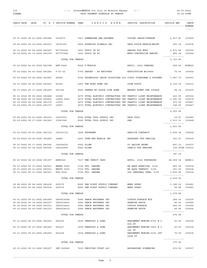## 118 ---> GovernMENTOR for City of Mission Kansas <--- 06-03-2022 PAID PAYMENT SCHEDULE BY VENDOR

|                                                              |  |                                                        | CHECK DATE DATE PO # T INVOICE NUMBER VEND V E N D O R N A M E INVOICE DESCRIPTION |                                                   | INVOICE AMT                            | CHECK           |
|--------------------------------------------------------------|--|--------------------------------------------------------|------------------------------------------------------------------------------------|---------------------------------------------------|----------------------------------------|-----------------|
|                                                              |  |                                                        |                                                                                    |                                                   |                                        | $- - - - - - -$ |
|                                                              |  |                                                        |                                                                                    |                                                   |                                        |                 |
| 05-31-2022 05-23-2022 081486                                 |  | 3232273                                                | 7427 SUMNERONE DBA:DATAMAX COPIER LEASE/OVERAGE 2,417.81                           |                                                   |                                        | 193529          |
| 05-26-2022 05-19-2022 081433                                 |  | 18793303                                               | 0665 SUPERIOR SIGNALS INC                                                          | SHOP STOCK-REPAIR/MAINT. 263.16                   |                                        | 193478          |
|                                                              |  | 457730221                                              | 1403 SYSCO OF KC                                                                   | SNACKS FOR MFAC                                   |                                        |                 |
| 05-31-2022 05-24-2022 081487<br>05-19-2022 05-11-2022 081378 |  | 457707496                                              | 1403 SYSCO OF KC                                                                   | MFAC-CONCESSION SNACKS                            | 2,871.56 193530<br>862.34 193446       |                 |
|                                                              |  |                                                        |                                                                                    |                                                   | ---------------                        |                 |
|                                                              |  | TOTAL FOR VENDOR                                       |                                                                                    |                                                   | 3,733.90                               |                 |
| 05-23-2022 04-22-2022 081398                                 |  | APR-2022                                               | 8646 T-MOBILE                                                                      | APRIL, 2022 CHARGES                               | 658.25                                 | ACH822          |
| 05-12-2022 05-03-2022 081282                                 |  | $5 - 03 - 22$                                          | 5755 TARGET - AP RECOVERY                                                          | RESTITUTION #239465                               | 75.00                                  | 193402          |
| 05-12-2022 05-04-2022 081283                                 |  | 48990                                                  | 8158 TECHNOLOGY GROUP SOLUTIONS LLC CISCO FIREPOWER & SYSTEMS                      |                                                   | 7,947.70                               | 193403          |
| 05-31-2022 05-25-2022 081491                                 |  | 62344                                                  | 2901 THE WORK ZONE INC                                                             | SIGN POSTS                                        | 4,155.00                               | 193531          |
| 05-17-2022 05-17-2022 081465                                 |  | 051722                                                 | 8540 THERES NO PLACE LIKE HOME MARKET EVENT-THE LOCALE                             |                                                   | 44.14                                  | 001435          |
| 05-31-2022 05-25-2022 081488                                 |  | 12096                                                  | 0270 TOTAL ELECTRIC CONTRACTORS INC TRAFFIC LIGHT MAINTENANCE                      |                                                   | 223.00                                 | 193532          |
| 05-26-2022 05-19-2022 081440                                 |  | 12082-2022                                             | 0270 TOTAL ELECTRIC CONTRACTORS INC TRAFFIC LIGHT MAINTENANCE                      |                                                   | 1,181.90                               | 193479          |
| 05-19-2022 04-06-2022 081379                                 |  | 11972                                                  | 0270 TOTAL ELECTRIC CONTRACTORS INC TRAFFIC LIGHT MAINTENANCE                      |                                                   | 472.50 193447                          |                 |
| 05-19-2022 05-13-2022 081379                                 |  | 12067                                                  | 0270 TOTAL ELECTRIC CONTRACTORS INC TRAFFIC LIGHT MAINTENANCE                      |                                                   | 146.25 193447                          |                 |
|                                                              |  | TOTAL FOR VENDOR                                       |                                                                                    |                                                   | 2,023.65                               |                 |
| 05-26-2022 05-23-2022 081435                                 |  | 10547521                                               | 8092 TOTAL TOOL SUPPLY INC                                                         | SHOP TOOL                                         | 10.47 193480                           |                 |
| 05-19-2022 05-17-2022 081380                                 |  | 10547082                                               | 8092 TOTAL TOOL SUPPLY INC                                                         | SAW                                               | 1,613.33 193448                        |                 |
|                                                              |  | TOTAL FOR VENDOR                                       |                                                                                    |                                                   | ---------------<br>1,623.80            |                 |
|                                                              |  | 05-12-2022 05-01-2022 081332 156721721 7808 TRUGREEN   |                                                                                    | SERVICE CONTRACT                                  | 3,499.34 193404                        |                 |
| 05-12-2022 05-02-2022 081285                                 |  | 34866                                                  | 4251 TURN-KEY MOBILE INC                                                           | KEYBOARD FOR VEHICLE                              | 361.47                                 | 193405          |
| 05-31-2022 05-17-2022 081506                                 |  | 149024023                                              | 6922 ULINE                                                                         | 55 GALLON DRUMS                                   | 897.10 193533                          |                 |
| 05-31-2022 05-18-2022 081506                                 |  | 149140093                                              | 6922 ULINE                                                                         | CREDIT FOR FREIGHT                                | 100.00CR 193533                        |                 |
|                                                              |  | TOTAL FOR VENDOR                                       |                                                                                    |                                                   | ---------------<br>797.10              |                 |
| 05-23-2022 04-30-2022 081387                                 |  | APR2022                                                | 7217 UMB CREDIT CARD                                                               | APRIL, 2022 PURCHASES 44,938.34 ACH811            |                                        |                 |
|                                                              |  |                                                        |                                                                                    |                                                   |                                        |                 |
| 05-31-2022 05-31-2022 081521                                 |  | HBEXR.0522<br>05-31-2022 05-31-2022 081521 HBTPY.0522  | 0734 UTZ, SHAUNA<br>0734 UTZ, SHAUNA                                               | HB AQUA EXERCISE: 5/22<br>HB AQUA THERAPY: 5/22   | 663.00 193534<br>351.00 193534         |                 |
|                                                              |  | 05-31-2022 05-31-2022 081521 PTA.0522 0734 UTZ, SHAUNA |                                                                                    | 90% PERSONAL TRNR: 5/22                           | 1,602.00 193534                        |                 |
|                                                              |  |                                                        |                                                                                    |                                                   | ----------------                       |                 |
|                                                              |  | TOTAL FOR VENDOR                                       |                                                                                    |                                                   | 2,616.00                               |                 |
|                                                              |  | 05-26-2022 05-24-2022 081438 229175                    | 8662 VAN DIEST SUPPLY COMPANY                                                      | WEED SPRAY                                        | 1,180.00 193481                        |                 |
| 05-26-2022 05-24-2022 081438 229176                          |  |                                                        | 8662 VAN DIEST SUPPLY COMPANY                                                      | WEED SPRAY                                        | 99.88 193481                           |                 |
|                                                              |  | TOTAL FOR VENDOR                                       |                                                                                    |                                                   | ---------------<br>1,279.88            |                 |
|                                                              |  | 05-31-2022 05-23-2022 081489 IG00014548                | 0282 VANCE BROTHERS INC                                                            | VIRGIN SURFACE MIX                                | 266.00 193535                          |                 |
| 05-26-2022 05-19-2022 081437                                 |  |                                                        | IG00014491 0282 VANCE BROTHERS INC                                                 | PREMIUM PATCH                                     | 96.00 193482                           |                 |
|                                                              |  | 05-12-2022 05-04-2022 081333 IG00014202                | 0282 VANCE BROTHERS INC                                                            | VIRGIN SURFACE                                    | 266.00 193406                          |                 |
| 05-12-2022 05-05-2022 081333                                 |  | IG00014219                                             | 0282 VANCE BROTHERS INC                                                            | PREMIUM PATCH                                     | 48.96 193406<br><u>---------------</u> |                 |
|                                                              |  | TOTAL FOR VENDOR                                       |                                                                                    |                                                   | 676.96                                 |                 |
| 05-31-2022 05-23-2022 081490 681416                          |  |                                                        | 2538 VERHULST & SONS                                                               | ABATEMENT MOWING: 6701 W.5<br>6th ST              | 50.00 193536                           |                 |
| 05-31-2022 05-23-2022 081490 681417                          |  |                                                        | 2538 VERHULST & SONS                                                               | ABATEMENT MOWING:5901 W.5<br>1st ST               | 50.00                                  | 193536          |
| 05-31-2022 05-23-2022 081490 681418                          |  |                                                        | 2538 VERHULST & SONS                                                               | ABATEMENT MOWING:5101 OUT 75.00 193536<br>LOOK ST |                                        |                 |
|                                                              |  | TOTAL FOR VENDOR                                       |                                                                                    |                                                   | ---------------<br>175.00              |                 |
|                                                              |  | 05-31-2022 05-31-2022 081507 INV-362945                | 7419 VERIFIED FIRST LLC                                                            | BACKGROUND SCREENING                              | 672.00 193537                          |                 |